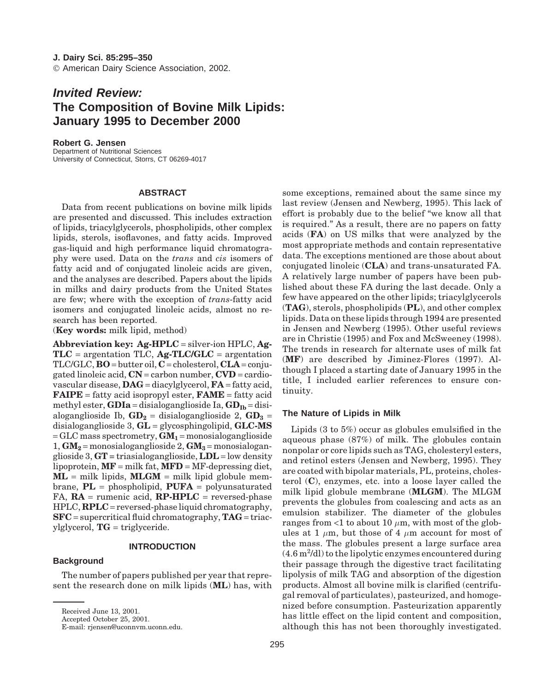# *Invited Review:* **The Composition of Bovine Milk Lipids: January 1995 to December 2000**

### **Robert G. Jensen**

Department of Nutritional Sciences University of Connecticut, Storrs, CT 06269-4017

## **ABSTRACT**

Data from recent publications on bovine milk lipids are presented and discussed. This includes extraction of lipids, triacylglycerols, phospholipids, other complex lipids, sterols, isoflavones, and fatty acids. Improved gas-liquid and high performance liquid chromatography were used. Data on the *trans* and *cis* isomers of fatty acid and of conjugated linoleic acids are given, and the analyses are described. Papers about the lipids in milks and dairy products from the United States are few; where with the exception of *trans*-fatty acid isomers and conjugated linoleic acids, almost no research has been reported.

(**Key words:** milk lipid, method)

**Abbreviation key: Ag-HPLC** = silver-ion HPLC, **Ag-TLC** = argentation TLC, **Ag-TLC/GLC** = argentation TLC/GLC, **BO** = butter oil, **C** = cholesterol, **CLA** = conjugated linoleic acid, **CN** = carbon number, **CVD** = cardiovascular disease, **DAG** = diacylglycerol, **FA** = fatty acid, **FAIPE** = fatty acid isopropyl ester, **FAME** = fatty acid methyl ester,  $GDIa = \text{disiloganglioside Ia}, \text{GD}_{Ib} = \text{disi}$ aloganglioside Ib,  $GD_2$  = disialoganglioside 2,  $GD_3$  = disialoganglioside 3, **GL** = glycosphingolipid, **GLC-MS**  $=$  GLC mass spectrometry,  $GM<sub>1</sub>$  = monosialoganglioside  $1, GM_2$  = monosialoganglioside 2,  $GM_3$  = monosialoganglioside 3, **GT** = triasialoganglioside, **LDL** = low density lipoprotein, **MF** = milk fat, **MFD** = MF-depressing diet,  $ML =$  milk lipids,  $MLGM =$  milk lipid globule membrane, **PL** = phospholipid, **PUFA** = polyunsaturated  $FA$ ,  $RA$  = rumenic acid,  $RP\text{-}HPLC$  = reversed-phase HPLC, **RPLC** = reversed-phase liquid chromatography, **SFC** = supercritical fluid chromatography, **TAG** = triacylglycerol, **TG** = triglyceride.

## **INTRODUCTION**

## **Background**

The number of papers published per year that represent the research done on milk lipids (**ML**) has, with some exceptions, remained about the same since my last review (Jensen and Newberg, 1995). This lack of effort is probably due to the belief "we know all that is required." As a result, there are no papers on fatty acids (**FA**) on US milks that were analyzed by the most appropriate methods and contain representative data. The exceptions mentioned are those about about conjugated linoleic (**CLA**) and trans-unsaturated FA. A relatively large number of papers have been published about these FA during the last decade. Only a few have appeared on the other lipids; triacylglycerols (**TAG**), sterols, phospholipids (**PL**), and other complex lipids. Data on these lipids through 1994 are presented in Jensen and Newberg (1995). Other useful reviews are in Christie (1995) and Fox and McSweeney (1998). The trends in research for alternate uses of milk fat (**MF**) are described by Jiminez-Flores (1997). Although I placed a starting date of January 1995 in the title, I included earlier references to ensure continuity.

## **The Nature of Lipids in Milk**

Lipids (3 to 5%) occur as globules emulsified in the aqueous phase (87%) of milk. The globules contain nonpolar or core lipids such as TAG, cholesteryl esters, and retinol esters (Jensen and Newberg, 1995). They are coated with bipolar materials, PL, proteins, cholesterol (**C**), enzymes, etc. into a loose layer called the milk lipid globule membrane (**MLGM**). The MLGM prevents the globules from coalescing and acts as an emulsion stabilizer. The diameter of the globules ranges from  $\leq 1$  to about 10  $\mu$ m, with most of the globules at 1  $\mu$ m, but those of 4  $\mu$ m account for most of the mass. The globules present a large surface area  $(4.6\,\mathrm{m}^2/\mathrm{d}$ l) to the lipolytic enzymes encountered during their passage through the digestive tract facilitating lipolysis of milk TAG and absorption of the digestion products. Almost all bovine milk is clarified (centrifugal removal of particulates), pasteurized, and homogenized before consumption. Pasteurization apparently has little effect on the lipid content and composition, although this has not been thoroughly investigated.

Received June 13, 2001.

Accepted October 25, 2001.

E-mail: rjensen@uconnvm.uconn.edu.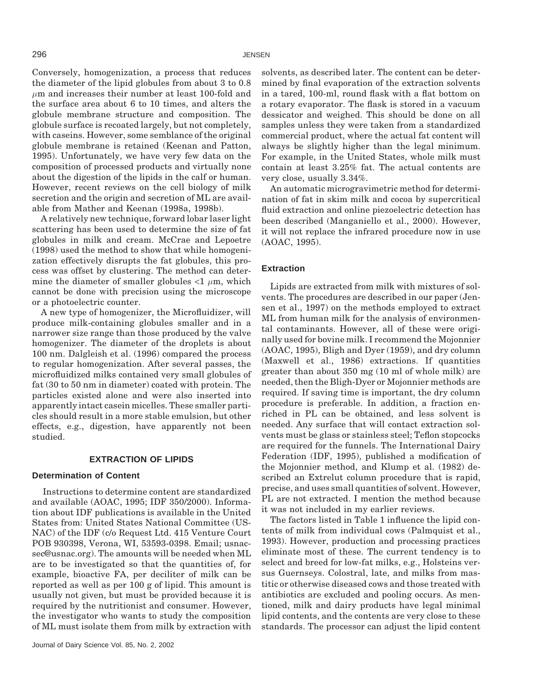Conversely, homogenization, a process that reduces the diameter of the lipid globules from about 3 to 0.8 *µ*m and increases their number at least 100-fold and the surface area about 6 to 10 times, and alters the globule membrane structure and composition. The globule surface is recoated largely, but not completely, with caseins. However, some semblance of the original globule membrane is retained (Keenan and Patton, 1995). Unfortunately, we have very few data on the composition of processed products and virtually none about the digestion of the lipids in the calf or human. However, recent reviews on the cell biology of milk secretion and the origin and secretion of ML are available from Mather and Keenan (1998a, 1998b).

A relatively new technique, forward lobar laser light scattering has been used to determine the size of fat globules in milk and cream. McCrae and Lepoetre (1998) used the method to show that while homogenization effectively disrupts the fat globules, this process was offset by clustering. The method can determine the diameter of smaller globules  $\langle 1 \mu m$ , which cannot be done with precision using the microscope or a photoelectric counter.

A new type of homogenizer, the Microfluidizer, will produce milk-containing globules smaller and in a narrower size range than those produced by the valve homogenizer. The diameter of the droplets is about 100 nm. Dalgleish et al. (1996) compared the process to regular homogenization. After several passes, the microfluidized milks contained very small globules of fat (30 to 50 nm in diameter) coated with protein. The particles existed alone and were also inserted into apparently intact casein micelles. These smaller particles should result in a more stable emulsion, but other effects, e.g., digestion, have apparently not been studied.

#### **EXTRACTION OF LIPIDS**

## **Determination of Content**

Instructions to determine content are standardized and available (AOAC, 1995; IDF 350/2000). Information about IDF publications is available in the United States from: United States National Committee (US-NAC) of the IDF (c/o Request Ltd. 415 Venture Court POB 930398, Verona, WI, 53593-0398. Email; usnacsec@usnac.org). The amounts will be needed when ML are to be investigated so that the quantities of, for example, bioactive FA, per deciliter of milk can be reported as well as per 100 g of lipid. This amount is usually not given, but must be provided because it is required by the nutritionist and consumer. However, the investigator who wants to study the composition of ML must isolate them from milk by extraction with solvents, as described later. The content can be determined by final evaporation of the extraction solvents in a tared, 100-ml, round flask with a flat bottom on a rotary evaporator. The flask is stored in a vacuum dessicator and weighed. This should be done on all samples unless they were taken from a standardized commercial product, where the actual fat content will always be slightly higher than the legal minimum. For example, in the United States, whole milk must contain at least 3.25% fat. The actual contents are very close, usually 3.34%.

An automatic microgravimetric method for determination of fat in skim milk and cocoa by supercritical fluid extraction and online piezoelectric detection has been described (Manganiello et al., 2000). However, it will not replace the infrared procedure now in use (AOAC, 1995).

## **Extraction**

Lipids are extracted from milk with mixtures of solvents. The procedures are described in our paper (Jensen et al., 1997) on the methods employed to extract ML from human milk for the analysis of environmental contaminants. However, all of these were originally used for bovine milk. I recommend the Mojonnier (AOAC, 1995), Bligh and Dyer (1959), and dry column (Maxwell et al., 1986) extractions. If quantities greater than about 350 mg (10 ml of whole milk) are needed, then the Bligh-Dyer or Mojonnier methods are required. If saving time is important, the dry column procedure is preferable. In addition, a fraction enriched in PL can be obtained, and less solvent is needed. Any surface that will contact extraction solvents must be glass or stainless steel; Teflon stopcocks are required for the funnels. The International Dairy Federation (IDF, 1995), published a modification of the Mojonnier method, and Klump et al. (1982) described an Extrelut column procedure that is rapid, precise, and uses small quantities of solvent. However, PL are not extracted. I mention the method because it was not included in my earlier reviews.

The factors listed in Table 1 influence the lipid contents of milk from individual cows (Palmquist et al., 1993). However, production and processing practices eliminate most of these. The current tendency is to select and breed for low-fat milks, e.g., Holsteins versus Guernseys. Colostral, late, and milks from mastitic or otherwise diseased cows and those treated with antibiotics are excluded and pooling occurs. As mentioned, milk and dairy products have legal minimal lipid contents, and the contents are very close to these standards. The processor can adjust the lipid content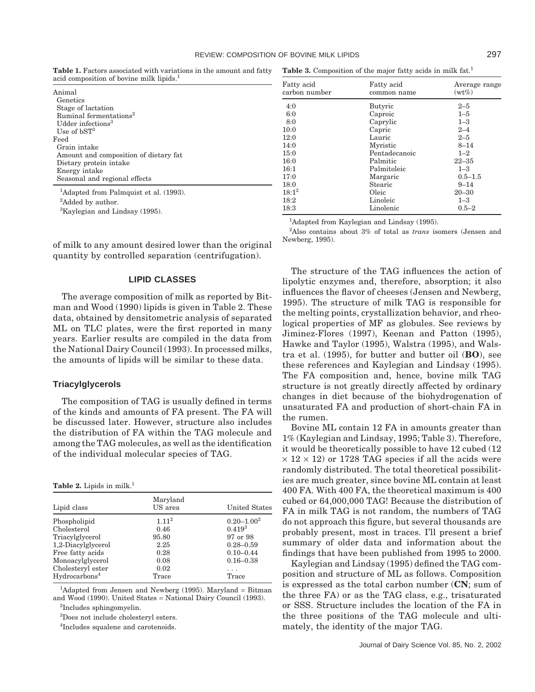**Table 1.** Factors associated with variations in the amount and fatty acid composition of bovine milk lipids.<sup>1</sup>

| Animal<br>Genetics                                                  |
|---------------------------------------------------------------------|
| Stage of lactation                                                  |
| Ruminal fermentations <sup>2</sup><br>Udder infections <sup>3</sup> |
| Use of $bST3$                                                       |
| Feed<br>Grain intake                                                |
| Amount and composition of dietary fat                               |
| Dietary protein intake<br>Energy intake                             |
| Seasonal and regional effects                                       |
| <sup>1</sup> Adapted from Palmquist et al. (1993).                  |

<sup>2</sup>Added by author.

<sup>3</sup>Kaylegian and Lindsay (1995).

of milk to any amount desired lower than the original quantity by controlled separation (centrifugation).

## **LIPID CLASSES**

The average composition of milk as reported by Bitman and Wood (1990) lipids is given in Table 2. These data, obtained by densitometric analysis of separated ML on TLC plates, were the first reported in many years. Earlier results are compiled in the data from the National Dairy Council (1993). In processed milks, the amounts of lipids will be similar to these data.

#### **Triacylglycerols**

The composition of TAG is usually defined in terms of the kinds and amounts of FA present. The FA will be discussed later. However, structure also includes the distribution of FA within the TAG molecule and among the TAG molecules, as well as the identification of the individual molecular species of TAG.

#### **Table 2.** Lipids in milk.<sup>1</sup>

| Lipid class               | Maryland<br>US area | <b>United States</b> |
|---------------------------|---------------------|----------------------|
| Phospholipid              | 1.11 <sup>2</sup>   | $0.20 - 1.00^2$      |
| Cholesterol               | 0.46                | $0.419^{3}$          |
| Triacylglycerol           | 95.80               | 97 or 98             |
| 1,2-Diacylglycerol        | 2.25                | $0.28 - 0.59$        |
| Free fatty acids          | 0.28                | $0.10 - 0.44$        |
| Monoacylglycerol          | 0.08                | $0.16 - 0.38$        |
| Cholesteryl ester         | 0.02                | .                    |
| Hydrocarbons <sup>4</sup> | Trace               | Trace                |

<sup>1</sup>Adapted from Jensen and Newberg (1995). Maryland = Bitman and Wood (1990). United States = National Dairy Council (1993).

2 Includes sphingomyelin.

3 Does not include cholesteryl esters.

4 Includes squalene and carotenoids.

Table 3. Composition of the major fatty acids in milk fat.<sup>1</sup>

| Fatty acid<br>carbon number | Fatty acid<br>common name | Average range<br>$(wt\%)$ |
|-----------------------------|---------------------------|---------------------------|
| 4:0                         | Butyric                   | $2 - 5$                   |
| 6:0                         | Caproic                   | $1 - 5$                   |
| 8:0                         | Caprylic                  | $1 - 3$                   |
| 10:0                        | Capric                    | $2 - 4$                   |
| 12:0                        | Lauric                    | $2 - 5$                   |
| 14:0                        | Myristic                  | $8 - 14$                  |
| 15:0                        | Pentadecanoic             | $1 - 2$                   |
| 16:0                        | Palmitic                  | $22 - 35$                 |
| 16:1                        | Palmitoleic               | $1 - 3$                   |
| 17:0                        | Margaric                  | $0.5 - 1.5$               |
| 18:0                        | Stearic                   | $9 - 14$                  |
| $18:1^2$                    | Oleic                     | $20 - 30$                 |
| 18:2                        | Linoleic                  | $1 - 3$                   |
| 18:3                        | $\rm Linolenic$           | $0.5 - 2$                 |

<sup>1</sup>Adapted from Kaylegian and Lindsay (1995).

2 Also contains about 3% of total as *trans* isomers (Jensen and Newberg, 1995).

The structure of the TAG influences the action of lipolytic enzymes and, therefore, absorption; it also influences the flavor of cheeses (Jensen and Newberg, 1995). The structure of milk TAG is responsible for the melting points, crystallization behavior, and rheological properties of MF as globules. See reviews by Jiminez-Flores (1997), Keenan and Patton (1995), Hawke and Taylor (1995), Walstra (1995), and Walstra et al. (1995), for butter and butter oil (**BO**), see these references and Kaylegian and Lindsay (1995). The FA composition and, hence, bovine milk TAG structure is not greatly directly affected by ordinary changes in diet because of the biohydrogenation of unsaturated FA and production of short-chain FA in the rumen.

Bovine ML contain 12 FA in amounts greater than 1% (Kaylegian and Lindsay, 1995; Table 3). Therefore, it would be theoretically possible to have 12 cubed (12  $\times$  12  $\times$  12) or 1728 TAG species if all the acids were randomly distributed. The total theoretical possibilities are much greater, since bovine ML contain at least 400 FA. With 400 FA, the theoretical maximum is 400 cubed or 64,000,000 TAG! Because the distribution of FA in milk TAG is not random, the numbers of TAG do not approach this figure, but several thousands are probably present, most in traces. I'll present a brief summary of older data and information about the findings that have been published from 1995 to 2000.

Kaylegian and Lindsay (1995) defined the TAG composition and structure of ML as follows. Composition is expressed as the total carbon number (**CN**; sum of the three FA) or as the TAG class, e.g., trisaturated or SSS. Structure includes the location of the FA in the three positions of the TAG molecule and ultimately, the identity of the major TAG.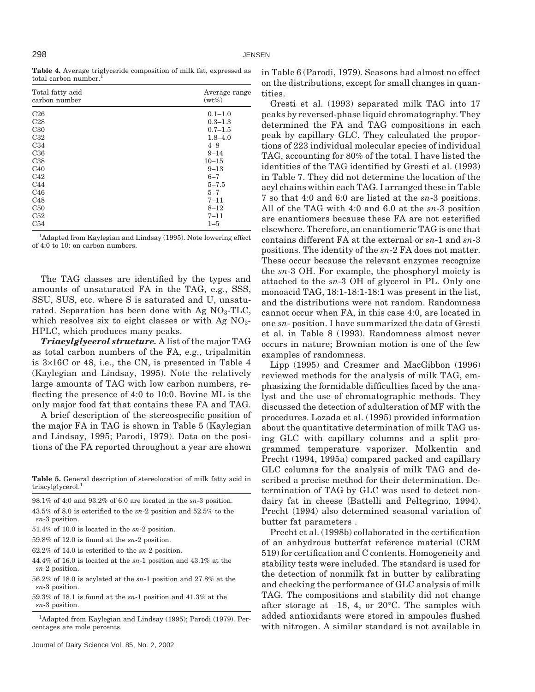**Table 4.** Average triglyceride composition of milk fat, expressed as total carbon number.

| Total fatty acid<br>carbon number | Average range<br>$(wt\%)$ |
|-----------------------------------|---------------------------|
| C <sub>26</sub>                   | $0.1 - 1.0$               |
| C <sub>28</sub>                   | $0.3 - 1.3$               |
| C30                               | $0.7 - 1.5$               |
| C32                               | $1.8 - 4.0$               |
| C34                               | $4 - 8$                   |
| C36                               | $9 - 14$                  |
| C38                               | $10 - 15$                 |
| C40                               | $9 - 13$                  |
| C <sub>42</sub>                   | $6 - 7$                   |
| C <sub>44</sub>                   | $5 - 7.5$                 |
| C46                               | $5 - 7$                   |
| C48                               | $7 - 11$                  |
| C50                               | $8 - 12$                  |
| C52                               | $7 - 11$                  |
| C54                               | $1 - 5$                   |

<sup>1</sup>Adapted from Kaylegian and Lindsay (1995). Note lowering effect of 4:0 to 10: on carbon numbers.

The TAG classes are identified by the types and amounts of unsaturated FA in the TAG, e.g., SSS, SSU, SUS, etc. where S is saturated and U, unsaturated. Separation has been done with Ag  $NO<sub>3</sub>-TLC$ , which resolves six to eight classes or with Ag  $NO<sub>3</sub>$ -HPLC, which produces many peaks.

*Triacylglycerol structure.* A list of the major TAG as total carbon numbers of the FA, e.g., tripalmitin is 3×16C or 48, i.e., the CN, is presented in Table 4 (Kaylegian and Lindsay, 1995). Note the relatively large amounts of TAG with low carbon numbers, reflecting the presence of 4:0 to 10:0. Bovine ML is the only major food fat that contains these FA and TAG.

A brief description of the stereospecific position of the major FA in TAG is shown in Table 5 (Kaylegian and Lindsay, 1995; Parodi, 1979). Data on the positions of the FA reported throughout a year are shown

**Table 5.** General description of stereolocation of milk fatty acid in triacylglycerol.<sup>1</sup>

98.1% of 4:0 and 93.2% of 6:0 are located in the *sn*-3 position. 43.5% of 8.0 is esterified to the *sn*-2 position and 52.5% to the *sn*-3 position.

- 51.4% of 10.0 is located in the *sn*-2 position.
- 59.8% of 12.0 is found at the *sn*-2 position.
- 62.2% of 14.0 is esterified to the *sn*-2 position.

44.4% of 16.0 is located at the *sn*-1 position and 43.1% at the *sn*-2 position.

56.2% of 18.0 is acylated at the *sn*-1 position and 27.8% at the *sn*-3 position.

59.3% of 18.1 is found at the *sn*-1 position and 41.3% at the *sn*-3 position.

<sup>1</sup>Adapted from Kaylegian and Lindsay (1995); Parodi (1979). Percentages are mole percents.

in Table 6 (Parodi, 1979). Seasons had almost no effect on the distributions, except for small changes in quantities.

Gresti et al. (1993) separated milk TAG into 17 peaks by reversed-phase liquid chromatography. They determined the FA and TAG compositions in each peak by capillary GLC. They calculated the proportions of 223 individual molecular species of individual TAG, accounting for 80% of the total. I have listed the identities of the TAG identified by Gresti et al. (1993) in Table 7. They did not determine the location of the acyl chains within each TAG. I arranged these in Table 7 so that 4:0 and 6:0 are listed at the *sn*-3 positions. All of the TAG with 4:0 and 6.0 at the *sn*-3 position are enantiomers because these FA are not esterified elsewhere. Therefore, an enantiomeric TAG is one that contains different FA at the external or *sn*-1 and *sn*-3 positions. The identity of the *sn*-2 FA does not matter. These occur because the relevant enzymes recognize the *sn*-3 OH. For example, the phosphoryl moiety is attached to the *sn*-3 OH of glycerol in PL. Only one monoacid TAG, 18:1-18:1-18:1 was present in the list, and the distributions were not random. Randomness cannot occur when FA, in this case 4:0, are located in one *sn*- position. I have summarized the data of Gresti et al. in Table 8 (1993). Randomness almost never occurs in nature; Brownian motion is one of the few examples of randomness.

Lipp (1995) and Creamer and MacGibbon (1996) reviewed methods for the analysis of milk TAG, emphasizing the formidable difficulties faced by the analyst and the use of chromatographic methods. They discussed the detection of adulteration of MF with the procedures. Lozada et al. (1995) provided information about the quantitative determination of milk TAG using GLC with capillary columns and a split programmed temperature vaporizer. Molkentin and Precht (1994, 1995a) compared packed and capillary GLC columns for the analysis of milk TAG and described a precise method for their determination. Determination of TAG by GLC was used to detect nondairy fat in cheese (Battelli and Peltegrino, 1994). Precht (1994) also determined seasonal variation of butter fat parameters .

Precht et al. (1998b) collaborated in the certification of an anhydrous butterfat reference material (CRM 519) for certification and C contents. Homogeneity and stability tests were included. The standard is used for the detection of nonmilk fat in butter by calibrating and checking the performance of GLC analysis of milk TAG. The compositions and stability did not change after storage at  $-18$ , 4, or  $20^{\circ}$ C. The samples with added antioxidants were stored in ampoules flushed with nitrogen. A similar standard is not available in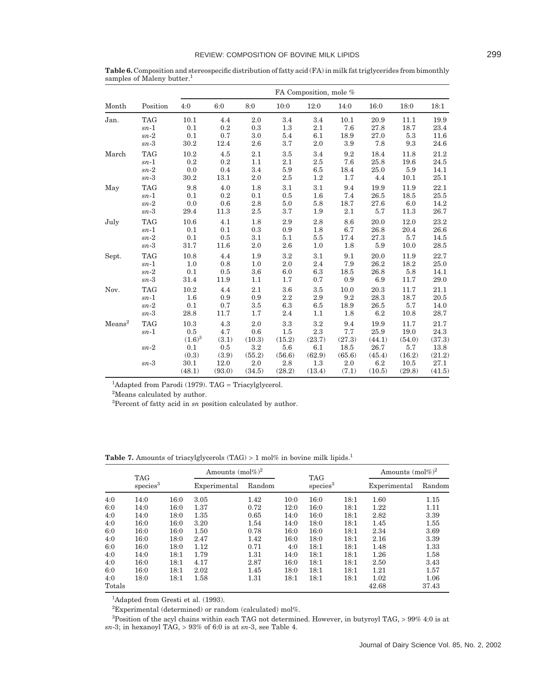|                    |                      |                          |                     |                      |                      | FA Composition, mole % |                      |                        |                        |                        |
|--------------------|----------------------|--------------------------|---------------------|----------------------|----------------------|------------------------|----------------------|------------------------|------------------------|------------------------|
| Month              | Position             | 4:0                      | 6:0                 | 8:0                  | 10:0                 | 12:0                   | 14:0                 | 16:0                   | 18:0                   | 18:1                   |
| Jan.               | <b>TAG</b>           | 10.1                     | 4.4                 | 2.0                  | 3.4                  | 3.4                    | 10.1                 | 20.9                   | 11.1                   | 19.9                   |
|                    | $sn-1$               | 0.1                      | 0.2                 | 0.3                  | 1.3                  | 2.1                    | 7.6                  | 27.8                   | 18.7                   | 23.4                   |
|                    | $sn-2$               | 0.1                      | 0.7                 | 3.0                  | 5.4                  | 6.1                    | 18.9                 | 27.0                   | 5.3                    | 11.6                   |
|                    | $sn-3$               | 30.2                     | 12.4                | 2.6                  | 3.7                  | 2.0                    | 3.9                  | 7.8                    | 9.3                    | 24.6                   |
| March              | <b>TAG</b>           | 10.2                     | 4.5                 | 2.1                  | 3.5                  | 3.4                    | 9.2                  | 18.4                   | 11.8                   | 21.2                   |
|                    | $sn-1$               | 0.2                      | 0.2                 | 1.1                  | 2.1                  | 2.5                    | 7.6                  | 25.8                   | 19.6                   | 24.5                   |
|                    | $sn-2$               | 0.0                      | 0.4                 | 3.4                  | 5.9                  | 6.5                    | 18.4                 | 25.0                   | 5.9                    | 14.1                   |
|                    | $sn-3$               | 30.2                     | 13.1                | 2.0                  | 2.5                  | 1.2                    | 1.7                  | 4.4                    | 10.1                   | 25.1                   |
| May                | <b>TAG</b>           | 9.8                      | 4.0                 | 1.8                  | 3.1                  | $3.1\,$                | 9.4                  | 19.9                   | 11.9                   | 22.1                   |
|                    | $sn-1$               | 0.1                      | 0.2                 | 0.1                  | 0.5                  | 1.6                    | 7.4                  | 26.5                   | 18.5                   | 25.5                   |
|                    | $sn-2$               | 0.0                      | 0.6                 | 2.8                  | 5.0                  | 5.8                    | 18.7                 | 27.6                   | 6.0                    | 14.2                   |
|                    | $sn-3$               | 29.4                     | 11.3                | 2.5                  | 3.7                  | 1.9                    | 2.1                  | 5.7                    | 11.3                   | 26.7                   |
| July               | <b>TAG</b>           | 10.6                     | 4.1                 | 1.8                  | 2.9                  | 2.8                    | 8.6                  | 20.0                   | 12.0                   | 23.2                   |
|                    | $sn-1$               | 0.1                      | 0.1                 | 0.3                  | 0.9                  | 1.8                    | 6.7                  | 26.8                   | 20.4                   | 26.6                   |
|                    | $sn-2$               | 0.1                      | 0.5                 | 3.1                  | 5.1                  | 5.5                    | 17.4                 | 27.3                   | 5.7                    | 14.5                   |
|                    | $sn-3$               | 31.7                     | 11.6                | 2.0                  | 2.6                  | 1.0                    | 1.8                  | 5.9                    | 10.0                   | 28.5                   |
| Sept.              | <b>TAG</b>           | 10.8                     | 4.4                 | 1.9                  | 3.2                  | 3.1                    | 9.1                  | 20.0                   | 11.9                   | 22.7                   |
|                    | $sn-1$               | 1.0                      | 0.8                 | 1.0                  | 2.0                  | 2.4                    | 7.9                  | 26.2                   | 18.2                   | 25.0                   |
|                    | $sn-2$               | 0.1                      | 0.5                 | $3.6\,$              | 6.0                  | 6.3                    | 18.5                 | 26.8                   | 5.8                    | 14.1                   |
|                    | $sn-3$               | 31.4                     | 11.9                | 1.1                  | 1.7                  | 0.7                    | 0.9                  | 6.9                    | 11.7                   | 29.0                   |
| Nov.               | <b>TAG</b>           | 10.2                     | 4.4                 | 2.1                  | 3.6                  | 3.5                    | 10.0                 | 20.3                   | 11.7                   | 21.1                   |
|                    | $sn-1$               | 1.6                      | 0.9                 | 0.9                  | 2.2                  | 2.9                    | 9.2                  | 28.3                   | 18.7                   | 20.5                   |
|                    | $sn-2$               | 0.1                      | 0.7                 | 3.5                  | 6.3                  | 6.5                    | 18.9                 | 26.5                   | 5.7                    | 14.0                   |
|                    | $sn-3$               | 28.8                     | 11.7                | 1.7                  | 2.4                  | 1.1                    | 1.8                  | 6.2                    | 10.8                   | 28.7                   |
| Means <sup>2</sup> | <b>TAG</b><br>$sn-1$ | 10.3<br>0.5<br>$(1.6)^3$ | 4.3<br>4.7<br>(3.1) | 2.0<br>0.6<br>(10.3) | 3.3<br>1.5<br>(15.2) | 3.2<br>2.3<br>(23.7)   | 9.4<br>7.7<br>(27.3) | 19.9<br>25.9<br>(44.1) | 11.7<br>19.0<br>(54.0) | 21.7<br>24.3<br>(37.3) |
|                    | $sn-2$               | 0.1<br>(0.3)             | 0.5<br>(3.9)        | 3.2<br>(55.2)        | 5.6<br>(56.6)        | 6.1<br>(62.9)          | 18.5<br>(65.6)       | 26.7<br>(45.4)         | 5.7<br>(16.2)          | 13.8<br>(21.2)         |
|                    | $sn-3$               | 30.1<br>(48.1)           | 12.0<br>(93.0)      | 2.0<br>(34.5)        | 2.8<br>(28.2)        | 1.3<br>(13.4)          | 2.0<br>(7.1)         | 6.2<br>(10.5)          | 10.5<br>(29.8)         | 27.1<br>(41.5)         |

**Table 6.** Composition and stereospecific distribution of fatty acid (FA) in milk fat triglycerides from bimonthly samples of Maleny butter.<sup>1</sup>

<sup>1</sup>Adapted from Parodi (1979). TAG = Triacylglycerol.

<sup>2</sup>Means calculated by author.

3 Percent of fatty acid in *sn* position calculated by author.

Table 7. Amounts of triacylglycerols (TAG) > 1 mol% in bovine milk lipids.<sup>1</sup>

|            | <b>TAG</b>           |              | Amounts $(mol\%)^2$ |              |              | <b>TAG</b>           |              | Amounts $(mol\%)^2$ |              |
|------------|----------------------|--------------|---------------------|--------------|--------------|----------------------|--------------|---------------------|--------------|
|            | species <sup>3</sup> |              | Experimental        | Random       |              | species <sup>3</sup> |              | Experimental        | Random       |
| 4:0        | 14:0                 | 16:0         | 3.05                | 1.42         | 10:0         | 16:0                 | 18:1         | 1.60                | 1.15         |
| 6:0<br>4:0 | 14:0<br>14:0         | 16:0<br>18:0 | 1.37<br>1.35        | 0.72<br>0.65 | 12:0<br>14:0 | 16:0<br>16:0         | 18:1<br>18:1 | 1.22<br>2.82        | 1.11<br>3.39 |
| 4:0        | 16:0                 | 16:0         | 3.20                | 1.54         | 14:0         | 18:0                 | 18:1         | 1.45                | 1.55         |
| 6:0        | 16:0                 | 16:0         | 1.50                | 0.78         | 16:0         | 16:0                 | 18:1         | 2.34                | 3.69         |
| 4:0        | 16:0                 | 18:0         | 2.47                | 1.42         | 16:0         | 18:0                 | 18:1         | 2.16                | 3.39         |
| 6:0        | 16:0                 | 18:0         | 1.12                | 0.71         | 4:0          | 18:1                 | 18:1         | 1.48                | 1.33         |
| 4:0        | 14:0                 | 18:1         | 1.79                | 1.31         | 14:0         | 18:1                 | 18:1         | 1.26                | 1.58         |
| 4:0        | 16:0                 | 18:1         | 4.17                | 2.87         | 16:0         | 18:1                 | 18:1         | 2.50                | 3.43         |
| 6:0        | 16:0                 | 18:1         | 2.02                | 1.45         | 18:0         | 18:1                 | 18:1         | 1.21                | 1.57         |
| 4:0        | 18:0                 | 18:1         | 1.58                | 1.31         | 18:1         | 18:1                 | 18:1         | 1.02                | 1.06         |
| Totals     |                      |              |                     |              |              |                      |              | 42.68               | 37.43        |

<sup>1</sup>Adapted from Gresti et al. (1993).

 ${}^{2}$ Experimental (determined) or random (calculated) mol%.

 ${}^{3}$ Position of the acyl chains within each TAG not determined. However, in butyroyl TAG, > 99% 4:0 is at *sn*-3; in hexanoyl TAG, > 93% of 6:0 is at *sn*-3, see Table 4.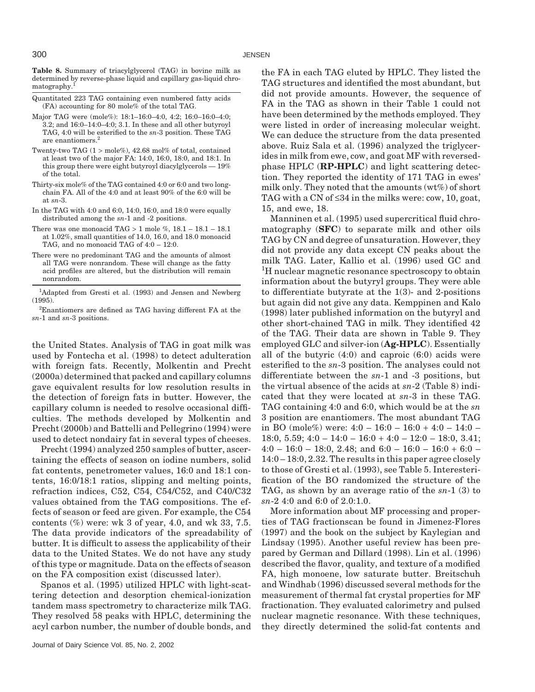**Table 8.** Summary of triacylglycerol (TAG) in bovine milk as determined by reverse-phase liquid and capillary gas-liquid chromatography.<sup>1</sup>

- Quantitated 223 TAG containing even numbered fatty acids (FA) accounting for 80 mole% of the total TAG.
- Major TAG were (mole%): 18:1–16:0–4:0, 4:2; 16:0–16:0–4:0; 3.2; and 16:0–14:0–4:0; 3.1. In these and all other butyroyl TAG, 4:0 will be esterified to the *sn*-3 position. These TAG are enantiomers.<sup>2</sup>
- Twenty-two TAG  $(1 > \text{mole}\%)$ , 42.68 mol% of total, contained at least two of the major FA: 14:0, 16:0, 18:0, and 18:1. In this group there were eight butyroyl diacylglycerols — 19% of the total.
- Thirty-six mole% of the TAG contained 4:0 or 6:0 and two longchain FA. All of the 4:0 and at least 90% of the 6:0 will be at *sn*-3.
- In the TAG with 4:0 and 6:0, 14:0, 16:0, and 18:0 were equally distributed among the *sn*-1 and -2 positions.
- There was one monoacid TAG  $> 1$  mole %,  $18.1 18.1 18.1$ at 1.02%, small quantities of 14.0, 16.0, and 18.0 monoacid TAG, and no monoacid TAG of 4:0 – 12:0.
- There were no predominant TAG and the amounts of almost all TAG were nonrandom. These will change as the fatty acid profiles are altered, but the distribution will remain nonrandom.
- <sup>1</sup>Adapted from Gresti et al. (1993) and Jensen and Newberg (1995).

2 Enantiomers are defined as TAG having different FA at the *sn*-1 and *sn*-3 positions.

the United States. Analysis of TAG in goat milk was used by Fontecha et al. (1998) to detect adulteration with foreign fats. Recently, Molkentin and Precht (2000a) determined that packed and capillary columns gave equivalent results for low resolution results in the detection of foreign fats in butter. However, the capillary column is needed to resolve occasional difficulties. The methods developed by Molkentin and Precht (2000b) and Battelli and Pellegrino (1994) were used to detect nondairy fat in several types of cheeses.

Precht (1994) analyzed 250 samples of butter, ascertaining the effects of season on iodine numbers, solid fat contents, penetrometer values, 16:0 and 18:1 contents, 16:0/18:1 ratios, slipping and melting points, refraction indices, C52, C54, C54/C52, and C40/C32 values obtained from the TAG compositions. The effects of season or feed are given. For example, the C54 contents  $(\%)$  were: wk 3 of year, 4.0, and wk 33, 7.5. The data provide indicators of the spreadability of butter. It is difficult to assess the applicability of their data to the United States. We do not have any study of this type or magnitude. Data on the effects of season on the FA composition exist (discussed later).

Spanos et al. (1995) utilized HPLC with light-scattering detection and desorption chemical-ionization tandem mass spectrometry to characterize milk TAG. They resolved 58 peaks with HPLC, determining the acyl carbon number, the number of double bonds, and

the FA in each TAG eluted by HPLC. They listed the TAG structures and identified the most abundant, but did not provide amounts. However, the sequence of FA in the TAG as shown in their Table 1 could not have been determined by the methods employed. They were listed in order of increasing molecular weight. We can deduce the structure from the data presented above. Ruiz Sala et al. (1996) analyzed the triglycerides in milk from ewe, cow, and goat MF with reversedphase HPLC (**RP-HPLC**) and light scattering detection. They reported the identity of 171 TAG in ewes' milk only. They noted that the amounts (wt%) of short TAG with a CN of  $\leq$ 34 in the milks were: cow, 10, goat, 15, and ewe, 18.

Manninen et al. (1995) used supercritical fluid chromatography (**SFC**) to separate milk and other oils TAG by CN and degree of unsaturation. However, they did not provide any data except CN peaks about the milk TAG. Later, Kallio et al. (1996) used GC and <sup>1</sup>H nuclear magnetic resonance spectroscopy to obtain information about the butyryl groups. They were able to differentiate butyrate at the 1(3)- and 2-positions but again did not give any data. Kemppinen and Kalo (1998) later published information on the butyryl and other short-chained TAG in milk. They identified 42 of the TAG. Their data are shown in Table 9. They employed GLC and silver-ion (**Ag-HPLC**). Essentially all of the butyric (4:0) and caproic (6:0) acids were esterified to the *sn*-3 position. The analyses could not differentiate between the *sn*-1 and -3 positions, but the virtual absence of the acids at *sn*-2 (Table 8) indicated that they were located at *sn*-3 in these TAG. TAG containing 4:0 and 6:0, which would be at the *sn* 3 position are enantiomers. The most abundant TAG in BO (mole%) were:  $4:0 - 16:0 - 16:0 + 4:0 - 14:0 -$ 18:0, 5.59;  $4:0 - 14:0 - 16:0 + 4:0 - 12:0 - 18:0$ , 3.41;  $4:0 - 16:0 - 18:0, 2.48$ ; and  $6:0 - 16:0 - 16:0 + 6:0 -$ 14:0 – 18:0, 2.32. The results in this paper agree closely to those of Gresti et al. (1993), see Table 5. Interesterification of the BO randomized the structure of the TAG, as shown by an average ratio of the *sn*-1 (3) to *sn*-2 4:0 and 6:0 of 2.0:1.0.

More information about MF processing and properties of TAG fractionscan be found in Jimenez-Flores (1997) and the book on the subject by Kaylegian and Lindsay (1995). Another useful review has been prepared by German and Dillard (1998). Lin et al. (1996) described the flavor, quality, and texture of a modified FA, high monoene, low saturate butter. Breitschuh and Windhab (1996) discussed several methods for the measurement of thermal fat crystal properties for MF fractionation. They evaluated calorimetry and pulsed nuclear magnetic resonance. With these techniques, they directly determined the solid-fat contents and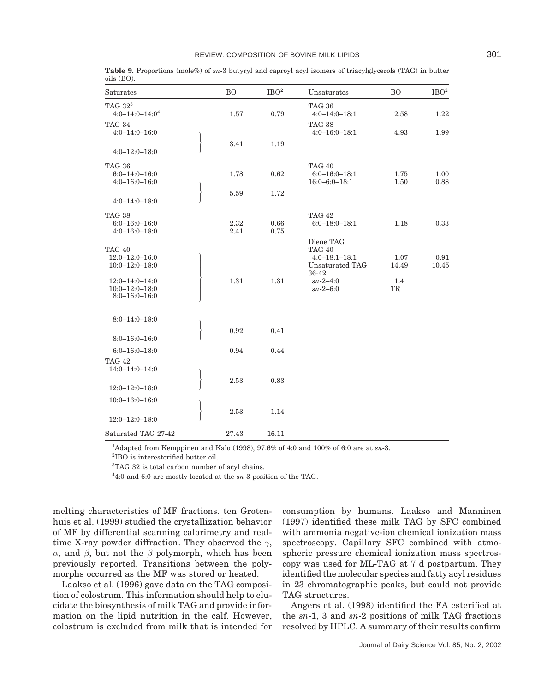| Saturates                                                           | <b>BO</b>    | IBO <sup>2</sup> | Unsaturates                                                                   | <b>BO</b>     | IBO <sup>2</sup> |
|---------------------------------------------------------------------|--------------|------------------|-------------------------------------------------------------------------------|---------------|------------------|
| TAG $32^3$<br>$4:0 - 14:0 - 14:0^4$                                 | 1.57         | 0.79             | <b>TAG 36</b><br>$4:0 - 14:0 - 18:1$                                          | 2.58          | 1.22             |
| <b>TAG 34</b><br>$4:0 - 14:0 - 16:0$                                |              |                  | <b>TAG 38</b><br>$4:0 - 16:0 - 18:1$                                          | 4.93          | 1.99             |
| $4:0 - 12:0 - 18:0$                                                 | 3.41         | 1.19             |                                                                               |               |                  |
| <b>TAG 36</b><br>$6:0 - 14:0 - 16:0$<br>$4:0 - 16:0 - 16:0$         | 1.78         | 0.62             | <b>TAG 40</b><br>$6:0 - 16:0 - 18:1$<br>$16:0 - 6:0 - 18:1$                   | 1.75<br>1.50  | 1.00<br>0.88     |
| $4:0 - 14:0 - 18:0$                                                 | 5.59         | 1.72             |                                                                               |               |                  |
| <b>TAG 38</b><br>$6:0 - 16:0 - 16:0$<br>$4:0 - 16:0 - 18:0$         | 2.32<br>2.41 | 0.66<br>0.75     | <b>TAG 42</b><br>$6:0 - 18:0 - 18:1$                                          | 1.18          | 0.33             |
| <b>TAG 40</b><br>$12:0 - 12:0 - 16:0$<br>$10:0 - 12:0 - 18:0$       |              |                  | Diene TAG<br><b>TAG 40</b><br>$4:0 - 18:1 - 18:1$<br>Unsaturated TAG<br>36-42 | 1.07<br>14.49 | 0.91<br>10.45    |
| $12:0 - 14:0 - 14:0$<br>$10:0 - 12:0 - 18:0$<br>$8:0 - 16:0 - 16:0$ | 1.31         | 1.31             | $sn - 2 - 4:0$<br>$sn - 2 - 6:0$                                              | 1.4<br>TR     |                  |
| $8:0 - 14:0 - 18:0$                                                 |              |                  |                                                                               |               |                  |
| $8:0 - 16:0 - 16:0$                                                 | 0.92         | 0.41             |                                                                               |               |                  |
| $6:0 - 16:0 - 18:0$<br><b>TAG 42</b>                                | 0.94         | 0.44             |                                                                               |               |                  |
| 14:0-14:0-14:0                                                      |              |                  |                                                                               |               |                  |
| $12:0 - 12:0 - 18:0$                                                | 2.53         | 0.83             |                                                                               |               |                  |
| $10:0 - 16:0 - 16:0$                                                |              |                  |                                                                               |               |                  |
| $12:0 - 12:0 - 18:0$                                                | 2.53         | 1.14             |                                                                               |               |                  |
| Saturated TAG 27-42                                                 | 27.43        | 16.11            |                                                                               |               |                  |

**Table 9.** Proportions (mole%) of *sn*-3 butyryl and caproyl acyl isomers of triacylglycerols (TAG) in butter oils  $(BO).<sup>1</sup>$ 

1 Adapted from Kemppinen and Kalo (1998), 97.6% of 4:0 and 100% of 6:0 are at *sn*-3.

2 IBO is interesterified butter oil.

<sup>3</sup>TAG 32 is total carbon number of acyl chains.

4 4:0 and 6:0 are mostly located at the *sn*-3 position of the TAG.

melting characteristics of MF fractions. ten Grotenhuis et al. (1999) studied the crystallization behavior of MF by differential scanning calorimetry and realtime X-ray powder diffraction. They observed the *γ*, *α*, and *β*, but not the *β* polymorph, which has been previously reported. Transitions between the polymorphs occurred as the MF was stored or heated.

Laakso et al. (1996) gave data on the TAG composition of colostrum. This information should help to elucidate the biosynthesis of milk TAG and provide information on the lipid nutrition in the calf. However, colostrum is excluded from milk that is intended for consumption by humans. Laakso and Manninen (1997) identified these milk TAG by SFC combined with ammonia negative-ion chemical ionization mass spectroscopy. Capillary SFC combined with atmospheric pressure chemical ionization mass spectroscopy was used for ML-TAG at 7 d postpartum. They identified the molecular species and fatty acyl residues in 23 chromatographic peaks, but could not provide TAG structures.

Angers et al. (1998) identified the FA esterified at the *sn*-1, 3 and *sn*-2 positions of milk TAG fractions resolved by HPLC. A summary of their results confirm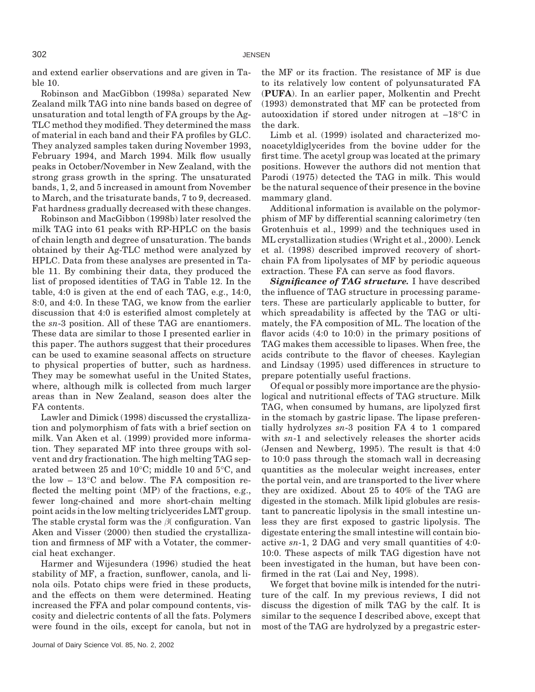and extend earlier observations and are given in Table 10.

Robinson and MacGibbon (1998a) separated New Zealand milk TAG into nine bands based on degree of unsaturation and total length of FA groups by the Ag-TLC method they modified. They determined the mass of material in each band and their FA profiles by GLC. They analyzed samples taken during November 1993, February 1994, and March 1994. Milk flow usually peaks in October/November in New Zealand, with the strong grass growth in the spring. The unsaturated bands, 1, 2, and 5 increased in amount from November to March, and the trisaturate bands, 7 to 9, decreased. Fat hardness gradually decreased with these changes.

Robinson and MacGibbon (1998b) later resolved the milk TAG into 61 peaks with RP-HPLC on the basis of chain length and degree of unsaturation. The bands obtained by their Ag-TLC method were analyzed by HPLC. Data from these analyses are presented in Table 11. By combining their data, they produced the list of proposed identities of TAG in Table 12. In the table, 4:0 is given at the end of each TAG, e.g., 14:0, 8:0, and 4:0. In these TAG, we know from the earlier discussion that 4:0 is esterified almost completely at the *sn*-3 position. All of these TAG are enantiomers. These data are similar to those I presented earlier in this paper. The authors suggest that their procedures can be used to examine seasonal affects on structure to physical properties of butter, such as hardness. They may be somewhat useful in the United States, where, although milk is collected from much larger areas than in New Zealand, season does alter the FA contents.

Lawler and Dimick (1998) discussed the crystallization and polymorphism of fats with a brief section on milk. Van Aken et al. (1999) provided more information. They separated MF into three groups with solvent and dry fractionation. The high melting TAG separated between 25 and 10°C; middle 10 and 5°C, and the low  $-13^{\circ}$ C and below. The FA composition reflected the melting point (MP) of the fractions, e.g., fewer long-chained and more short-chain melting point acids in the low melting triclycerides LMT group. The stable crystal form was the *β*( configuration. Van Aken and Visser (2000) then studied the crystallization and firmness of MF with a Votater, the commercial heat exchanger.

Harmer and Wijesundera (1996) studied the heat stability of MF, a fraction, sunflower, canola, and linola oils. Potato chips were fried in these products, and the effects on them were determined. Heating increased the FFA and polar compound contents, viscosity and dielectric contents of all the fats. Polymers were found in the oils, except for canola, but not in the MF or its fraction. The resistance of MF is due to its relatively low content of polyunsaturated FA (**PUFA**). In an earlier paper, Molkentin and Precht (1993) demonstrated that MF can be protected from autooxidation if stored under nitrogen at –18°C in the dark.

Limb et al. (1999) isolated and characterized monoacetyldiglycerides from the bovine udder for the first time. The acetyl group was located at the primary positions. However the authors did not mention that Parodi (1975) detected the TAG in milk. This would be the natural sequence of their presence in the bovine mammary gland.

Additional information is available on the polymorphism of MF by differential scanning calorimetry (ten Grotenhuis et al., 1999) and the techniques used in ML crystallization studies (Wright et al., 2000). Lenck et al. (1998) described improved recovery of shortchain FA from lipolysates of MF by periodic aqueous extraction. These FA can serve as food flavors.

*Significance of TAG structure.* I have described the influence of TAG structure in processing parameters. These are particularly applicable to butter, for which spreadability is affected by the TAG or ultimately, the FA composition of ML. The location of the flavor acids  $(4:0 \text{ to } 10:0)$  in the primary positions of TAG makes them accessible to lipases. When free, the acids contribute to the flavor of cheeses. Kaylegian and Lindsay (1995) used differences in structure to prepare potentially useful fractions.

Of equal or possibly more importance are the physiological and nutritional effects of TAG structure. Milk TAG, when consumed by humans, are lipolyzed first in the stomach by gastric lipase. The lipase preferentially hydrolyzes *sn*-3 position FA 4 to 1 compared with *sn*-1 and selectively releases the shorter acids (Jensen and Newberg, 1995). The result is that 4:0 to 10:0 pass through the stomach wall in decreasing quantities as the molecular weight increases, enter the portal vein, and are transported to the liver where they are oxidized. About 25 to 40% of the TAG are digested in the stomach. Milk lipid globules are resistant to pancreatic lipolysis in the small intestine unless they are first exposed to gastric lipolysis. The digestate entering the small intestine will contain bioactive *sn*-1, 2 DAG and very small quantities of 4:0- 10:0. These aspects of milk TAG digestion have not been investigated in the human, but have been confirmed in the rat (Lai and Ney, 1998).

We forget that bovine milk is intended for the nutriture of the calf. In my previous reviews, I did not discuss the digestion of milk TAG by the calf. It is similar to the sequence I described above, except that most of the TAG are hydrolyzed by a pregastric ester-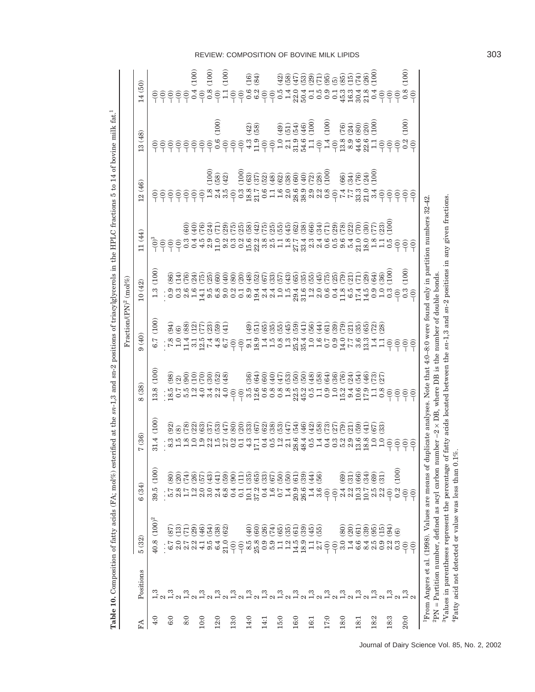|      |                                                  | Table 10. Composition of fatty acids (FA; mol%)                                                         | es <sup>-</sup>                                                                                  | terified at the sn-1,3                                                                                                                                                                                                 |                                                                                                                                                                                                                                                                         | and sn-2 positions of triacylglycerols in the HPLC fractions<br>$Fraction (PN)^2 (mol\%)$                                                                                                                                                                                                                                                                                                                                                                   |                                |                                                                                         | 5 to                                                                                                                                                                                                                                                                                                                                                  | 14 of bovine milk fat. <sup>1</sup>                                     |                  |
|------|--------------------------------------------------|---------------------------------------------------------------------------------------------------------|--------------------------------------------------------------------------------------------------|------------------------------------------------------------------------------------------------------------------------------------------------------------------------------------------------------------------------|-------------------------------------------------------------------------------------------------------------------------------------------------------------------------------------------------------------------------------------------------------------------------|-------------------------------------------------------------------------------------------------------------------------------------------------------------------------------------------------------------------------------------------------------------------------------------------------------------------------------------------------------------------------------------------------------------------------------------------------------------|--------------------------------|-----------------------------------------------------------------------------------------|-------------------------------------------------------------------------------------------------------------------------------------------------------------------------------------------------------------------------------------------------------------------------------------------------------------------------------------------------------|-------------------------------------------------------------------------|------------------|
| FA   | Positions                                        | 5(32)                                                                                                   | 6(34)                                                                                            | (36)                                                                                                                                                                                                                   | (38)                                                                                                                                                                                                                                                                    | (40)                                                                                                                                                                                                                                                                                                                                                                                                                                                        | 10(42)                         | 11 (44)                                                                                 | .2(46)                                                                                                                                                                                                                                                                                                                                                | (48)<br>റ                                                               | 4(50)            |
| 4:0  |                                                  | $(100)^2$<br>40.8                                                                                       | (100)<br>39.5                                                                                    | (100)<br>31.4                                                                                                                                                                                                          | (100)<br>13.8                                                                                                                                                                                                                                                           | (100)<br>6.7                                                                                                                                                                                                                                                                                                                                                                                                                                                | (100)<br>1.3                   |                                                                                         | $e^{\frac{1}{2}}$ $e^{\frac{1}{2}}$ $e^{\frac{1}{2}}$ $e^{\frac{1}{2}}$ $e^{\frac{1}{2}}$ $e^{\frac{1}{2}}$ $e^{\frac{1}{2}}$ $e^{\frac{1}{2}}$ $e^{\frac{1}{2}}$ $e^{\frac{1}{2}}$ $e^{\frac{1}{2}}$ $e^{\frac{1}{2}}$ $e^{\frac{1}{2}}$ $e^{\frac{1}{2}}$ $e^{\frac{1}{2}}$ $e^{\frac{1}{2}}$ $e^{\frac{1}{2}}$ $e^{\frac{1}{2}}$ $e^{\frac{1}{2}}$ | <mark>ୄ</mark> ୄଵୄଵୄଵୄଵୄଵୄୱୣଌଵୄଵୣ୴ୖୖୖୖୖୖୖୖୣ୴ୡୢୖ୴ୡୢ୴ୠ୳ଵୄଌୖୢଈୢ୴ୡୣୖ୴ଵଵୄଵଌୄ |                  |
| 6:0  |                                                  | (87)<br>: 50                                                                                            | (80)<br>. r. ∞ r. ? o o 4 ∞.<br>. r. ∞ r. ? o o 4 ∞.                                             | ة المناطق المناطق المناطق المناطق المناطق المناطق المناطق المناطق المناطق المناطق المناطق المناطق ال<br>• هناك المناطق المناطق المناطق المناطق المناطق المناطق المناطق المناطق المناطق المناطق المناطق المناطق المناطق | $\frac{1}{12}$                                                                                                                                                                                                                                                          | $: \mathbb{C} \cap \mathbb{C} \cap \mathbb{C} \cap \mathbb{C} \cap \mathbb{C} \cap \mathbb{C} \cap \mathbb{C} \cap \mathbb{C} \cap \mathbb{C} \cap \mathbb{C} \cap \mathbb{C} \cap \mathbb{C} \cap \mathbb{C} \cap \mathbb{C} \cap \mathbb{C} \cap \mathbb{C} \cap \mathbb{C} \cap \mathbb{C} \cap \mathbb{C} \cap \mathbb{C} \cap \mathbb{C} \cap \mathbb{C} \cap \mathbb{C} \cap \mathbb{C} \cap \mathbb{C} \cap \mathbb{C} \cap \mathbb{C} \cap \mathbb$ |                                |                                                                                         |                                                                                                                                                                                                                                                                                                                                                       |                                                                         |                  |
|      |                                                  | $\overline{13}$                                                                                         | (20)                                                                                             |                                                                                                                                                                                                                        |                                                                                                                                                                                                                                                                         |                                                                                                                                                                                                                                                                                                                                                                                                                                                             |                                |                                                                                         |                                                                                                                                                                                                                                                                                                                                                       |                                                                         |                  |
| 8:0  |                                                  | (71)<br>$2.7$<br>$2.4$<br>$4.1$                                                                         | (74)                                                                                             |                                                                                                                                                                                                                        |                                                                                                                                                                                                                                                                         |                                                                                                                                                                                                                                                                                                                                                                                                                                                             |                                |                                                                                         |                                                                                                                                                                                                                                                                                                                                                       |                                                                         |                  |
|      |                                                  | (29)                                                                                                    | 26                                                                                               |                                                                                                                                                                                                                        |                                                                                                                                                                                                                                                                         |                                                                                                                                                                                                                                                                                                                                                                                                                                                             |                                |                                                                                         |                                                                                                                                                                                                                                                                                                                                                       |                                                                         | (100)            |
| 10:0 | ANAAHAHAHAHAHAHAHAHAHA<br>Ana manahahahahahahaha | (46)                                                                                                    | (57)                                                                                             | $22.6$ $23.6$ $25.6$ $25.6$ $35.6$ $25.6$ $35.6$ $35.6$ $35.6$ $35.6$ $35.6$ $35.6$                                                                                                                                    | $\overset{\circ}{\mathfrak{g}}\overset{\circ}{\mathfrak{g}}\overset{\circ}{\mathfrak{g}}\overset{\circ}{\mathfrak{g}}\overset{\circ}{\mathfrak{g}}\overset{\circ}{\mathfrak{g}}\overset{\circ}{\mathfrak{g}}\overset{\circ}{\mathfrak{g}}\overset{\circ}{\mathfrak{g}}$ | 3.6895897                                                                                                                                                                                                                                                                                                                                                                                                                                                   | 816968898996886968696666915988 | e a calge ce a ce ce a se a le su ce cu si<br>e a calge ce a ce ce a se a le su ce cu s |                                                                                                                                                                                                                                                                                                                                                       |                                                                         |                  |
|      |                                                  | (54)<br>$0.5$<br>$6.4$                                                                                  | (43)                                                                                             |                                                                                                                                                                                                                        |                                                                                                                                                                                                                                                                         |                                                                                                                                                                                                                                                                                                                                                                                                                                                             |                                |                                                                                         |                                                                                                                                                                                                                                                                                                                                                       |                                                                         | (100)            |
| 12:0 |                                                  | (38)                                                                                                    | $\overline{41}$                                                                                  |                                                                                                                                                                                                                        |                                                                                                                                                                                                                                                                         |                                                                                                                                                                                                                                                                                                                                                                                                                                                             |                                |                                                                                         | $(100)$<br>$(42)$                                                                                                                                                                                                                                                                                                                                     | (100)                                                                   |                  |
|      |                                                  | 62<br>21.0                                                                                              | (53)                                                                                             |                                                                                                                                                                                                                        |                                                                                                                                                                                                                                                                         |                                                                                                                                                                                                                                                                                                                                                                                                                                                             |                                |                                                                                         |                                                                                                                                                                                                                                                                                                                                                       |                                                                         | 100              |
| 13:0 |                                                  | $\widehat{e}$                                                                                           | $\left(90\right)$<br>0.4                                                                         |                                                                                                                                                                                                                        |                                                                                                                                                                                                                                                                         |                                                                                                                                                                                                                                                                                                                                                                                                                                                             |                                |                                                                                         |                                                                                                                                                                                                                                                                                                                                                       |                                                                         |                  |
|      |                                                  | $\widehat{e}$                                                                                           |                                                                                                  |                                                                                                                                                                                                                        |                                                                                                                                                                                                                                                                         |                                                                                                                                                                                                                                                                                                                                                                                                                                                             |                                |                                                                                         |                                                                                                                                                                                                                                                                                                                                                       |                                                                         |                  |
| 14:0 |                                                  | $\widetilde{9}$                                                                                         |                                                                                                  |                                                                                                                                                                                                                        |                                                                                                                                                                                                                                                                         |                                                                                                                                                                                                                                                                                                                                                                                                                                                             |                                |                                                                                         |                                                                                                                                                                                                                                                                                                                                                       |                                                                         | $(16)$<br>$(84)$ |
|      |                                                  | (60)                                                                                                    |                                                                                                  |                                                                                                                                                                                                                        |                                                                                                                                                                                                                                                                         |                                                                                                                                                                                                                                                                                                                                                                                                                                                             |                                |                                                                                         |                                                                                                                                                                                                                                                                                                                                                       | $(42)$<br>$(58)$                                                        |                  |
| 14:1 |                                                  | (26)                                                                                                    |                                                                                                  |                                                                                                                                                                                                                        |                                                                                                                                                                                                                                                                         |                                                                                                                                                                                                                                                                                                                                                                                                                                                             |                                |                                                                                         |                                                                                                                                                                                                                                                                                                                                                       |                                                                         |                  |
|      |                                                  |                                                                                                         |                                                                                                  |                                                                                                                                                                                                                        |                                                                                                                                                                                                                                                                         |                                                                                                                                                                                                                                                                                                                                                                                                                                                             |                                |                                                                                         |                                                                                                                                                                                                                                                                                                                                                       |                                                                         |                  |
| 15:0 |                                                  | 65<br>65<br>65                                                                                          | 196696666946<br>$\begin{array}{c}\n 11.4866760 \\ 0.000000 \\ 0.000000 \\ 0.00000\n \end{array}$ |                                                                                                                                                                                                                        |                                                                                                                                                                                                                                                                         |                                                                                                                                                                                                                                                                                                                                                                                                                                                             |                                |                                                                                         |                                                                                                                                                                                                                                                                                                                                                       | $(49)$<br>$(46)$<br>$(46)$<br>$(46)$                                    |                  |
|      |                                                  |                                                                                                         |                                                                                                  |                                                                                                                                                                                                                        |                                                                                                                                                                                                                                                                         |                                                                                                                                                                                                                                                                                                                                                                                                                                                             |                                |                                                                                         |                                                                                                                                                                                                                                                                                                                                                       |                                                                         |                  |
| 16:0 |                                                  |                                                                                                         |                                                                                                  |                                                                                                                                                                                                                        |                                                                                                                                                                                                                                                                         |                                                                                                                                                                                                                                                                                                                                                                                                                                                             |                                |                                                                                         |                                                                                                                                                                                                                                                                                                                                                       |                                                                         |                  |
|      |                                                  |                                                                                                         |                                                                                                  |                                                                                                                                                                                                                        |                                                                                                                                                                                                                                                                         |                                                                                                                                                                                                                                                                                                                                                                                                                                                             |                                |                                                                                         |                                                                                                                                                                                                                                                                                                                                                       |                                                                         |                  |
| 16:1 |                                                  | 39<br>39<br>55                                                                                          |                                                                                                  |                                                                                                                                                                                                                        |                                                                                                                                                                                                                                                                         |                                                                                                                                                                                                                                                                                                                                                                                                                                                             |                                |                                                                                         |                                                                                                                                                                                                                                                                                                                                                       |                                                                         |                  |
|      |                                                  |                                                                                                         |                                                                                                  |                                                                                                                                                                                                                        |                                                                                                                                                                                                                                                                         |                                                                                                                                                                                                                                                                                                                                                                                                                                                             |                                |                                                                                         |                                                                                                                                                                                                                                                                                                                                                       |                                                                         |                  |
| 17:0 |                                                  | $\widehat{\Theta}$                                                                                      |                                                                                                  |                                                                                                                                                                                                                        |                                                                                                                                                                                                                                                                         |                                                                                                                                                                                                                                                                                                                                                                                                                                                             |                                |                                                                                         |                                                                                                                                                                                                                                                                                                                                                       |                                                                         |                  |
|      |                                                  | $\widehat{e}$                                                                                           |                                                                                                  |                                                                                                                                                                                                                        |                                                                                                                                                                                                                                                                         |                                                                                                                                                                                                                                                                                                                                                                                                                                                             |                                |                                                                                         |                                                                                                                                                                                                                                                                                                                                                       |                                                                         |                  |
| 18:0 |                                                  | (80)<br>3.0                                                                                             | $\left(69\right)$                                                                                |                                                                                                                                                                                                                        |                                                                                                                                                                                                                                                                         |                                                                                                                                                                                                                                                                                                                                                                                                                                                             |                                |                                                                                         |                                                                                                                                                                                                                                                                                                                                                       |                                                                         |                  |
|      |                                                  | (20)<br>1.4                                                                                             | $\overline{31}$                                                                                  |                                                                                                                                                                                                                        |                                                                                                                                                                                                                                                                         |                                                                                                                                                                                                                                                                                                                                                                                                                                                             |                                |                                                                                         |                                                                                                                                                                                                                                                                                                                                                       |                                                                         |                  |
| 18:1 |                                                  | (61)<br>canona<br>compo                                                                                 | (66)<br>4 2 3 2 5 5 2<br>4 2 5 5 7 9 2                                                           |                                                                                                                                                                                                                        | 8466568668466446656<br>8666446664668646646                                                                                                                                                                                                                              | <b>OCCOCOCOCO DE COCOCO DE COCO</b>                                                                                                                                                                                                                                                                                                                                                                                                                         |                                |                                                                                         |                                                                                                                                                                                                                                                                                                                                                       | $(100)$<br>$(2400)$<br>$(300)$<br>$(100)$                               |                  |
|      |                                                  | (39)                                                                                                    | (34)                                                                                             |                                                                                                                                                                                                                        |                                                                                                                                                                                                                                                                         |                                                                                                                                                                                                                                                                                                                                                                                                                                                             |                                |                                                                                         |                                                                                                                                                                                                                                                                                                                                                       |                                                                         |                  |
| 18:2 | $\frac{3}{2}$                                    | (95)                                                                                                    | (69)                                                                                             |                                                                                                                                                                                                                        |                                                                                                                                                                                                                                                                         |                                                                                                                                                                                                                                                                                                                                                                                                                                                             |                                |                                                                                         |                                                                                                                                                                                                                                                                                                                                                       |                                                                         |                  |
|      |                                                  | $\begin{array}{c} 15 \end{array}$                                                                       | $\overline{31}$                                                                                  |                                                                                                                                                                                                                        |                                                                                                                                                                                                                                                                         |                                                                                                                                                                                                                                                                                                                                                                                                                                                             |                                |                                                                                         |                                                                                                                                                                                                                                                                                                                                                       |                                                                         |                  |
| 18:3 |                                                  | (94)                                                                                                    | $\widehat{e}$                                                                                    |                                                                                                                                                                                                                        |                                                                                                                                                                                                                                                                         |                                                                                                                                                                                                                                                                                                                                                                                                                                                             |                                |                                                                                         |                                                                                                                                                                                                                                                                                                                                                       |                                                                         |                  |
|      | ್ದೆ ಬೆ<br>ಸಂಸ್ಪನ                                 | $\widehat{\mathbf{e}}$                                                                                  | (100)<br>0.2                                                                                     |                                                                                                                                                                                                                        |                                                                                                                                                                                                                                                                         |                                                                                                                                                                                                                                                                                                                                                                                                                                                             |                                |                                                                                         |                                                                                                                                                                                                                                                                                                                                                       |                                                                         |                  |
| 20:0 |                                                  | $\widehat{e}$                                                                                           | $\frac{1}{2}$                                                                                    |                                                                                                                                                                                                                        |                                                                                                                                                                                                                                                                         |                                                                                                                                                                                                                                                                                                                                                                                                                                                             | (100)                          |                                                                                         |                                                                                                                                                                                                                                                                                                                                                       | (100)                                                                   | (100)            |
|      |                                                  | $\widehat{\Theta}$                                                                                      |                                                                                                  |                                                                                                                                                                                                                        |                                                                                                                                                                                                                                                                         |                                                                                                                                                                                                                                                                                                                                                                                                                                                             |                                |                                                                                         |                                                                                                                                                                                                                                                                                                                                                       |                                                                         |                  |
|      |                                                  | $PEN = Partition number, defined as a cyl carbon number$<br>From Angers et al. (1998). Values are means | ЪÓ                                                                                               | duplicate analyses. Note that                                                                                                                                                                                          | $-2 \times DB$ , where DB is                                                                                                                                                                                                                                            | 4:0-8:0 were found only in partition numbers 32-42.<br>the number of double bonds                                                                                                                                                                                                                                                                                                                                                                           |                                |                                                                                         |                                                                                                                                                                                                                                                                                                                                                       |                                                                         |                  |
|      |                                                  | <sup>3</sup> Values in parentheses represent the percentage                                             |                                                                                                  |                                                                                                                                                                                                                        |                                                                                                                                                                                                                                                                         | of fatty acids located between the sn-1,3 and sn-2 positions in any given fractions                                                                                                                                                                                                                                                                                                                                                                         |                                |                                                                                         |                                                                                                                                                                                                                                                                                                                                                       |                                                                         |                  |
|      |                                                  | <sup>4</sup> Fatty acid not detected or value was less than 0                                           |                                                                                                  | $1\%$ .                                                                                                                                                                                                                |                                                                                                                                                                                                                                                                         |                                                                                                                                                                                                                                                                                                                                                                                                                                                             |                                |                                                                                         |                                                                                                                                                                                                                                                                                                                                                       |                                                                         |                  |

REVIEW: COMPOSITION OF BOVINE MILK LIPIDS 303

<sup>3</sup>Values in parentheses represent the percentage of fatty acids located between the  $sn-1,3$  and  $sn-2$  positions in any given fractions.<br><sup>4</sup>Fatty acid not detected or value was less than 0.1%.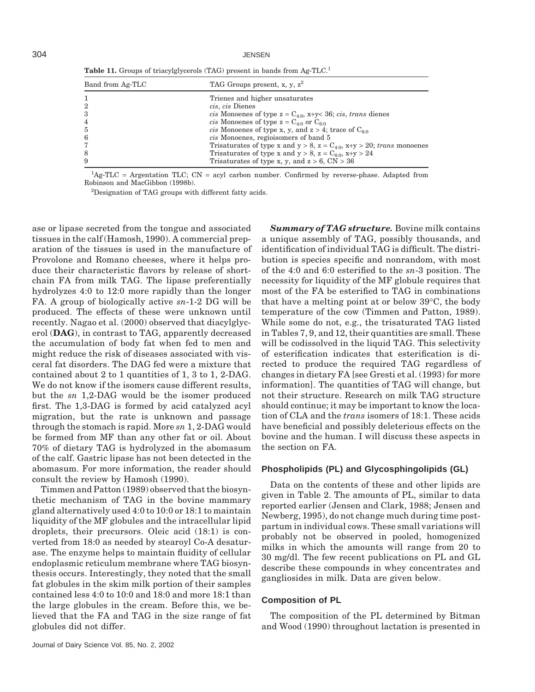304 JENSEN

**Table 11.** Groups of triacylglycerols (TAG) present in bands from Ag-TLC.<sup>1</sup>

| Band from Ag-TLC | TAG Groups present, x, y, $z^2$                                                  |
|------------------|----------------------------------------------------------------------------------|
|                  | Trienes and higher unsaturates                                                   |
| $\overline{2}$   | cis, cis Dienes                                                                  |
| 3                | cis Monoenes of type $z = C_{4:0}$ , x+y< 36; cis, trans dienes                  |
| 4                | <i>cis</i> Monoenes of type $z = C_{4.0}$ or $C_{6.0}$                           |
| 5                | <i>cis</i> Monoenes of type x, y, and $z > 4$ ; trace of $C_{60}$                |
| 6                | cis Monoenes, regioisomers of band 5                                             |
| 7                | Trisaturates of type x and $y > 8$ , $z = C_{4.0}$ , $x+y > 20$ ; trans monoenes |
| 8                | Trisaturates of type x and $y > 8$ , $z = C_{6.0}$ , $x+y > 24$                  |
| 9                | Trisaturates of type x, y, and $z > 6$ , CN $> 36$                               |

<sup>1</sup>Ag-TLC = Argentation TLC; CN = acyl carbon number. Confirmed by reverse-phase. Adapted from Robinson and MacGibbon (1998b).

<sup>2</sup>Designation of TAG groups with different fatty acids.

ase or lipase secreted from the tongue and associated tissues in the calf (Hamosh, 1990). A commercial preparation of the tissues is used in the manufacture of Provolone and Romano cheeses, where it helps produce their characteristic flavors by release of shortchain FA from milk TAG. The lipase preferentially hydrolyzes 4:0 to 12:0 more rapidly than the longer FA. A group of biologically active *sn*-1-2 DG will be produced. The effects of these were unknown until recently. Nagao et al. (2000) observed that diacylglycerol (**DAG**), in contrast to TAG, apparently decreased the accumulation of body fat when fed to men and might reduce the risk of diseases associated with visceral fat disorders. The DAG fed were a mixture that contained about 2 to 1 quantities of 1, 3 to 1, 2-DAG. We do not know if the isomers cause different results, but the *sn* 1,2-DAG would be the isomer produced first. The 1,3-DAG is formed by acid catalyzed acyl migration, but the rate is unknown and passage through the stomach is rapid. More *sn* 1, 2-DAG would be formed from MF than any other fat or oil. About 70% of dietary TAG is hydrolyzed in the abomasum of the calf. Gastric lipase has not been detected in the abomasum. For more information, the reader should consult the review by Hamosh (1990).

Timmen and Patton (1989) observed that the biosynthetic mechanism of TAG in the bovine mammary gland alternatively used 4:0 to 10:0 or 18:1 to maintain liquidity of the MF globules and the intracellular lipid droplets, their precursors. Oleic acid (18:1) is converted from 18:0 as needed by stearoyl Co-A desaturase. The enzyme helps to maintain fluidity of cellular endoplasmic reticulum membrane where TAG biosynthesis occurs. Interestingly, they noted that the small fat globules in the skim milk portion of their samples contained less 4:0 to 10:0 and 18:0 and more 18:1 than the large globules in the cream. Before this, we believed that the FA and TAG in the size range of fat globules did not differ.

*Summary of TAG structure.* Bovine milk contains a unique assembly of TAG, possibly thousands, and identification of individual TAG is difficult. The distribution is species specific and nonrandom, with most of the 4:0 and 6:0 esterified to the *sn*-3 position. The necessity for liquidity of the MF globule requires that most of the FA be esterified to TAG in combinations that have a melting point at or below 39°C, the body temperature of the cow (Timmen and Patton, 1989). While some do not, e.g., the trisaturated TAG listed in Tables 7, 9, and 12, their quantities are small. These will be codissolved in the liquid TAG. This selectivity of esterification indicates that esterification is directed to produce the required TAG regardless of changes in dietary FA [see Gresti et al. (1993) for more information]. The quantities of TAG will change, but not their structure. Research on milk TAG structure should continue; it may be important to know the location of CLA and the *trans* isomers of 18:1. These acids have beneficial and possibly deleterious effects on the bovine and the human. I will discuss these aspects in the section on FA.

#### **Phospholipids (PL) and Glycosphingolipids (GL)**

Data on the contents of these and other lipids are given in Table 2. The amounts of PL, similar to data reported earlier (Jensen and Clark, 1988; Jensen and Newberg, 1995), do not change much during time postpartum in individual cows. These small variations will probably not be observed in pooled, homogenized milks in which the amounts will range from 20 to 30 mg/dl. The few recent publications on PL and GL describe these compounds in whey concentrates and gangliosides in milk. Data are given below.

## **Composition of PL**

The composition of the PL determined by Bitman and Wood (1990) throughout lactation is presented in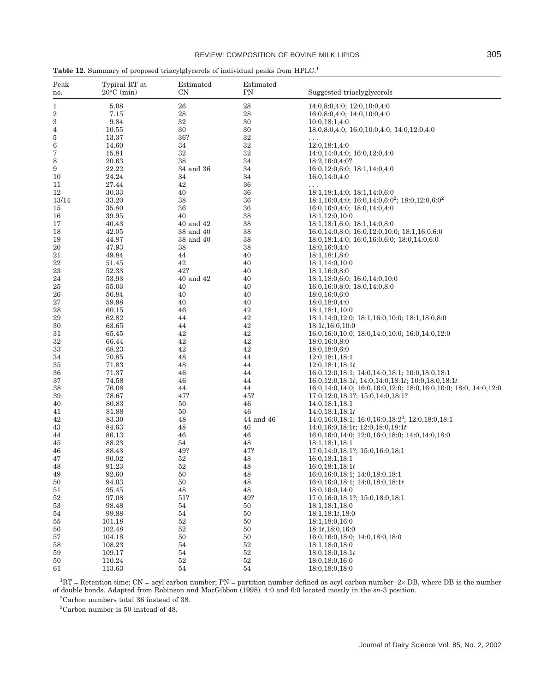| Peak<br>no. | Typical RT at<br>$20^{\circ}$ C (min) | Estimated<br>$_{\rm CN}$ | Estimated<br>PN | Suggested triaclyglycerols                                      |
|-------------|---------------------------------------|--------------------------|-----------------|-----------------------------------------------------------------|
| 1           | 5.08                                  | 26                       | 28              | 14:0,8:0,4:0; 12:0,10:0,4:0                                     |
| 2           | 7.15                                  | 28                       | 28              | 16:0,8:0,4:0; 14:0,10:0,4:0                                     |
| 3           | 9.84                                  | 32                       | 30              | 10:0,18:1,4:0                                                   |
| 4           | 10.55                                 | 30                       | 30              | $18:0,8:0,4:0; 16:0,10:0,4:0; 14:0,12:0,4:0$                    |
| 5           | 13.37                                 | 36?                      | 32              |                                                                 |
| 6           | 14.60                                 | 34                       | 32              | 12:0,18:1,4:0                                                   |
| 7           | 15.81                                 | 32                       | 32              | 14:0,14:0,4:0; 16:0,12:0,4:0                                    |
| 8           | 20.63                                 | 38                       | 34              | 18:2,16:0,4:0?                                                  |
| 9           | 22.22                                 | 34 and 36                | 34              | 16:0,12:0,6:0; 18:1,14:0,4:0                                    |
| 10          | 24.24                                 | 34                       | 34              | 16:0,14:0,4:0                                                   |
| 11          | 27.44                                 | 42                       | 36              | .                                                               |
| 12          | 30.33                                 | 40                       | 36              | $18:1,18:1,4:0$ ; $18:1,14:0,6:0$                               |
| 13/14       | 33.20                                 | 38                       | 36              | $18:1,16:0,4:0; 16:0,14:0,6:0^2; 18:0,12:0,6:0^2$               |
| 15          | 35.80                                 | 36                       | 36              | 16:0,16:0,4:0; 18:0,14:0,4:0                                    |
| 16          | 39.95                                 | 40                       | 38              | 18:1,12:0,10:0                                                  |
| 17          | 40.43                                 | 40 and 42                | 38              | 18:1,18:1,6:0; 18:1,14:0,8:0                                    |
| 18          | 42.05                                 | 38 and 40                | 38              | 16:0,14:0,8:0; 16:0,12:0,10:0; 18:1,16:0,6:0                    |
| 19          | 44.87                                 | 38 and 40                | 38              | $18:0, 18:1, 4:0; 16:0, 16:0, 6:0; 18:0, 14:0, 6:0$             |
| 20          | 47.93                                 | 38                       | 38              | 18:0,16:0,4:0                                                   |
| 21          | 49.84                                 | 44                       | 40              | 18:1,18:1,8:0                                                   |
| 22          | 51.45                                 | 42                       | 40              | 18:1,14:0,10:0                                                  |
| 23          | 52.33                                 | 42?                      | 40              | 18:1,16:0,8:0                                                   |
| 24          | 53.93                                 | 40 and 42                | 40              | 18:1,18:0,6:0; 16:0,14:0,10:0                                   |
| 25          | 55.03                                 | 40                       | 40              | 16:0,16:0,8:0; 18:0,14:0,8:0                                    |
| 26          | 56.84                                 | 40                       | 40              | 18:0,16:0,6:0                                                   |
| 27          | 59.98                                 | 40                       | 40              | 18:0,18:0,4:0                                                   |
| 28          | 60.15                                 | 46                       | 42              | 18:1,18:1,10:0                                                  |
| 29          | 62.82                                 | 44                       | 42              | 18:1,14:0,12:0; 18:1,16:0,10:0; 18:1,18:0,8:0                   |
| 30          | 63.65                                 | 44                       | 42              | 18:1t, 16:0, 10:0                                               |
| 31          | 65.45                                 | 42                       | 42              | 16:0,16:0,10:0; 18:0,14:0,10:0; 16:0,14:0,12:0                  |
| 32          | 66.44                                 | 42                       | 42              |                                                                 |
|             |                                       |                          | 42              | 18:0,16:0,8:0                                                   |
| 33          | 68.23                                 | 42                       | 44              | 18:0,18:0,6:0                                                   |
| 34          | 70.85                                 | 48                       | 44              | 12:0,18:1,18:1                                                  |
| 35          | 71.83                                 | 48                       |                 | 12:0,18:1,18:1t                                                 |
| 36          | 71.37                                 | 46                       | 44              | 16:0,12:0,18:1; 14:0,14:0,18:1; 10:0,18:0,18:1                  |
| 37          | 74.58                                 | 46                       | 44              | $16:0,12:0,18:1t$ ; $14:0,14:0,18:1t$ ; $10:0,18:0,18:1t$       |
| 38          | 76.08                                 | 44                       | 44              | 16:0,14:0,14:0; 16:0,16:0,12:0; 18:0,16:0,10:0; 18:0, 14:0,12:0 |
| 39          | 78.67                                 | 47?                      | 45?             | 17:0,12:0,18:1?; 15:0,14:0,18:1?                                |
| 40          | 80.83                                 | 50                       | 46              | 14:0,18:1,18:1                                                  |
| 41          | 81.88                                 | 50                       | 46              | 14:0,18:1,18:1t                                                 |
| 42          | 83.30                                 | 48                       | 44 and 46       | 14:0,16:0,18:1; 16:0,16:0,18:2 <sup>3</sup> ; 12:0,18:0,18:1    |
| 43          | 84.63                                 | 48                       | 46              | $14:0,16:0,18:1t$ ; $12:0,18:0,18:1t$                           |
| 44          | 86.13                                 | 46                       | 46              | 16:0,16:0,14:0; 12:0,16:0,18:0; 14:0,14:0,18:0                  |
| 45          | 88.23                                 | 54                       | 48              | 18:1,18:1,18:1                                                  |
| 46          | 88.43                                 | 49?                      | 47?             | 17:0,14:0,18:1?; 15:0,16:0,18:1                                 |
| 47          | 90.02                                 | 52                       | 48              | 16:0,18:1,18:1                                                  |
| 48          | 91.23                                 | 52                       | 48              | 16:0,18:1,18:1t                                                 |
| 49          | 92.60                                 | 50                       | 48              | 16:0,16:0,18:1; 14:0,18:0,18:1                                  |
| 50          | 94.03                                 | 50                       | 48              | $16:0,16:0,18:1$ ; $14:0,18:0,18:1$                             |
| 51          | 95.45                                 | 48                       | 48              | 18:0,16:0,14:0                                                  |
| 52          | 97.08                                 | 51?                      | 49?             | 17:0,16:0,18:1?; 15:0,18:0,18:1                                 |
| 53          | 98.48                                 | 54                       | 50              | 18:1,18:1,18:0                                                  |
| 54          | 99.88                                 | 54                       | 50              | 18:1,18:1t,18:0                                                 |
| 55          | 101.18                                | 52                       | 50              | 18:1,18:0,16:0                                                  |
| 56          | 102.48                                | $52\,$                   | 50              | $18:1t$ , $18:0$ , $16:0$                                       |
| 57          | 104.18                                | 50                       | $50\,$          | 16:0,16:0,18:0; 14:0,18:0,18:0                                  |
| 58          | 108.23                                | 54                       | $52\,$          | 18:1,18:0,18:0                                                  |
| 59          | 109.17                                | 54                       | $52\,$          | 18:0, 18:0, 18:1t                                               |
| 50          | 110.24                                | $52\,$                   | $52\,$          | 18:0,18:0,16:0                                                  |
| 61          | 113.63                                | $54\,$                   | $54\,$          | 18:0,18:0,18:0                                                  |

**Table 12.** Summary of proposed triacylglycerols of individual peaks from HPLC.<sup>1</sup>

 ${}^{1}RT$  = Retention time; CN = acyl carbon number; PN = partition number defined as acyl carbon number– $2\times$  DB, where DB is the number of double bonds. Adapted from Robinson and MacGibbon (1998). 4:0 and 6:0 located mostly in the *sn*-3 position.

Carbon numbers total 36 instead of 38.

Carbon number is 50 instead of 48.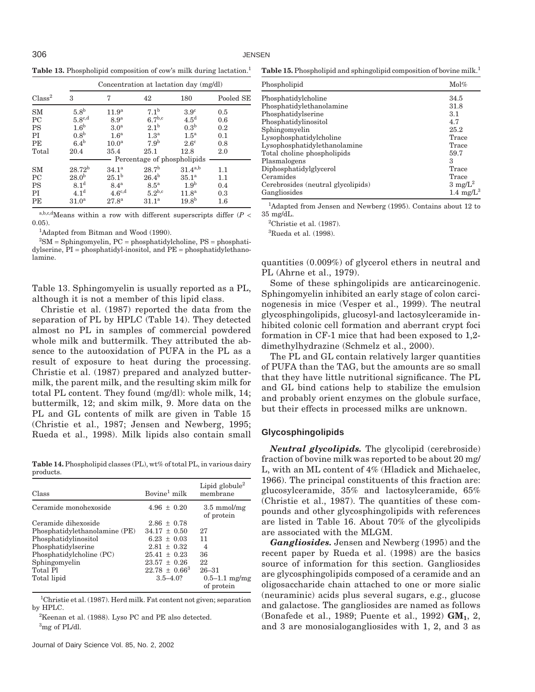**Table 13.** Phospholipid composition of cow's milk during lactation.<sup>1</sup>

|                    |                   |                    |                             | Concentration at lactation day (mg/dl) |           |
|--------------------|-------------------|--------------------|-----------------------------|----------------------------------------|-----------|
| Class <sup>2</sup> | 3                 | 7                  | 42                          | 180                                    | Pooled SE |
| <b>SM</b>          | 5.8 <sup>b</sup>  | 11.9 <sup>a</sup>  | 7.1 <sup>b</sup>            | 3.9 <sup>c</sup>                       | 0.5       |
| PC                 | $5.8^{\rm c,d}$   | 8.9 <sup>a</sup>   | 6.7 <sup>b,c</sup>          | 4.5 <sup>d</sup>                       | 0.6       |
| <b>PS</b>          | 1.6 <sup>b</sup>  | 3.0 <sup>a</sup>   | 2.1 <sup>b</sup>            | 0.3 <sup>b</sup>                       | 0.2       |
| PI                 | 0.8 <sup>b</sup>  | 1.6 <sup>a</sup>   | 1.3 <sup>a</sup>            | $1.5^{\mathrm{a}}$                     | 0.1       |
| PE                 | $6.4^{\rm b}$     | 10.0 <sup>a</sup>  | 7.9 <sup>b</sup>            | $2.6^\circ$                            | 0.8       |
| Total              | 20.4              | 35.4               | 25.1                        | 12.8                                   | 2.0       |
|                    |                   |                    | Percentage of phospholipids |                                        |           |
| <b>SM</b>          | $28.72^{b}$       | $34.1^a$           | 28.7 <sup>b</sup>           | $31.4^{a,b}$                           | 1.1       |
| <b>PC</b>          | 28.0 <sup>b</sup> | 25.1 <sup>b</sup>  | $26.4^{b}$                  | 35.1 <sup>a</sup>                      | 1.1       |
| <b>PS</b>          | 8.1 <sup>d</sup>  | 8.4 <sup>a</sup>   | 8.5 <sup>a</sup>            | 1.9 <sup>b</sup>                       | 0.4       |
| PI                 | 4.1 <sup>d</sup>  | $4.6^{\text{c,d}}$ | $5.2^{b,c}$                 | 11.8 <sup>a</sup>                      | 0.3       |
| PE                 | 31.0 <sup>a</sup> | 27.8 <sup>a</sup>  | 31.1 <sup>a</sup>           | 19.8 <sup>b</sup>                      | $1.6\,$   |

a,b,c,dMeans within a row with different superscripts differ  $(P <$ 0.05).

<sup>1</sup>Adapted from Bitman and Wood (1990).

 ${}^{2}$ SM = Sphingomyelin, PC = phosphatidylcholine, PS = phosphatidylserine, PI = phosphatidyl-inositol, and PE = phosphatidylethanolamine.

Table 13. Sphingomyelin is usually reported as a PL, although it is not a member of this lipid class.

Christie et al. (1987) reported the data from the separation of PL by HPLC (Table 14). They detected almost no PL in samples of commercial powdered whole milk and buttermilk. They attributed the absence to the autooxidation of PUFA in the PL as a result of exposure to heat during the processing. Christie et al. (1987) prepared and analyzed buttermilk, the parent milk, and the resulting skim milk for total PL content. They found (mg/dl): whole milk, 14; buttermilk, 12; and skim milk, 9. More data on the PL and GL contents of milk are given in Table 15 (Christie et al., 1987; Jensen and Newberg, 1995; Rueda et al., 1998). Milk lipids also contain small

**Table 14.** Phospholipid classes (PL), wt% of total PL, in various dairy products.

| Class                         | Bovine <sup>1</sup> milk | Lipid globule <sup>2</sup><br>membrane |
|-------------------------------|--------------------------|----------------------------------------|
| Ceramide monohexoside         | $4.96 \pm 0.20$          | $3.5 \text{ mmol/mg}$<br>of protein    |
| Ceramide dihexoside           | $2.86 \pm 0.78$          |                                        |
| Phosphatidylethanolamine (PE) | $34.17 \pm 0.50$         | 27                                     |
| Phosphatidylinositol          | $6.23 \pm 0.03$          | 11                                     |
| Phosphatidylserine            | $2.81 \pm 0.32$          | $\overline{4}$                         |
| Phosphatidylcholine (PC)      | $25.41 \pm 0.23$         | 36                                     |
| Sphingomyelin                 | $23.57 \pm 0.26$         | 22                                     |
| Total Pl                      | $22.78 \pm 0.66^3$       | $26 - 31$                              |
| Total lipid                   | $3.5 - 4.0?$             | $0.5 - 1.1$ mg/mg<br>of protein        |

<sup>1</sup>Christie et al. (1987). Herd milk. Fat content not given; separation by HPLC.

2 Keenan et al. (1988). Lyso PC and PE also detected. 3 mg of PL/dl.

**Table 15.** Phospholipid and sphingolipid composition of bovine milk.1

| Phospholipid                       | $\mathrm{Mol}\%$   |
|------------------------------------|--------------------|
| Phosphatidylcholine                | 34.5               |
| Phosphatidylethanolamine           | 31.8               |
| Phosphatidylserine                 | 3.1                |
| Phosphatidylinositol               | 4.7                |
| Sphingomyelin                      | 25.2               |
| Lysophosphatidylcholine            | Trace              |
| Lysophosphatidylethanolamine       | Trace              |
| Total choline phospholipids        | 59.7               |
| Plasmalogens                       | 3                  |
| Diphosphatidylglycerol             | Trace              |
| Ceramides                          | Trace              |
| Cerebrosides (neutral glycolipids) | $3 \text{ mg/L}^2$ |
| Gangliosides                       | 1.4 mg/ $L^3$      |

<sup>1</sup>Adapted from Jensen and Newberg (1995). Contains about 12 to 35 mg/dL.

2 Christie et al. (1987).

3 Rueda et al. (1998).

quantities (0.009%) of glycerol ethers in neutral and PL (Ahrne et al., 1979).

Some of these sphingolipids are anticarcinogenic. Sphingomyelin inhibited an early stage of colon carcinogenesis in mice (Vesper et al., 1999). The neutral glycosphingolipids, glucosyl-and lactosylceramide inhibited colonic cell formation and aberrant crypt foci formation in CF-1 mice that had been exposed to 1,2 dimethylhydrazine (Schmelz et al., 2000).

The PL and GL contain relatively larger quantities of PUFA than the TAG, but the amounts are so small that they have little nutritional significance. The PL and GL bind cations help to stabilize the emulsion and probably orient enzymes on the globule surface, but their effects in processed milks are unknown.

## **Glycosphingolipids**

*Neutral glycolipids.* The glycolipid (cerebroside) fraction of bovine milk was reported to be about 20 mg/ L, with an ML content of 4% (Hladick and Michaelec, 1966). The principal constituents of this fraction are: glucosylceramide, 35% and lactosylceramide, 65% (Christie et al., 1987). The quantities of these compounds and other glycosphingolipids with references are listed in Table 16. About 70% of the glycolipids are associated with the MLGM.

*Gangliosides.* Jensen and Newberg (1995) and the recent paper by Rueda et al. (1998) are the basics source of information for this section. Gangliosides are glycosphingolipids composed of a ceramide and an oligosaccharide chain attached to one or more sialic (neuraminic) acids plus several sugars, e.g., glucose and galactose. The gangliosides are named as follows (Bonafede et al., 1989; Puente et al., 1992) **GM1**, 2, and 3 are monosialogangliosides with 1, 2, and 3 as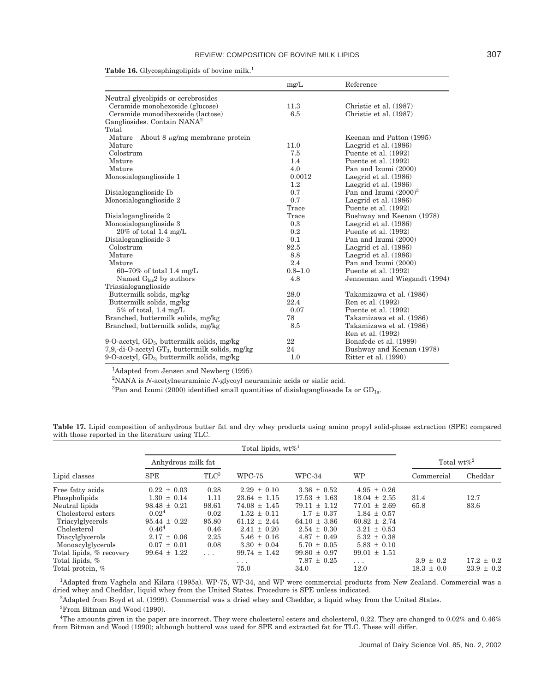|                                                    | mg/L        | Reference                    |
|----------------------------------------------------|-------------|------------------------------|
| Neutral glycolipids or cerebrosides                |             |                              |
| Ceramide monohexoside (glucose)                    | 11.3        | Christie et al. (1987)       |
| Ceramide monodihexoside (lactose)                  | 6.5         | Christie et al. (1987)       |
| Gangliosides. Contain NANA <sup>2</sup>            |             |                              |
| Total                                              |             |                              |
| About 8 $\mu$ g/mg membrane protein<br>Mature      |             | Keenan and Patton (1995)     |
| Mature                                             | 11.0        | Laegrid et al. (1986)        |
| Colostrum                                          | 7.5         | Puente et al. (1992)         |
| Mature                                             | 1.4         | Puente et al. (1992)         |
| Mature                                             | 4.0         | Pan and Izumi (2000)         |
| Monosialoganglioside 1                             | 0.0012      | Laegrid et al. (1986)        |
|                                                    | 1.2         | Laegrid et al. (1986)        |
| Disialoganglioside Ib                              | 0.7         | Pan and Izumi $(2000)^3$     |
| Monosialoganglioside 2                             | 0.7         | Laegrid et al. (1986)        |
|                                                    | Trace       | Puente et al. (1992)         |
| Disialoganglioside 2                               | Trace       | Bushway and Keenan (1978)    |
| Monosialoganglioside 3                             | 0.3         | Laegrid et al. (1986)        |
| $20\%$ of total 1.4 mg/L                           | 0.2         | Puente et al. (1992)         |
| Disialoganglioside 3                               | 0.1         | Pan and Izumi (2000)         |
| Colostrum                                          | 92.5        | Laegrid et al. (1986)        |
| Mature                                             | 8.8         | Laegrid et al. (1986)        |
| Mature                                             | 2.4         | Pan and Izumi (2000)         |
| $60-70\%$ of total 1.4 mg/L                        | $0.8 - 1.0$ | Puente et al. (1992)         |
| Named $G_{\text{lac}}$ by authors                  | 4.8         | Jenneman and Wiegandt (1994) |
| Triasialoganglioside                               |             |                              |
| Buttermilk solids, mg/kg                           | 28.0        | Takamizawa et al. (1986)     |
| Buttermilk solids, mg/kg                           | 22.4        | Ren et al. (1992)            |
| $5\%$ of total, 1.4 mg/L                           | 0.07        | Puente et al. (1992)         |
| Branched, buttermilk solids, mg/kg                 | 78          | Takamizawa et al. (1986)     |
| Branched, buttermilk solids, mg/kg                 | 8.5         | Takamizawa et al. (1986)     |
|                                                    |             | Ren et al. (1992)            |
| 9-O-acetyl, $GD_3$ , buttermilk solids, mg/kg      | 22          | Bonafede et al. (1989)       |
| 7,9,-di-O-acetyl $GT_3$ , buttermilk solids, mg/kg | 24          | Bushway and Keenan (1978)    |
| 9-O-acetyl, $GD_3$ , buttermilk solids, mg/kg      | 1.0         | Ritter et al. (1990)         |

Table 16. Glycosphingolipids of bovine milk.<sup>1</sup>

<sup>1</sup>Adapted from Jensen and Newberg (1995).

2 NANA is *N*-acetylneuraminic *N*-glycoyl neuraminic acids or sialic acid.

 ${}^{3}$ Pan and Izumi (2000) identified small quantities of disialogangliosade Ia or GD<sub>1a</sub>.

**Table 17.** Lipid composition of anhydrous butter fat and dry whey products using amino propyl solid-phase extraction (SPE) compared with those reported in the literature using TLC.

|                          | Anhydrous milk fat |                |                         |                  |                  | Total wt $\%^2$ |                |
|--------------------------|--------------------|----------------|-------------------------|------------------|------------------|-----------------|----------------|
| Lipid classes            | <b>SPE</b>         | T <sup>1</sup> | WPC-75                  | WPC-34           | <b>WP</b>        | Commercial      | Cheddar        |
| Free fatty acids         | $0.22 \pm 0.03$    | 0.28           | $2.29 \pm 0.10$         | $3.36 \pm 0.52$  | $4.95 \pm 0.26$  |                 |                |
| Phospholipids            | $1.30 \pm 0.14$    | 1.11           | $23.64 \pm 1.15$        | $17.53 \pm 1.63$ | $18.04 \pm 2.55$ | 31.4            | 12.7           |
| Neutral lipids           | $98.48 \pm 0.21$   | 98.61          | $74.08 \pm 1.45$        | $79.11 \pm 1.12$ | $77.01 \pm 2.69$ | 65.8            | 83.6           |
| Cholesterol esters       | 0.02 <sup>4</sup>  | 0.02           | $1.52 \pm 0.11$         | $1.7 \pm 0.37$   | $1.84 \pm 0.57$  |                 |                |
| Triacylglycerols         | $95.44 \pm 0.22$   | 95.80          | $61.12 \pm 2.44$        | $64.10 \pm 3.86$ | $60.82 \pm 2.74$ |                 |                |
| Cholesterol              | $0.46^{4}$         | 0.46           | $2.41 \pm 0.20$         | $2.54 \pm 0.30$  | $3.21 \pm 0.53$  |                 |                |
| Diacylglycerols          | $2.17 \pm 0.06$    | 2.25           | $5.46 \pm 0.16$         | $4.87 \pm 0.49$  | $5.32 \pm 0.38$  |                 |                |
| Monoacylglycerols        | $0.07 \pm 0.01$    | 0.08           | $3.30 \pm 0.04$         | $5.70 \pm 0.05$  | $5.83 \pm 0.10$  |                 |                |
| Total lipids, % recovery | $99.64 \pm 1.22$   | $\cdots$       | $99.74 \pm 1.42$        | $99.80 \pm 0.97$ | $99.01 \pm 1.51$ |                 |                |
| Total lipids, %          |                    |                | $\cdot$ $\cdot$ $\cdot$ | $7.87 \pm 0.25$  | .                | $3.9 \pm 0.2$   | $17.2 \pm 0.2$ |
| Total protein, %         |                    |                | 75.0                    | 34.0             | 12.0             | $18.3 \pm 0.0$  | $23.9 \pm 0.2$ |

<sup>1</sup>Adapted from Vaghela and Kilara (1995a). WP-75, WP-34, and WP were commercial products from New Zealand. Commercial was a dried whey and Cheddar, liquid whey from the United States. Procedure is SPE unless indicated.

2 Adapted from Boyd et al. (1999). Commercial was a dried whey and Cheddar, a liquid whey from the United States.

3 From Bitman and Wood (1990).

4 The amounts given in the paper are incorrect. They were cholesterol esters and cholesterol, 0.22. They are changed to 0.02% and 0.46% from Bitman and Wood (1990); although butterol was used for SPE and extracted fat for TLC. These will differ.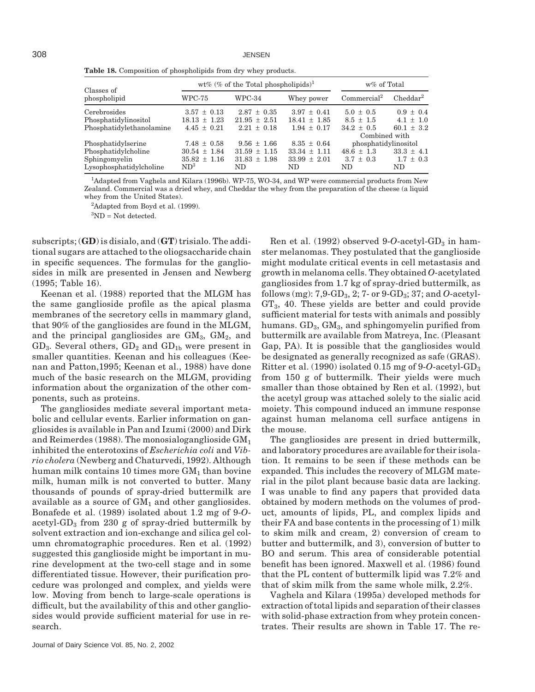|                            |                  | wt% (% of the Total phospholipids) <sup>1</sup> | w% of Total      |                         |                      |
|----------------------------|------------------|-------------------------------------------------|------------------|-------------------------|----------------------|
| Classes of<br>phospholipid | WPC-75           | WPC-34                                          | Whey power       | Commercial <sup>2</sup> | Cheddar <sup>2</sup> |
| Cerebrosides               | $3.57 \pm 0.13$  | $2.87 \pm 0.35$                                 | $3.97 \pm 0.41$  | $5.0 \pm 0.5$           | $0.9 \pm 0.4$        |
| Phosphatidylinositol       | $18.13 \pm 1.23$ | $21.95 \pm 2.51$                                | $18.41 \pm 1.85$ | $8.5 \pm 1.5$           | $4.1 \pm 1.0$        |
| Phosphatidylethanolamine   | $4.45 \pm 0.21$  | $2.21 \pm 0.18$                                 | $1.94 \pm 0.17$  | $34.2 \pm 0.5$          | 60.1 $\pm$ 3.2       |
|                            |                  |                                                 |                  | Combined with           |                      |
| Phosphatidylserine         | $7.48 \pm 0.58$  | $9.56 \pm 1.66$                                 | $8.35 \pm 0.64$  | phosphatidylinositol    |                      |
| Phosphatidylcholine        | $30.54 \pm 1.84$ | $31.59 \pm 1.15$                                | $33.34 \pm 1.11$ | $48.6 \pm 1.3$          | $33.3 \pm 4.1$       |
| Sphingomyelin              | $35.82 \pm 1.16$ | $31.83 \pm 1.98$                                | $33.99 \pm 2.01$ | $3.7 \pm 0.3$           | $1.7 \pm 0.3$        |
| Lysophosphatidylcholine    | $ND^3$           | ND.                                             | ND.              | ND.                     | ND.                  |

**Table 18.** Composition of phospholipids from dry whey products.

<sup>1</sup>Adapted from Vaghela and Kilara (1996b). WP-75, WO-34, and WP were commercial products from New Zealand. Commercial was a dried whey, and Cheddar the whey from the preparation of the cheese (a liquid whey from the United States).

<sup>2</sup>Adapted from Boyd et al. (1999).

 ${}^{3}ND = Not detected.$ 

subscripts; (**GD**) is disialo, and (**GT**) trisialo. The additional sugars are attached to the oliogsaccharide chain in specific sequences. The formulas for the gangliosides in milk are presented in Jensen and Newberg (1995; Table 16).

Keenan et al. (1988) reported that the MLGM has the same ganglioside profile as the apical plasma membranes of the secretory cells in mammary gland, that 90% of the gangliosides are found in the MLGM, and the principal gangliosides are  $GM<sub>3</sub>$ ,  $GM<sub>2</sub>$ , and  $GD<sub>3</sub>$ . Several others,  $GD<sub>2</sub>$  and  $GD<sub>1b</sub>$  were present in smaller quantities. Keenan and his colleagues (Keenan and Patton,1995; Keenan et al., 1988) have done much of the basic research on the MLGM, providing information about the organization of the other components, such as proteins.

The gangliosides mediate several important metabolic and cellular events. Earlier information on gangliosides is available in Pan and Izumi (2000) and Dirk and Reimerdes (1988). The monosialoganglioside  $GM<sub>1</sub>$ inhibited the enterotoxins of *Escherichia coli* and *Vibrio cholera* (Newberg and Chaturvedi, 1992). Although human milk contains 10 times more  $GM<sub>1</sub>$  than bovine milk, human milk is not converted to butter. Many thousands of pounds of spray-dried buttermilk are available as a source of  $GM<sub>1</sub>$  and other gangliosides. Bonafede et al. (1989) isolated about 1.2 mg of 9-*O*acetyl-GD<sub>3</sub> from 230 g of spray-dried buttermilk by solvent extraction and ion-exchange and silica gel column chromatographic procedures. Ren et al. (1992) suggested this ganglioside might be important in murine development at the two-cell stage and in some differentiated tissue. However, their purification procedure was prolonged and complex, and yields were low. Moving from bench to large-scale operations is difficult, but the availability of this and other gangliosides would provide sufficient material for use in research.

Ritter et al. (1990) isolated 0.15 mg of 9-*O*-acetyl-GD3 from 150 g of buttermilk. Their yields were much smaller than those obtained by Ren et al. (1992), but the acetyl group was attached solely to the sialic acid moiety. This compound induced an immune response against human melanoma cell surface antigens in the mouse. The gangliosides are present in dried buttermilk, and laboratory procedures are available for their isolation. It remains to be seen if these methods can be expanded. This includes the recovery of MLGM material in the pilot plant because basic data are lacking. I was unable to find any papers that provided data obtained by modern methods on the volumes of prod-

uct, amounts of lipids, PL, and complex lipids and their FA and base contents in the processing of 1) milk to skim milk and cream, 2) conversion of cream to butter and buttermilk, and 3), conversion of butter to BO and serum. This area of considerable potential benefit has been ignored. Maxwell et al. (1986) found that the PL content of buttermilk lipid was 7.2% and that of skim milk from the same whole milk, 2.2%.

Ren et al. (1992) observed 9-*O*-acetyl-GD<sub>3</sub> in hamster melanomas. They postulated that the ganglioside might modulate critical events in cell metastasis and growth in melanoma cells. They obtained *O*-acetylated gangliosides from 1.7 kg of spray-dried buttermilk, as follows (mg): 7,9-GD3, 2; 7- or 9-GD3; 37; and *O*-acetyl- $GT<sub>3</sub>$ , 40. These yields are better and could provide sufficient material for tests with animals and possibly humans.  $GD_3$ ,  $GM_3$ , and sphingomyelin purified from buttermilk are available from Matreya, Inc. (Pleasant Gap, PA). It is possible that the gangliosides would be designated as generally recognized as safe (GRAS).

Vaghela and Kilara (1995a) developed methods for extraction of total lipids and separation of their classes with solid-phase extraction from whey protein concentrates. Their results are shown in Table 17. The re-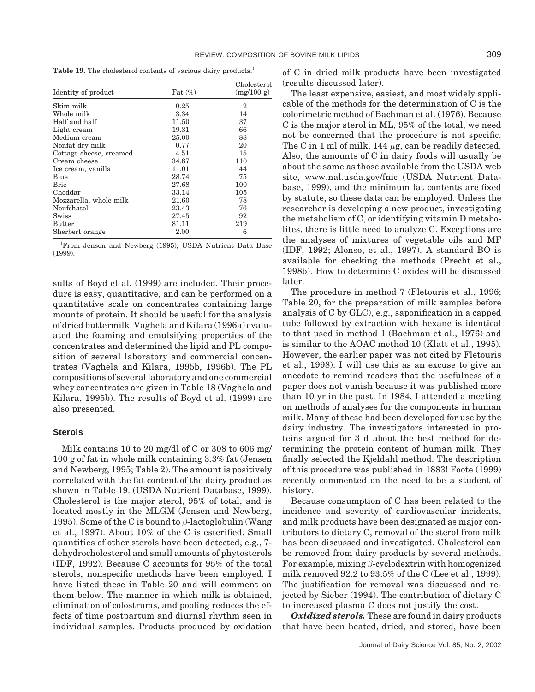**Table 19.** The cholesterol contents of various dairy products.<sup>1</sup>

| Identity of product     | Fat $(\%)$ | Cholesterol<br>(mg/100 g) |
|-------------------------|------------|---------------------------|
| Skim milk               | 0.25       | $\mathbf{2}$              |
| Whole milk              | 3.34       | 14                        |
| Half and half           | 11.50      | 37                        |
| Light cream             | 19.31      | 66                        |
| Medium cream            | 25.00      | 88                        |
| Nonfat dry milk         | 0.77       | 20                        |
| Cottage cheese, creamed | 4.51       | 15                        |
| Cream cheese            | 34.87      | 110                       |
| Ice cream, vanilla      | 11.01      | 44                        |
| Blue                    | 28.74      | 75                        |
| Brie                    | 27.68      | 100                       |
| Cheddar                 | 33.14      | 105                       |
| Mozzarella, whole milk  | 21.60      | 78                        |
| Neufchatel              | 23.43      | 76                        |
| Swiss                   | 27.45      | 92                        |
| <b>Butter</b>           | 81.11      | 219                       |
| Sherbert orange         | 2.00       | 6                         |

<sup>1</sup>From Jensen and Newberg (1995); USDA Nutrient Data Base (1999).

sults of Boyd et al. (1999) are included. Their procedure is easy, quantitative, and can be performed on a quantitative scale on concentrates containing large mounts of protein. It should be useful for the analysis of dried buttermilk. Vaghela and Kilara (1996a) evaluated the foaming and emulsifying properties of the concentrates and determined the lipid and PL composition of several laboratory and commercial concentrates (Vaghela and Kilara, 1995b, 1996b). The PL compositions of several laboratory and one commercial whey concentrates are given in Table 18 (Vaghela and Kilara, 1995b). The results of Boyd et al. (1999) are also presented.

## **Sterols**

Milk contains 10 to 20 mg/dl of C or 308 to 606 mg/ 100 g of fat in whole milk containing 3.3% fat (Jensen and Newberg, 1995; Table 2). The amount is positively correlated with the fat content of the dairy product as shown in Table 19. (USDA Nutrient Database, 1999). Cholesterol is the major sterol, 95% of total, and is located mostly in the MLGM (Jensen and Newberg, 1995). Some of the C is bound to *β*-lactoglobulin (Wang et al., 1997). About 10% of the C is esterified. Small quantities of other sterols have been detected, e.g., 7 dehydrocholesterol and small amounts of phytosterols (IDF, 1992). Because C accounts for 95% of the total sterols, nonspecific methods have been employed. I have listed these in Table 20 and will comment on them below. The manner in which milk is obtained, elimination of colostrums, and pooling reduces the effects of time postpartum and diurnal rhythm seen in individual samples. Products produced by oxidation

of C in dried milk products have been investigated (results discussed later).

The least expensive, easiest, and most widely applicable of the methods for the determination of C is the colorimetric method of Bachman et al. (1976). Because C is the major sterol in ML, 95% of the total, we need not be concerned that the procedure is not specific. The C in 1 ml of milk, 144 *µ*g, can be readily detected. Also, the amounts of C in dairy foods will usually be about the same as those available from the USDA web site, www.nal.usda.gov/fnic (USDA Nutrient Database, 1999), and the minimum fat contents are fixed by statute, so these data can be employed. Unless the researcher is developing a new product, investigating the metabolism of C, or identifying vitamin D metabolites, there is little need to analyze C. Exceptions are the analyses of mixtures of vegetable oils and MF (IDF, 1992; Alonso, et al., 1997). A standard BO is available for checking the methods (Precht et al., 1998b). How to determine C oxides will be discussed later.

The procedure in method 7 (Fletouris et al., 1996; Table 20, for the preparation of milk samples before analysis of C by GLC), e.g., saponification in a capped tube followed by extraction with hexane is identical to that used in method 1 (Bachman et al., 1976) and is similar to the AOAC method 10 (Klatt et al., 1995). However, the earlier paper was not cited by Fletouris et al., 1998). I will use this as an excuse to give an anecdote to remind readers that the usefulness of a paper does not vanish because it was published more than 10 yr in the past. In 1984, I attended a meeting on methods of analyses for the components in human milk. Many of these had been developed for use by the dairy industry. The investigators interested in proteins argued for 3 d about the best method for determining the protein content of human milk. They finally selected the Kjeldahl method. The description of this procedure was published in 1883! Foote (1999) recently commented on the need to be a student of history.

Because consumption of C has been related to the incidence and severity of cardiovascular incidents, and milk products have been designated as major contributors to dietary C, removal of the sterol from milk has been discussed and investigated. Cholesterol can be removed from dairy products by several methods. For example, mixing *β*-cyclodextrin with homogenized milk removed 92.2 to 93.5% of the C (Lee et al., 1999). The justification for removal was discussed and rejected by Sieber (1994). The contribution of dietary C to increased plasma C does not justify the cost.

*Oxidized sterols.* These are found in dairy products that have been heated, dried, and stored, have been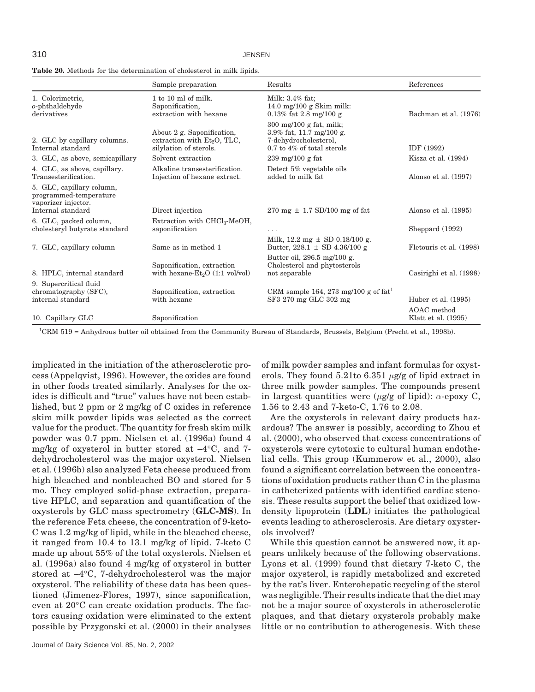310 JENSEN

| <b>Table 20.</b> Methods for the determination of cholesterol in milk lipids. |
|-------------------------------------------------------------------------------|
|-------------------------------------------------------------------------------|

|                                                                                                 | Sample preparation                                                                    | Results                                                                                                                           | References                         |
|-------------------------------------------------------------------------------------------------|---------------------------------------------------------------------------------------|-----------------------------------------------------------------------------------------------------------------------------------|------------------------------------|
| 1. Colorimetric,<br>o-phthaldehyde<br>derivatives                                               | $1$ to $10$ ml of milk.<br>Saponification,<br>extraction with hexane                  | Milk: 3.4% fat:<br>14.0 mg/100 g Skim milk:<br>$0.13\%$ fat 2.8 mg/100 g                                                          | Bachman et al. (1976)              |
| 2. GLC by capillary columns.<br>Internal standard                                               | About 2 g. Saponification,<br>extraction with $Et2O$ , TLC,<br>silylation of sterols. | $300 \text{ mg}/100 \text{ g}$ fat, milk;<br>3.9% fat, 11.7 mg/100 g.<br>7-dehydrocholesterol,<br>$0.7$ to $4\%$ of total sterols | IDF (1992)                         |
| 3. GLC, as above, semicapillary                                                                 | Solvent extraction                                                                    | 239 mg/100 g fat                                                                                                                  | Kisza et al. (1994)                |
| 4. GLC, as above, capillary.<br>Transesterification.                                            | Alkaline transesterification.<br>Injection of hexane extract.                         | Detect 5% vegetable oils<br>added to milk fat                                                                                     | Alonso et al. (1997)               |
| 5. GLC, capillary column,<br>programmed-temperature<br>vaporizer injector.<br>Internal standard | Direct injection                                                                      | $270 \text{ mg} \pm 1.7 \text{ SD}/100 \text{ mg}$ of fat                                                                         | Alonso et al. (1995)               |
| 6. GLC, packed column,                                                                          | Extraction with $CHCl3$ -MeOH,                                                        |                                                                                                                                   |                                    |
| cholesteryl butyrate standard                                                                   | saponification                                                                        | .                                                                                                                                 | Sheppard (1992)                    |
| 7. GLC, capillary column                                                                        | Same as in method 1                                                                   | Milk, $12.2 \text{ mg} \pm \text{SD} 0.18/100 \text{ g}$ .<br>Butter, $228.1 \pm SD$ 4.36/100 g                                   | Fletouris et al. (1998)            |
| 8. HPLC, internal standard                                                                      | Saponification, extraction<br>with hexane-Et <sub>2</sub> O (1:1 vol/vol)             | Butter oil, 296.5 mg/100 g.<br>Cholesterol and phytosterols<br>not separable                                                      | Casirighi et al. (1998)            |
| 9. Supercritical fluid<br>chromatography (SFC),<br>internal standard                            | Saponification, extraction<br>with hexane                                             | CRM sample 164, 273 mg/100 g of $fat1$<br>SF3 270 mg GLC 302 mg                                                                   | Huber et al. (1995)                |
| 10. Capillary GLC                                                                               | Saponification                                                                        |                                                                                                                                   | AOAC method<br>Klatt et al. (1995) |

<sup>1</sup>CRM 519 = Anhydrous butter oil obtained from the Community Bureau of Standards, Brussels, Belgium (Precht et al., 1998b).

implicated in the initiation of the atherosclerotic process (Appelqvist, 1996). However, the oxides are found in other foods treated similarly. Analyses for the oxides is difficult and "true" values have not been established, but 2 ppm or 2 mg/kg of C oxides in reference skim milk powder lipids was selected as the correct value for the product. The quantity for fresh skim milk powder was 0.7 ppm. Nielsen et al. (1996a) found 4 mg/kg of oxysterol in butter stored at  $-4$ °C, and 7dehydrocholesterol was the major oxysterol. Nielsen et al. (1996b) also analyzed Feta cheese produced from high bleached and nonbleached BO and stored for 5 mo. They employed solid-phase extraction, preparative HPLC, and separation and quantification of the oxysterols by GLC mass spectrometry (**GLC-MS**). In the reference Feta cheese, the concentration of 9-keto-C was 1.2 mg/kg of lipid, while in the bleached cheese, it ranged from 10.4 to 13.1 mg/kg of lipid. 7-keto C made up about 55% of the total oxysterols. Nielsen et al. (1996a) also found 4 mg/kg of oxysterol in butter stored at –4°C, 7-dehydrocholesterol was the major oxysterol. The reliability of these data has been questioned (Jimenez-Flores, 1997), since saponification, even at 20°C can create oxidation products. The factors causing oxidation were eliminated to the extent possible by Przygonski et al. (2000) in their analyses of milk powder samples and infant formulas for oxysterols. They found 5.21to 6.351 *µ*g/g of lipid extract in three milk powder samples. The compounds present in largest quantities were (*µ*g/g of lipid): *α*-epoxy C, 1.56 to 2.43 and 7-keto-C, 1.76 to 2.08.

Are the oxysterols in relevant dairy products hazardous? The answer is possibly, according to Zhou et al. (2000), who observed that excess concentrations of oxysterols were cytotoxic to cultural human endothelial cells. This group (Kummerow et al., 2000), also found a significant correlation between the concentrations of oxidation products rather than C in the plasma in catheterized patients with identified cardiac stenosis. These results support the belief that oxidized lowdensity lipoprotein (**LDL**) initiates the pathological events leading to atherosclerosis. Are dietary oxysterols involved?

While this question cannot be answered now, it appears unlikely because of the following observations. Lyons et al. (1999) found that dietary 7-keto C, the major oxysterol, is rapidly metabolized and excreted by the rat's liver. Enterohepatic recycling of the sterol was negligible. Their results indicate that the diet may not be a major source of oxysterols in atherosclerotic plaques, and that dietary oxysterols probably make little or no contribution to atherogenesis. With these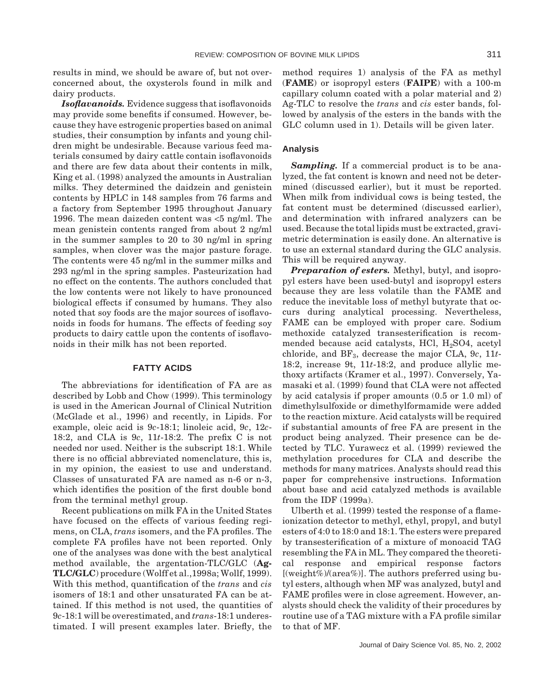results in mind, we should be aware of, but not overconcerned about, the oxysterols found in milk and dairy products.

*Isoflavanoids.* Evidence suggess that isoflavonoids may provide some benefits if consumed. However, because they have estrogenic properties based on animal studies, their consumption by infants and young children might be undesirable. Because various feed materials consumed by dairy cattle contain isoflavonoids and there are few data about their contents in milk, King et al. (1998) analyzed the amounts in Australian milks. They determined the daidzein and genistein contents by HPLC in 148 samples from 76 farms and a factory from September 1995 throughout January 1996. The mean daizeden content was <5 ng/ml. The mean genistein contents ranged from about 2 ng/ml in the summer samples to 20 to 30 ng/ml in spring samples, when clover was the major pasture forage. The contents were 45 ng/ml in the summer milks and 293 ng/ml in the spring samples. Pasteurization had no effect on the contents. The authors concluded that the low contents were not likely to have pronounced biological effects if consumed by humans. They also noted that soy foods are the major sources of isoflavonoids in foods for humans. The effects of feeding soy products to dairy cattle upon the contents of isoflavonoids in their milk has not been reported.

## **FATTY ACIDS**

The abbreviations for identification of FA are as described by Lobb and Chow (1999). This terminology is used in the American Journal of Clinical Nutrition (McGlade et al., 1996) and recently, in Lipids. For example, oleic acid is 9*c*-18:1; linoleic acid, 9*c*, 12*c*-18:2, and CLA is 9*c*, 11*t*-18:2. The prefix C is not needed nor used. Neither is the subscript 18:1. While there is no official abbreviated nomenclature, this is, in my opinion, the easiest to use and understand. Classes of unsaturated FA are named as n-6 or n-3, which identifies the position of the first double bond from the terminal methyl group.

Recent publications on milk FA in the United States have focused on the effects of various feeding regimens, on CLA, *trans* isomers, and the FA profiles. The complete FA profiles have not been reported. Only one of the analyses was done with the best analytical method available, the argentation-TLC/GLC (**Ag-TLC/GLC**) procedure (Wolff et al.,1998a; Wollf, 1999). With this method, quantification of the *trans* and *cis* isomers of 18:1 and other unsaturated FA can be attained. If this method is not used, the quantities of 9*c*-18:1 will be overestimated, and *trans*-18:1 underestimated. I will present examples later. Briefly, the method requires 1) analysis of the FA as methyl (**FAME**) or isopropyl esters (**FAIPE**) with a 100-m capillary column coated with a polar material and 2) Ag-TLC to resolve the *trans* and *cis* ester bands, followed by analysis of the esters in the bands with the GLC column used in 1). Details will be given later.

## **Analysis**

*Sampling.* If a commercial product is to be analyzed, the fat content is known and need not be determined (discussed earlier), but it must be reported. When milk from individual cows is being tested, the fat content must be determined (discussed earlier), and determination with infrared analyzers can be used. Because the total lipids must be extracted, gravimetric determination is easily done. An alternative is to use an external standard during the GLC analysis. This will be required anyway.

*Preparation of esters.* Methyl, butyl, and isopropyl esters have been used-butyl and isopropyl esters because they are less volatile than the FAME and reduce the inevitable loss of methyl butyrate that occurs during analytical processing. Nevertheless, FAME can be employed with proper care. Sodium methoxide catalyzed transesterification is recommended because acid catalysts, HCl,  $H_2SO4$ , acetyl chloride, and BF3, decrease the major CLA, 9*c*, 11*t*-18:2, increase 9t, 11*t*-18:2, and produce allylic methoxy artifacts (Kramer et al., 1997). Conversely, Yamasaki et al. (1999) found that CLA were not affected by acid catalysis if proper amounts (0.5 or 1.0 ml) of dimethylsulfoxide or dimethylformamide were added to the reaction mixture. Acid catalysts will be required if substantial amounts of free FA are present in the product being analyzed. Their presence can be detected by TLC. Yurawecz et al. (1999) reviewed the methylation procedures for CLA and describe the methods for many matrices. Analysts should read this paper for comprehensive instructions. Information about base and acid catalyzed methods is available from the IDF (1999a).

Ulberth et al. (1999) tested the response of a flameionization detector to methyl, ethyl, propyl, and butyl esters of 4:0 to 18:0 and 18:1. The esters were prepared by transesterification of a mixture of monoacid TAG resembling the FA in ML. They compared the theoretical response and empirical response factors [(weight%)/(area%)]. The authors preferred using butyl esters, although when MF was analyzed, butyl and FAME profiles were in close agreement. However, analysts should check the validity of their procedures by routine use of a TAG mixture with a FA profile similar to that of MF.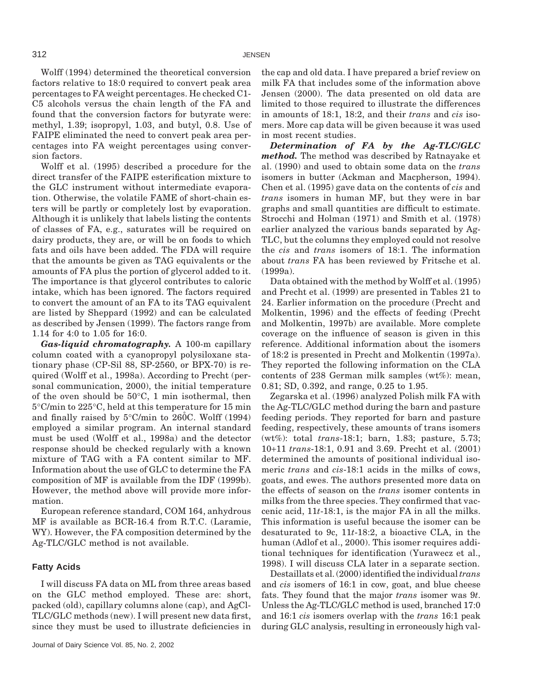Wolff (1994) determined the theoretical conversion factors relative to 18:0 required to convert peak area percentages to FA weight percentages. He checked C1- C5 alcohols versus the chain length of the FA and found that the conversion factors for butyrate were: methyl, 1.39; isopropyl, 1.03, and butyl, 0.8. Use of FAIPE eliminated the need to convert peak area percentages into FA weight percentages using conversion factors.

Wolff et al. (1995) described a procedure for the direct transfer of the FAIPE esterification mixture to the GLC instrument without intermediate evaporation. Otherwise, the volatile FAME of short-chain esters will be partly or completely lost by evaporation. Although it is unlikely that labels listing the contents of classes of FA, e.g., saturates will be required on dairy products, they are, or will be on foods to which fats and oils have been added. The FDA will require that the amounts be given as TAG equivalents or the amounts of FA plus the portion of glycerol added to it. The importance is that glycerol contributes to caloric intake, which has been ignored. The factors required to convert the amount of an FA to its TAG equivalent are listed by Sheppard (1992) and can be calculated as described by Jensen (1999). The factors range from 1.14 for 4:0 to 1.05 for 16:0.

*Gas-liquid chromatography.* A 100-m capillary column coated with a cyanopropyl polysiloxane stationary phase (CP-Sil 88, SP-2560, or BPX-70) is required (Wolff et al., 1998a). According to Precht (personal communication, 2000), the initial temperature of the oven should be 50°C, 1 min isothermal, then 5°C/min to 225°C, held at this temperature for 15 min and finally raised by  $5^{\circ}$ C/min to 260°C. Wolff (1994) employed a similar program. An internal standard must be used (Wolff et al., 1998a) and the detector response should be checked regularly with a known mixture of TAG with a FA content similar to MF. Information about the use of GLC to determine the FA composition of MF is available from the IDF (1999b). However, the method above will provide more information.

European reference standard, COM 164, anhydrous MF is available as BCR-16.4 from R.T.C. (Laramie, WY). However, the FA composition determined by the Ag-TLC/GLC method is not available.

#### **Fatty Acids**

I will discuss FA data on ML from three areas based on the GLC method employed. These are: short, packed (old), capillary columns alone (cap), and AgCl-TLC/GLC methods (new). I will present new data first, since they must be used to illustrate deficiencies in the cap and old data. I have prepared a brief review on milk FA that includes some of the information above Jensen (2000). The data presented on old data are limited to those required to illustrate the differences in amounts of 18:1, 18:2, and their *trans* and *cis* isomers. More cap data will be given because it was used in most recent studies.

*Determination of FA by the Ag-TLC/GLC method.* The method was described by Ratnayake et al. (1990) and used to obtain some data on the *trans* isomers in butter (Ackman and Macpherson, 1994). Chen et al. (1995) gave data on the contents of *cis* and *trans* isomers in human MF, but they were in bar graphs and small quantities are difficult to estimate. Strocchi and Holman (1971) and Smith et al. (1978) earlier analyzed the various bands separated by Ag-TLC, but the columns they employed could not resolve the *cis* and *trans* isomers of 18:1. The information about *trans* FA has been reviewed by Fritsche et al.  $(1999a)$ .

Data obtained with the method by Wolff et al. (1995) and Precht et al. (1999) are presented in Tables 21 to 24. Earlier information on the procedure (Precht and Molkentin, 1996) and the effects of feeding (Precht and Molkentin, 1997b) are available. More complete coverage on the influence of season is given in this reference. Additional information about the isomers of 18:2 is presented in Precht and Molkentin (1997a). They reported the following information on the CLA contents of 238 German milk samples (wt%): mean, 0.81; SD, 0.392, and range, 0.25 to 1.95.

Zegarska et al. (1996) analyzed Polish milk FA with the Ag-TLC/GLC method during the barn and pasture feeding periods. They reported for barn and pasture feeding, respectively, these amounts of trans isomers (wt%): total *trans*-18:1; barn, 1.83; pasture, 5.73; 10+11 *trans*-18:1, 0.91 and 3.69. Precht et al. (2001) determined the amounts of positional individual isomeric *trans* and *cis*-18:1 acids in the milks of cows, goats, and ewes. The authors presented more data on the effects of season on the *trans* isomer contents in milks from the three species. They confirmed that vaccenic acid, 11*t*-18:1, is the major FA in all the milks. This information is useful because the isomer can be desaturated to 9c, 11*t*-18:2, a bioactive CLA, in the human (Adlof et al., 2000). This isomer requires additional techniques for identification (Yurawecz et al., 1998). I will discuss CLA later in a separate section.

Destaillats et al. (2000) identified the individual*trans* and *cis* isomers of 16:1 in cow, goat, and blue cheese fats. They found that the major *trans* isomer was 9*t*. Unless the Ag-TLC/GLC method is used, branched 17:0 and 16:1 *cis* isomers overlap with the *trans* 16:1 peak during GLC analysis, resulting in erroneously high val-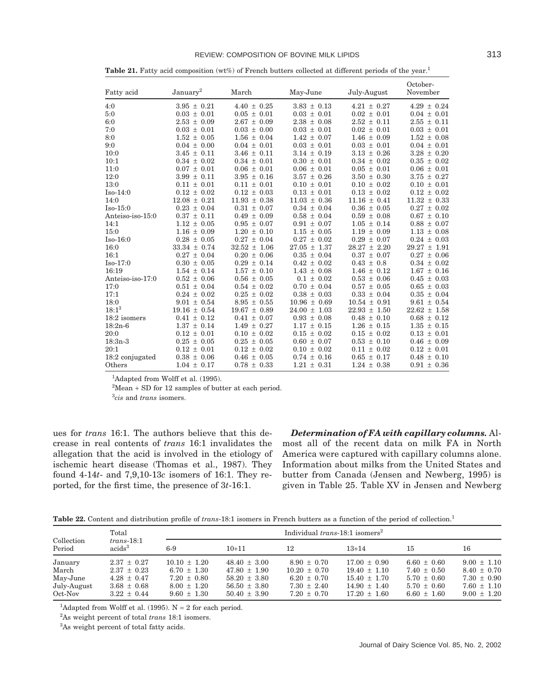#### REVIEW: COMPOSITION OF BOVINE MILK LIPIDS **313**

| Fatty acid       | January <sup>2</sup> | March            | May-June         | July-August      | October-<br>November |
|------------------|----------------------|------------------|------------------|------------------|----------------------|
| 4:0              | $3.95 \pm 0.21$      | $4.40 \pm 0.25$  | $3.83 \pm 0.13$  | $4.21 \pm 0.27$  | $4.29 \pm 0.24$      |
| 5:0              | $0.03 \pm 0.01$      | $0.05 \pm 0.01$  | $0.03 \pm 0.01$  | $0.02 \pm 0.01$  | $0.04 \pm 0.01$      |
| 6:0              | $2.53 \pm 0.09$      | $2.67 \pm 0.09$  | $2.38 \pm 0.08$  | $2.52 \pm 0.11$  | $2.55 \pm 0.11$      |
| 7:0              | $0.03 \pm 0.01$      | $0.03 \pm 0.00$  | $0.03 \pm 0.01$  | $0.02 \pm 0.01$  | $0.03 \pm 0.01$      |
| 8:0              | $1.52 \pm 0.05$      | $1.56 \pm 0.04$  | $1.42 \pm 0.07$  | $1.46 \pm 0.09$  | $1.52 \pm 0.08$      |
| 9:0              | $0.04 \pm 0.00$      | $0.04 \pm 0.01$  | $0.03 \pm 0.01$  | $0.03 \pm 0.01$  | $0.04 \pm 0.01$      |
| 10:0             | $3.45 \pm 0.11$      | $3.46 \pm 0.11$  | $3.14 \pm 0.19$  | $3.13 \pm 0.26$  | $3.28 \pm 0.20$      |
| 10:1             | $0.34 \pm 0.02$      | $0.34 \pm 0.01$  | $0.30 \pm 0.01$  | $0.34 \pm 0.02$  | $0.35 \pm 0.02$      |
| 11:0             | $0.07 \pm 0.01$      | $0.06 \pm 0.01$  | $0.06 \pm 0.01$  | $0.05 \pm 0.01$  | $0.06 \pm 0.01$      |
| 12:0             | $3.99 \pm 0.11$      | $3.95 \pm 0.16$  | $3.57 \pm 0.26$  | $3.50 \pm 0.30$  | $3.75 \pm 0.27$      |
| 13:0             | $0.11 \pm 0.01$      | $0.11 \pm 0.01$  | $0.10 \pm 0.01$  | $0.10 \pm 0.02$  | $0.10 \pm 0.01$      |
| $Iso-14:0$       | $0.12 \pm 0.02$      | $0.12 \pm 0.03$  | $0.13 \pm 0.01$  | $0.13 \pm 0.02$  | $0.12 \pm 0.02$      |
| 14:0             | $12.08 \pm 0.21$     | $11.93 \pm 0.38$ | $11.03 \pm 0.36$ | $11.16 \pm 0.41$ | $11.32 \pm 0.33$     |
| $Iso-15:0$       | $0.23 \pm 0.04$      | $0.31 \pm 0.07$  | $0.34 \pm 0.04$  | $0.36 \pm 0.05$  | $0.27 \pm 0.02$      |
| Anteiso-iso-15:0 | $0.37 \pm 0.11$      | $0.49 \pm 0.09$  | $0.58 \pm 0.04$  | $0.59 \pm 0.08$  | $0.67 \pm 0.10$      |
| 14:1             | $1.12 \pm 0.05$      | $0.95 \pm 0.07$  | $0.91 \pm 0.07$  | $1.05 \pm 0.14$  | $0.88 \pm 0.07$      |
| 15:0             | $1.16 \pm 0.09$      | $1.20 \pm 0.10$  | $1.15 \pm 0.05$  | $1.19 \pm 0.09$  | $1.13 \pm 0.08$      |
| $Iso-16:0$       | $0.28 \pm 0.05$      | $0.27 \pm 0.04$  | $0.27 \pm 0.02$  | $0.29 \pm 0.07$  | $0.24 \pm 0.03$      |
| 16:0             | $33.34 \pm 0.74$     | $32.52 \pm 1.06$ | $27.05 \pm 1.37$ | $28.27 \pm 2.20$ | $29.27 \pm 1.91$     |
| 16:1             | $0.27 \pm 0.04$      | $0.20 \pm 0.06$  | $0.35 \pm 0.04$  | $0.37 \pm 0.07$  | $0.27 \pm 0.06$      |
| $Iso-17:0$       | $0.30 \pm 0.05$      | $0.29 \pm 0.14$  | $0.42 \pm 0.02$  | $0.43 \pm 0.8$   | $0.34 \pm 0.02$      |
| 16:19            | $1.54 \pm 0.14$      | $1.57 \pm 0.10$  | $1.43 \pm 0.08$  | $1.46 \pm 0.12$  | $1.67 \pm 0.16$      |
| Anteiso-iso-17:0 | $0.52 \pm 0.06$      | $0.56 \pm 0.05$  | $0.1 \pm 0.02$   | $0.53 \pm 0.06$  | $0.45 \pm 0.03$      |
| 17:0             | $0.51 \pm 0.04$      | $0.54 \pm 0.02$  | $0.70 \pm 0.04$  | $0.57 \pm 0.05$  | $0.65 \pm 0.03$      |
| 17:1             | $0.24 \pm 0.02$      | $0.25 \pm 0.02$  | $0.38 \pm 0.03$  | $0.33 \pm 0.04$  | $0.35 \pm 0.04$      |
| 18:0             | $9.01 \pm 0.54$      | $8.95 \pm 0.55$  | $10.96 \pm 0.69$ | $10.54 \pm 0.91$ | $9.61 \pm 0.54$      |
| $18:1^3$         | $19.16 \pm 0.54$     | $19.67 \pm 0.89$ | $24.00 \pm 1.03$ | $22.93 \pm 1.50$ | $22.62 \pm 1.58$     |
| 18:2 isomers     | $0.41 \pm 0.12$      | $0.41 \pm 0.07$  | $0.93 \pm 0.08$  | $0.48 \pm 0.10$  | $0.68 \pm 0.12$      |
| $18:2n-6$        | $1.37 \pm 0.14$      | $1.49 \pm 0.27$  | $1.17 \pm 0.15$  | $1.26 \pm 0.15$  | $1.35 \pm 0.15$      |
| 20:0             | $0.12 \pm 0.01$      | $0.10 \pm 0.02$  | $0.15 \pm 0.02$  | $0.15 \pm 0.02$  | $0.13 \pm 0.01$      |
| $18:3n-3$        | $0.25 \pm 0.05$      | $0.25 \pm 0.05$  | $0.60 \pm 0.07$  | $0.53 \pm 0.10$  | $0.46 \pm 0.09$      |
| 20:1             | $0.12 \pm 0.01$      | $0.12 \pm 0.02$  | $0.10 \pm 0.02$  | $0.11 \pm 0.02$  | $0.12 \pm 0.01$      |
| 18:2 conjugated  | $0.38 \pm 0.06$      | $0.46 \pm 0.05$  | $0.74 \pm 0.16$  | $0.65 \pm 0.17$  | $0.48 \pm 0.10$      |
| Others           | $1.04 \pm 0.17$      | $0.78 \pm 0.33$  | $1.21 \pm 0.31$  | $1.24 \pm 0.38$  | $0.91 \pm 0.36$      |

**Table 21.** Fatty acid composition (wt%) of French butters collected at different periods of the year.<sup>1</sup>

<sup>1</sup>Adapted from Wolff et al. (1995).

 $2^2$ Mean + SD for 12 samples of butter at each period.

3 *cis* and *trans* isomers.

ues for *trans* 16:1. The authors believe that this decrease in real contents of *trans* 16:1 invalidates the allegation that the acid is involved in the etiology of ischemic heart disease (Thomas et al., 1987). They found 4-14*t*- and 7,9,10-13*c* isomers of 16:1. They reported, for the first time, the presence of 3*t*-16:1.

*Determination of FA with capillary columns.* Almost all of the recent data on milk FA in North America were captured with capillary columns alone. Information about milks from the United States and butter from Canada (Jensen and Newberg, 1995) is given in Table 25. Table XV in Jensen and Newberg

**Table 22.** Content and distribution profile of *trans*-18:1 isomers in French butters as a function of the period of collection.<sup>1</sup>

| Total                                                  |                                                                                             |                                                                                              | Individual trans-18:1 isomers <sup>2</sup>                                                       |                                                                                              |                                                                                                  |                                                                                             |                                                                                             |  |  |
|--------------------------------------------------------|---------------------------------------------------------------------------------------------|----------------------------------------------------------------------------------------------|--------------------------------------------------------------------------------------------------|----------------------------------------------------------------------------------------------|--------------------------------------------------------------------------------------------------|---------------------------------------------------------------------------------------------|---------------------------------------------------------------------------------------------|--|--|
| Collection<br>Period                                   | $trans-18:1$<br>acids <sup>3</sup>                                                          | $6-9$                                                                                        | $10+11$                                                                                          | 12                                                                                           | $13+14$                                                                                          | 15                                                                                          | 16                                                                                          |  |  |
| January<br>March<br>May-June<br>July-August<br>Oct-Nov | $2.37 \pm 0.27$<br>$2.37 \pm 0.23$<br>$4.28 \pm 0.47$<br>$3.68 \pm 0.68$<br>$3.22 \pm 0.44$ | $10.10 \pm 1.20$<br>$6.70 \pm 1.30$<br>$7.20 \pm 0.80$<br>$8.00 \pm 1.20$<br>$9.60 \pm 1.30$ | $48.40 \pm 3.00$<br>$47.80 \pm 1.90$<br>$58.20 \pm 3.80$<br>$56.50 \pm 3.80$<br>$50.40 \pm 3.90$ | $8.90 \pm 0.70$<br>$10.20 \pm 0.70$<br>$6.20 \pm 0.70$<br>$7.30 \pm 2.40$<br>$7.20 \pm 0.70$ | $17.00 \pm 0.90$<br>$19.40 \pm 1.10$<br>$15.40 \pm 1.70$<br>$14.90 \pm 1.40$<br>$17.20 \pm 1.60$ | $6.60 \pm 0.60$<br>$7.40 \pm 0.50$<br>$5.70 \pm 0.60$<br>$5.70 \pm 0.60$<br>$6.60 \pm 1.60$ | $9.00 \pm 1.10$<br>$8.40 \pm 0.70$<br>$7.30 \pm 0.90$<br>$7.60 \pm 1.10$<br>$9.00 \pm 1.20$ |  |  |

<sup>1</sup>Adapted from Wolff et al. (1995).  $N = 2$  for each period.

2 As weight percent of total *trans* 18:1 isomers.

3 As weight percent of total fatty acids.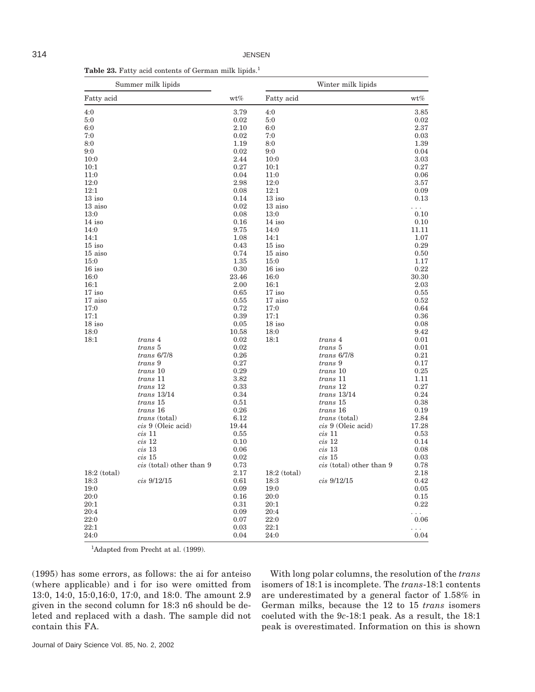|                | Summer milk lipids              |       | Winter milk lipids |                                 |          |
|----------------|---------------------------------|-------|--------------------|---------------------------------|----------|
| Fatty acid     |                                 | wt%   | Fatty acid         |                                 | wt%      |
| 4:0            |                                 | 3.79  | 4:0                |                                 | 3.85     |
| 5:0            |                                 | 0.02  | 5:0                |                                 | 0.02     |
| 6:0            |                                 | 2.10  | 6:0                |                                 | 2.37     |
| 7:0            |                                 | 0.02  | 7:0                |                                 | 0.03     |
| 8:0            |                                 | 1.19  | 8:0                |                                 | 1.39     |
| 9:0            |                                 | 0.02  | 9:0                |                                 | 0.04     |
| 10:0           |                                 | 2.44  | 10:0               |                                 | 3.03     |
| 10:1           |                                 | 0.27  | 10:1               |                                 | 0.27     |
| 11:0           |                                 | 0.04  | 11:0               |                                 | 0.06     |
| 12:0           |                                 | 2.98  | 12:0               |                                 | 3.57     |
| 12:1           |                                 | 0.08  | 12:1               |                                 | 0.09     |
| $13$ iso       |                                 | 0.14  | $13$ iso           |                                 | 0.13     |
| 13 aiso        |                                 | 0.02  | 13 aiso            |                                 | $\cdots$ |
| 13:0           |                                 | 0.08  | 13:0               |                                 | 0.10     |
| $14$ iso       |                                 | 0.16  | $14$ iso           |                                 | 0.10     |
| 14:0           |                                 | 9.75  | 14:0               |                                 | 11.11    |
| 14:1           |                                 | 1.08  | 14:1               |                                 | 1.07     |
| $15$ iso       |                                 | 0.43  | $15$ iso           |                                 | 0.29     |
| 15 aiso        |                                 | 0.74  | 15 aiso            |                                 | 0.50     |
| 15:0           |                                 | 1.35  | 15:0               |                                 | 1.17     |
| $16$ iso       |                                 | 0.30  | $16$ iso           |                                 | 0.22     |
| 16:0           |                                 | 23.46 | 16:0               |                                 | 30.30    |
| 16:1           |                                 | 2.00  | 16:1               |                                 | 2.03     |
| $17$ iso       |                                 | 0.65  | $17$ iso           |                                 | 0.55     |
| 17 aiso        |                                 | 0.55  | 17 aiso            |                                 | 0.52     |
| 17:0           |                                 | 0.72  | 17:0               |                                 | 0.64     |
| 17:1           |                                 | 0.39  | 17:1               |                                 | 0.36     |
| $18$ iso       |                                 | 0.05  | $18$ iso           |                                 | 0.08     |
| 18:0           |                                 | 10.58 | 18:0               |                                 | 9.42     |
| 18:1           | trans 4                         | 0.02  | 18:1               | trans 4                         | 0.01     |
|                | trans 5                         | 0.02  |                    | trans 5                         | 0.01     |
|                | $trans\,6/7/8$                  | 0.26  |                    | $trans\,6/7/8$                  | 0.21     |
|                | trans 9                         | 0.27  |                    | trans 9                         | 0.17     |
|                | <i>trans</i> 10                 | 0.29  |                    | <i>trans</i> 10                 | 0.25     |
|                | trans 11                        | 3.82  |                    | trans 11                        | 1.11     |
|                | trans 12                        | 0.33  |                    | trans 12                        | 0.27     |
|                | $trans\ 13/14$                  | 0.34  |                    | $trans\ 13/14$                  | 0.24     |
|                | <i>trans</i> 15                 | 0.51  |                    | trans 15                        | 0.38     |
|                | trans 16                        | 0.26  |                    | trans 16                        | 0.19     |
|                | <i>trans</i> (total)            | 6.12  |                    | <i>trans</i> (total)            | 2.84     |
|                | cis 9 (Oleic acid)              | 19.44 |                    | cis 9 (Oleic acid)              | 17.28    |
|                | $cis$ 11                        | 0.55  |                    | $cis$ 11                        | 0.53     |
|                | cis 12                          | 0.10  |                    | $cis$ 12                        | 0.14     |
|                | $cis$ 13                        | 0.06  |                    | cis~13                          | 0.08     |
|                | cis~15                          | 0.02  |                    | cis~15                          | 0.03     |
|                | <i>cis</i> (total) other than 9 | 0.73  |                    | <i>cis</i> (total) other than 9 | 0.78     |
| $18:2$ (total) |                                 | 2.17  | $18:2$ (total)     |                                 | 2.18     |
| 18:3           | $cis\ 9/12/15$                  | 0.61  | 18:3               | $cis\ 9/12/15$                  | 0.42     |
| 19:0           |                                 | 0.09  | 19:0               |                                 | 0.05     |
| 20:0           |                                 | 0.16  | 20:0               |                                 | 0.15     |
| 20:1           |                                 | 0.31  | 20:1               |                                 | 0.22     |
| 20:4           |                                 | 0.09  | 20:4               |                                 | .        |
| 22:0           |                                 | 0.07  | 22:0               |                                 | 0.06     |
| 22:1           |                                 | 0.03  | 22:1               |                                 | .        |
| 24:0           |                                 | 0.04  | 24:0               |                                 | 0.04     |

Table 23. Fatty acid contents of German milk lipids.<sup>1</sup>

<sup>1</sup>Adapted from Precht at al. (1999).

(1995) has some errors, as follows: the ai for anteiso (where applicable) and i for iso were omitted from 13:0, 14:0, 15:0,16:0, 17:0, and 18:0. The amount 2.9 given in the second column for 18:3 n6 should be deleted and replaced with a dash. The sample did not contain this FA.

With long polar columns, the resolution of the *trans* isomers of 18:1 is incomplete. The *trans*-18:1 contents are underestimated by a general factor of 1.58% in German milks, because the 12 to 15 *trans* isomers coeluted with the 9*c*-18:1 peak. As a result, the 18:1 peak is overestimated. Information on this is shown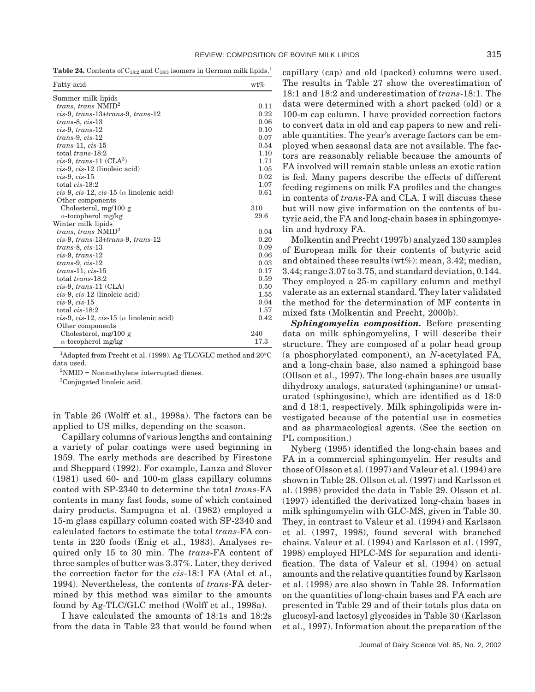**Table 24.** Contents of  $C_{18:2}$  and  $C_{18:3}$  isomers in German milk lipids.<sup>1</sup>

| Fatty acid                                       | $wt\%$ |
|--------------------------------------------------|--------|
| Summer milk lipids                               |        |
| trans, trans $NMID2$                             | 0.11   |
| $cis-9$ , trans-13+trans-9, trans-12             | 0.22   |
| $trans-8, cis-13$                                | 0.06   |
| $cis-9$ , trans-12                               | 0.10   |
| $trans-9, cis-12$                                | 0.07   |
| $trans-11, cis-15$                               | 0.54   |
| total trans-18:2                                 | 1.10   |
| $cis-9$ , trans-11 ( $CLA3$ )                    | 1.71   |
| $cis-9$ , $cis-12$ (linoleic acid)               | 1.05   |
| $cis-9, cis-15$                                  | 0.02   |
| total $cis-18:2$                                 | 1.07   |
| cis-9, cis-12, cis-15 ( $\alpha$ linolenic acid) | 0.61   |
| Other components                                 |        |
| Cholesterol, $mg/100 g$                          | 310    |
| $\alpha$ -tocopherol mg/kg                       | 29.6   |
| Winter milk lipids                               |        |
| <i>trans, trans NMID<sup>2</sup></i>             | 0.04   |
| cis-9, trans-13+trans-9, trans-12                | 0.20   |
| $trans-8, cis-13$                                | 0.09   |
| $cis-9$ , trans-12                               | 0.06   |
| $trans-9, cis-12$                                | 0.03   |
| $trans-11, cis-15$                               | 0.17   |
| total trans-18:2                                 | 0.59   |
| $cis-9$ , trans-11 (CLA)                         | 0.50   |
| $cis-9$ , $cis-12$ (linoleic acid)               | 1.55   |
| $cis-9, cis-15$                                  | 0.04   |
| total cis-18:2                                   | 1.57   |
| cis-9, cis-12, cis-15 ( $\alpha$ linolenic acid) | 0.42   |
| Other components                                 |        |
| Cholesterol, $mg/100 g$                          | 240    |
| $\alpha$ -tocopherol mg/kg                       | 17.3   |

<sup>1</sup>Adapted from Precht et al. (1999). Ag-TLC/GLC method and 20°C data used.

 $2$ NMID = Nonmethylene interrupted dienes.

<sup>3</sup>Conjugated linoleic acid.

in Table 26 (Wolff et al., 1998a). The factors can be applied to US milks, depending on the season.

Capillary columns of various lengths and containing a variety of polar coatings were used beginning in 1959. The early methods are described by Firestone and Sheppard (1992). For example, Lanza and Slover (1981) used 60- and 100-m glass capillary columns coated with SP-2340 to determine the total *trans*-FA contents in many fast foods, some of which contained dairy products. Sampugna et al. (1982) employed a 15-m glass capillary column coated with SP-2340 and calculated factors to estimate the total *trans*-FA contents in 220 foods (Enig et al., 1983). Analyses required only 15 to 30 min. The *trans*-FA content of three samples of butter was 3.37%. Later, they derived the correction factor for the *cis*-18:1 FA (Atal et al., 1994). Nevertheless, the contents of *trans*-FA determined by this method was similar to the amounts found by Ag-TLC/GLC method (Wolff et al., 1998a).

I have calculated the amounts of 18:1s and 18:2s from the data in Table 23 that would be found when

capillary (cap) and old (packed) columns were used. The results in Table 27 show the overestimation of 18:1 and 18:2 and underestimation of *trans*-18:1. The data were determined with a short packed (old) or a 100-m cap column. I have provided correction factors to convert data in old and cap papers to new and reliable quantities. The year's average factors can be employed when seasonal data are not available. The factors are reasonably reliable because the amounts of FA involved will remain stable unless an exotic ration is fed. Many papers describe the effects of different feeding regimens on milk FA profiles and the changes in contents of *trans*-FA and CLA. I will discuss these but will now give information on the contents of butyric acid, the FA and long-chain bases in sphingomyelin and hydroxy FA.

Molkentin and Precht (1997b) analyzed 130 samples of European milk for their contents of butyric acid and obtained these results (wt%): mean, 3.42; median, 3.44; range 3.07 to 3.75, and standard deviation, 0.144. They employed a 25-m capillary column and methyl valerate as an external standard. They later validated the method for the determination of MF contents in mixed fats (Molkentin and Precht, 2000b).

*Sphingomyelin composition.* Before presenting data on milk sphingomyelins, I will describe their structure. They are composed of a polar head group (a phosphorylated component), an *N*-acetylated FA, and a long-chain base, also named a sphingoid base (Ollson et al., 1997). The long-chain bases are usually dihydroxy analogs, saturated (sphinganine) or unsaturated (sphingosine), which are identified as d 18:0 and d 18:1, respectively. Milk sphingolipids were investigated because of the potential use in cosmetics and as pharmacological agents. (See the section on PL composition.)

Nyberg (1995) identified the long-chain bases and FA in a commercial sphingomyelin. Her results and those of Olsson et al. (1997) and Valeur et al. (1994) are shown in Table 28. Ollson et al. (1997) and Karlsson et al. (1998) provided the data in Table 29. Olsson et al. (1997) identified the derivatized long-chain bases in milk sphingomyelin with GLC-MS, given in Table 30. They, in contrast to Valeur et al. (1994) and Karlsson et al. (1997, 1998), found several with branched chains. Valeur et al. (1994) and Karlsson et al. (1997, 1998) employed HPLC-MS for separation and identification. The data of Valeur et al. (1994) on actual amounts and the relative quantities found by Karlsson et al. (1998) are also shown in Table 28. Information on the quantities of long-chain bases and FA each are presented in Table 29 and of their totals plus data on glucosyl-and lactosyl glycosides in Table 30 (Karlsson et al., 1997). Information about the preparation of the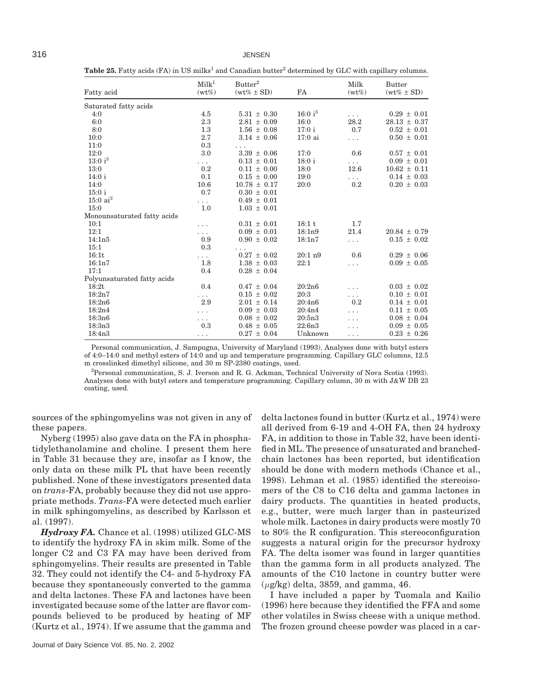Table 25. Fatty acids (FA) in US milks<sup>1</sup> and Canadian butter<sup>2</sup> determined by GLC with capillary columns.

|                             | Milk <sup>1</sup><br>$(wt\%)$ | Butter <sup>2</sup> | FA                  | Milk<br>$(wt\%)$     | <b>Butter</b>    |
|-----------------------------|-------------------------------|---------------------|---------------------|----------------------|------------------|
| Fatty acid                  |                               | $(wt\% \pm SD)$     |                     |                      | $(wt\% \pm SD)$  |
| Saturated fatty acids       |                               |                     |                     |                      |                  |
| 4:0                         | 4.5                           | $5.31 \pm 0.30$     | 16:0 i <sup>3</sup> |                      | $0.29 \pm 0.01$  |
| 6:0                         | 2.3                           | $2.81 \pm 0.09$     | 16:0                | 28.2                 | $28.13 \pm 0.37$ |
| 8:0                         | 1.3                           | $1.56 \pm 0.08$     | 17:0i               | 0.7                  | $0.52 \pm 0.01$  |
| 10:0                        | 2.7                           | $3.14 \pm 0.06$     | 17:0 ai             | $\cdots$             | $0.50 \pm 0.01$  |
| 11:0                        | 0.3                           | .                   |                     |                      |                  |
| 12:0                        | 3.0                           | $3.39 \pm 0.06$     | 17:0                | 0.6                  | $0.57 \pm 0.01$  |
| 13:0 i <sup>3</sup>         | $\cdots$                      | $0.13 \pm 0.01$     | 18:0i               | $\cdots$             | $0.09 \pm 0.01$  |
| 13:0                        | 0.2                           | $0.11 \pm 0.00$     | 18:0                | 12.6                 | $10.62 \pm 0.11$ |
| 14:0i                       | 0.1                           | $0.15 \pm 0.00$     | 19:0                | $\sim$ $\sim$ $\sim$ | $0.14 \pm 0.03$  |
| 14:0                        | 10.6                          | $10.78 \pm 0.17$    | 20:0                | 0.2                  | $0.20 \pm 0.03$  |
| $15:0$ i                    | 0.7                           | $0.30 \pm 0.01$     |                     |                      |                  |
| $15:0$ ai <sup>3</sup>      | $\cdots$                      | $0.49 \pm 0.01$     |                     |                      |                  |
| 15:0                        | 1.0                           | $1.03 \pm 0.01$     |                     |                      |                  |
| Monounsaturated fatty acids |                               |                     |                     |                      |                  |
| 10:1                        | .                             | $0.31 \pm 0.01$     | 18:1t               | 1.7                  |                  |
| 12:1                        | .                             | $0.09 \pm 0.01$     | 18:1n9              | 21.4                 | $20.84 \pm 0.79$ |
| 14:1n5                      | 0.9                           | $0.90 \pm 0.02$     | 18:1n7              | .                    | $0.15 \pm 0.02$  |
| 15:1                        | 0.3                           |                     |                     |                      |                  |
| 16:1t                       | $\cdots$                      | $0.27 \pm 0.02$     | 20:1 n9             | 0.6                  | $0.29 \pm 0.06$  |
| 16:1n7                      | 1.8                           | $1.38 \pm 0.03$     | 22:1                | $\cdots$             | $0.09 \pm 0.05$  |
| 17:1                        | 0.4                           | $0.28 \pm 0.04$     |                     |                      |                  |
| Polyunsaturated fatty acids |                               |                     |                     |                      |                  |
| 18:2t                       | 0.4                           | $0.47 \pm 0.04$     | 20:2n6              |                      | $0.03 \pm 0.02$  |
| 18:2n7                      | .                             | $0.15 \pm 0.02$     | 20:3                | .                    | $0.10 \pm 0.01$  |
| 18:2n6                      | 2.9                           | $2.01 \pm 0.14$     | 20:4n6              | 0.2                  | $0.14 \pm 0.01$  |
| 18:2n4                      | .                             | $0.09 \pm 0.03$     | 20:4n4              |                      | $0.11 \pm 0.05$  |
| 18:3n6                      | .                             | $0.08 \pm 0.02$     | 20:5n3              |                      | $0.08 \pm 0.04$  |
| 18:3n3                      | 0.3                           | $0.48 \pm 0.05$     | 22:6n3              |                      | $0.09 \pm 0.05$  |
| 18:4n3                      | .                             | $0.27 \pm 0.04$     | Unknown             | .                    | $0.23 \pm 0.26$  |

Personal communication, J. Sampugna, University of Maryland (1993). Analyses done with butyl esters of 4:0–14:0 and methyl esters of 14:0 and up and temperature programming. Capillary GLC columns, 12.5 m crosslinked dimethyl silicone, and 30 m SP-2380 coatings, used.

2 Personal communication, S. J. Iverson and R. G. Ackman, Technical University of Nova Scotia (1993). Analyses done with butyl esters and temperature programming. Capillary column, 30 m with J&W DB 23 coating, used.

sources of the sphingomyelins was not given in any of these papers.

Nyberg (1995) also gave data on the FA in phosphatidylethanolamine and choline. I present them here in Table 31 because they are, insofar as I know, the only data on these milk PL that have been recently published. None of these investigators presented data on *trans*-FA, probably because they did not use appropriate methods. *Trans*-FA were detected much earlier in milk sphingomyelins, as described by Karlsson et al. (1997).

*Hydroxy FA.* Chance et al. (1998) utilized GLC-MS to identify the hydroxy FA in skim milk. Some of the longer C2 and C3 FA may have been derived from sphingomyelins. Their results are presented in Table 32. They could not identify the C4- and 5-hydroxy FA because they spontaneously converted to the gamma and delta lactones. These FA and lactones have been investigated because some of the latter are flavor compounds believed to be produced by heating of MF (Kurtz et al., 1974). If we assume that the gamma and

Journal of Dairy Science Vol. 85, No. 2, 2002

delta lactones found in butter (Kurtz et al., 1974) were all derived from 6-19 and 4-OH FA, then 24 hydroxy FA, in addition to those in Table 32, have been identified in ML. The presence of unsaturated and branchedchain lactones has been reported, but identification should be done with modern methods (Chance et al., 1998). Lehman et al. (1985) identified the stereoisomers of the C8 to C16 delta and gamma lactones in dairy products. The quantities in heated products, e.g., butter, were much larger than in pasteurized whole milk. Lactones in dairy products were mostly 70 to 80% the R configuration. This stereoconfiguration suggests a natural origin for the precursor hydroxy FA. The delta isomer was found in larger quantities than the gamma form in all products analyzed. The amounts of the C10 lactone in country butter were (*µ*g/kg) delta, 3859, and gamma, 46.

I have included a paper by Tuomala and Kailio (1996) here because they identified the FFA and some other volatiles in Swiss cheese with a unique method. The frozen ground cheese powder was placed in a car-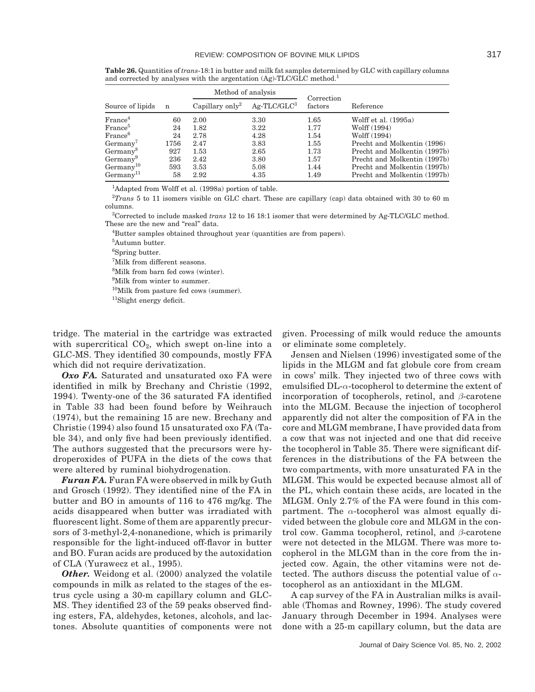|                       |      | Method of analysis          |               | Correction |                              |  |  |
|-----------------------|------|-----------------------------|---------------|------------|------------------------------|--|--|
| Source of lipids      | n    | Capillary only <sup>2</sup> | $Ag-TLC/GLC3$ | factors    | Reference                    |  |  |
| France <sup>4</sup>   | 60   | 2.00                        | 3.30          | 1.65       | Wolff et al. $(1995a)$       |  |  |
| France <sup>5</sup>   | 24   | 1.82                        | 3.22          | 1.77       | Wolff (1994)                 |  |  |
| France <sup>6</sup>   | 24   | 2.78                        | 4.28          | 1.54       | Wolff (1994)                 |  |  |
| Germanv'              | 1756 | 2.47                        | 3.83          | 1.55       | Precht and Molkentin (1996)  |  |  |
| Germany <sup>8</sup>  | 927  | 1.53                        | 2.65          | 1.73       | Precht and Molkentin (1997b) |  |  |
| Germany               | 236  | 2.42                        | 3.80          | 1.57       | Precht and Molkentin (1997b) |  |  |
| $Germanv^{10}$        | 593  | 3.53                        | 5.08          | 1.44       | Precht and Molkentin (1997b) |  |  |
| Germanv <sup>11</sup> | 58   | 2.92                        | 4.35          | 1.49       | Precht and Molkentin (1997b) |  |  |

**Table 26.** Quantities of *trans*-18:1 in butter and milk fat samples determined by GLC with capillary columns and corrected by analyses with the argentation (Ag)-TLC/GLC method.<sup>1</sup>

<sup>1</sup>Adapted from Wolff et al. (1998a) portion of table.

2 *Trans* 5 to 11 isomers visible on GLC chart. These are capillary (cap) data obtained with 30 to 60 m columns.

3 Corrected to include masked *trans* 12 to 16 18:1 isomer that were determined by Ag-TLC/GLC method. These are the new and "real" data.

<sup>4</sup>Butter samples obtained throughout year (quantities are from papers).

5 Autumn butter.

6 Spring butter.

7 Milk from different seasons.

8 Milk from barn fed cows (winter).

9 Milk from winter to summer.

10Milk from pasture fed cows (summer).

11Slight energy deficit.

tridge. The material in the cartridge was extracted with supercritical  $CO<sub>2</sub>$ , which swept on-line into a GLC-MS. They identified 30 compounds, mostly FFA which did not require derivatization.

*Oxo FA.* Saturated and unsaturated oxo FA were identified in milk by Brechany and Christie (1992, 1994). Twenty-one of the 36 saturated FA identified in Table 33 had been found before by Weihrauch (1974), but the remaining 15 are new. Brechany and Christie (1994) also found 15 unsaturated oxo FA (Table 34), and only five had been previously identified. The authors suggested that the precursors were hydroperoxides of PUFA in the diets of the cows that were altered by ruminal biohydrogenation.

*Furan FA.* Furan FA were observed in milk by Guth and Grosch (1992). They identified nine of the FA in butter and BO in amounts of 116 to 476 mg/kg. The acids disappeared when butter was irradiated with fluorescent light. Some of them are apparently precursors of 3-methyl-2,4-nonanedione, which is primarily responsible for the light-induced off-flavor in butter and BO. Furan acids are produced by the autoxidation of CLA (Yurawecz et al., 1995).

**Other.** Weidong et al. (2000) analyzed the volatile compounds in milk as related to the stages of the estrus cycle using a 30-m capillary column and GLC-MS. They identified 23 of the 59 peaks observed finding esters, FA, aldehydes, ketones, alcohols, and lactones. Absolute quantities of components were not given. Processing of milk would reduce the amounts or eliminate some completely.

Jensen and Nielsen (1996) investigated some of the lipids in the MLGM and fat globule core from cream in cows' milk. They injected two of three cows with emulsified DL-*α*-tocopherol to determine the extent of incorporation of tocopherols, retinol, and *β*-carotene into the MLGM. Because the injection of tocopherol apparently did not alter the composition of FA in the core and MLGM membrane, I have provided data from a cow that was not injected and one that did receive the tocopherol in Table 35. There were significant differences in the distributions of the FA between the two compartments, with more unsaturated FA in the MLGM. This would be expected because almost all of the PL, which contain these acids, are located in the MLGM. Only 2.7% of the FA were found in this compartment. The *α*-tocopherol was almost equally divided between the globule core and MLGM in the control cow. Gamma tocopherol, retinol, and *β*-carotene were not detected in the MLGM. There was more tocopherol in the MLGM than in the core from the injected cow. Again, the other vitamins were not detected. The authors discuss the potential value of *α*tocopherol as an antioxidant in the MLGM.

A cap survey of the FA in Australian milks is available (Thomas and Rowney, 1996). The study covered January through December in 1994. Analyses were done with a 25-m capillary column, but the data are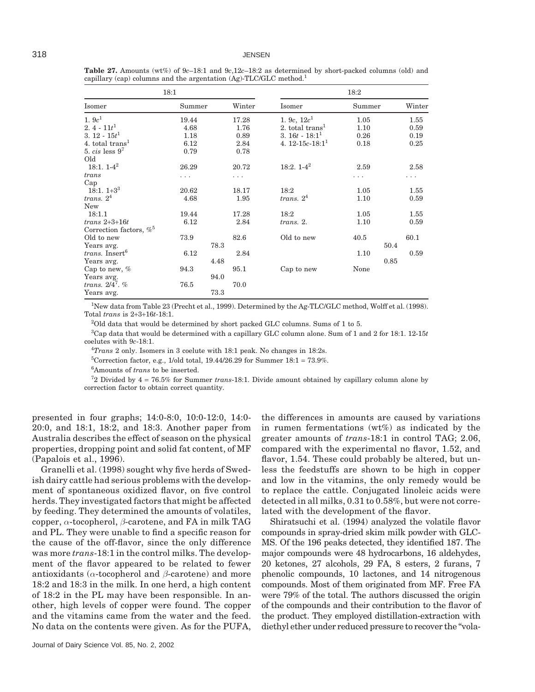| 18:1                              |        |      |        | 18:2                        |        |      |        |  |
|-----------------------------------|--------|------|--------|-----------------------------|--------|------|--------|--|
| Isomer                            | Summer |      | Winter | Isomer                      | Summer |      | Winter |  |
| 1.9c <sup>1</sup>                 | 19.44  |      | 17.28  | 1. 9c, $12c1$               | 1.05   |      | 1.55   |  |
| $2.4 - 11t^1$                     | 4.68   |      | 1.76   | 2. total trans <sup>1</sup> | 1.10   |      | 0.59   |  |
| 3. $12 - 15t^1$                   | 1.18   |      | 0.89   | 3. $16t - 18:1^1$           | 0.26   |      | 0.19   |  |
| 4. total trans <sup>1</sup>       | 6.12   |      | 2.84   | 4. $12-15c-18:1^1$          | 0.18   |      | 0.25   |  |
| 5. $cis$ less $9^7$               | 0.79   |      | 0.78   |                             |        |      |        |  |
| Old                               |        |      |        |                             |        |      |        |  |
| $18:1.1-4^2$                      | 26.29  |      | 20.72  | $18:2.1-4^2$                | 2.59   |      | 2.58   |  |
| trans                             | .      |      | .      |                             | .      |      | .      |  |
| Cap                               |        |      |        |                             |        |      |        |  |
| $18:1.1+33$                       | 20.62  |      | 18.17  | 18:2                        | 1.05   |      | 1.55   |  |
| trans. $24$                       | 4.68   |      | 1.95   | trans. $24$                 | 1.10   |      | 0.59   |  |
| <b>New</b>                        |        |      |        |                             |        |      |        |  |
| 18:1.1                            | 19.44  |      | 17.28  | 18:2                        | 1.05   |      | 1.55   |  |
| $trans\ 2+3+16t$                  | 6.12   |      | 2.84   | trans. 2.                   | 1.10   |      | 0.59   |  |
| Correction factors, $\%^5$        |        |      |        |                             |        |      |        |  |
| Old to new                        | 73.9   |      | 82.6   | Old to new                  | 40.5   |      | 60.1   |  |
| Years avg.                        |        | 78.3 |        |                             |        | 50.4 |        |  |
| <i>trans.</i> Insert <sup>6</sup> | 6.12   |      | 2.84   |                             | 1.10   |      | 0.59   |  |
| Years avg.                        |        | 4.48 |        |                             |        | 0.85 |        |  |
| Cap to new, $%$                   | 94.3   |      | 95.1   | Cap to new                  | None   |      |        |  |
| Years avg.                        |        | 94.0 |        |                             |        |      |        |  |
| trans. $2/4^7$ . %                | 76.5   |      | 70.0   |                             |        |      |        |  |
| Years avg.                        |        | 73.3 |        |                             |        |      |        |  |

**Table 27.** Amounts (wt%) of 9*c*–18:1 and 9*c*,12*c*–18:2 as determined by short-packed columns (old) and capillary (cap) columns and the argentation (Ag)-TLC/GLC method.<sup>1</sup>

<sup>1</sup>New data from Table 23 (Precht et al., 1999). Determined by the Ag-TLC/GLC method, Wolff et al. (1998). Total *trans* is 2+3+16*t*-18:1.

 $2$ Old data that would be determined by short packed GLC columns. Sums of 1 to 5.

3 Cap data that would be determined with a capillary GLC column alone. Sum of 1 and 2 for 18:1. 12-15*t* coelutes with 9*c*-18:1.

4 *Trans* 2 only. Isomers in 3 coelute with 18:1 peak. No changes in 18:2s.

<sup>5</sup>Correction factor, e.g., 1/old total, 19.44/26.29 for Summer  $18:1 = 73.9\%$ .

6 Amounts of *trans* to be inserted.

7 2 Divided by 4 = 76.5% for Summer *trans*-18:1. Divide amount obtained by capillary column alone by correction factor to obtain correct quantity.

presented in four graphs; 14:0-8:0, 10:0-12:0, 14:0- 20:0, and 18:1, 18:2, and 18:3. Another paper from Australia describes the effect of season on the physical properties, dropping point and solid fat content, of MF (Papalois et al., 1996).

Granelli et al. (1998) sought why five herds of Swedish dairy cattle had serious problems with the development of spontaneous oxidized flavor, on five control herds. They investigated factors that might be affected by feeding. They determined the amounts of volatiles, copper, *α*-tocopherol, *β*-carotene, and FA in milk TAG and PL. They were unable to find a specific reason for the cause of the off-flavor, since the only difference was more *trans*-18:1 in the control milks. The development of the flavor appeared to be related to fewer antioxidants (*α*-tocopherol and *β*-carotene) and more 18:2 and 18:3 in the milk. In one herd, a high content of 18:2 in the PL may have been responsible. In another, high levels of copper were found. The copper and the vitamins came from the water and the feed. No data on the contents were given. As for the PUFA,

the differences in amounts are caused by variations in rumen fermentations (wt%) as indicated by the greater amounts of *trans*-18:1 in control TAG; 2.06, compared with the experimental no flavor, 1.52, and flavor, 1.54. These could probably be altered, but unless the feedstuffs are shown to be high in copper and low in the vitamins, the only remedy would be to replace the cattle. Conjugated linoleic acids were detected in all milks, 0.31 to 0.58%, but were not correlated with the development of the flavor.

Shiratsuchi et al. (1994) analyzed the volatile flavor compounds in spray-dried skim milk powder with GLC-MS. Of the 196 peaks detected, they identified 187. The major compounds were 48 hydrocarbons, 16 aldehydes, 20 ketones, 27 alcohols, 29 FA, 8 esters, 2 furans, 7 phenolic compounds, 10 lactones, and 14 nitrogenous compounds. Most of them originated from MF. Free FA were 79% of the total. The authors discussed the origin of the compounds and their contribution to the flavor of the product. They employed distillation-extraction with diethyl ether under reduced pressure to recover the "vola-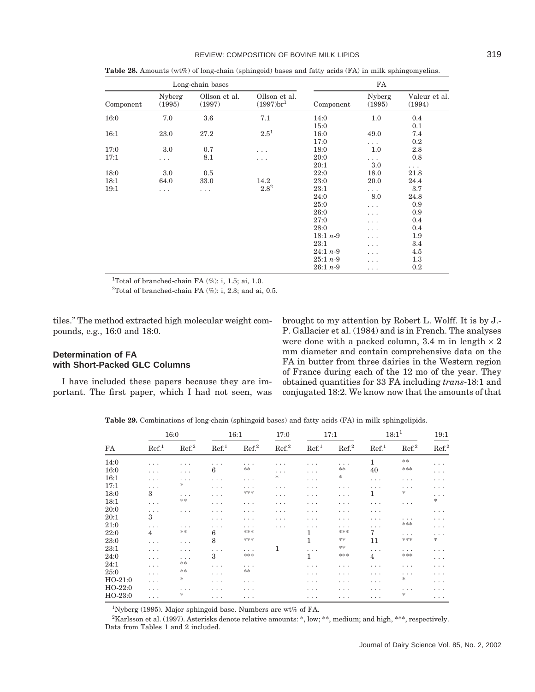| ٧<br>۰.<br>×<br>w<br>۰. | ×<br>۰. |
|-------------------------|---------|
|-------------------------|---------|

| Long-chain bases |                  |                         |                                                      | FA         |                  |                         |  |  |
|------------------|------------------|-------------------------|------------------------------------------------------|------------|------------------|-------------------------|--|--|
| Component        | Nyberg<br>(1995) | Ollson et al.<br>(1997) | Ollson et al.<br>$(1997)$ <sub>br</sub> <sup>1</sup> | Component  | Nyberg<br>(1995) | Valeur et al.<br>(1994) |  |  |
| 16:0             | 7.0              | 3.6                     | 7.1                                                  | 14:0       | $1.0\,$          | 0.4                     |  |  |
|                  |                  |                         |                                                      | 15:0       |                  | 0.1                     |  |  |
| 16:1             | 23.0             | 27.2                    | $2.5^{1}$                                            | 16:0       | 49.0             | 7.4                     |  |  |
|                  |                  |                         |                                                      | 17:0       | .                | 0.2                     |  |  |
| 17:0             | 3.0              | 0.7                     | .                                                    | 18:0       | $1.0\,$          | 2.8                     |  |  |
| 17:1             | .                | 8.1                     | .                                                    | 20:0       | .                | 0.8                     |  |  |
|                  |                  |                         |                                                      | 20:1       | $3.0\,$          | $\cdots$                |  |  |
| 18:0             | 3.0              | 0.5                     |                                                      | 22:0       | 18.0             | 21.8                    |  |  |
| 18:1             | 64.0             | 33.0                    | 14.2                                                 | 23:0       | 20.0             | 24.4                    |  |  |
| 19:1             | .                | .                       | $2.8^{2}$                                            | 23:1       | .                | 3.7                     |  |  |
|                  |                  |                         |                                                      | 24:0       | 8.0              | 24.8                    |  |  |
|                  |                  |                         |                                                      | 25:0       | .                | 0.9                     |  |  |
|                  |                  |                         |                                                      | 26:0       | .                | 0.9                     |  |  |
|                  |                  |                         |                                                      | 27:0       | .                | 0.4                     |  |  |
|                  |                  |                         |                                                      | 28:0       | .                | 0.4                     |  |  |
|                  |                  |                         |                                                      | $18:1 n-9$ | .                | 1.9                     |  |  |
|                  |                  |                         |                                                      | 23:1       | .                | 3.4                     |  |  |
|                  |                  |                         |                                                      | $24:1 n-9$ | .                | 4.5                     |  |  |
|                  |                  |                         |                                                      | $25:1 n-9$ | .                | 1.3                     |  |  |
|                  |                  |                         |                                                      | $26:1 n-9$ | .                | 0.2                     |  |  |

**Table 28.** Amounts (wt%) of long-chain (sphingoid) bases and fatty acids (FA) in milk sphingomyelins.

<sup>1</sup>Total of branched-chain FA  $(\%)$ : i, 1.5; ai, 1.0.

<sup>2</sup>Total of branched-chain FA  $(\%)$ : i, 2.3; and ai, 0.5.

tiles." The method extracted high molecular weight compounds, e.g., 16:0 and 18:0.

## **Determination of FA with Short-Packed GLC Columns**

I have included these papers because they are important. The first paper, which I had not seen, was brought to my attention by Robert L. Wolff. It is by J.- P. Gallacier et al. (1984) and is in French. The analyses were done with a packed column, 3.4 m in length  $\times$  2 mm diameter and contain comprehensive data on the FA in butter from three dairies in the Western region of France during each of the 12 mo of the year. They obtained quantities for 33 FA including *trans*-18:1 and conjugated 18:2. We know now that the amounts of that

**Table 29.** Combinations of long-chain (sphingoid bases) and fatty acids (FA) in milk sphingolipids.

|           |                   | 16:0              |                   | 16:1              | 17:0              |                   | 17:1                    |                   | $18:1^{1}$        | 19:1              |
|-----------|-------------------|-------------------|-------------------|-------------------|-------------------|-------------------|-------------------------|-------------------|-------------------|-------------------|
| FA        | Ref. <sup>1</sup> | Ref. <sup>2</sup> | Ref. <sup>1</sup> | Ref. <sup>2</sup> | Ref. <sup>2</sup> | Ref. <sup>1</sup> | Ref. <sup>2</sup>       | Ref. <sup>1</sup> | Ref. <sup>2</sup> | Ref. <sup>2</sup> |
| 14:0      | .                 | .                 | .                 | .                 | .                 | .                 | $\cdots$                | 1                 | **                | .                 |
| 16:0      | .                 | .                 | 6                 | **                | .                 | .                 | **                      | 40                | ***               | .                 |
| 16:1      | .                 | .                 | .                 | .                 | *                 | .                 | $\frac{1}{25}$          | $\cdots$          | $\cdots$          | .                 |
| 17:1      | .                 | *                 | .                 | .                 | .                 | .                 | $\cdot$ $\cdot$ $\cdot$ | .                 | .                 | .                 |
| 18:0      | 3                 | .                 | .                 | ***               | .                 | .                 | .                       | 1                 | *                 | .                 |
| 18:1      | .                 | **                | .                 | .                 | .                 | .                 | $\cdot$ $\cdot$ $\cdot$ | .                 | $\cdots$          | *                 |
| 20:0      | .                 | .                 | .                 | .                 | .                 | .                 | $\cdots$                | .                 |                   | .                 |
| 20:1      | 3                 |                   | .                 | .                 | .                 | .                 | $\cdots$                | .                 | .                 | .                 |
| 21:0      | .                 | .                 | .                 | .                 | .                 | .                 | $\cdots$                | .                 | ***               | .                 |
| 22:0      | $\overline{4}$    | **                | 6                 | ***               |                   |                   | ***                     | 7                 | $\cdots$          | .                 |
| 23:0      | .                 | .                 | 8                 | ***               |                   | 1                 | **                      | 11                | ***               | *                 |
| 23:1      | .                 | .                 | .                 | .                 | 1                 | .                 | **                      | $\cdots$          | .                 | .                 |
| 24:0      | .                 | .                 | $\mathcal{S}$     | ***               |                   | 1                 | ***                     | 4                 | ***               | .                 |
| 24:1      | .                 | **                | .                 | .                 |                   | .                 | .                       | .                 | $\cdots$          | .                 |
| 25:0      | .                 | **                | .                 | **                |                   | .                 | .                       | .                 | .                 | .                 |
| $HO-21:0$ | .                 | *.                | .                 | .                 |                   | .                 | .                       | .                 | *                 | .                 |
| $HO-22:0$ | .                 | .                 | .                 | .                 |                   | .                 | .                       | .                 | .                 | .                 |
| $HO-23:0$ | .                 | *                 | .                 | .                 |                   | $\cdots$          | .                       | $\cdots$          | *                 | $\cdots$          |

<sup>1</sup>Nyberg (1995). Major sphingoid base. Numbers are wt% of FA.

2 Karlsson et al. (1997). Asterisks denote relative amounts: \*, low; \*\*, medium; and high, \*\*\*, respectively. Data from Tables 1 and 2 included.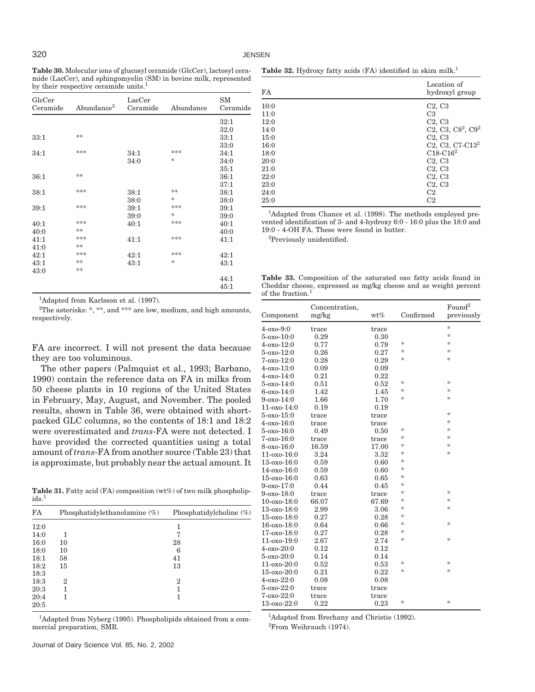**Table 30.** Molecular ions of glucosyl ceramide (GlcCer), lactosyl ceramide (LacCer), and sphingomyelin (SM) in bovine milk, represented by their respective ceramide units.<sup>1</sup>

| GlcCer<br>Ceramide | Abundance <sup>2</sup> | LacCer<br>Ceramide | Abundance     | <b>SM</b><br>Ceramide |
|--------------------|------------------------|--------------------|---------------|-----------------------|
|                    |                        |                    |               | 32:1                  |
|                    |                        |                    |               | 32.0                  |
| 33:1               | **                     |                    |               | 33:1                  |
|                    |                        |                    |               | 33:0                  |
| 34:1               | ***                    | 34:1               | ***           | 34:1                  |
|                    |                        | 34:0               | $\ast$        | 34:0                  |
|                    |                        |                    |               | 35:1                  |
| 36:1               | **                     |                    |               | 36:1                  |
|                    |                        |                    |               | 37:1                  |
| 38:1               | ***                    | 38:1               | **            | 38:1                  |
|                    |                        | 38:0               | $\ast$        | 38:0                  |
| 39:1               | ***                    | 39:1               | ***           | 39:1                  |
|                    |                        | 39:0               | $\ast$        | 39:0                  |
| 40:1               | ***                    | 40:1               | ***           | 40:1                  |
| 40:0               | **                     |                    |               | 40:0                  |
| 41:1               | ***                    | 41:1               | ***           | 41:1                  |
| 41:0               | **                     |                    |               |                       |
| 42:1               | ***                    | 42:1               | ***           | 42:1                  |
| 43:1               | **                     | 43:1               | $\frac{1}{2}$ | 43:1                  |
| 43:0               | **                     |                    |               |                       |
|                    |                        |                    |               | 44:1                  |
|                    |                        |                    |               | 45:1                  |

<sup>1</sup>Adapted from Karlsson et al. (1997).

<sup>2</sup>The asterisks: \*, \*\*, and \*\*\* are low, medium, and high amounts, respectively.

FA are incorrect. I will not present the data because they are too voluminous.

The other papers (Palmquist et al., 1993; Barbano, 1990) contain the reference data on FA in milks from 50 cheese plants in 10 regions of the United States in February, May, August, and November. The pooled results, shown in Table 36, were obtained with shortpacked GLC columns, so the contents of 18:1 and 18:2 were overestimated and *trans*-FA were not detected. I have provided the corrected quantities using a total amount of *trans*-FA from another source (Table 23) that is approximate, but probably near the actual amount. It

**Table 31.** Fatty acid (FA) composition (wt%) of two milk phospholipids.<sup>1</sup>

| FA   | Phosphatidylethanolamine (%) | Phosphatidylcholine $(\%)$ |
|------|------------------------------|----------------------------|
| 12:0 |                              |                            |
| 14:0 |                              |                            |
| 16:0 | 10                           | 28                         |
| 18:0 | 10                           | 6                          |
| 18:1 | 58                           | 41                         |
| 18:2 | 15                           | 13                         |
| 18:3 |                              |                            |
| 18:3 | 2                            | $\overline{2}$             |
| 20:3 |                              |                            |
| 20:4 |                              |                            |
| 20:5 |                              |                            |

<sup>1</sup>Adapted from Nyberg (1995). Phospholipids obtained from a commercial preparation, SMR.

<sup>1</sup>Adapted from Brechany and Christie (1992). 2 From Weihrauch (1974).

| Table 32. Hydroxy fatty acids (FA) identified in skim milk. <sup>1</sup> |  |  |  |  |  |  |  |  |  |
|--------------------------------------------------------------------------|--|--|--|--|--|--|--|--|--|
|--------------------------------------------------------------------------|--|--|--|--|--|--|--|--|--|

| FA   | Location of<br>hydroxyl group             |
|------|-------------------------------------------|
| 10:0 | C <sub>2</sub> , C <sub>3</sub>           |
| 11:0 | C <sub>3</sub>                            |
| 12:0 | C <sub>2</sub> , C <sub>3</sub>           |
| 14:0 | C2, C3, C8 <sup>2</sup> , C9 <sup>2</sup> |
| 15:0 | C2, C3                                    |
| 16:0 | $C2, C3, C7-C132$                         |
| 18:0 | $C18-C16^2$                               |
| 20:0 | C2, C3                                    |
| 21:0 | C <sub>2</sub> , C <sub>3</sub>           |
| 22:0 | C2, C3                                    |
| 23:0 | C2, C3                                    |
| 24:0 | C <sub>2</sub>                            |
| 25:0 | C2                                        |

<sup>1</sup>Adapted from Chance et al. (1998). The methods employed prevented identification of 3- and 4-hydroxy 6:0 - 16:0 plus the 18:0 and 19:0 - 4-OH FA. These were found in butter.

2 Previously unidentified.

**Table 33.** Composition of the saturated oxo fatty acids found in Cheddar cheese, expressed as mg/kg cheese and as weight percent of the fraction.<sup>1</sup>

| Component         | Concentration,<br>mg/kg | wt%   | Confirmed | Found <sup>2</sup><br>previously |
|-------------------|-------------------------|-------|-----------|----------------------------------|
| $4 - 0X0 - 9:0$   | trace                   | trace |           | $\frac{1}{2}$                    |
| $5 - 0x - 10:0$   | 0.29                    | 0.30  |           | $\frac{1}{2}$                    |
| $4 - 0X0 - 12:0$  | 0.77                    | 0.79  | *         | $\frac{1}{2}$                    |
| 5-oxo-12:0        | 0.26                    | 0.27  | *         | $\frac{1}{2}$                    |
| $7 - 0x - 12:0$   | 0.28                    | 0.29  | *         | $\frac{1}{2}$                    |
| $4 - 0X0 - 13:0$  | 0.09                    | 0.09  |           |                                  |
| $4 - 0X0 - 14:0$  | 0.21                    | 0.22  |           |                                  |
| 5-oxo-14:0        | 0.51                    | 0.52  | *         | $*$                              |
| $6 - 0x - 14:0$   | 1.42                    | 1.45  | $\ast$    | $\frac{1}{2}$                    |
| $9 - 0x - 14:0$   | 1.66                    | 1.70  | *         | $\frac{1}{2}$                    |
| $11-0x - 14:0$    | 0.19                    | 0.19  |           |                                  |
| $5 - 0x - 15:0$   | $_{\rm trace}$          | trace |           | $\frac{1}{2}$                    |
| $4 - 0X0 - 16:0$  | trace                   | trace |           | $\frac{1}{2}$                    |
| 5-oxo-16:0        | 0.49                    | 0.50  | *         | $\frac{1}{2}$                    |
| $7 - 0x - 16:0$   | trace                   | trace | *         | $\frac{1}{2}$                    |
| 8-oxo-16:0        | 16.59                   | 17.00 | *         | $\frac{1}{2}$                    |
| $11-0x0-16:0$     | 3.24                    | 3.32  | *         | $\frac{1}{2}$                    |
| 13-oxo-16:0       | 0.59                    | 0.60  | *         |                                  |
| 14-0x0-16:0       | 0.59                    | 0.60  | *         |                                  |
| $15-0x - 16:0$    | 0.63                    | 0.65  | *         |                                  |
| $9 - 0X0 - 17:0$  | 0.44                    | 0.45  | *         |                                  |
| $9 - 0X0 - 18:0$  | trace                   | trace | *         | $\frac{1}{2}$                    |
| $10 - 0X0 - 18:0$ | 66.07                   | 67.69 | *         | $\frac{1}{2}$                    |
| $13 - 0X0 - 18:0$ | 2.99                    | 3.06  | *         | $\frac{1}{2}$                    |
| 15-0x0-18:0       | 0.27                    | 0.28  | *         |                                  |
| 16-0x0-18:0       | 0.64                    | 0.66  | *         | $\frac{1}{2}$                    |
| 17-0x0-18:0       | 0.27                    | 0.28  | *         |                                  |
| 11-0x0-19:0       | 2.67                    | 2.74  | $\ast$    | $\frac{1}{2}$                    |
| 4-oxo-20:0        | 0.12                    | 0.12  |           |                                  |
| 5-oxo-20:0        | 0.14                    | 0.14  |           |                                  |
| 11-oxo-20:0       | 0.52                    | 0.53  | *         | $\frac{1}{2}$                    |
| 15-oxo-20:0       | 0.21                    | 0.22  | *         | $\frac{1}{2}$                    |
| $4 - 0X0 - 22:0$  | 0.08                    | 0.08  |           |                                  |
| 5-oxo-22:0        | trace                   | trace |           |                                  |
| $7 - 0x - 22:0$   | trace                   | trace |           |                                  |
| 13-oxo-22:0       | 0.22                    | 0.23  | *         | $\frac{1}{2}$                    |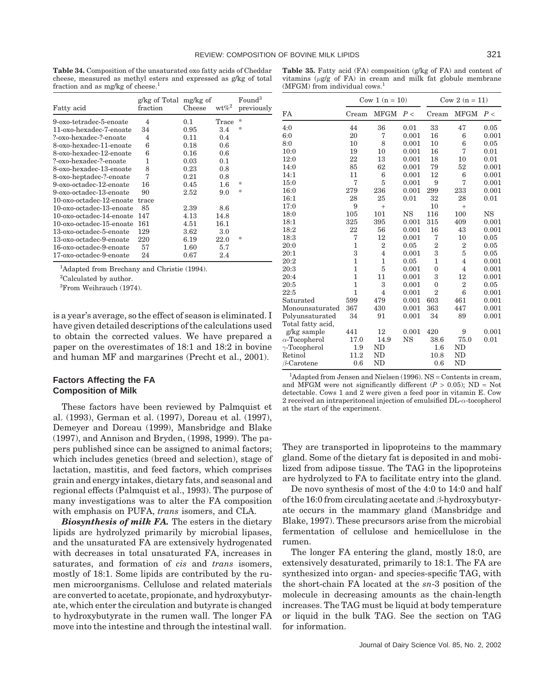**Table 34.** Composition of the unsaturated oxo fatty acids of Cheddar cheese, measured as methyl esters and expressed as g/kg of total fraction and as mg/kg of cheese.<sup>1</sup>

**Table 35.** Fatty acid (FA) composition (g/kg of FA) and content of vitamins  $(\mu g/g)$  of FA) in cream and milk fat globule membrane (MFGM) from individual cows.<sup>1</sup>

Cow 1 (n = 10) Cow 2 (n = 11)

| Fatty acid               | g/kg of Total mg/kg of<br>fraction | Cheese | $\mathrm{wt}\% ^2$ | Found <sup>3</sup><br>previously |
|--------------------------|------------------------------------|--------|--------------------|----------------------------------|
| 9-oxo-tetradec-5-enoate  | 4                                  | 0.1    | Trace              | *                                |
| 11-oxo-hexadec-7-enoate  | 34                                 | 0.95   | 3.4                | *                                |
| ?-oxo-hexadec-?-enoate   | 4                                  | 0.11   | 0.4                |                                  |
| 8-oxo-hexadec-11-enoate  | 6                                  | 0.18   | 0.6                |                                  |
| 8-oxo-hexadec-12-enoate  | 6                                  | 0.16   | 0.6                |                                  |
| ?-oxo-hexadec-?-enoate   | 1                                  | 0.03   | 0.1                |                                  |
| 8-oxo-hexadec-13-enoate  | 8                                  | 0.23   | 0.8                |                                  |
| 8-oxo-heptadec-?-enoate  | 7                                  | 0.21   | 0.8                |                                  |
| 9-oxo-octadec-12-enoate  | 16                                 | 0.45   | $1.6\,$            | *                                |
| 9-oxo-octadec-13-enoate  | 90                                 | 2.52   | 9.0                | *                                |
| 10-oxo-octadec-12-enoate | trace                              |        |                    |                                  |
| 10-oxo-octadec-13-enoate | 85                                 | 2.39   | 8.6                |                                  |
| 10-oxo-octadec-14-enoate | 147                                | 4.13   | 14.8               |                                  |
| 10-oxo-octadec-15-enoate | 161                                | 4.51   | 16.1               |                                  |
| 13-oxo-octadec-5-enoate  | 129                                | 3.62   | 3.0                |                                  |
| 13-oxo-octadec-9-enoate  | 220                                | 6.19   | 22.0               | *                                |
| 16-oxo-octadec-9-enoate  | 57                                 | 1.60   | 5.7                |                                  |
| 17-oxo-octadec-9-enoate  | 24                                 | 0.67   | 2.4                |                                  |

<sup>1</sup>Adapted from Brechany and Christie (1994).

<sup>2</sup>Calculated by author.

3 From Weihrauch (1974).

is a year's average, so the effect of season is eliminated. I have given detailed descriptions of the calculations used to obtain the corrected values. We have prepared a paper on the overestimates of 18:1 and 18:2 in bovine and human MF and margarines (Precht et al., 2001).

## **Factors Affecting the FA Composition of Milk**

These factors have been reviewed by Palmquist et al. (1993), German et al. (1997), Doreau et al. (1997), Demeyer and Doreau (1999), Mansbridge and Blake (1997), and Annison and Bryden, (1998, 1999). The papers published since can be assigned to animal factors; which includes genetics (breed and selection), stage of lactation, mastitis, and feed factors, which comprises grain and energy intakes, dietary fats, and seasonal and regional effects (Palmquist et al., 1993). The purpose of many investigations was to alter the FA composition with emphasis on PUFA, *trans* isomers, and CLA.

*Biosynthesis of milk FA.* The esters in the dietary lipids are hydrolyzed primarily by microbial lipases, and the unsaturated FA are extensively hydrogenated with decreases in total unsaturated FA, increases in saturates, and formation of *cis* and *trans* isomers, mostly of 18:1. Some lipids are contributed by the rumen microorganisms. Cellulose and related materials are converted to acetate, propionate, and hydroxybutyrate, which enter the circulation and butyrate is changed to hydroxybutyrate in the rumen wall. The longer FA move into the intestine and through the intestinal wall.

| FA                   | Cream          | <b>MFGM</b>    | P<        | Cream          | <b>MFGM</b>    | P<        |
|----------------------|----------------|----------------|-----------|----------------|----------------|-----------|
| 4:0                  | 44             | 36             | 0.01      | 33             | 47             | 0.05      |
| 6:0                  | 20             | 7              | 0.001     | 16             | 6              | 0.001     |
| 8:0                  | 10             | 8              | 0.001     | 10             | 6              | 0.05      |
| 10:0                 | 19             | 10             | 0.001     | 16             | 7              | 0.01      |
| 12:0                 | 22             | 13             | 0.001     | 18             | 10             | 0.01      |
| 14:0                 | 85             | 62             | 0.001     | 79             | 52             | 0.001     |
| 14:1                 | 11             | 6              | 0.001     | 12             | 6              | 0.001     |
| 15:0                 | 7              | 5              | 0.001     | 9              | 7              | 0.001     |
| 16:0                 | 279            | 236            | 0.001     | 299            | 233            | 0.001     |
| 16:1                 | 28             | 25             | 0.01      | 32             | 28             | 0.01      |
| 17:0                 | 9              | $^{+}$         |           | 10             | $^{+}$         |           |
| 18:0                 | 105            | 101            | <b>NS</b> | 116            | 100            | <b>NS</b> |
| 18:1                 | 325            | 395            | 0.001     | 315            | 409            | 0.001     |
| 18:2                 | 22             | 56             | 0.001     | 16             | 43             | 0.001     |
| 18:3                 | $\overline{7}$ | 12             | 0.001     | 7              | 10             | 0.05      |
| 20:0                 | $\mathbf{1}$   | $\overline{2}$ | 0.05      | $\overline{2}$ | $\overline{2}$ | 0.05      |
| 20:1                 | 3              | $\overline{4}$ | 0.001     | 3              | 5              | 0.05      |
| 20:2                 | $\mathbf{1}$   | $\mathbf{1}$   | 0.05      | $\mathbf{1}$   | $\overline{4}$ | 0.001     |
| 20:3                 | $\mathbf{1}$   | 5              | 0.001     | 0              | $\overline{4}$ | 0.001     |
| 20:4                 | $\mathbf{1}$   | 11             | 0.001     | 3              | 12             | 0.001     |
| 20:5                 | $\mathbf{1}$   | 3              | 0.001     | $\overline{0}$ | $\overline{2}$ | 0.05      |
| 22:5                 | $\mathbf{1}$   | $\overline{4}$ | 0.001     | $\overline{2}$ | 6              | 0.001     |
| Saturated            | 599            | 479            | 0.001     | 603            | 461            | 0.001     |
| Monounsaturated      | 367            | 430            | 0.001     | 363            | 447            | 0.001     |
| Polyunsaturated      | 34             | 91             | 0.001     | 34             | 89             | 0.001     |
| Total fatty acid,    |                |                |           |                |                |           |
| g/kg sample          | 441            | 12             | 0.001     | 420            | 9              | 0.001     |
| $\alpha$ -Tocopherol | 17.0           | 14.9           | <b>NS</b> | 38.6           | 75.0           | 0.01      |
| $\gamma$ -Tocopherol | 1.9            | <b>ND</b>      |           | 1.6            | <b>ND</b>      |           |
| Retinol              | 11.2           | <b>ND</b>      |           | 10.8           | <b>ND</b>      |           |
| $\beta$ -Carotene    | 0.6            | ND             |           | 0.6            | ND             |           |

<sup>1</sup>Adapted from Jensen and Nielsen (1996). NS = Contents in cream, and MFGM were not significantly different  $(P > 0.05)$ ; ND = Not detectable. Cows 1 and 2 were given a feed poor in vitamin E. Cow 2 received an intraperitoneal injection of emulsified DL-*α*-tocopherol at the start of the experiment.

They are transported in lipoproteins to the mammary gland. Some of the dietary fat is deposited in and mobilized from adipose tissue. The TAG in the lipoproteins are hydrolyzed to FA to facilitate entry into the gland.

De novo synthesis of most of the 4:0 to 14:0 and half of the 16:0 from circulating acetate and *β*-hydroxybutyrate occurs in the mammary gland (Mansbridge and Blake, 1997). These precursors arise from the microbial fermentation of cellulose and hemicellulose in the rumen.

The longer FA entering the gland, mostly 18:0, are extensively desaturated, primarily to 18:1. The FA are synthesized into organ- and species-specific TAG, with the short-chain FA located at the *sn*-3 position of the molecule in decreasing amounts as the chain-length increases. The TAG must be liquid at body temperature or liquid in the bulk TAG. See the section on TAG for information.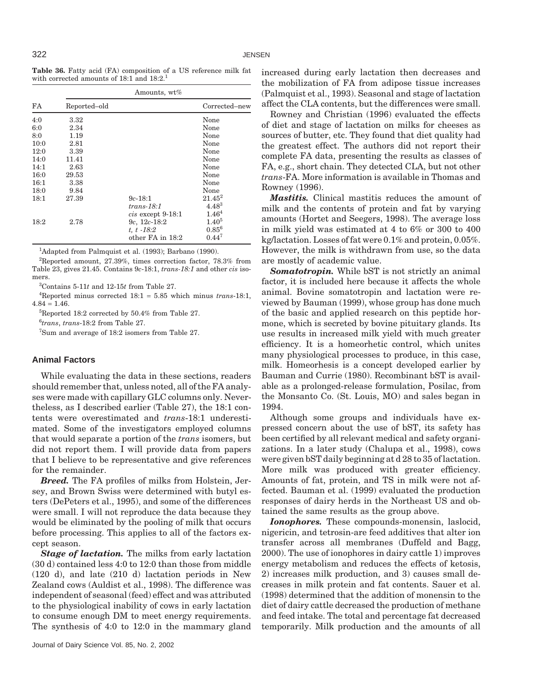**Table 36.** Fatty acid (FA) composition of a US reference milk fat with corrected amounts of 18:1 and 18:2.<sup>1</sup>

|      |              | Amounts, wt%      |                   |
|------|--------------|-------------------|-------------------|
| FA   | Reported-old |                   | Corrected-new     |
| 4:0  | 3.32         |                   | None              |
| 6:0  | 2.34         |                   | None              |
| 8:0  | 1.19         |                   | None              |
| 10:0 | 2.81         |                   | None              |
| 12:0 | 3.39         |                   | None              |
| 14:0 | 11.41        |                   | None              |
| 14:1 | 2.63         |                   | None              |
| 16:0 | 29.53        |                   | None              |
| 16:1 | 3.38         |                   | None              |
| 18:0 | 9.84         |                   | None              |
| 18:1 | 27.39        | $9c-18:1$         | $21.45^2$         |
|      |              | $trans-18:1$      | $4.48^{3}$        |
|      |              | cis except 9-18:1 | 1.46 <sup>4</sup> |
| 18:2 | 2.78         | $9c, 12c-18:2$    | $1.40^{5}$        |
|      |              | $t, t - 18.2$     | $0.85^{6}$        |
|      |              | other FA in 18:2  | $0.44^{7}$        |

<sup>1</sup>Adapted from Palmquist et al. (1993); Barbano (1990).

 ${}^{2}$ Reported amount, 27.39%, times correction factor, 78.3% from Table 23, gives 21.45. Contains 9*c*-18:1, *trans-18:1* and other *cis* isomers.

3 Contains 5-11*t* and 12-15*t* from Table 27.

4 Reported minus corrected 18:1 = 5.85 which minus *trans*-18:1,  $4.84 = 1.46$ .

5 Reported 18:2 corrected by 50.4% from Table 27.

6 *trans*, *trans*-18:2 from Table 27.

7 Sum and average of 18:2 isomers from Table 27.

## **Animal Factors**

While evaluating the data in these sections, readers should remember that, unless noted, all of the FA analyses were made with capillary GLC columns only. Nevertheless, as I described earlier (Table 27), the 18:1 contents were overestimated and *trans*-18:1 underestimated. Some of the investigators employed columns that would separate a portion of the *trans* isomers, but did not report them. I will provide data from papers that I believe to be representative and give references for the remainder.

*Breed.* The FA profiles of milks from Holstein, Jersey, and Brown Swiss were determined with butyl esters (DePeters et al., 1995), and some of the differences were small. I will not reproduce the data because they would be eliminated by the pooling of milk that occurs before processing. This applies to all of the factors except season.

*Stage of lactation.* The milks from early lactation (30 d) contained less 4:0 to 12:0 than those from middle (120 d), and late (210 d) lactation periods in New Zealand cows (Auldist et al., 1998). The difference was independent of seasonal (feed) effect and was attributed to the physiological inability of cows in early lactation to consume enough DM to meet energy requirements. The synthesis of 4:0 to 12:0 in the mammary gland increased during early lactation then decreases and the mobilization of FA from adipose tissue increases (Palmquist et al., 1993). Seasonal and stage of lactation affect the CLA contents, but the differences were small.

Rowney and Christian (1996) evaluated the effects of diet and stage of lactation on milks for cheeses as sources of butter, etc. They found that diet quality had the greatest effect. The authors did not report their complete FA data, presenting the results as classes of FA, e.g., short chain. They detected CLA, but not other *trans*-FA. More information is available in Thomas and Rowney (1996).

*Mastitis.* Clinical mastitis reduces the amount of milk and the contents of protein and fat by varying amounts (Hortet and Seegers, 1998). The average loss in milk yield was estimated at 4 to 6% or 300 to 400 kg/lactation. Losses of fat were 0.1% and protein, 0.05%. However, the milk is withdrawn from use, so the data are mostly of academic value.

*Somatotropin.* While bST is not strictly an animal factor, it is included here because it affects the whole animal. Bovine somatotropin and lactation were reviewed by Bauman (1999), whose group has done much of the basic and applied research on this peptide hormone, which is secreted by bovine pituitary glands. Its use results in increased milk yield with much greater efficiency. It is a homeorhetic control, which unites many physiological processes to produce, in this case, milk. Homeorhesis is a concept developed earlier by Bauman and Currie (1980). Recombinant bST is available as a prolonged-release formulation, Posilac, from the Monsanto Co. (St. Louis, MO) and sales began in 1994.

Although some groups and individuals have expressed concern about the use of bST, its safety has been certified by all relevant medical and safety organizations. In a later study (Chalupa et al., 1998), cows were given bST daily beginning at d 28 to 35 of lactation. More milk was produced with greater efficiency. Amounts of fat, protein, and TS in milk were not affected. Bauman et al. (1999) evaluated the production responses of dairy herds in the Northeast US and obtained the same results as the group above.

*Ionophores.* These compounds-monensin, laslocid, nigericin, and tetrosin-are feed additives that alter ion transfer across all membranes (Duffeld and Bagg, 2000). The use of ionophores in dairy cattle 1) improves energy metabolism and reduces the effects of ketosis, 2) increases milk production, and 3) causes small decreases in milk protein and fat contents. Sauer et al. (1998) determined that the addition of monensin to the diet of dairy cattle decreased the production of methane and feed intake. The total and percentage fat decreased temporarily. Milk production and the amounts of all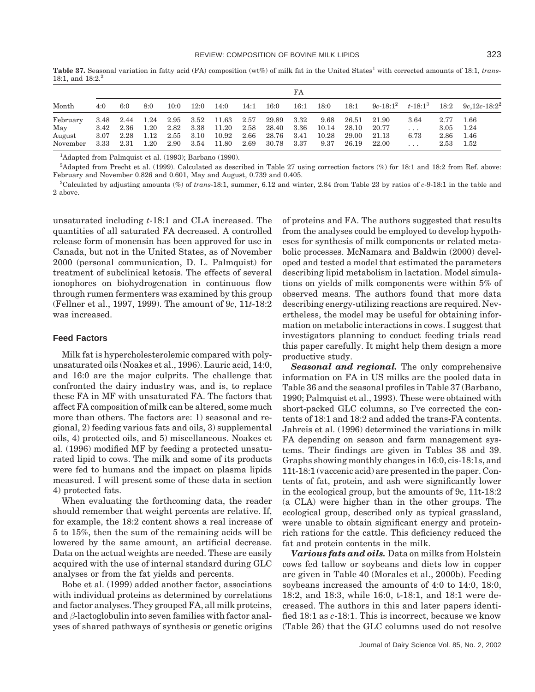FA Month 4:0 6:0 8:0 10:0 12:0 14:0 14:1 16:0 16:1 18:0 18:1 9*c*-18:12 *t*-18:13 18:2 9*c*,12*c*-18:22 February 3.48 2.44 1.24 2.95 3.52 11.63 2.57 29.89 3.32 9.68 26.51 21.90 3.64 2.77 1.66 May 3.42 2.36 1.20 2.82 3.38 11.20 2.58 28.40 3.36 10.14 28.10 20.77 . . . 3.05 1.24 August 3.07 2.28 1.12 2.55 3.10 10.92 2.66 28.76 3.41 10.28 29.00 21.13 6.73 2.86 1.46 November 3.33 2.31 1.20 2.90 3.54 11.80 2.69 30.78 3.37 9.37 26.19 22.00 . . . 2.53 1.52

Table 37. Seasonal variation in fatty acid (FA) composition (wt%) of milk fat in the United States<sup>1</sup> with corrected amounts of 18:1, *trans*-18:1, and  $18:2.^2$ 

<sup>1</sup>Adapted from Palmquist et al. (1993); Barbano (1990).

2 Adapted from Precht et al. (1999). Calculated as described in Table 27 using correction factors (%) for 18:1 and 18:2 from Ref. above: February and November 0.826 and 0.601, May and August, 0.739 and 0.405.

3 Calculated by adjusting amounts (%) of *trans*-18:1, summer, 6.12 and winter, 2.84 from Table 23 by ratios of *c*-9-18:1 in the table and 2 above.

unsaturated including *t*-18:1 and CLA increased. The quantities of all saturated FA decreased. A controlled release form of monensin has been approved for use in Canada, but not in the United States, as of November 2000 (personal communication, D. L. Palmquist) for treatment of subclinical ketosis. The effects of several ionophores on biohydrogenation in continuous flow through rumen fermenters was examined by this group (Fellner et al., 1997, 1999). The amount of 9*c*, 11*t*-18:2 was increased.

#### **Feed Factors**

Milk fat is hypercholesterolemic compared with polyunsaturated oils (Noakes et al., 1996). Lauric acid, 14:0, and 16:0 are the major culprits. The challenge that confronted the dairy industry was, and is, to replace these FA in MF with unsaturated FA. The factors that affect FA composition of milk can be altered, some much more than others. The factors are: 1) seasonal and regional, 2) feeding various fats and oils, 3) supplemental oils, 4) protected oils, and 5) miscellaneous. Noakes et al. (1996) modified MF by feeding a protected unsaturated lipid to cows. The milk and some of its products were fed to humans and the impact on plasma lipids measured. I will present some of these data in section 4) protected fats.

When evaluating the forthcoming data, the reader should remember that weight percents are relative. If, for example, the 18:2 content shows a real increase of 5 to 15%, then the sum of the remaining acids will be lowered by the same amount, an artificial decrease. Data on the actual weights are needed. These are easily acquired with the use of internal standard during GLC analyses or from the fat yields and percents.

Bobe et al. (1999) added another factor, associations with individual proteins as determined by correlations and factor analyses. They grouped FA, all milk proteins, and *β*-lactoglobulin into seven families with factor analyses of shared pathways of synthesis or genetic origins of proteins and FA. The authors suggested that results from the analyses could be employed to develop hypotheses for synthesis of milk components or related metabolic processes. McNamara and Baldwin (2000) developed and tested a model that estimated the parameters describing lipid metabolism in lactation. Model simulations on yields of milk components were within 5% of observed means. The authors found that more data describing energy-utilizing reactions are required. Nevertheless, the model may be useful for obtaining information on metabolic interactions in cows. I suggest that investigators planning to conduct feeding trials read this paper carefully. It might help them design a more productive study.

*Seasonal and regional.* The only comprehensive information on FA in US milks are the pooled data in Table 36 and the seasonal profiles in Table 37 (Barbano, 1990; Palmquist et al., 1993). These were obtained with short-packed GLC columns, so I've corrected the contents of 18:1 and 18:2 and added the trans-FA contents. Jahreis et al. (1996) determined the variations in milk FA depending on season and farm management systems. Their findings are given in Tables 38 and 39. Graphs showing monthly changes in 16:0, cis-18:1s, and 11t-18:1 (vaccenic acid) are presented in the paper. Contents of fat, protein, and ash were significantly lower in the ecological group, but the amounts of 9c, 11t-18:2 (a CLA) were higher than in the other groups. The ecological group, described only as typical grassland, were unable to obtain significant energy and proteinrich rations for the cattle. This deficiency reduced the fat and protein contents in the milk.

*Various fats and oils.* Data on milks from Holstein cows fed tallow or soybeans and diets low in copper are given in Table 40 (Morales et al., 2000b). Feeding soybeans increased the amounts of 4:0 to 14:0, 18:0, 18:2, and 18:3, while 16:0, t-18:1, and 18:1 were decreased. The authors in this and later papers identified 18:1 as *c*-18:1. This is incorrect, because we know (Table 26) that the GLC columns used do not resolve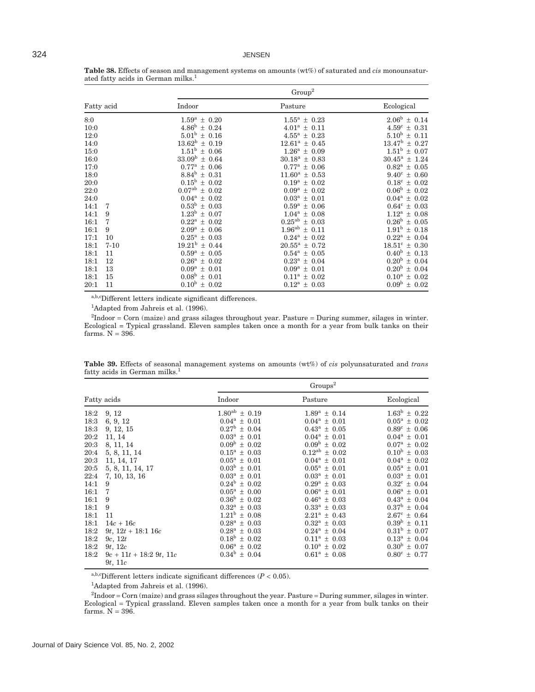|            |          |                          | Group <sup>2</sup>           |                          |
|------------|----------|--------------------------|------------------------------|--------------------------|
| Fatty acid |          | Indoor                   | Pasture                      | Ecological               |
| 8:0        |          | $1.59^a \pm 0.20$        | $1.55^{\mathrm{a}} \pm 0.23$ | $2.06^{\rm b} \pm 0.14$  |
| 10:0       |          | $4.86^{\rm b} \pm 0.24$  | $4.01^a \pm 0.11$            | $4.59^{\circ} \pm 0.31$  |
| 12:0       |          | $5.01^b \pm 0.16$        | $4.55^{\rm a} \pm 0.23$      | $5.10^b \pm 0.11$        |
| 14:0       |          | $13.62^{\rm b} \pm 0.19$ | $12.61^a \pm 0.45$           | $13.47^{\rm b} \pm 0.27$ |
| 15:0       |          | $1.51^b \pm 0.06$        | $1.26^a \pm 0.09$            | $1.51^{\rm b} \pm 0.07$  |
| 16:0       |          | $33.09^{\rm b} \pm 0.64$ | $30.18^a \pm 0.83$           | $30.45^a \pm 1.24$       |
| 17:0       |          | $0.77^{\rm a} \pm 0.06$  | $0.77^{\rm a} \pm 0.06$      | $0.82^{\rm a} \pm 0.05$  |
| 18:0       |          | $8.84^{\rm b} \pm 0.31$  | $11.60^a \pm 0.53$           | $9.40^{\circ} \pm 0.60$  |
| 20:0       |          | $0.15^{\rm b} \pm 0.02$  | $0.19^a \pm 0.02$            | $0.18^c \pm 0.02$        |
| 22:0       |          | $0.07^{ab} \pm 0.02$     | $0.09^a \pm 0.02$            | $0.06^{\rm b} \pm 0.02$  |
| 24:0       |          | $0.04^a \pm 0.02$        | $0.03^a \pm 0.01$            | $0.04^a \pm 0.02$        |
| 14:1       | 7        | $0.53^{\rm b} \pm 0.03$  | $0.59^{\rm a} \pm 0.06$      | $0.64^c \pm 0.03$        |
| 14:1       | 9        | $1.23^{\rm b} \pm 0.07$  | $1.04^a \pm 0.08$            | $1.12^a \pm 0.08$        |
| 16:1       | 7        | $0.22^a \pm 0.02$        | $0.25^{ab} \pm 0.03$         | $0.26^{\rm b} \pm 0.05$  |
| 16:1       | 9        | $2.09^a \pm 0.06$        | $1.96^{ab} \pm 0.11$         | $1.91^{\rm b} \pm 0.18$  |
| 17:1       | 10       | $0.25^a \pm 0.03$        | $0.24^a \pm 0.02$            | $0.22^a \pm 0.04$        |
| 18:1       | $7 - 10$ | $19.21^{\rm b} \pm 0.44$ | $20.55^a \pm 0.72$           | $18.51^{\circ} \pm 0.30$ |
| 18:1       | 11       | $0.59^a \pm 0.05$        | $0.54^{\rm a} \pm 0.05$      | $0.40^{\rm b} \pm 0.13$  |
| 18:1       | 12       | $0.26^a \pm 0.02$        | $0.23^a \pm 0.04$            | $0.20^{\rm b} \pm 0.04$  |
| 18:1       | 13       | $0.09^a \pm 0.01$        | $0.09^a \pm 0.01$            | $0.20^{\rm b} \pm 0.04$  |
| 18:1       | 15       | $0.08^{\rm b} \pm 0.01$  | $0.11^a \pm 0.02$            | $0.10^a \pm 0.02$        |
| 20:1       | 11       | $0.10^{\rm b} \pm 0.02$  | $0.12^a \pm 0.03$            | $0.09^{\rm b} \pm 0.02$  |

**Table 38.** Effects of season and management systems on amounts (wt%) of saturated and *cis* monounsaturated fatty acids in German milks.<sup>1</sup>

a,b,cDifferent letters indicate significant differences.

<sup>1</sup>Adapted from Jahreis et al. (1996).

2 Indoor = Corn (maize) and grass silages throughout year. Pasture = During summer, silages in winter. Ecological = Typical grassland. Eleven samples taken once a month for a year from bulk tanks on their farms.  $N = 396$ .

|  |                                           |  |  | Table 39. Effects of seasonal management systems on amounts (wt%) of cis polyunsaturated and trans |  |
|--|-------------------------------------------|--|--|----------------------------------------------------------------------------------------------------|--|
|  | fatty acids in German milks. <sup>1</sup> |  |  |                                                                                                    |  |

|                                                                                      |                                                                                                                                    |                                                                                                                                                                                                                                                          | $Groups^2$                                                                                                                                                                                                                                   |                                                                                                                                                                                                                                                 |
|--------------------------------------------------------------------------------------|------------------------------------------------------------------------------------------------------------------------------------|----------------------------------------------------------------------------------------------------------------------------------------------------------------------------------------------------------------------------------------------------------|----------------------------------------------------------------------------------------------------------------------------------------------------------------------------------------------------------------------------------------------|-------------------------------------------------------------------------------------------------------------------------------------------------------------------------------------------------------------------------------------------------|
|                                                                                      | Fatty acids                                                                                                                        | Indoor                                                                                                                                                                                                                                                   | Pasture                                                                                                                                                                                                                                      | Ecological                                                                                                                                                                                                                                      |
| 18:2<br>18:3<br>18:3<br>20:2<br>20:3<br>20:4<br>20:3<br>20:5<br>22:4<br>14:1<br>16:1 | 9, 12<br>6, 9, 12<br>9, 12, 15<br>11, 14<br>8, 11, 14<br>5, 8, 11, 14<br>11, 14, 17<br>5, 8, 11, 14, 17<br>7, 10, 13, 16<br>9<br>7 | $1.80^{ab} \pm 0.19$<br>$0.04^a \pm 0.01$<br>$0.27^{\rm b} \pm 0.04$<br>$0.03^a \pm 0.01$<br>$0.09^{\rm b} \pm 0.02$<br>$0.15^{\rm a} \pm 0.03$<br>$0.05^a \pm 0.01$<br>$0.03^b \pm 0.01$<br>$0.03^a \pm 0.01$<br>$0.24^b \pm 0.02$<br>$0.05^a \pm 0.00$ | $1.89^a \pm 0.14$<br>$0.04^a \pm 0.01$<br>$0.43^a \pm 0.05$<br>$0.04^a \pm 0.01$<br>$0.09^{\rm b} \pm 0.02$<br>$0.12^{ab} \pm 0.02$<br>$0.04^a \pm 0.01$<br>$0.05^a \pm 0.01$<br>$0.03^a \pm 0.01$<br>$0.29^a \pm 0.03$<br>$0.06^a \pm 0.01$ | $1.63^b \pm 0.22$<br>$0.05^{\rm a} \pm 0.02$<br>$0.89^{\circ} \pm 0.06$<br>$0.04^a \pm 0.01$<br>$0.07^a \pm 0.02$<br>$0.10^b \pm 0.03$<br>$0.04^a \pm 0.02$<br>$0.05^a \pm 0.01$<br>$0.03^a \pm 0.01$<br>$0.32^c \pm 0.04$<br>$0.06^a \pm 0.01$ |
| 16:1<br>18:1<br>18:1<br>18:1<br>18:2<br>18:2<br>18:2<br>18:2                         | 9<br>9<br>11<br>$14c + 16c$<br>$9t, 12t + 18.1$ 16c<br>9c, 12t<br>9t, 12c<br>$9c + 11t + 18.29t$ , 11c<br>9t, 11c                  | $0.36^{\rm b} \pm 0.02$<br>$0.32^{\rm a} \pm 0.03$<br>$1.21^{\rm b} \pm 0.08$<br>$0.28^a \pm 0.03$<br>$0.28^a \pm 0.03$<br>$0.18^b \pm 0.02$<br>$0.06^a \pm 0.02$<br>$0.34^b \pm 0.04$                                                                   | $0.46^a \pm 0.03$<br>$0.33^a \pm 0.03$<br>$2.21^a \pm 0.43$<br>$0.32^{\rm a} \pm 0.03$<br>$0.24^a \pm 0.04$<br>$0.11^a \pm 0.03$<br>$0.10^a \pm 0.02$<br>$0.61^a \pm 0.08$                                                                   | $0.43^a \pm 0.04$<br>$0.37^{\rm b} \pm 0.04$<br>$2.67^{\circ} \pm 0.64$<br>$0.39^{\rm b} \pm 0.11$<br>$0.31^{\rm b} \pm 0.07$<br>$0.13^a \pm 0.04$<br>$0.30^{\rm b} \pm 0.07$<br>$0.80^{\circ} \pm 0.77$                                        |

a,b,cDifferent letters indicate significant differences  $(P < 0.05)$ .

<sup>1</sup>Adapted from Jahreis et al. (1996).

 ${}^{2}$ Indoor = Corn (maize) and grass silages throughout the year. Pasture = During summer, silages in winter. Ecological = Typical grassland. Eleven samples taken once a month for a year from bulk tanks on their farms. N = 396.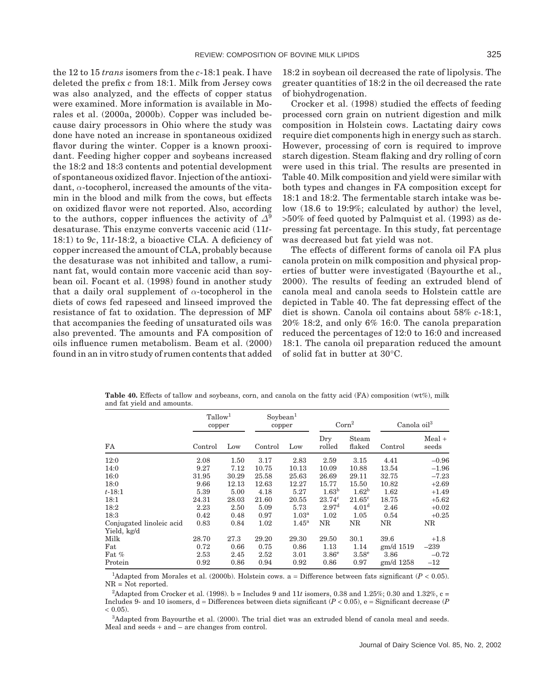the 12 to 15 *trans* isomers from the *c*-18:1 peak. I have deleted the prefix *c* from 18:1. Milk from Jersey cows was also analyzed, and the effects of copper status were examined. More information is available in Morales et al. (2000a, 2000b). Copper was included because dairy processors in Ohio where the study was done have noted an increase in spontaneous oxidized flavor during the winter. Copper is a known prooxidant. Feeding higher copper and soybeans increased the 18:2 and 18:3 contents and potential development of spontaneous oxidized flavor. Injection of the antioxidant, *α*-tocopherol, increased the amounts of the vitamin in the blood and milk from the cows, but effects on oxidized flavor were not reported. Also, according to the authors, copper influences the activity of  $\Delta^9$ desaturase. This enzyme converts vaccenic acid (11*t*-18:1) to 9*c*, 11*t*-18:2, a bioactive CLA. A deficiency of copper increased the amount of CLA, probably because the desaturase was not inhibited and tallow, a ruminant fat, would contain more vaccenic acid than soybean oil. Focant et al. (1998) found in another study that a daily oral supplement of *α*-tocopherol in the diets of cows fed rapeseed and linseed improved the resistance of fat to oxidation. The depression of MF that accompanies the feeding of unsaturated oils was also prevented. The amounts and FA composition of oils influence rumen metabolism. Beam et al. (2000) found in an in vitro study of rumen contents that added 18:2 in soybean oil decreased the rate of lipolysis. The greater quantities of 18:2 in the oil decreased the rate of biohydrogenation.

Crocker et al. (1998) studied the effects of feeding processed corn grain on nutrient digestion and milk composition in Holstein cows. Lactating dairy cows require diet components high in energy such as starch. However, processing of corn is required to improve starch digestion. Steam flaking and dry rolling of corn were used in this trial. The results are presented in Table 40. Milk composition and yield were similar with both types and changes in FA composition except for 18:1 and 18:2. The fermentable starch intake was below (18.6 to 19:9%; calculated by author) the level, >50% of feed quoted by Palmquist et al. (1993) as depressing fat percentage. In this study, fat percentage was decreased but fat yield was not.

The effects of different forms of canola oil FA plus canola protein on milk composition and physical properties of butter were investigated (Bayourthe et al., 2000). The results of feeding an extruded blend of canola meal and canola seeds to Holstein cattle are depicted in Table 40. The fat depressing effect of the diet is shown. Canola oil contains about 58% *c*-18:1, 20% 18:2, and only 6% 16:0. The canola preparation reduced the percentages of 12:0 to 16:0 and increased 18:1. The canola oil preparation reduced the amount of solid fat in butter at 30°C.

|                                         | Tallow <sup>1</sup><br>copper |       | Sovbean <sup>1</sup><br>copper |                     | $\mathrm{Corn}^2$ |                   | $Canola$ $oil3$ |                   |
|-----------------------------------------|-------------------------------|-------|--------------------------------|---------------------|-------------------|-------------------|-----------------|-------------------|
| FA                                      | Control                       | Low   | Control                        | Low                 | Dry<br>rolled     | Steam<br>flaked   | Control         | $Mean +$<br>seeds |
| 12:0                                    | 2.08                          | 1.50  | 3.17                           | 2.83                | 2.59              | 3.15              | 4.41            | $-0.96$           |
| 14:0                                    | 9.27                          | 7.12  | 10.75                          | 10.13               | 10.09             | 10.88             | 13.54           | $-1.96$           |
| 16:0                                    | 31.95                         | 30.29 | 25.58                          | 25.63               | 26.69             | 29.11             | 32.75           | $-7.23$           |
| 18:0                                    | 9.66                          | 12.13 | 12.63                          | 12.27               | 15.77             | 15.50             | 10.82           | $+2.69$           |
| $t - 18:1$                              | 5.39                          | 5.00  | 4.18                           | 5.27                | $1.63^{b}$        | $1.62^{b}$        | 1.62            | $+1.49$           |
| 18:1                                    | 24.31                         | 28.03 | 21.60                          | 20.55               | $23.74^{\circ}$   | $21.65^{\circ}$   | 18.75           | $+5.62$           |
| 18:2                                    | 2.23                          | 2.50  | 5.09                           | 5.73                | 2.97 <sup>d</sup> | 4.01 <sup>d</sup> | 2.46            | $+0.02$           |
| 18:3                                    | 0.42                          | 0.48  | 0.97                           | 1.03 <sup>a</sup>   | 1.02              | 1.05              | 0.54            | $+0.25$           |
| Conjugated linoleic acid<br>Yield, kg/d | 0.83                          | 0.84  | 1.02                           | $1.45^{\mathrm{a}}$ | NR                | NR                | NR              | NR                |
| Milk                                    | 28.70                         | 27.3  | 29.20                          | 29.30               | 29.50             | 30.1              | 39.6            | $+1.8$            |
| Fat                                     | 0.72                          | 0.66  | 0.75                           | 0.86                | 1.13              | 1.14              | gm/d 1519       | $-239$            |
| Fat $%$                                 | 2.53                          | 2.45  | 2.52                           | 3.01                | 3.86 <sup>e</sup> | 3.58 <sup>e</sup> | 3.86            | $-0.72$           |
| Protein                                 | 0.92                          | 0.86  | 0.94                           | 0.92                | 0.86              | 0.97              | gm/d 1258       | $^{-12}$          |

**Table 40.** Effects of tallow and soybeans, corn, and canola on the fatty acid (FA) composition (wt%), milk and fat yield and amounts.

<sup>1</sup>Adapted from Morales et al. (2000b). Holstein cows. a = Difference between fats significant ( $P < 0.05$ ).  $NR = \tilde{N}$  reported.

<sup>2</sup>Adapted from Crocker et al. (1998). b = Includes 9 and 11t isomers, 0.38 and 1.25%; 0.30 and 1.32%, c = Includes 9- and 10 isomers, d = Differences between diets significant (*P* < 0.05), e = Significant decrease (*P*  $(0.05)$ .

3 Adapted from Bayourthe et al. (2000). The trial diet was an extruded blend of canola meal and seeds. Meal and seeds + and – are changes from control.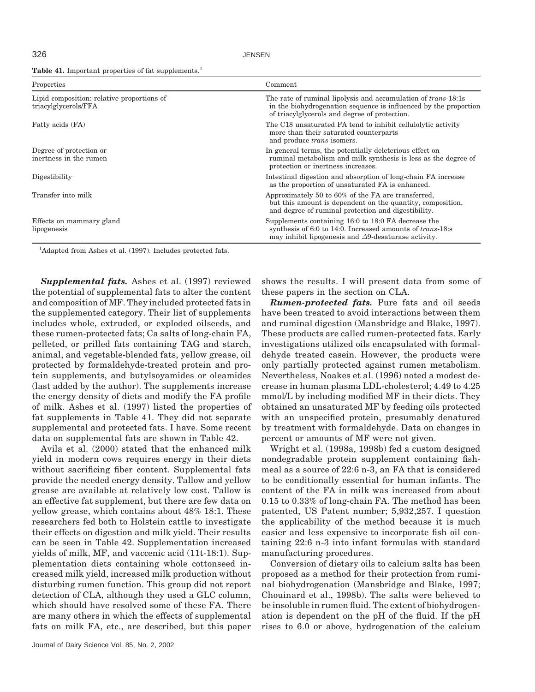Table 41. Important properties of fat supplements.<sup>1</sup>

326 JENSEN

| Properties                                                         | Comment                                                                                                                                                                                     |
|--------------------------------------------------------------------|---------------------------------------------------------------------------------------------------------------------------------------------------------------------------------------------|
| Lipid composition: relative proportions of<br>triacylglycerols/FFA | The rate of ruminal lipolysis and accumulation of <i>trans</i> -18:1s<br>in the biohydrogenation sequence is influenced by the proportion<br>of triacylgive cross and degree of protection. |
| Fatty acids (FA)                                                   | The C18 unsaturated FA tend to inhibit cellulolytic activity<br>more than their saturated counterparts<br>and produce trans isomers.                                                        |
| Degree of protection or<br>inertness in the rumen                  | In general terms, the potentially deleterious effect on<br>ruminal metabolism and milk synthesis is less as the degree of<br>protection or inertness increases.                             |
| Digestibility                                                      | Intestinal digestion and absorption of long-chain FA increase<br>as the proportion of unsaturated FA is enhanced.                                                                           |
| Transfer into milk                                                 | Approximately 50 to 60% of the FA are transferred,<br>but this amount is dependent on the quantity, composition,<br>and degree of ruminal protection and digestibility.                     |
| Effects on mammary gland<br>lipogenesis                            | Supplements containing 16:0 to 18:0 FA decrease the<br>synthesis of 6:0 to 14:0. Increased amounts of trans-18:s<br>may inhibit lipogenesis and $\Delta 9$ -desaturase activity.            |

<sup>1</sup>Adapted from Ashes et al. (1997). Includes protected fats.

*Supplemental fats.* Ashes et al. (1997) reviewed the potential of supplemental fats to alter the content and composition of MF. They included protected fats in the supplemented category. Their list of supplements includes whole, extruded, or exploded oilseeds, and these rumen-protected fats; Ca salts of long-chain FA, pelleted, or prilled fats containing TAG and starch, animal, and vegetable-blended fats, yellow grease, oil protected by formaldehyde-treated protein and protein supplements, and butylsoyamides or oleamides (last added by the author). The supplements increase the energy density of diets and modify the FA profile of milk. Ashes et al. (1997) listed the properties of fat supplements in Table 41. They did not separate supplemental and protected fats. I have. Some recent data on supplemental fats are shown in Table 42.

Avila et al. (2000) stated that the enhanced milk yield in modern cows requires energy in their diets without sacrificing fiber content. Supplemental fats provide the needed energy density. Tallow and yellow grease are available at relatively low cost. Tallow is an effective fat supplement, but there are few data on yellow grease, which contains about 48% 18:1. These researchers fed both to Holstein cattle to investigate their effects on digestion and milk yield. Their results can be seen in Table 42. Supplementation increased yields of milk, MF, and vaccenic acid (11t-18:1). Supplementation diets containing whole cottonseed increased milk yield, increased milk production without disturbing rumen function. This group did not report detection of CLA, although they used a GLC column, which should have resolved some of these FA. There are many others in which the effects of supplemental fats on milk FA, etc., are described, but this paper shows the results. I will present data from some of these papers in the section on CLA.

*Rumen-protected fats.* Pure fats and oil seeds have been treated to avoid interactions between them and ruminal digestion (Mansbridge and Blake, 1997). These products are called rumen-protected fats. Early investigations utilized oils encapsulated with formaldehyde treated casein. However, the products were only partially protected against rumen metabolism. Nevertheless, Noakes et al. (1996) noted a modest decrease in human plasma LDL-cholesterol; 4.49 to 4.25 mmol/L by including modified MF in their diets. They obtained an unsaturated MF by feeding oils protected with an unspecified protein, presumably denatured by treatment with formaldehyde. Data on changes in percent or amounts of MF were not given.

Wright et al. (1998a, 1998b) fed a custom designed nondegradable protein supplement containing fishmeal as a source of 22:6 n-3, an FA that is considered to be conditionally essential for human infants. The content of the FA in milk was increased from about 0.15 to 0.33% of long-chain FA. The method has been patented, US Patent number; 5,932,257. I question the applicability of the method because it is much easier and less expensive to incorporate fish oil containing 22:6 n-3 into infant formulas with standard manufacturing procedures.

Conversion of dietary oils to calcium salts has been proposed as a method for their protection from ruminal biohydrogenation (Mansbridge and Blake, 1997; Chouinard et al., 1998b). The salts were believed to be insoluble in rumen fluid. The extent of biohydrogenation is dependent on the pH of the fluid. If the pH rises to 6.0 or above, hydrogenation of the calcium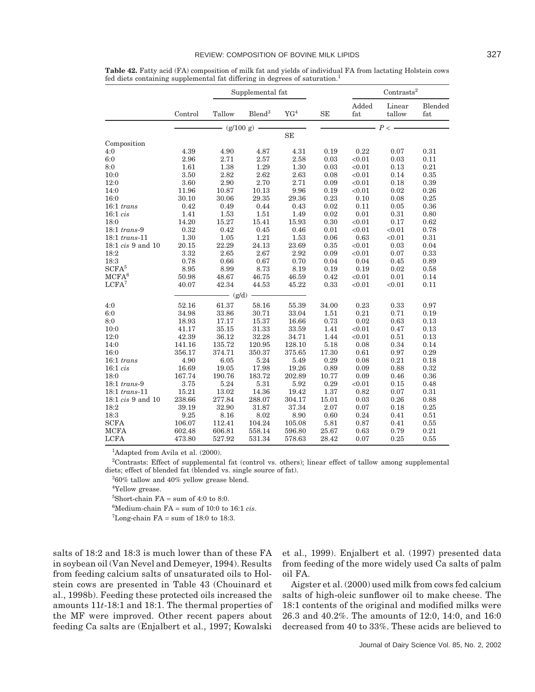#### REVIEW: COMPOSITION OF BOVINE MILK LIPIDS 327

|                          |         |           | Supplemental fat  |                 |            |               | Contrasts <sup>2</sup> |                |  |
|--------------------------|---------|-----------|-------------------|-----------------|------------|---------------|------------------------|----------------|--|
|                          | Control | Tallow    | ${\rm Blend}^3$   | YG <sup>4</sup> | <b>SE</b>  | Added<br>fat  | Linear<br>tallow       | Blended<br>fat |  |
|                          |         |           | $-$ (g/100 g) $-$ |                 |            | $\frac{p}{p}$ |                        |                |  |
|                          |         |           |                   | SE              |            |               |                        |                |  |
| Composition              |         |           |                   |                 |            |               |                        |                |  |
| 4:0                      | 4.39    | 4.90      | 4.87              | 4.31            | 0.19       | 0.22          | 0.07                   | 0.31           |  |
| 6:0                      | 2.96    | 2.71      | 2.57              | $2.58\,$        | 0.03       | < 0.01        | 0.03                   | 0.11           |  |
| 8:0                      | 1.61    | 1.38      | 1.29              | 1.30            | 0.03       | < 0.01        | 0.13                   | 0.21           |  |
| 10:0                     | 3.50    | 2.82      | 2.62              | 2.63            | 0.08       | < 0.01        | 0.14                   | 0.35           |  |
| 12:0                     | 3.60    | 2.90      | 2.70              | 2.71            | 0.09       | < 0.01        | 0.18                   | 0.39           |  |
| 14:0                     | 11.96   | 10.87     | 10.13             | 9.96            | 0.19       | < 0.01        | 0.02                   | 0.26           |  |
| 16:0                     | 30.10   | 30.06     | 29.35             | 29.36           | 0.23       | 0.10          | 0.08                   | 0.25           |  |
| $16:1$ trans             | 0.42    | 0.49      | 0.44              | 0.43            | 0.02       | 0.11          | 0.05                   | 0.36           |  |
| 16:1 cis                 | 1.41    | 1.53      | 1.51              | 1.49            | 0.02       | 0.01          | 0.31                   | 0.80           |  |
| 18:0                     | 14.20   | 15.27     | 15.41             | 15.93           | $\rm 0.30$ | < 0.01        | 0.17                   | 0.62           |  |
| $18:1$ trans-9           | 0.32    | 0.42      | 0.45              | 0.46            | 0.01       | < 0.01        | < 0.01                 | 0.78           |  |
| $18:1$ trans-11          | 1.30    | 1.05      | 1.21              | 1.53            | $0.06\,$   | 0.63          | < 0.01                 | 0.31           |  |
| $18:1\;cis$ 9 and $10$   | 20.15   | 22.29     | 24.13             | 23.69           | 0.35       | < 0.01        | 0.03                   | 0.04           |  |
| 18:2                     | 3.32    | 2.65      | 2.67              | 2.92            | 0.09       | < 0.01        | 0.07                   | 0.33           |  |
| 18:3                     | 0.78    | 0.66      | 0.67              | 0.70            | 0.04       | 0.04          | 0.45                   | 0.89           |  |
| SCFA <sup>5</sup>        | 8.95    | 8.99      | 8.73              | 8.19            | 0.19       | 0.19          | 0.02                   | 0.58           |  |
| MCFA <sup>6</sup>        | 50.98   | 48.67     | 46.75             | 46.59           | 0.42       | < 0.01        | 0.01                   | 0.14           |  |
| LCFA <sup>7</sup>        | 40.07   | 42.34     | 44.53             | 45.22           | 0.33       | < 0.01        | < 0.01                 | 0.11           |  |
|                          |         | $-$ (g/d) |                   |                 |            |               |                        |                |  |
|                          |         |           |                   |                 |            |               |                        |                |  |
| 4:0                      | 52.16   | 61.37     | 58.16             | 55.39           | 34.00      | 0.23          | 0.33                   | 0.97           |  |
| 6:0                      | 34.98   | 33.86     | 30.71             | 33.04           | 1.51       | 0.21          | 0.71                   | 0.19           |  |
| 8:0                      | 18.93   | 17.17     | 15.37             | 16.66           | 0.73       | 0.02          | 0.63                   | 0.13           |  |
| 10:0                     | 41.17   | 35.15     | 31.33             | 33.59           | 1.41       | < 0.01        | 0.47                   | 0.13           |  |
| 12:0                     | 42.39   | 36.12     | 32.28             | 34.71           | 1.44       | < 0.01        | 0.51                   | 0.13           |  |
| 14:0                     | 141.16  | 135.72    | 120.95            | 128.10          | 5.18       | 0.08          | 0.34                   | 0.14           |  |
| 16:0                     | 356.17  | 374.71    | 350.37            | 375.65          | 17.30      | $0.61\,$      | 0.97                   | 0.29           |  |
| $16:1$ trans             | 4.90    | 6.05      | $5.24\,$          | 5.49            | 0.29       | 0.08          | 0.21                   | 0.18           |  |
| 16:1 cis                 | 16.69   | 19.05     | 17.98             | 19.26           | 0.89       | 0.09          | 0.88                   | 0.32           |  |
| 18:0                     | 167.74  | 190.76    | 183.72            | 202.89          | 10.77      | 0.09          | 0.46                   | 0.36           |  |
| $18:1$ trans-9           | 3.75    | 5.24      | 5.31              | 5.92            | 0.29       | < 0.01        | 0.15                   | 0.48           |  |
| $18:1$ trans-11          | 15.21   | 13.02     | 14.36             | 19.42           | 1.37       | 0.82          | 0.07                   | 0.31           |  |
| 18:1 <i>cis</i> 9 and 10 | 238.66  | 277.84    | 288.07            | 304.17          | 15.01      | 0.03          | 0.26                   | 0.88           |  |
| 18:2                     | 39.19   | 32.90     | 31.87             | 37.34           | 2.07       | 0.07          | 0.18                   | 0.25           |  |
| 18:3                     | 9.25    | 8.16      | 8.02              | 8.90            | 0.60       | 0.24          | 0.41                   | 0.51           |  |
| <b>SCFA</b>              | 106.07  | 112.41    | 104.24            | 105.08          | 5.81       | $\rm 0.87$    | 0.41                   | 0.55           |  |
| <b>MCFA</b>              | 602.48  | 606.81    | 558.14            | 596.80          | 25.67      | 0.63          | 0.79                   | 0.21           |  |
| <b>LCFA</b>              | 473.80  | 527.92    | 531.34            | 578.63          | 28.42      | 0.07          | 0.25                   | 0.55           |  |

**Table 42.** Fatty acid (FA) composition of milk fat and yields of individual FA from lactating Holstein cows fed diets containing supplemental fat differing in degrees of saturation.<sup>1</sup>

<sup>1</sup>Adapted from Avila et al. (2000).

2 Contrasts: Effect of supplemental fat (control vs. others); linear effect of tallow among supplemental diets; effect of blended fat (blended vs. single source of fat).

3 60% tallow and 40% yellow grease blend.

4 Yellow grease.

 ${}^{5}$ Short-chain FA = sum of 4:0 to 8:0.

6 Medium-chain FA = sum of 10:0 to 16:1 *cis*.

 ${}^{7}$ Long-chain FA = sum of 18:0 to 18:3.

salts of 18:2 and 18:3 is much lower than of these FA in soybean oil (Van Nevel and Demeyer, 1994). Results from feeding calcium salts of unsaturated oils to Holstein cows are presented in Table 43 (Chouinard et al., 1998b). Feeding these protected oils increased the amounts 11*t*-18:1 and 18:1. The thermal properties of the MF were improved. Other recent papers about feeding Ca salts are (Enjalbert et al., 1997; Kowalski et al., 1999). Enjalbert et al. (1997) presented data from feeding of the more widely used Ca salts of palm oil FA.

Aigster et al. (2000) used milk from cows fed calcium salts of high-oleic sunflower oil to make cheese. The 18:1 contents of the original and modified milks were 26.3 and 40.2%. The amounts of 12:0, 14:0, and 16:0 decreased from 40 to 33%. These acids are believed to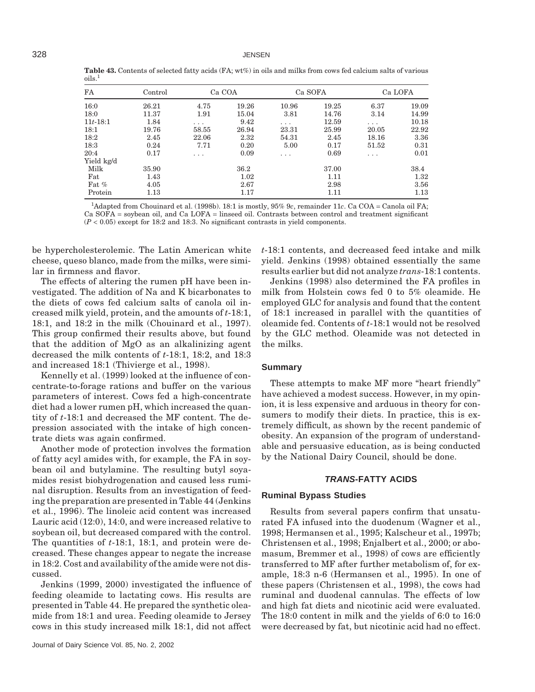| FA           | Control | Ca COA |       |       | Ca SOFA | Ca LOFA  |       |
|--------------|---------|--------|-------|-------|---------|----------|-------|
| 16:0         | 26.21   | 4.75   | 19.26 | 10.96 | 19.25   | 6.37     | 19.09 |
| 18:0         | 11.37   | 1.91   | 15.04 | 3.81  | 14.76   | 3.14     | 14.99 |
| $11t - 18:1$ | 1.84    | .      | 9.42  | .     | 12.59   | $\cdots$ | 10.18 |
| 18:1         | 19.76   | 58.55  | 26.94 | 23.31 | 25.99   | 20.05    | 22.92 |
| 18:2         | 2.45    | 22.06  | 2.32  | 54.31 | 2.45    | 18.16    | 3.36  |
| 18:3         | 0.24    | 7.71   | 0.20  | 5.00  | 0.17    | 51.52    | 0.31  |
| 20:4         | 0.17    | .      | 0.09  | .     | 0.69    | .        | 0.01  |
| Yield kg/d   |         |        |       |       |         |          |       |
| Milk         | 35.90   |        | 36.2  |       | 37.00   |          | 38.4  |
| Fat          | 1.43    |        | 1.02  |       | 1.11    |          | 1.32  |
| Fat $%$      | 4.05    |        | 2.67  |       | 2.98    |          | 3.56  |
| Protein      | 1.13    |        | 1.17  |       | 1.11    |          | 1.13  |

**Table 43.** Contents of selected fatty acids (FA; wt%) in oils and milks from cows fed calcium salts of various oils.1

1 Adapted from Chouinard et al. (1998b). 18:1 is mostly, 95% 9*c*, remainder 11*c*. Ca COA = Canola oil FA; Ca SOFA = soybean oil, and Ca LOFA = linseed oil. Contrasts between control and treatment significant (*P* < 0.05) except for 18:2 and 18:3. No significant contrasts in yield components.

be hypercholesterolemic. The Latin American white cheese, queso blanco, made from the milks, were similar in firmness and flavor.

The effects of altering the rumen pH have been investigated. The addition of Na and K bicarbonates to the diets of cows fed calcium salts of canola oil increased milk yield, protein, and the amounts of *t*-18:1, 18:1, and 18:2 in the milk (Chouinard et al., 1997). This group confirmed their results above, but found that the addition of MgO as an alkalinizing agent decreased the milk contents of *t*-18:1, 18:2, and 18:3 and increased 18:1 (Thivierge et al., 1998).

Kennelly et al. (1999) looked at the influence of concentrate-to-forage rations and buffer on the various parameters of interest. Cows fed a high-concentrate diet had a lower rumen pH, which increased the quantity of *t*-18:1 and decreased the MF content. The depression associated with the intake of high concentrate diets was again confirmed.

Another mode of protection involves the formation of fatty acyl amides with, for example, the FA in soybean oil and butylamine. The resulting butyl soyamides resist biohydrogenation and caused less ruminal disruption. Results from an investigation of feeding the preparation are presented in Table 44 (Jenkins et al., 1996). The linoleic acid content was increased Lauric acid (12:0), 14:0, and were increased relative to soybean oil, but decreased compared with the control. The quantities of *t*-18:1, 18:1, and protein were decreased. These changes appear to negate the increase in 18:2. Cost and availability of the amide were not discussed.

Jenkins (1999, 2000) investigated the influence of feeding oleamide to lactating cows. His results are presented in Table 44. He prepared the synthetic oleamide from 18:1 and urea. Feeding oleamide to Jersey cows in this study increased milk 18:1, did not affect *t*-18:1 contents, and decreased feed intake and milk yield. Jenkins (1998) obtained essentially the same results earlier but did not analyze *trans*-18:1 contents.

Jenkins (1998) also determined the FA profiles in milk from Holstein cows fed 0 to 5% oleamide. He employed GLC for analysis and found that the content of 18:1 increased in parallel with the quantities of oleamide fed. Contents of *t*-18:1 would not be resolved by the GLC method. Oleamide was not detected in the milks.

#### **Summary**

These attempts to make MF more "heart friendly" have achieved a modest success. However, in my opinion, it is less expensive and arduous in theory for consumers to modify their diets. In practice, this is extremely difficult, as shown by the recent pandemic of obesity. An expansion of the program of understandable and persuasive education, as is being conducted by the National Dairy Council, should be done.

#### *TRANS***-FATTY ACIDS**

#### **Ruminal Bypass Studies**

Results from several papers confirm that unsaturated FA infused into the duodenum (Wagner et al., 1998; Hermansen et al., 1995; Kalscheur et al., 1997b; Christensen et al., 1998; Enjalbert et al., 2000; or abomasum, Bremmer et al., 1998) of cows are efficiently transferred to MF after further metabolism of, for example, 18:3 n-6 (Hermansen et al., 1995). In one of these papers (Christensen et al., 1998), the cows had ruminal and duodenal cannulas. The effects of low and high fat diets and nicotinic acid were evaluated. The 18:0 content in milk and the yields of 6:0 to 16:0 were decreased by fat, but nicotinic acid had no effect.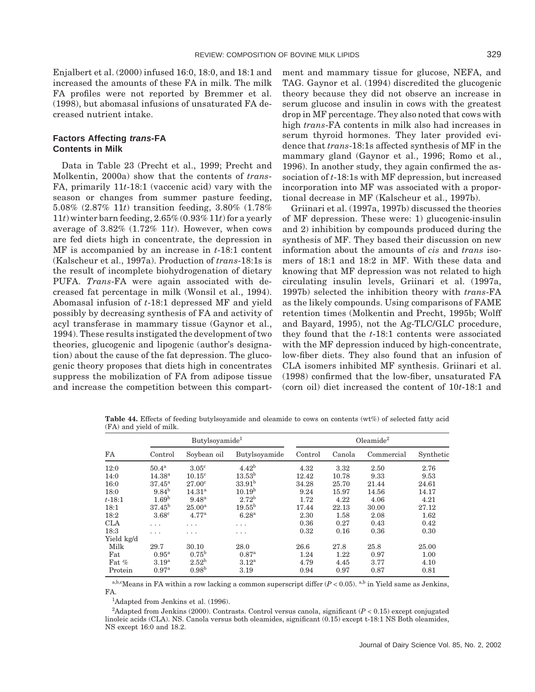Enjalbert et al. (2000) infused 16:0, 18:0, and 18:1 and increased the amounts of these FA in milk. The milk FA profiles were not reported by Bremmer et al. (1998), but abomasal infusions of unsaturated FA decreased nutrient intake.

## **Factors Affecting** *trans***-FA Contents in Milk**

Data in Table 23 (Precht et al., 1999; Precht and Molkentin, 2000a) show that the contents of *trans*-FA, primarily 11*t*-18:1 (vaccenic acid) vary with the season or changes from summer pasture feeding, 5.08% (2.87% 11*t*) transition feeding, 3.80% (1.78% 11*t*) winter barn feeding, 2.65% (0.93% 11*t*) for a yearly average of 3.82% (1.72% 11*t*). However, when cows are fed diets high in concentrate, the depression in MF is accompanied by an increase in *t*-18:1 content (Kalscheur et al., 1997a). Production of *trans*-18:1s is the result of incomplete biohydrogenation of dietary PUFA. *Trans*-FA were again associated with decreased fat percentage in milk (Wonsil et al., 1994). Abomasal infusion of *t*-18:1 depressed MF and yield possibly by decreasing synthesis of FA and activity of acyl transferase in mammary tissue (Gaynor et al., 1994). These results instigated the development of two theories, glucogenic and lipogenic (author's designation) about the cause of the fat depression. The glucogenic theory proposes that diets high in concentrates suppress the mobilization of FA from adipose tissue and increase the competition between this compartment and mammary tissue for glucose, NEFA, and TAG. Gaynor et al. (1994) discredited the glucogenic theory because they did not observe an increase in serum glucose and insulin in cows with the greatest drop in MF percentage. They also noted that cows with high *trans*-FA contents in milk also had increases in serum thyroid hormones. They later provided evidence that *trans*-18:1s affected synthesis of MF in the mammary gland (Gaynor et al., 1996; Romo et al., 1996). In another study, they again confirmed the association of *t*-18:1s with MF depression, but increased incorporation into MF was associated with a proportional decrease in MF (Kalscheur et al., 1997b).

Griinari et al. (1997a, 1997b) discussed the theories of MF depression. These were: 1) glucogenic-insulin and 2) inhibition by compounds produced during the synthesis of MF. They based their discussion on new information about the amounts of *cis* and *trans* isomers of 18:1 and 18:2 in MF. With these data and knowing that MF depression was not related to high circulating insulin levels, Griinari et al. (1997a, 1997b) selected the inhibition theory with *trans*-FA as the likely compounds. Using comparisons of FAME retention times (Molkentin and Precht, 1995b; Wolff and Bayard, 1995), not the Ag-TLC/GLC procedure, they found that the *t*-18:1 contents were associated with the MF depression induced by high-concentrate, low-fiber diets. They also found that an infusion of CLA isomers inhibited MF synthesis. Griinari et al. (1998) confirmed that the low-fiber, unsaturated FA (corn oil) diet increased the content of 10*t*-18:1 and

**Table 44.** Effects of feeding butylsoyamide and oleamide to cows on contents (wt%) of selected fatty acid (FA) and yield of milk.

|            |                   | Butylsoyamide <sup>1</sup> |                    | $O$ leamide $^2$ |        |            |           |  |
|------------|-------------------|----------------------------|--------------------|------------------|--------|------------|-----------|--|
| FA         | Control           | Soybean oil                | Butylsoyamide      | Control          | Canola | Commercial | Synthetic |  |
| 12:0       | 50.4 <sup>a</sup> | 3.05 <sup>c</sup>          | 4.42 <sup>b</sup>  | 4.32             | 3.32   | 2.50       | 2.76      |  |
| 14:0       | $14.38^{a}$       | $10.15^{\circ}$            | $13.53^{\rm b}$    | 12.42            | 10.78  | 9.33       | 9.53      |  |
| 16:0       | $37.45^{\rm a}$   | $27.00^{\circ}$            | 33.91 <sup>b</sup> | 34.28            | 25.70  | 21.44      | 24.61     |  |
| 18:0       | $9.84^{b}$        | 14.31 <sup>a</sup>         | $10.19^{b}$        | 9.24             | 15.97  | 14.56      | 14.17     |  |
| $t - 18:1$ | 1.69 <sup>b</sup> | $9.48^{a}$                 | $2.72^{b}$         | 1.72             | 4.22   | 4.06       | 4.21      |  |
| 18:1       | $37.45^{b}$       | $25.00^{\rm a}$            | $19.55^{\rm b}$    | 17.44            | 22.13  | 30.00      | 27.12     |  |
| 18:2       | $3.68^{\circ}$    | 4.77 <sup>a</sup>          | 6.28 <sup>a</sup>  | 2.30             | 1.58   | 2.08       | 1.62      |  |
| <b>CLA</b> | .                 | .                          | .                  | 0.36             | 0.27   | 0.43       | 0.42      |  |
| 18:3       | .                 | .                          | .                  | 0.32             | 0.16   | 0.36       | 0.30      |  |
| Yield kg/d |                   |                            |                    |                  |        |            |           |  |
| Milk       | 29.7              | 30.10                      | 28.0               | 26.6             | 27.8   | 25.8       | 25.00     |  |
| Fat        | 0.95 <sup>a</sup> | $0.75^{\rm b}$             | 0.87 <sup>a</sup>  | 1.24             | 1.22   | 0.97       | 1.00      |  |
| Fat %      | 3.19 <sup>a</sup> | $2.52^{\rm b}$             | $3.12^{a}$         | 4.79             | 4.45   | 3.77       | 4.10      |  |
| Protein    | 0.97 <sup>a</sup> | $0.98^{b}$                 | 3.19               | 0.94             | 0.97   | 0.87       | 0.81      |  |

a,b,c<sub>Means</sub> in FA within a row lacking a common superscript differ  $(P < 0.05)$ . a,b in Yield same as Jenkins, FA.

<sup>1</sup>Adapted from Jenkins et al. (1996).

<sup>2</sup>Adapted from Jenkins (2000). Contrasts. Control versus canola, significant (*P* < 0.15) except conjugated linoleic acids (CLA). NS. Canola versus both oleamides, significant (0.15) except t-18:1 NS Both oleamides, NS except 16:0 and 18.2.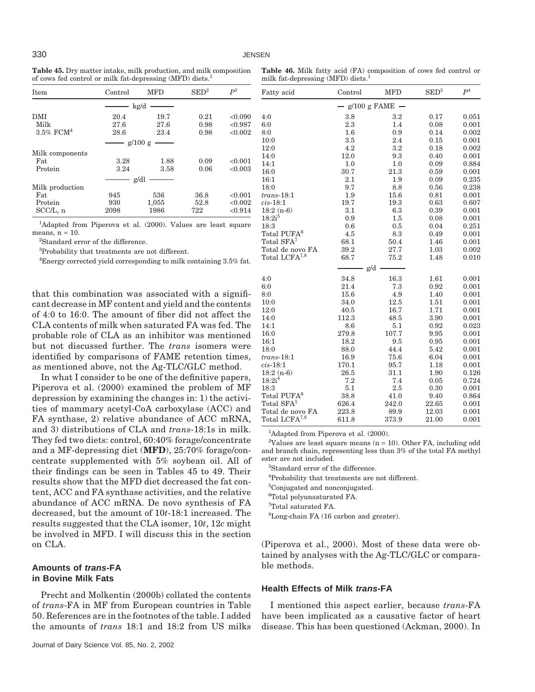| <b>Table 45.</b> Dry matter intake, milk production, and milk composition |
|---------------------------------------------------------------------------|
| of cows fed control or milk fat-depressing (MFD) diets. <sup>1</sup>      |

**Table 46.** Milk fatty acid (FA) composition of cows fed control or milk fat-depressing (MFD) diets.<sup>1</sup>

| Item                                                                      | Control | <b>MFD</b> | $\mathrm{SED}^2$ | $P^3$   | Fatty acid   | Control              | <b>MFD</b> | $\mathrm{SED}^3$ | $P^4$    |
|---------------------------------------------------------------------------|---------|------------|------------------|---------|--------------|----------------------|------------|------------------|----------|
|                                                                           |         | kg/d       |                  |         |              | $-$ g/100 g FAME $-$ |            |                  |          |
| DMI                                                                       | 20.4    | 19.7       | 0.21             | < 0.090 | 4:0          | 3.8                  | $3.2\,$    | 0.17             | 0.0      |
| Milk                                                                      | 27.6    | 27.6       | 0.98             | < 0.987 | 6:0          | 2.3                  | 1.4        | 0.08             | 0.0      |
| $3.5\%$ FCM <sup>4</sup>                                                  | 28.6    | 23.4       | 0.98             | < 0.002 | 8:0          | $1.6\,$              | 0.9        | 0.14             | 0.0      |
|                                                                           |         | g/100 g    |                  |         | 10:0         | 3.5                  | 2.4        | 0.15             | 0.0      |
|                                                                           |         |            |                  |         | 12:0         | 4.2                  | $3.2\,$    | 0.18             | 0.0      |
| Milk components                                                           |         |            |                  |         | 14:0         | 12.0                 | 9.3        | 0.40             | 0.1      |
| Fat                                                                       | 3.28    | 1.88       | 0.09             | < 0.001 | 14:1         | 1.0                  | 1.0        | 0.09             | $0$ .    |
| Protein                                                                   | 3.24    | 3.58       | 0.06             | < 0.003 | 16:0         | 30.7                 | 21.3       | 0.59             | 0.1      |
|                                                                           |         | g/dl       |                  |         | 16:1         | 2.1                  | 1.9        | 0.09             | $0$ .    |
| Milk production                                                           |         |            |                  |         | 18:0         | 9.7                  | 8.8        | 0.56             | $0$ .    |
| Fat                                                                       | 945     | 536        | 36.8             | < 0.001 | $trans-18:1$ | 1.9                  | 15.6       | 0.81             | 0.1      |
| Protein                                                                   | 930     | 1,055      | 52.8             | < 0.002 | $cis-18:1$   | 19.7                 | 19.3       | 0.63             | 0.0      |
| $SCC/L$ , n                                                               | 2098    | 1986       | 722              | < 0.914 | $18:2(n-6)$  | 3.1                  | 6.3        | 0.39             | 0.1      |
|                                                                           |         |            |                  |         | $18:2i^5$    | 0.9                  | $1.5\,$    | 0.08             | 0.0      |
| <sup>1</sup> Adapted from Piperova et al. (2000). Values are least square |         |            |                  |         | 18.3         | ሰ ፎ                  | 0 5        | 0.04             | $\Omega$ |

Adapted from Piperova et al. (2000). Values are least square means,  $n = 10$ .

2 Standard error of the difference.

3 Probability that treatments are not different.

<sup>4</sup>Energy corrected yield corresponding to milk containing 3.5% fat.

that this combination was associated with a significant decrease in MF content and yield and the contents of 4:0 to 16:0. The amount of fiber did not affect the CLA contents of milk when saturated FA was fed. The probable role of CLA as an inhibitor was mentioned but not discussed further. The *trans* isomers were identified by comparisons of FAME retention times, as mentioned above, not the Ag-TLC/GLC method.

In what I consider to be one of the definitive papers, Piperova et al. (2000) examined the problem of MF depression by examining the changes in: 1) the activities of mammary acetyl-CoA carboxylase (ACC) and FA synthase, 2) relative abundance of ACC mRNA, and 3) distributions of CLA and *trans*-18:1s in milk. They fed two diets: control, 60:40% forage/concentrate and a MF-depressing diet (**MFD**), 25:70% forage/concentrate supplemented with 5% soybean oil. All of their findings can be seen in Tables 45 to 49. Their results show that the MFD diet decreased the fat content, ACC and FA synthase activities, and the relative abundance of ACC mRNA. De novo synthesis of FA decreased, but the amount of 10*t*-18:1 increased. The results suggested that the CLA isomer, 10*t*, 12*c* might be involved in MFD. I will discuss this in the section on CLA.

## **Amounts of** *trans***-FA in Bovine Milk Fats**

Precht and Molkentin (2000b) collated the contents of *trans*-FA in MF from European countries in Table 50. References are in the footnotes of the table. I added the amounts of *trans* 18:1 and 18:2 from US milks

| 4:0                       | 3.8     | 3.2     | 0.17  | 0.051 |
|---------------------------|---------|---------|-------|-------|
| 6:0                       | 2.3     | 1.4     | 0.08  | 0.001 |
| 8:0                       | $1.6\,$ | 0.9     | 0.14  | 0.002 |
| 10:0                      | 3.5     | 2.4     | 0.15  | 0.001 |
| 12:0                      | 4.2     | 3.2     | 0.18  | 0.002 |
| 14:0                      | 12.0    | 9.3     | 0.40  | 0.001 |
| 14:1                      | 1.0     | 1.0     | 0.09  | 0.884 |
| 16:0                      | 30.7    | 21.3    | 0.59  | 0.001 |
| 16:1                      | 2.1     | 1.9     | 0.09  | 0.235 |
| 18:0                      | 9.7     | 8.8     | 0.56  | 0.238 |
| $trans-18:1$              | 1.9     | 15.6    | 0.81  | 0.001 |
| $cis-18:1$                | 19.7    | 19.3    | 0.63  | 0.607 |
| $18:2(n-6)$               | 3.1     | 6.3     | 0.39  | 0.001 |
| $18:2i^5$                 | 0.9     | 1.5     | 0.08  | 0.001 |
| 18:3                      | 0.6     | 0.5     | 0.04  | 0.251 |
| Total PUFA <sup>6</sup>   | 4.5     | 8.3     | 0.49  | 0.001 |
| Total SFA7                | 68.1    | 50.4    | 1.46  | 0.001 |
| Total de novo FA          | 39.2    | 27.7    | 1.03  | 0.002 |
| Total LCFA <sup>7,8</sup> | 68.7    | 75.2    | 1.48  | 0.010 |
|                           |         | g/d     |       |       |
|                           |         |         |       |       |
| 4:0                       | 34.8    | 16.3    | 1.61  | 0.001 |
| 6:0                       | 21.4    | $7.3\,$ | 0.92  | 0.001 |
| 8:0                       | 15.6    | 4.9     | 1.40  | 0.001 |
| 10:0                      | 34.0    | 12.5    | 1.51  | 0.001 |
| 12:0                      | 40.5    | 16.7    | 1.71  | 0.001 |
| 14:0                      | 112.3   | 48.5    | 3.90  | 0.001 |
| 14:1                      | 8.6     | 5.1     | 0.92  | 0.023 |
| 16:0                      | 279.8   | 107.7   | 9.95  | 0.001 |
| 16:1                      | 18.2    | 9.5     | 0.95  | 0.001 |
| 18:0                      | 88.0    | 44.4    | 5.42  | 0.001 |
| $trans-18:1$              | 16.9    | 75.6    | 6.04  | 0.001 |
| $cis-18:1$                | 170.1   | 95.7    | 1.18  | 0.001 |
| $18:2(n-6)$               | 26.5    | 31.1    | 1.90  | 0.126 |
| $18:2i^4$                 | 7.2     | 7.4     | 0.05  | 0.724 |
| 18:3                      | 5.1     | 2.5     | 0.30  | 0.001 |
| Total PUFA <sup>6</sup>   | 38.8    | 41.0    | 9.40  | 0.864 |
| Total SFA <sup>1</sup>    | 626.4   | 242.0   | 22.65 | 0.001 |
| Total de novo FA          | 223.8   | 89.9    | 12.03 | 0.001 |
| Total LCFA <sup>7,8</sup> | 611.8   | 373.9   | 21.00 | 0.001 |
|                           |         |         |       |       |

<sup>1</sup>Adapted from Piperova et al. (2000).

<sup>2</sup>Values are least square means  $(n = 10)$ . Other FA, including odd and branch chain, representing less than 3% of the total FA methyl ester are not included.

3 Standard error of the difference.

4 Probability that treatments are not different.

5 Conjugated and nonconjugated.

6 Total polyunsaturated FA.

7 Total saturated FA.

8 Long-chain FA (16 carbon and greater).

(Piperova et al., 2000). Most of these data were obtained by analyses with the Ag-TLC/GLC or comparable methods.

## **Health Effects of Milk** *trans***-FA**

I mentioned this aspect earlier, because *trans*-FA have been implicated as a causative factor of heart disease. This has been questioned (Ackman, 2000). In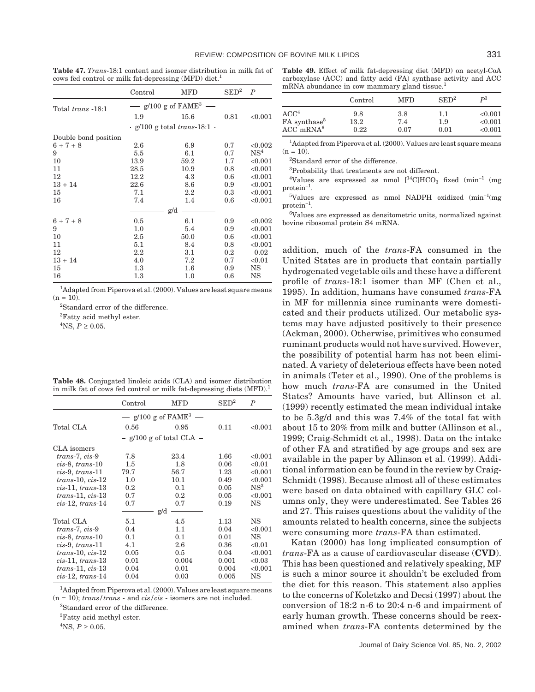**Table 47.** *Trans*-18:1 content and isomer distribution in milk fat of cows fed control or milk fat-depressing (MFD) diet.<sup>1</sup>

|                      | Control | MFD                                      | $\mathrm{SED}^2$ | $\boldsymbol{P}$ |
|----------------------|---------|------------------------------------------|------------------|------------------|
| Total trans -18:1    |         | $g/100$ g of $FAME3$                     |                  |                  |
|                      | 1.9     | 15.6                                     | 0.81             | < 0.001          |
|                      |         | $\cdot$ g/100 g total <i>trans</i> -18:1 |                  |                  |
| Double bond position |         |                                          |                  |                  |
| $6 + 7 + 8$          | 2.6     | 6.9                                      | 0.7              | < 0.002          |
| 9                    | 5.5     | 6.1                                      | 0.7              | NS <sup>4</sup>  |
| 10                   | 13.9    | 59.2                                     | 1.7              | < 0.001          |
| 11                   | 28.5    | 10.9                                     | 0.8              | < 0.001          |
| 12                   | 12.2    | 4.3                                      | 0.6              | < 0.001          |
| $13 + 14$            | 22.6    | 8.6                                      | 0.9              | < 0.001          |
| 15                   | 7.1     | $2.2\,$                                  | 0.3              | < 0.001          |
| 16                   | 7.4     | 1.4                                      | 0.6              | < 0.001          |
|                      |         | g/d                                      |                  |                  |
| $6 + 7 + 8$          | $0.5\,$ | 6.1                                      | 0.9              | < 0.002          |
| 9                    | 1.0     | 5.4                                      | 0.9              | < 0.001          |
| 10                   | 2.5     | 50.0                                     | 0.6              | < 0.001          |
| 11                   | 5.1     | 8.4                                      | 0.8              | < 0.001          |
| 12                   | $2.2\,$ | $3.1\,$                                  | $0.2\,$          | 0.02             |
| $13 + 14$            | 4.0     | 7.2                                      | 0.7              | < 0.01           |
| 15                   | 1.3     | $1.6\,$                                  | 0.9              | NS               |
| 16                   | $1.3\,$ | $1.0\,$                                  | 0.6              | NS               |

<sup>1</sup>Adapted from Piperova et al. (2000). Values are least square means  $(n = 10)$ .

2 Standard error of the difference.

<sup>3</sup>Fatty acid methyl ester.

 ${}^{4}$ NS,  $P \ge 0.05$ .

| <b>Table 48.</b> Conjugated linoleic acids (CLA) and isomer distribution         |  |
|----------------------------------------------------------------------------------|--|
| in milk fat of cows fed control or milk fat-depressing diets (MFD). <sup>1</sup> |  |

|                     | Control                  | <b>MFD</b>                     | $\mathrm{SED}^2$ | P            |
|---------------------|--------------------------|--------------------------------|------------------|--------------|
|                     | $\overline{\phantom{0}}$ | $g/100$ g of FAME <sup>3</sup> |                  |              |
| Total CLA           | 0.56                     | 0.95                           | 0.11             | ${<}0.001$   |
|                     |                          | $-$ g/100 g of total CLA $-$   |                  |              |
| CLA isomers         |                          |                                |                  |              |
| $trans-7, cis-9$    | 7.8                      | 23.4                           | 1.66             | < 0.001      |
| $cis-8$ , trans-10  | $1.5\,$                  | $1.8\,$                        | 0.06             | < 0.01       |
| $cis-9$ , trans-11  | 79.7                     | 56.7                           | 1.23             | < 0.001      |
| $trans-10, cis-12$  | 1.0                      | 10.1                           | 0.49             | ${<}0.001$   |
| $cis-11$ , trans-13 | 0.2                      | 0.1                            | 0.05             | ${\rm NS}^3$ |
| $trans-11, cis-13$  | 0.7                      | 0.2                            | 0.05             | < 0.001      |
| $cis-12$ , trans-14 | 0.7                      | 0.7                            | 0.19             | NS           |
|                     |                          | g/d                            |                  |              |
| Total CLA           | 5.1                      | 4.5                            | 1.13             | NS           |
| trans-7, cis-9      | 0.4                      | 1.1                            | 0.04             | ${<}0.001$   |
| $cis-8$ , trans-10  | 0.1                      | 0.1                            | 0.01             | NS           |
| $cis-9$ , trans-11  | 4.1                      | 2.6                            | 0.36             | < 0.01       |
| $trans-10, cis-12$  | 0.05                     | 0.5                            | 0.04             | < 0.001      |
| $cis-11$ , trans-13 | 0.01                     | 0.004                          | 0.001            | < 0.03       |
| $trans-11, cis-13$  | 0.04                     | 0.01                           | 0.004            | < 0.001      |
| $cis-12$ , trans-14 | 0.04                     | 0.03                           | 0.005            | NS           |

<sup>1</sup>Adapted from Piperova et al. (2000). Values are least square means  $(n = 10)$ ; *trans/trans* - and *cis/cis* - isomers are not included.

2 Standard error of the difference.

3 Fatty acid methyl ester.

 ${}^{4}$ NS,  $P \ge 0.05$ .

**Table 49.** Effect of milk fat-depressing diet (MFD) on acetyl-CoA carboxylase (ACC) and fatty acid (FA) synthase activity and ACC mRNA abundance in cow mammary gland tissue.<sup>1</sup>

|                           | Control  | <b>MFD</b> | $\text{SED}^2$ | $\mathbf{p}^3$ |
|---------------------------|----------|------------|----------------|----------------|
| ACC <sup>4</sup>          | 9.8      | 3.8        | 1.1            | < 0.001        |
| FA synthase <sup>5</sup>  | $13.2\,$ | 7.4        | 1.9            | < 0.001        |
| $ACC$ <sub>mRNA</sub> $6$ | 0.22     | 0.07       | 0.01           | < 0.001        |

<sup>1</sup>Adapted from Piperova et al. (2000). Values are least square means  $(n = 10)$ .

2 Standard error of the difference.

3 Probability that treatments are not different.

 $4$ Values are expressed as nmol  $[14$ C]HCO<sub>3</sub> fixed (min<sup>-1</sup> (mg) protein<sup>−</sup><sup>1</sup> .

<sup>5</sup>Values are expressed as nmol NADPH oxidized (min<sup>-1</sup>(mg  $protein^{-1}$ .

6 Values are expressed as densitometric units, normalized against bovine ribosomal protein S4 mRNA.

addition, much of the *trans*-FA consumed in the United States are in products that contain partially hydrogenated vegetable oils and these have a different profile of *trans*-18:1 isomer than MF (Chen et al., 1995). In addition, humans have consumed *trans*-FA in MF for millennia since ruminants were domesticated and their products utilized. Our metabolic systems may have adjusted positively to their presence (Ackman, 2000). Otherwise, primitives who consumed ruminant products would not have survived. However, the possibility of potential harm has not been eliminated. A variety of deleterious effects have been noted in animals (Teter et al., 1990). One of the problems is how much *trans*-FA are consumed in the United States? Amounts have varied, but Allinson et al. (1999) recently estimated the mean individual intake to be 5.3g/d and this was 7.4% of the total fat with about 15 to 20% from milk and butter (Allinson et al., 1999; Craig-Schmidt et al., 1998). Data on the intake of other FA and stratified by age groups and sex are available in the paper by Allinson et al. (1999). Additional information can be found in the review by Craig-Schmidt (1998). Because almost all of these estimates were based on data obtained with capillary GLC columns only, they were underestimated. See Tables 26 and 27. This raises questions about the validity of the amounts related to health concerns, since the subjects were consuming more *trans*-FA than estimated.

Katan (2000) has long implicated consumption of *trans*-FA as a cause of cardiovascular disease (**CVD**). This has been questioned and relatively speaking, MF is such a minor source it shouldn't be excluded from the diet for this reason. This statement also applies to the concerns of Koletzko and Decsi (1997) about the conversion of 18:2 n-6 to 20:4 n-6 and impairment of early human growth. These concerns should be reexamined when *trans*-FA contents determined by the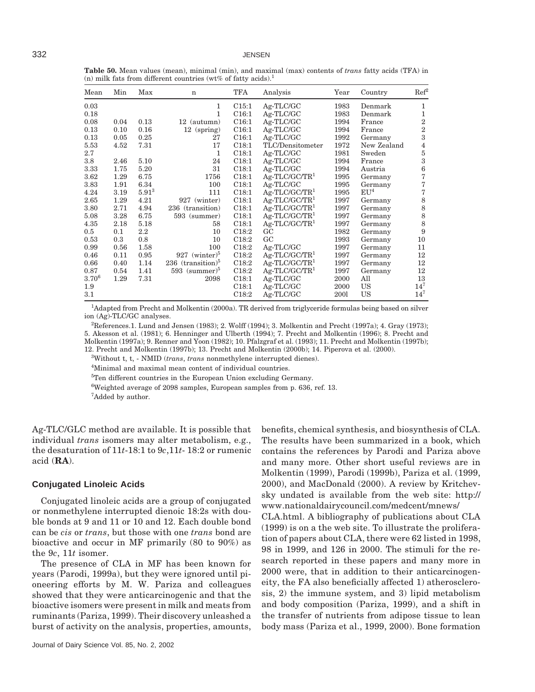**Table 50.** Mean values (mean), minimal (min), and maximal (max) contents of *trans* fatty acids (TFA) in (n) milk fats from different countries (wt% of fatty acids).<sup>1</sup>

| Mean       | Min  | Max        | $\mathbf n$                 | TFA               | Analysis         | Year | Country         | Ref <sup>2</sup> |
|------------|------|------------|-----------------------------|-------------------|------------------|------|-----------------|------------------|
| 0.03       |      |            | 1                           | C15:1             | Ag-TLC/GC        | 1983 | Denmark         | 1                |
| 0.18       |      |            | 1                           | C16:1             | Ag-TLC/GC        | 1983 | Denmark         | 1                |
| 0.08       | 0.04 | 0.13       | 12 (autumn)                 | C16:1             | Ag-TLC/GC        | 1994 | France          | $\boldsymbol{2}$ |
| 0.13       | 0.10 | 0.16       | $12$ (spring)               | C16:1             | Ag-TLC/GC        | 1994 | France          | $\overline{2}$   |
| 0.13       | 0.05 | 0.25       | 27                          | C16:1             | Ag-TLC/GC        | 1992 | Germany         | 3                |
| 5.53       | 4.52 | 7.31       | 17                          | C18:1             | TLC/Densitometer | 1972 | New Zealand     | $\overline{4}$   |
| 2.7        |      |            | 1                           | C18:1             | Ag-TLC/GC        | 1981 | Sweden          | $\bf 5$          |
| 3.8        | 2.46 | 5.10       | 24                          | C18:1             | Ag-TLC/GC        | 1994 | France          | 3                |
| 3.33       | 1.75 | 5.20       | 31                          | C18:1             | Ag-TLC/GC        | 1994 | Austria         | $\,$ 6 $\,$      |
| 3.62       | 1.29 | 6.75       | 1756                        | C18:1             | $Ag-TLC/GC/TR1$  | 1995 | Germany         | 7                |
| 3.83       | 1.91 | 6.34       | 100                         | C18:1             | Ag-TLC/GC        | 1995 | Germany         | 7                |
| 4.24       | 3.19 | $5.91^{3}$ | 111                         | C18:1             | $Ag-TLC/GC/TR1$  | 1995 | EU <sup>4</sup> | 7                |
| 2.65       | 1.29 | 4.21       | 927 (winter)                | C18:1             | $Ag-TLC/GC/TR1$  | 1997 | Germany         | $\,8\,$          |
| 3.80       | 2.71 | 4.94       | 236 (transition)            | C18:1             | $Ag-TLC/GC/TR1$  | 1997 | Germany         | $\,$ 8 $\,$      |
| 5.08       | 3.28 | 6.75       | 593 (summer)                | C18:1             | $Ag-TLC/GC/TR1$  | 1997 | Germany         | $\,$ 8 $\,$      |
| 4.35       | 2.18 | 5.18       | 58                          | C18:1             | $Ag-TLC/GC/TR1$  | 1997 | Germany         | 8                |
| 0.5        | 0.1  | $2.2\,$    | 10                          | C <sub>18:2</sub> | GC               | 1982 | Germany         | 9                |
| 0.53       | 0.3  | 0.8        | 10                          | C <sub>18:2</sub> | GC               | 1993 | Germany         | 10               |
| 0.99       | 0.56 | 1.58       | 100                         | C <sub>18:2</sub> | Ag-TLC/GC        | 1997 | Germany         | 11               |
| 0.46       | 0.11 | 0.95       | $927$ (winter) <sup>3</sup> | C18:2             | $Ag-TLC/GC/TR1$  | 1997 | Germany         | 12               |
| 0.66       | 0.40 | 1.14       | 236 $(transition)^5$        | C18:2             | $Ag-TLC/GC/TR1$  | 1997 | Germany         | 12               |
| 0.87       | 0.54 | 1.41       | $593$ (summer) <sup>5</sup> | C <sub>18:2</sub> | $Ag-TLC/GC/TR1$  | 1997 | Germany         | 12               |
| $3.70^{6}$ | 1.29 | 7.31       | 2098                        | C18:1             | Ag-TLC/GC        | 2000 | All             | 13               |
| 1.9        |      |            |                             | C18:1             | Ag-TLC/GC        | 2000 | US              | $14^{7}$         |
| 3.1        |      |            |                             | C <sub>18:2</sub> | Ag-TLC/GC        | 2001 | US              | $14^{7}$         |

<sup>1</sup>Adapted from Precht and Molkentin (2000a). TR derived from triglyceride formulas being based on silver ion (Ag)-TLC/GC analyses.

2 References.1. Lund and Jensen (1983); 2. Wolff (1994); 3. Molkentin and Precht (1997a); 4. Gray (1973); 5. Akesson et al. (1981); 6. Henninger and Ulberth (1994); 7. Precht and Molkentin (1996); 8. Precht and Molkentin (1997a); 9. Renner and Yoon (1982); 10. Pfalzgraf et al. (1993); 11. Precht and Molkentin (1997b); 12. Precht and Molkentin (1997b); 13. Precht and Molkentin (2000b); 14. Piperova et al. (2000).

3 Without t, t, - NMID (*trans*, *trans* nonmethylene interrupted dienes).

4 Minimal and maximal mean content of individual countries.

<sup>5</sup>Ten different countries in the European Union excluding Germany.

 $6$ Weighted average of 2098 samples, European samples from p. 636, ref. 13.

<sup>7</sup>Added by author.

Ag-TLC/GLC method are available. It is possible that individual *trans* isomers may alter metabolism, e.g., the desaturation of 11*t*-18:1 to 9*c*,11*t*- 18:2 or rumenic acid (**RA**).

## **Conjugated Linoleic Acids**

Conjugated linoleic acids are a group of conjugated or nonmethylene interrupted dienoic 18:2s with double bonds at 9 and 11 or 10 and 12. Each double bond can be *cis* or *trans*, but those with one *trans* bond are bioactive and occur in MF primarily (80 to 90%) as the 9*c*, 11*t* isomer.

The presence of CLA in MF has been known for years (Parodi, 1999a), but they were ignored until pioneering efforts by M. W. Pariza and colleagues showed that they were anticarcinogenic and that the bioactive isomers were present in milk and meats from ruminants (Pariza, 1999). Their discovery unleashed a burst of activity on the analysis, properties, amounts,

benefits, chemical synthesis, and biosynthesis of CLA. The results have been summarized in a book, which contains the references by Parodi and Pariza above and many more. Other short useful reviews are in Molkentin (1999), Parodi (1999b), Pariza et al. (1999, 2000), and MacDonald (2000). A review by Kritchevsky undated is available from the web site: http:// www.nationaldairycouncil.com/medcent/mnews/

CLA.html. A bibliography of publications about CLA (1999) is on a the web site. To illustrate the proliferation of papers about CLA, there were 62 listed in 1998, 98 in 1999, and 126 in 2000. The stimuli for the research reported in these papers and many more in 2000 were, that in addition to their anticarcinogeneity, the FA also beneficially affected 1) atherosclerosis, 2) the immune system, and 3) lipid metabolism and body composition (Pariza, 1999), and a shift in the transfer of nutrients from adipose tissue to lean body mass (Pariza et al., 1999, 2000). Bone formation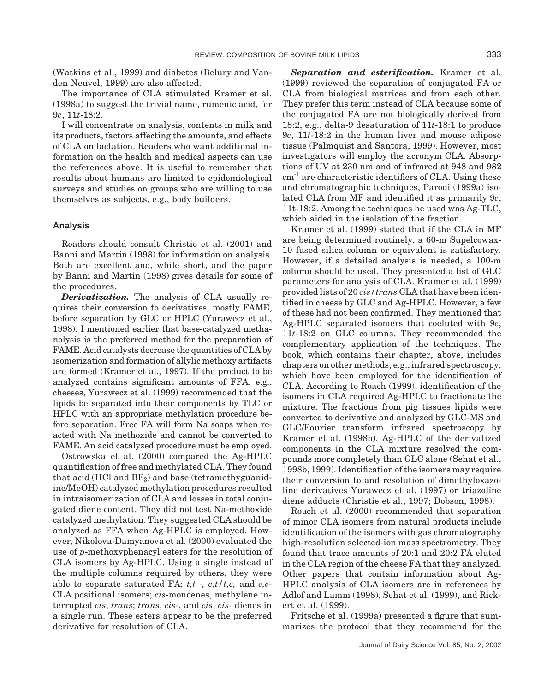(Watkins et al., 1999) and diabetes (Belury and Vanden Neuvel, 1999) are also affected.

The importance of CLA stimulated Kramer et al. (1998a) to suggest the trivial name, rumenic acid, for 9*c*, 11*t*-18:2.

I will concentrate on analysis, contents in milk and its products, factors affecting the amounts, and effects of CLA on lactation. Readers who want additional information on the health and medical aspects can use the references above. It is useful to remember that results about humans are limited to epidemiological surveys and studies on groups who are willing to use themselves as subjects, e.g., body builders.

#### **Analysis**

Readers should consult Christie et al. (2001) and Banni and Martin (1998) for information on analysis. Both are excellent and, while short, and the paper by Banni and Martin (1998) gives details for some of the procedures.

*Derivatization.* The analysis of CLA usually requires their conversion to derivatives, mostly FAME, before separation by GLC or HPLC (Yurawecz et al., 1998). I mentioned earlier that base-catalyzed methanolysis is the preferred method for the preparation of FAME. Acid catalysts decrease the quantities of CLA by isomerization and formation of allylic methoxy artifacts are formed (Kramer et al., 1997). If the product to be analyzed contains significant amounts of FFA, e.g., cheeses, Yurawecz et al. (1999) recommended that the lipids be separated into their components by TLC or HPLC with an appropriate methylation procedure before separation. Free FA will form Na soaps when reacted with Na methoxide and cannot be converted to FAME. An acid catalyzed procedure must be employed.

Ostrowska et al. (2000) compared the Ag-HPLC quantification of free and methylated CLA. They found that acid (HCl and  $BF_3$ ) and base (tetramethyguanidine/MeOH) catalyzed methylation procedures resulted in intraisomerization of CLA and losses in total conjugated diene content. They did not test Na-methoxide catalyzed methylation. They suggested CLA should be analyzed as FFA when Ag-HPLC is employed. However, Nikolova-Damyanova et al. (2000) evaluated the use of *p*-methoxyphenacyl esters for the resolution of CLA isomers by Ag-HPLC. Using a single instead of the multiple columns required by others, they were able to separate saturated FA; *t,t -, c,t/t,c,* and *c,c*-CLA positional isomers; *cis*-monoenes, methylene interrupted *cis*, *trans*; *trans*, *cis-*, and *cis*, *cis-* dienes in a single run. These esters appear to be the preferred derivative for resolution of CLA.

*Separation and esterification.* Kramer et al. (1999) reviewed the separation of conjugated FA or CLA from biological matrices and from each other. They prefer this term instead of CLA because some of the conjugated FA are not biologically derived from 18:2, e.g., delta-9 desaturation of 11*t*-18:1 to produce 9*c*, 11*t*-18:2 in the human liver and mouse adipose tissue (Palmquist and Santora, 1999). However, most investigators will employ the acronym CLA. Absorptions of UV at 230 nm and of infrared at 948 and 982 cm-1 are characteristic identifiers of CLA. Using these and chromatographic techniques, Parodi (1999a) isolated CLA from MF and identified it as primarily 9*c*, 11t-18:2. Among the techniques he used was Ag-TLC, which aided in the isolation of the fraction.

Kramer et al. (1999) stated that if the CLA in MF are being determined routinely, a 60-m Supelcowax-10 fused silica column or equivalent is satisfactory. However, if a detailed analysis is needed, a 100-m column should be used. They presented a list of GLC parameters for analysis of CLA. Kramer et al. (1999) provided lists of 20 *cis/trans* CLA that have been identified in cheese by GLC and Ag-HPLC. However, a few of these had not been confirmed. They mentioned that Ag-HPLC separated isomers that coeluted with 9*c*, 11*t*-18:2 on GLC columns. They recommended the complementary application of the techniques. The book, which contains their chapter, above, includes chapters on other methods, e.g., infrared spectroscopy, which have been employed for the identification of CLA. According to Roach (1999), identification of the isomers in CLA required Ag-HPLC to fractionate the mixture. The fractions from pig tissues lipids were converted to derivative and analyzed by GLC-MS and GLC/Fourier transform infrared spectroscopy by Kramer et al. (1998b). Ag-HPLC of the derivatized components in the CLA mixture resolved the compounds more completely than GLC alone (Sehat et al., 1998b, 1999). Identification of the isomers may require their conversion to and resolution of dimethyloxazoline derivatives Yurawecz et al. (1997) or triazoline diene adducts (Christie et al., 1997; Dobson, 1998).

Roach et al. (2000) recommended that separation of minor CLA isomers from natural products include identification of the isomers with gas chromatography high-resolution selected-ion mass spectrometry. They found that trace amounts of 20:1 and 20:2 FA eluted in the CLA region of the cheese FA that they analyzed. Other papers that contain information about Ag-HPLC analysis of CLA isomers are in references by Adlof and Lamm (1998), Sehat et al. (1999), and Rickert et al. (1999).

Fritsche et al. (1999a) presented a figure that summarizes the protocol that they recommend for the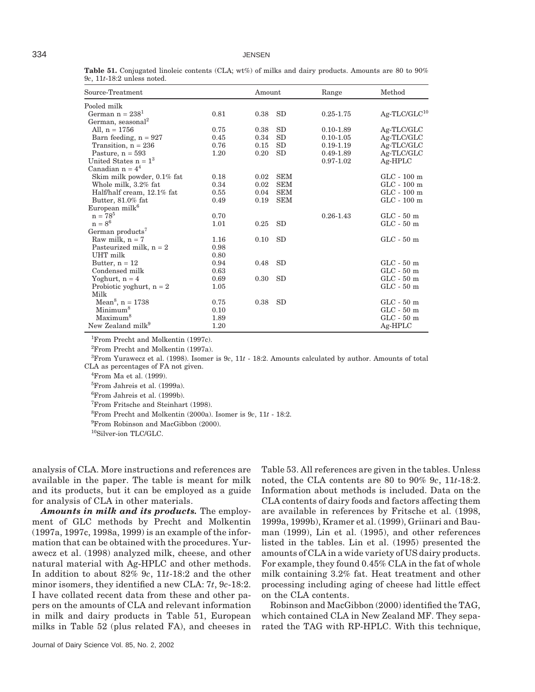**Table 51.** Conjugated linoleic contents (CLA; wt%) of milks and dairy products. Amounts are 80 to 90% 9*c*, 11*t*-18:2 unless noted.

| Source-Treatment               |      | Amount |            | Range         | Method            |
|--------------------------------|------|--------|------------|---------------|-------------------|
| Pooled milk                    |      |        |            |               |                   |
| German $n = 2381$              | 0.81 | 0.38   | <b>SD</b>  | $0.25 - 1.75$ | $Ag-TLC/GLC^{10}$ |
| German, seasonal <sup>2</sup>  |      |        |            |               |                   |
| All, $n = 1756$                | 0.75 | 0.38   | SD         | $0.10 - 1.89$ | Ag-TLC/GLC        |
| Barn feeding, $n = 927$        | 0.45 | 0.34   | SD         | $0.10 - 1.05$ | Ag-TLC/GLC        |
| Transition, $n = 236$          | 0.76 | 0.15   | SD         | $0.19 - 1.19$ | Ag-TLC/GLC        |
| Pasture, $n = 593$             | 1.20 | 0.20   | <b>SD</b>  | 0.49-1.89     | Ag-TLC/GLC        |
| United States $n = 13$         |      |        |            | $0.97 - 1.02$ | $Ag-HPLC$         |
| Canadian $n = 4^4$             |      |        |            |               |                   |
| Skim milk powder, 0.1% fat     | 0.18 | 0.02   | <b>SEM</b> |               | $GLC - 100$ m     |
| Whole milk, 3.2% fat           | 0.34 | 0.02   | <b>SEM</b> |               | $GLC - 100$ m     |
| Half/half cream, 12.1% fat     | 0.55 | 0.04   | <b>SEM</b> |               | $GLC - 100$ m     |
| Butter, 81.0% fat              | 0.49 | 0.19   | <b>SEM</b> |               | $GLC - 100$ m     |
| European milk <sup>6</sup>     |      |        |            |               |                   |
| $n = 78^5$                     | 0.70 |        |            | $0.26 - 1.43$ | $GLC - 50$ m      |
| $n = 8^6$                      | 1.01 | 0.25   | <b>SD</b>  |               | $GLC - 50$ m      |
| German products <sup>7</sup>   |      |        |            |               |                   |
| Raw milk, $n = 7$              | 1.16 | 0.10   | <b>SD</b>  |               | $GLC - 50$ m      |
| Pasteurized milk, $n = 2$      | 0.98 |        |            |               |                   |
| UHT milk                       | 0.80 |        |            |               |                   |
| Butter, $n = 12$               | 0.94 | 0.48   | <b>SD</b>  |               | $GLC - 50$ m      |
| Condensed milk                 | 0.63 |        |            |               | $GLC - 50$ m      |
| Yoghurt, $n = 4$               | 0.69 | 0.30   | <b>SD</b>  |               | $GLC - 50$ m      |
| Probiotic yoghurt, $n = 2$     | 1.05 |        |            |               | $GLC - 50$ m      |
| Milk                           |      |        |            |               |                   |
| Mean <sup>8</sup> , $n = 1738$ | 0.75 | 0.38   | <b>SD</b>  |               | $GLC - 50$ m      |
| Minimum <sup>8</sup>           | 0.10 |        |            |               | $GLC - 50$ m      |
| Maximum <sup>8</sup>           | 1.89 |        |            |               | $GLC - 50$ m      |
| New Zealand milk <sup>9</sup>  | 1.20 |        |            |               | Ag-HPLC           |

1 From Precht and Molkentin (1997c).

2 From Precht and Molkentin (1997a).

3 From Yurawecz et al. (1998). Isomer is 9*c*, 11*t* - 18:2. Amounts calculated by author. Amounts of total CLA as percentages of FA not given.

4 From Ma et al. (1999).

5 From Jahreis et al. (1999a).

6 From Jahreis et al. (1999b).

7 From Fritsche and Steinhart (1998).

8 From Precht and Molkentin (2000a). Isomer is 9*c*, 11*t* - 18:2.

<sup>9</sup> From Robinson and MacGibbon (2000).

10Silver-ion TLC/GLC.

analysis of CLA. More instructions and references are available in the paper. The table is meant for milk and its products, but it can be employed as a guide for analysis of CLA in other materials.

*Amounts in milk and its products.* The employment of GLC methods by Precht and Molkentin (1997a, 1997c, 1998a, 1999) is an example of the information that can be obtained with the procedures. Yurawecz et al. (1998) analyzed milk, cheese, and other natural material with Ag-HPLC and other methods. In addition to about 82% 9*c*, 11*t*-18:2 and the other minor isomers, they identified a new CLA: 7*t*, 9*c*-18:2. I have collated recent data from these and other papers on the amounts of CLA and relevant information in milk and dairy products in Table 51, European milks in Table 52 (plus related FA), and cheeses in

Table 53. All references are given in the tables. Unless noted, the CLA contents are 80 to 90% 9*c*, 11*t*-18:2. Information about methods is included. Data on the CLA contents of dairy foods and factors affecting them are available in references by Fritsche et al. (1998, 1999a, 1999b), Kramer et al. (1999), Griinari and Bauman (1999), Lin et al. (1995), and other references listed in the tables. Lin et al. (1995) presented the amounts of CLA in a wide variety of US dairy products. For example, they found 0.45% CLA in the fat of whole milk containing 3.2% fat. Heat treatment and other processing including aging of cheese had little effect on the CLA contents.

Robinson and MacGibbon (2000) identified the TAG, which contained CLA in New Zealand MF. They separated the TAG with RP-HPLC. With this technique,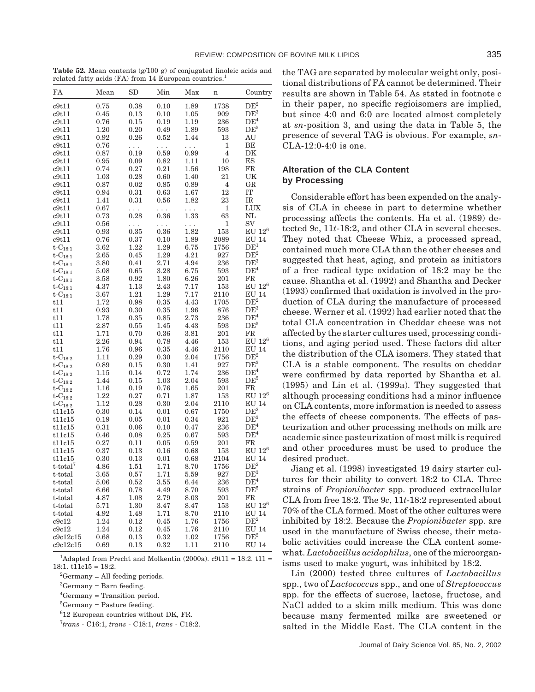**Table 52.** Mean contents (g/100 g) of conjugated linoleic acids and related fatty acids (FA) from 14 European countries.<sup>1</sup>

| FA                      | Mean     | $_{\rm SD}$ | Min      | Max      | n    | Country              |
|-------------------------|----------|-------------|----------|----------|------|----------------------|
| c9t11                   | 0.75     | 0.38        | 0.10     | 1.89     | 1738 | $\rm{DE}^2$          |
| c9t11                   | 0.45     | 0.13        | 0.10     | $1.05\,$ | 909  | DE <sup>3</sup>      |
| c9t11                   | 0.76     | 0.15        | 0.19     | 1.19     | 236  | DE <sup>4</sup>      |
| c9t11                   | 1.20     | 0.20        | 0.49     | 1.89     | 593  | DE <sup>5</sup>      |
| c9t11                   | 0.92     | 0.26        | 0.52     | 1.44     | 13   | AU                   |
| c9t11                   | 0.76     | .           | $\cdots$ | $\cdots$ | 1    | BЕ                   |
| c9t11                   | 0.87     | 0.19        | 0.59     | 0.99     | 4    | DK                   |
| c9t11                   | 0.95     | 0.09        | 0.82     | 1.11     | 10   | ES                   |
| c9t11                   | 0.74     | 0.27        | 0.21     | 1.56     | 198  | FR                   |
| c9t11                   | 1.03     | 0.28        | 0.60     | 1.40     | 21   | UK                   |
| c9t11                   | 0.87     | 0.02        | 0.85     | 0.89     | 4    | GR                   |
| c9t11                   | 0.94     | 0.31        | 0.63     | 1.67     | 12   | IT                   |
| c9t11                   | 1.41     | 0.31        | 0.56     | 1.82     | 23   | IR                   |
| c9t11                   | 0.67     | $\cdots$    | 222      | $\cdots$ | 1    | LUX                  |
| c9t11                   | 0.73     | 0.28        | 0.36     | 1.33     | 63   | NL                   |
| c9t11                   | 0.56     | .           | .        | $\ldots$ | 1    | SV                   |
| c9t11                   | 0.93     | 0.35        | 0.36     | 1.82     | 153  | $\mathrm{EU}~12^6$   |
| c9t11                   | 0.76     | 0.37        | 0.10     | 1.89     | 2089 | <b>EU 14</b>         |
| t- $C_{18:1}$           | 3.62     | 1.22        | 1.29     | 6.75     | 1756 | $\mathrm{DE}^1$      |
| $\text{t-C}_{18:1}$     | 2.65     | 0.45        | 1.29     | 4.21     | 927  | $\mathrm{DE}^2$      |
| $\text{t-C}_{18:1}$     | 3.80     | 0.41        | 2.71     | 4.94     | 236  | $\mathrm{DE}^3$      |
| t-C $_{18:1}$           | 5.08     | 0.65        | 3.28     | 6.75     | 593  | DE <sup>4</sup>      |
| $\text{t-C}_{18:1}$     | 3.58     | 0.92        | 1.80     | 6.26     | 201  | $_{\rm FR}$          |
| $t$ - $C_{18:1}$        | 4.37     | 1.13        | 2.43     | 7.17     | 153  | $EU$ $12^6$          |
| $t - C_{18:1}$          | 3.67     | 1.21        | 1.29     | 7.17     | 2110 | <b>EU 14</b>         |
| t11                     | 1.72     | 0.98        | 0.35     | 4.43     | 1705 | $\mathrm{DE}^2$      |
| t11                     | 0.93     | 0.30        | 0.35     | 1.96     | 876  | $\mathrm{DE}^3$      |
| t11                     | 1.78     | 0.35        | 0.85     | 2.73     | 236  | DE <sup>4</sup>      |
| t11                     | 2.87     | 0.55        | 1.45     | 4.43     | 593  | $\mathrm{DE}^5$      |
| t11                     | 1.71     | 0.70        | 0.36     | 3.81     | 201  | FR                   |
| t11                     | 2.26     | 0.94        | 0.78     | 4.46     | 153  | $EU$ 12 <sup>6</sup> |
| t11                     | 1.76     | 0.96        | 0.35     | 4.46     | 2110 | <b>EU 14</b>         |
| $t - C_{18:2}$          | 1.11     | 0.29        | 0.30     | 2.04     | 1756 | $\mathrm{DE}^2$      |
| t-C $_{18:2}$           | 0.89     | 0.15        | 0.30     | 1.41     | 927  | $DE^3$               |
| t-C $_{18:2}$           | 1.15     | 0.14        | 0.72     | 1.74     | 236  | $\mathrm{DE}^4$      |
| t-C $_{\rm 18:2}$       | 1.44     | 0.15        | 1.03     | 2.04     | 593  | $DE^5$               |
| t-C $_{18:2}$           | 1.16     | 0.19        | 0.76     | 1.65     | 201  | ${\rm FR}$           |
| t-C $_{18:2}$           | 1.22     | 0.27        | 0.71     | 1.87     | 153  | $EU$ 12 <sup>6</sup> |
| $t$ - $C_{18:2}$        | 1.12     | 0.28        | 0.30     | 2.04     | 2110 | <b>EU 14</b>         |
| t11c15                  | 0.30     | 0.14        | 0.01     | 0.67     | 1750 | DE <sup>2</sup>      |
| t11c15                  | 0.19     | 0.05        | 0.01     | 0.34     | 921  | DE <sup>3</sup>      |
| t11c15                  | 0.31     | 0.06        | 0.10     | 0.47     | 236  | DE <sup>4</sup>      |
| t11c15                  | 0.46     | 0.08        | 0.25     | 0.67     | 593  | $\mathrm{DE}^4$      |
| t11c15                  | 0.27     | 0.11        | 0.05     | 0.59     | 201  | FR                   |
| t11c15                  | 0.37     | 0.13        | 0.16     | 0.68     | 153  | $EU$ $12^6$          |
| t11c15                  | 0.30     | 0.13        | 0.01     | 0.68     | 2104 | <b>EU 14</b>         |
| $t$ -total <sup>7</sup> | 4.86     | 1.51        | 1.71     | 8.70     | 1756 | DE <sup>2</sup>      |
| t-total                 | 3.65     | 0.57        | 1.71     | 5.59     | 927  | $\mathrm{DE}^3$      |
| t-total                 | $5.06\,$ | 0.52        | 3.55     | 6.44     | 236  | DE <sup>4</sup>      |
| t-total                 | 6.66     | 0.78        | 4.49     | 8.70     | 593  | $DE^5$               |
| t-total                 | 4.87     | 1.08        | 2.79     | 8.03     | 201  | FR                   |
| t-total                 | 5.71     | 1.30        | 3.47     | 8.47     | 153  | $EU$ 12 <sup>6</sup> |
| t-total                 | 4.92     | 1.48        | 1.71     | 8.70     | 2110 | <b>EU 14</b>         |
| c9c12                   | 1.24     | 0.12        | 0.45     | 1.76     | 1756 | $DE^2$               |
| c9c12                   | 1.24     | 0.12        | 0.45     | 1.76     | 2110 | <b>EU 14</b>         |
| c9c12c15                | 0.68     | 0.13        | 0.32     | 1.02     | 1756 | $DE^2$               |
| c9c12c15                | 0.69     | 0.13        | 0.32     | 1.11     | 2110 | <b>EU 14</b>         |

<sup>1</sup>Adapted from Precht and Molkentin (2000a).  $c9t11 = 18:2. t11 =$ 18:1. t11c15 = 18:2.

 ${}^{2}$ Germany = All feeding periods.

 ${}^{3}$ Germany = Barn feeding.

4 Germany = Transition period.

<sup>5</sup>Germany = Pasture feeding.

6 12 European countries without DK, FR.

7 *trans* - C16:1, *trans* - C18:1, *trans* - C18:2.

the TAG are separated by molecular weight only, positional distributions of FA cannot be determined. Their results are shown in Table 54. As stated in footnote c in their paper, no specific regioisomers are implied, but since 4:0 and 6:0 are located almost completely at *sn*-position 3, and using the data in Table 5, the presence of several TAG is obvious. For example, *sn*-CLA-12:0-4:0 is one.

## **Alteration of the CLA Content by Processing**

Considerable effort has been expended on the analysis of CLA in cheese in part to determine whether processing affects the contents. Ha et al. (1989) detected 9*c*, 11*t*-18:2, and other CLA in several cheeses. They noted that Cheese Whiz, a processed spread, contained much more CLA than the other cheeses and suggested that heat, aging, and protein as initiators of a free radical type oxidation of 18:2 may be the cause. Shantha et al. (1992) and Shantha and Decker (1993) confirmed that oxidation is involved in the production of CLA during the manufacture of processed cheese. Werner et al. (1992) had earlier noted that the total CLA concentration in Cheddar cheese was not affected by the starter cultures used, processing conditions, and aging period used. These factors did alter the distribution of the CLA isomers. They stated that CLA is a stable component. The results on cheddar were confirmed by data reported by Shantha et al. (1995) and Lin et al. (1999a). They suggested that although processing conditions had a minor influence on CLA contents, more information is needed to assess the effects of cheese components. The effects of pasteurization and other processing methods on milk are academic since pasteurization of most milk is required and other procedures must be used to produce the desired product.

Jiang et al. (1998) investigated 19 dairy starter cultures for their ability to convert 18:2 to CLA. Three strains of *Propionibacter* spp. produced extracellular CLA from free 18:2. The 9*c*, 11*t*-18:2 represented about 70% of the CLA formed. Most of the other cultures were inhibited by 18:2. Because the *Propionibacter* spp. are used in the manufacture of Swiss cheese, their metabolic activities could increase the CLA content somewhat. *Lactobacillus acidophilus*, one of the microorganisms used to make yogurt, was inhibited by 18:2.

Lin (2000) tested three cultures of *Lactobacillus* spp., two of *Lactococcus* spp., and one of *Streptococcus* spp. for the effects of sucrose, lactose, fructose, and NaCl added to a skim milk medium. This was done because many fermented milks are sweetened or salted in the Middle East. The CLA content in the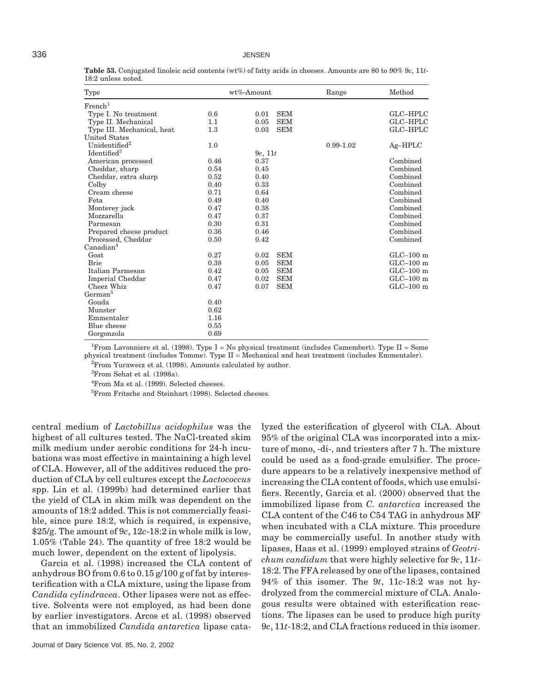| Type                       |      | wt%-Amount         | Range         | Method      |
|----------------------------|------|--------------------|---------------|-------------|
| French <sup>1</sup>        |      |                    |               |             |
| Type I. No treatment       | 0.6  | <b>SEM</b><br>0.01 |               | GLC-HPLC    |
| Type II. Mechanical        | 1.1  | <b>SEM</b><br>0.05 |               | GLC-HPLC    |
| Type III. Mechanical, heat | 1.3  | <b>SEM</b><br>0.03 |               | GLC-HPLC    |
| <b>United States</b>       |      |                    |               |             |
| Unidentified <sup>2</sup>  | 1.0  |                    | $0.99 - 1.02$ | $Ag-HPLC$   |
| Identified <sup>3</sup>    |      | 9c, 11t            |               |             |
| American processed         | 0.46 | 0.37               |               | Combined    |
| Cheddar, sharp             | 0.54 | 0.45               |               | Combined    |
| Cheddar, extra sharp       | 0.52 | 0.40               |               | Combined    |
| Colby                      | 0.40 | 0.33               |               | Combined    |
| Cream cheese               | 0.71 | 0.64               |               | Combined    |
| Feta                       | 0.49 | 0.40               |               | Combined    |
| Monterey jack              | 0.47 | 0.38               |               | Combined    |
| Mozzarella                 | 0.47 | 0.37               |               | Combined    |
| Parmesan                   | 0.30 | 0.31               |               | Combined    |
| Prepared cheese product    | 0.36 | 0.46               |               | Combined    |
| Processed, Cheddar         | 0.50 | 0.42               |               | Combined    |
| Canadian <sup>4</sup>      |      |                    |               |             |
| Goat                       | 0.27 | <b>SEM</b><br>0.02 |               | $GLC-100$ m |
| <b>Brie</b>                | 0.38 | <b>SEM</b><br>0.05 |               | $GLC-100$ m |
| Italian Parmesan           | 0.42 | <b>SEM</b><br>0.05 |               | $GLC-100$ m |
| Imperial Cheddar           | 0.47 | <b>SEM</b><br>0.02 |               | $GLC-100$ m |
| Cheez Whiz                 | 0.47 | <b>SEM</b><br>0.07 |               | $GLC-100$ m |
| German <sup>5</sup>        |      |                    |               |             |
| Gouda                      | 0.40 |                    |               |             |
| Munster                    | 0.62 |                    |               |             |
| Emmentaler                 | 1.16 |                    |               |             |
| Blue cheese                | 0.55 |                    |               |             |
| Gorgonzola                 | 0.69 |                    |               |             |

**Table 53.** Conjugated linoleic acid contents (wt%) of fatty acids in cheeses. Amounts are 80 to 90% 9*c*, 11*t*-18:2 unless noted.

<sup>1</sup> From Lavonniere et al. (1998). Type  $I = No$  physical treatment (includes Camembert). Type II = Some physical treatment (includes Tomme). Type II = Mechanical and heat treatment (includes Emmentaler).  ${}^{2}$ From Yurawecz et al. (1998). Amounts calculated by author.

3 From Sehat et al. (1998a).

4 From Ma et al. (1999). Selected cheeses.

5 From Fritsche and Steinhart (1998). Selected cheeses.

central medium of *Lactobillus acidophilus* was the highest of all cultures tested. The NaCl-treated skim milk medium under aerobic conditions for 24-h incubations was most effective in maintaining a high level of CLA. However, all of the additives reduced the production of CLA by cell cultures except the *Lactococcus* spp. Lin et al. (1999b) had determined earlier that the yield of CLA in skim milk was dependent on the amounts of 18:2 added. This is not commercially feasible, since pure 18:2, which is required, is expensive, \$25/g. The amount of 9*c*, 12*c*-18:2 in whole milk is low, 1.05% (Table 24). The quantity of free 18:2 would be much lower, dependent on the extent of lipolysis.

Garcia et al. (1998) increased the CLA content of anhydrous BO from 0.6 to 0.15 g/100 g of fat by interesterification with a CLA mixture, using the lipase from *Candida cylindracea*. Other lipases were not as effective. Solvents were not employed, as had been done by earlier investigators. Arcos et al. (1998) observed that an immobilized *Candida antarctica* lipase catalyzed the esterification of glycerol with CLA. About 95% of the original CLA was incorporated into a mixture of mono, -di-, and triesters after 7 h. The mixture could be used as a food-grade emulsifier. The procedure appears to be a relatively inexpensive method of increasing the CLA content of foods, which use emulsifiers. Recently, Garcia et al. (2000) observed that the immobilized lipase from *C. antarctica* increased the CLA content of the C46 to C54 TAG in anhydrous MF when incubated with a CLA mixture. This procedure may be commercially useful. In another study with lipases, Haas et al. (1999) employed strains of *Geotrichum candidum* that were highly selective for 9*c*, 11*t*-18:2. The FFA released by one of the lipases, contained 94% of this isomer. The 9*t*, 11*c*-18:2 was not hydrolyzed from the commercial mixture of CLA. Analogous results were obtained with esterification reactions. The lipases can be used to produce high purity 9*c*, 11*t*-18:2, and CLA fractions reduced in this isomer.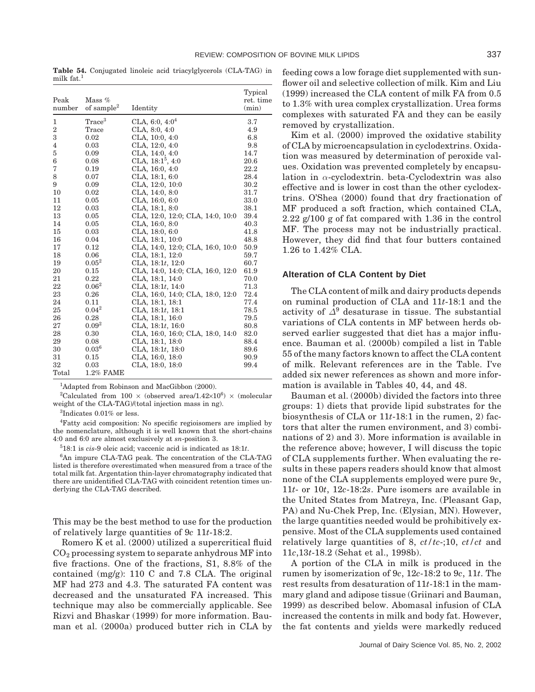**Table 54.** Conjugated linoleic acid triacylglycerols (CLA-TAG) in milk  $fat<sup>1</sup>$ 

| Peak<br>number | Mass $%$<br>of sample $^{2}$ | Identity                         | Typical<br>ret. time<br>(min) |
|----------------|------------------------------|----------------------------------|-------------------------------|
| 1              | Trace <sup>3</sup>           | CLA, 6:0, $4:0^4$                | 3.7                           |
| 2              | Trace                        | CLA, $8:0, 4:0$                  | 4.9                           |
| 3              | 0.02                         | CLA, 10:0, 4:0                   | 6.8                           |
| $\overline{4}$ | 0.03                         | CLA, 12:0, 4:0                   | 9.8                           |
| 5              | 0.09                         | CLA, 14:0, 4:0                   | 14.7                          |
| 6              | 0.08                         | CLA, $18:1^5$ , $4:0$            | 20.6                          |
| 7              | 0.19                         | CLA, 16:0, 4:0                   | 22.2                          |
| 8              | 0.07                         | CLA, 18:1, 6:0                   | 28.4                          |
| 9              | 0.09                         | CLA, 12:0, 10:0                  | 30.2                          |
| 10             | 0.02                         | CLA, 14:0, 8:0                   | 31.7                          |
| 11             | 0.05                         | CLA, 16:0, 6:0                   | 33.0                          |
| 12             | 0.03                         | CLA, 18:1, 8:0                   | 38.1                          |
| 13             | 0.05                         | CLA, 12:0, 12:0; CLA, 14:0, 10:0 | 39.4                          |
| 14             | 0.05                         | CLA, 16:0, 8:0                   | 40.3                          |
| 15             | 0.03                         | CLA, 18:0, 6:0                   | 41.8                          |
| 16             | 0.04                         | CLA, 18:1, 10:0                  | 48.8                          |
| 17             | 0.12                         | CLA, 14:0, 12:0; CLA, 16:0, 10:0 | 50.9                          |
| 18             | 0.06                         | CLA, 18:1, 12:0                  | 59.7                          |
| 19             | $0.05^2$                     | CLA, $18:1t$ , $12:0$            | 60.7                          |
| 20             | 0.15                         | CLA, 14:0, 14:0; CLA, 16:0, 12:0 | 61.9                          |
| 21             | 0.22                         | CLA, 18:1, 14:0                  | 70.0                          |
| 22             | $0.06^2$                     | CLA, $18:1t$ , $14:0$            | 71.3                          |
| 23             | 0.26                         | CLA, 16:0, 14:0; CLA, 18:0, 12:0 | 72.4                          |
| 24             | 0.11                         | CLA, 18:1, 18:1                  | 77.4                          |
| 25             | $0.04^2$                     | CLA, $18:1t$ , $18:1$            | 78.5                          |
| 26             | 0.28                         | CLA, 18:1, 16:0                  | 79.5                          |
| 27             | $0.09^2$                     | CLA, $18:1t$ , $16:0$            | 80.8                          |
| 28             | 0.30                         | CLA, 16:0, 16:0; CLA, 18:0, 14:0 | 82.0                          |
| 29             | 0.08                         | CLA, 18:1, 18:0                  | 88.4                          |
| 30             | $0.03^{6}$                   | CLA, $18:1t$ , $18:0$            | 89.6                          |
| 31             | 0.15                         | CLA, 16:0, 18:0                  | 90.9                          |
| 32             | 0.03                         | CLA, 18:0, 18:0                  | 99.4                          |
| Total          | $1.2\%$ FAME                 |                                  |                               |

<sup>1</sup>Adapted from Robinson and MacGibbon (2000).

<sup>2</sup>Calculated from 100  $\times$  (observed area/1.42 $\times$ 10<sup>6</sup>)  $\times$  (molecular weight of the CLA-TAG)/(total injection mass in ng).

3 Indicates 0.01% or less.

4 Fatty acid composition: No specific regioisomers are implied by the nomenclature, although it is well known that the short-chains 4:0 and 6:0 are almost exclusively at *sn*-position 3.

5 18:1 is *cis*-9 oleic acid; vaccenic acid is indicated as 18:1*t*.

6 An impure CLA-TAG peak. The concentration of the CLA-TAG listed is therefore overestimated when measured from a trace of the total milk fat. Argentation thin-layer chromatography indicated that there are unidentified CLA-TAG with coincident retention times underlying the CLA-TAG described.

This may be the best method to use for the production of relatively large quantities of 9*c* 11*t*-18:2.

Romero K et al. (2000) utilized a supercritical fluid  $CO<sub>2</sub>$  processing system to separate anhydrous MF into five fractions. One of the fractions, S1, 8.8% of the contained  $(mg/g)$ : 110 C and 7.8 CLA. The original MF had 273 and 4.3. The saturated FA content was decreased and the unsaturated FA increased. This technique may also be commercially applicable. See Rizvi and Bhaskar (1999) for more information. Bauman et al. (2000a) produced butter rich in CLA by feeding cows a low forage diet supplemented with sunflower oil and selective collection of milk. Kim and Liu (1999) increased the CLA content of milk FA from 0.5 to 1.3% with urea complex crystallization. Urea forms complexes with saturated FA and they can be easily removed by crystallization.

Kim et al. (2000) improved the oxidative stability of CLA by microencapsulation in cyclodextrins. Oxidation was measured by determination of peroxide values. Oxidation was prevented completely by encapsulation in *α*-cyclodextrin. beta-Cyclodextrin was also effective and is lower in cost than the other cyclodextrins. O'Shea (2000) found that dry fractionation of MF produced a soft fraction, which contained CLA, 2.22 g/100 g of fat compared with 1.36 in the control MF. The process may not be industrially practical. However, they did find that four butters contained 1.26 to 1.42% CLA.

## **Alteration of CLA Content by Diet**

The CLA content of milk and dairy products depends on ruminal production of CLA and 11*t*-18:1 and the activity of *∆*<sup>9</sup> desaturase in tissue. The substantial variations of CLA contents in MF between herds observed earlier suggested that diet has a major influence. Bauman et al. (2000b) compiled a list in Table 55 of the many factors known to affect the CLA content of milk. Relevant references are in the Table. I've added six newer references as shown and more information is available in Tables 40, 44, and 48.

Bauman et al. (2000b) divided the factors into three groups: 1) diets that provide lipid substrates for the biosynthesis of CLA or 11*t*-18:1 in the rumen, 2) factors that alter the rumen environment, and 3) combinations of 2) and 3). More information is available in the reference above; however, I will discuss the topic of CLA supplements further. When evaluating the results in these papers readers should know that almost none of the CLA supplements employed were pure 9*c*, 11*t*- or 10*t*, 12*c*-18:2*s*. Pure isomers are available in the United States from Matreya, Inc. (Pleasant Gap, PA) and Nu-Chek Prep, Inc. (Elysian, MN). However, the large quantities needed would be prohibitively expensive. Most of the CLA supplements used contained relatively large quantities of 8, *ct/tc*-;10, *ct/ct* and 11*c*,13*t*-18.2 (Sehat et al., 1998b).

A portion of the CLA in milk is produced in the rumen by isomerization of 9*c*, 12*c*-18:2 to 9*c*, 11*t*. The rest results from desaturation of 11*t*-18:1 in the mammary gland and adipose tissue (Griinari and Bauman, 1999) as described below. Abomasal infusion of CLA increased the contents in milk and body fat. However, the fat contents and yields were markedly reduced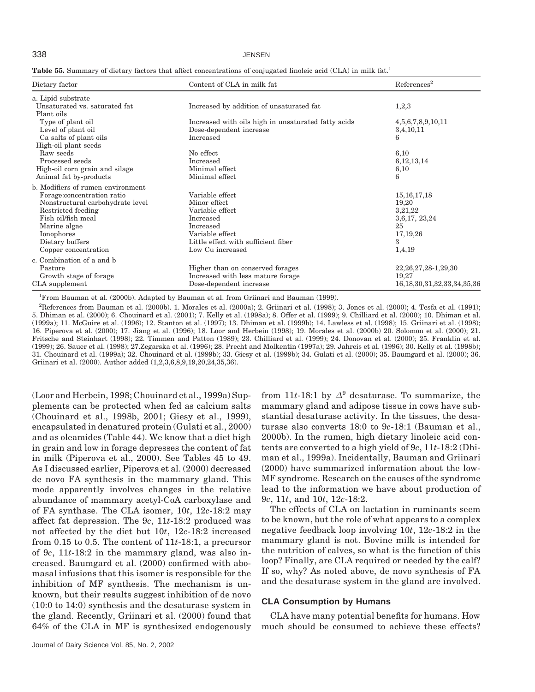#### 338 JENSEN

| Table 55. Summary of dietary factors that affect concentrations of conjugated linoleic acid (CLA) in milk fat. <sup>1</sup> |  |  |  |  |  |  |  |  |  |
|-----------------------------------------------------------------------------------------------------------------------------|--|--|--|--|--|--|--|--|--|
|-----------------------------------------------------------------------------------------------------------------------------|--|--|--|--|--|--|--|--|--|

| Dietary factor                    | Content of CLA in milk fat                          | References <sup>2</sup>            |  |
|-----------------------------------|-----------------------------------------------------|------------------------------------|--|
| a. Lipid substrate                |                                                     |                                    |  |
| Unsaturated vs. saturated fat     | Increased by addition of unsaturated fat            | 1,2,3                              |  |
| Plant oils                        |                                                     |                                    |  |
| Type of plant oil                 | Increased with oils high in unsaturated fatty acids | 4, 5, 6, 7, 8, 9, 10, 11           |  |
| Level of plant oil                | Dose-dependent increase                             | 3,4,10,11                          |  |
| Ca salts of plant oils            | Increased                                           | 6                                  |  |
| High-oil plant seeds              |                                                     |                                    |  |
| Raw seeds                         | No effect                                           | 6,10                               |  |
| Processed seeds                   | Increased                                           | 6, 12, 13, 14                      |  |
| High-oil corn grain and silage    | Minimal effect                                      | 6,10                               |  |
| Animal fat by-products            | Minimal effect                                      | 6                                  |  |
| b. Modifiers of rumen environment |                                                     |                                    |  |
| Forage: concentration ratio       | Variable effect                                     | 15, 16, 17, 18                     |  |
| Nonstructural carbohydrate level  | Minor effect                                        | 19,20                              |  |
| Restricted feeding                | Variable effect                                     | 3,21,22                            |  |
| Fish oil/fish meal                | Increased                                           | 3,6,17, 23,24                      |  |
| Marine algae                      | <b>Increased</b>                                    | 25                                 |  |
| Ionophores                        | Variable effect                                     | 17, 19, 26                         |  |
| Dietary buffers                   | Little effect with sufficient fiber                 | 3                                  |  |
| Copper concentration              | Low Cu increased                                    | 1,4,19                             |  |
| c. Combination of a and b         |                                                     |                                    |  |
| Pasture                           | Higher than on conserved forages                    | 22, 26, 27, 28-1, 29, 30           |  |
| Growth stage of forage            | Increased with less mature forage                   | 19,27                              |  |
| CLA supplement                    | Dose-dependent increase                             | 16, 18, 30, 31, 32, 33, 34, 35, 36 |  |

1 From Bauman et al. (2000b). Adapted by Bauman et al. from Griinari and Bauman (1999).

2 References from Bauman et al. (2000b). 1. Morales et al. (2000a); 2. Griinari et al. (1998); 3. Jones et al. (2000); 4. Tesfa et al. (1991); 5. Dhiman et al. (2000); 6. Chouinard et al. (2001); 7. Kelly et al. (1998a); 8. Offer et al. (1999); 9. Chilliard et al. (2000); 10. Dhiman et al. (1999a); 11. McGuire et al. (1996); 12. Stanton et al. (1997); 13. Dhiman et al. (1999b); 14. Lawless et al. (1998); 15. Griinari et al. (1998); 16. Piperova et al. (2000); 17. Jiang et al. (1996); 18. Loor and Herbein (1998); 19. Morales et al. (2000b) 20. Solomon et al. (2000); 21. Fritsche and Steinhart (1998); 22. Timmen and Patton (1989); 23. Chilliard et al. (1999); 24. Donovan et al. (2000); 25. Franklin et al. (1999); 26. Sauer et al. (1998); 27.Zegarska et al. (1996); 28. Precht and Molkentin (1997a); 29. Jahreis et al. (1996); 30. Kelly et al. (1998b); 31. Chouinard et al. (1999a); 32. Chouinard et al. (1999b); 33. Giesy et al. (1999b); 34. Gulati et al. (2000); 35. Baumgard et al. (2000); 36. Griinari et al. (2000). Author added (1,2,3,6,8,9,19,20,24,35,36).

(Loor and Herbein, 1998; Chouinard et al., 1999a) Supplements can be protected when fed as calcium salts (Chouinard et al., 1998b, 2001; Giesy et al., 1999), encapsulated in denatured protein (Gulati et al., 2000) and as oleamides (Table 44). We know that a diet high in grain and low in forage depresses the content of fat in milk (Piperova et al., 2000). See Tables 45 to 49. As I discussed earlier, Piperova et al. (2000) decreased de novo FA synthesis in the mammary gland. This mode apparently involves changes in the relative abundance of mammary acetyl-CoA carboxylase and of FA synthase. The CLA isomer, 10*t*, 12*c*-18:2 may affect fat depression. The 9*c*, 11*t*-18:2 produced was not affected by the diet but 10*t*, 12*c*-18:2 increased from 0.15 to 0.5. The content of 11*t*-18:1, a precursor of 9*c*, 11*t*-18:2 in the mammary gland, was also increased. Baumgard et al. (2000) confirmed with abomasal infusions that this isomer is responsible for the inhibition of MF synthesis. The mechanism is unknown, but their results suggest inhibition of de novo (10:0 to 14:0) synthesis and the desaturase system in the gland. Recently, Griinari et al. (2000) found that 64% of the CLA in MF is synthesized endogenously from 11*t*-18:1 by  $\Delta^9$  desaturase. To summarize, the mammary gland and adipose tissue in cows have substantial desaturase activity. In the tissues, the desaturase also converts 18:0 to 9*c*-18:1 (Bauman et al., 2000b). In the rumen, high dietary linoleic acid contents are converted to a high yield of 9*c*, 11*t*-18:2 (Dhiman et al., 1999a). Incidentally, Bauman and Griinari (2000) have summarized information about the low-MF syndrome. Research on the causes of the syndrome lead to the information we have about production of 9*c*, 11*t*, and 10*t*, 12*c*-18:2.

The effects of CLA on lactation in ruminants seem to be known, but the role of what appears to a complex negative feedback loop involving 10*t*, 12*c*-18:2 in the mammary gland is not. Bovine milk is intended for the nutrition of calves, so what is the function of this loop? Finally, are CLA required or needed by the calf? If so, why? As noted above, de novo synthesis of FA and the desaturase system in the gland are involved.

#### **CLA Consumption by Humans**

CLA have many potential benefits for humans. How much should be consumed to achieve these effects?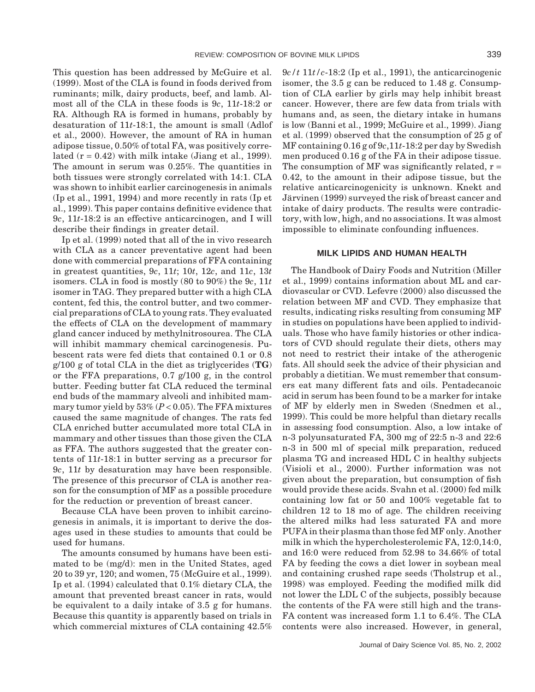This question has been addressed by McGuire et al. (1999). Most of the CLA is found in foods derived from ruminants; milk, dairy products, beef, and lamb. Almost all of the CLA in these foods is 9*c*, 11*t*-18:2 or RA. Although RA is formed in humans, probably by desaturation of 11*t*-18:1, the amount is small (Adlof et al., 2000). However, the amount of RA in human adipose tissue, 0.50% of total FA, was positively correlated  $(r = 0.42)$  with milk intake (Jiang et al., 1999). The amount in serum was 0.25%. The quantities in both tissues were strongly correlated with 14:1. CLA was shown to inhibit earlier carcinogenesis in animals (Ip et al., 1991, 1994) and more recently in rats (Ip et al., 1999). This paper contains definitive evidence that 9*c*, 11*t*-18:2 is an effective anticarcinogen, and I will describe their findings in greater detail.

Ip et al. (1999) noted that all of the in vivo research with CLA as a cancer preventative agent had been done with commercial preparations of FFA containing in greatest quantities, 9*c*, 11*t*; 10*t*, 12*c*, and 11*c*, 13*t* isomers. CLA in food is mostly (80 to 90%) the 9*c*, 11*t* isomer in TAG. They prepared butter with a high CLA content, fed this, the control butter, and two commercial preparations of CLA to young rats. They evaluated the effects of CLA on the development of mammary gland cancer induced by methylnitrosourea. The CLA will inhibit mammary chemical carcinogenesis. Pubescent rats were fed diets that contained 0.1 or 0.8 g/100 g of total CLA in the diet as triglycerides (**TG**) or the FFA preparations, 0.7 g/100 g, in the control butter. Feeding butter fat CLA reduced the terminal end buds of the mammary alveoli and inhibited mammary tumor yield by 53% (*P* < 0.05). The FFA mixtures caused the same magnitude of changes. The rats fed CLA enriched butter accumulated more total CLA in mammary and other tissues than those given the CLA as FFA. The authors suggested that the greater contents of 11*t*-18:1 in butter serving as a precursor for 9*c*, 11*t* by desaturation may have been responsible. The presence of this precursor of CLA is another reason for the consumption of MF as a possible procedure for the reduction or prevention of breast cancer.

Because CLA have been proven to inhibit carcinogenesis in animals, it is important to derive the dosages used in these studies to amounts that could be used for humans.

The amounts consumed by humans have been estimated to be (mg/d): men in the United States, aged 20 to 39 yr, 120; and women, 75 (McGuire et al., 1999). Ip et al. (1994) calculated that 0.1% dietary CLA, the amount that prevented breast cancer in rats, would be equivalent to a daily intake of 3.5 g for humans. Because this quantity is apparently based on trials in which commercial mixtures of CLA containing 42.5%

9*c/t* 11*t/c*-18:2 (Ip et al., 1991), the anticarcinogenic isomer, the 3.5 g can be reduced to 1.48 g. Consumption of CLA earlier by girls may help inhibit breast cancer. However, there are few data from trials with humans and, as seen, the dietary intake in humans is low (Banni et al., 1999; McGuire et al., 1999). Jiang et al. (1999) observed that the consumption of 25 g of MF containing 0.16 g of 9*c*,11*t*-18:2 per day by Swedish men produced 0.16 g of the FA in their adipose tissue. The consumption of MF was significantly related,  $r =$ 0.42, to the amount in their adipose tissue, but the relative anticarcinogenicity is unknown. Knekt and Järvinen (1999) surveyed the risk of breast cancer and intake of dairy products. The results were contradictory, with low, high, and no associations. It was almost impossible to eliminate confounding influences.

#### **MILK LIPIDS AND HUMAN HEALTH**

The Handbook of Dairy Foods and Nutrition (Miller et al., 1999) contains information about ML and cardiovascular or CVD. Lefevre (2000) also discussed the relation between MF and CVD. They emphasize that results, indicating risks resulting from consuming MF in studies on populations have been applied to individuals. Those who have family histories or other indicators of CVD should regulate their diets, others may not need to restrict their intake of the atherogenic fats. All should seek the advice of their physician and probably a dietitian. We must remember that consumers eat many different fats and oils. Pentadecanoic acid in serum has been found to be a marker for intake of MF by elderly men in Sweden (Snedmen et al., 1999). This could be more helpful than dietary recalls in assessing food consumption. Also, a low intake of n-3 polyunsaturated FA, 300 mg of 22:5 n-3 and 22:6 n-3 in 500 ml of special milk preparation, reduced plasma TG and increased HDL C in healthy subjects (Visioli et al., 2000). Further information was not given about the preparation, but consumption of fish would provide these acids. Svahn et al. (2000) fed milk containing low fat or 50 and 100% vegetable fat to children 12 to 18 mo of age. The children receiving the altered milks had less saturated FA and more PUFA in their plasma than those fed MF only. Another milk in which the hypercholesterolemic FA, 12:0,14:0, and 16:0 were reduced from 52.98 to 34.66% of total FA by feeding the cows a diet lower in soybean meal and containing crushed rape seeds (Tholstrup et al., 1998) was employed. Feeding the modified milk did not lower the LDL C of the subjects, possibly because the contents of the FA were still high and the trans-FA content was increased form 1.1 to 6.4%. The CLA contents were also increased. However, in general,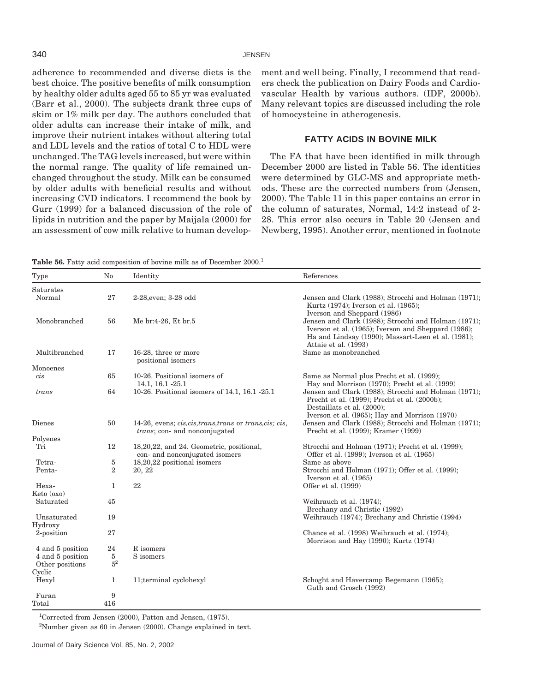adherence to recommended and diverse diets is the best choice. The positive benefits of milk consumption by healthy older adults aged 55 to 85 yr was evaluated (Barr et al., 2000). The subjects drank three cups of skim or 1% milk per day. The authors concluded that older adults can increase their intake of milk, and improve their nutrient intakes without altering total and LDL levels and the ratios of total C to HDL were unchanged. The TAG levels increased, but were within the normal range. The quality of life remained unchanged throughout the study. Milk can be consumed by older adults with beneficial results and without increasing CVD indicators. I recommend the book by Gurr (1999) for a balanced discussion of the role of lipids in nutrition and the paper by Maijala (2000) for an assessment of cow milk relative to human development and well being. Finally, I recommend that readers check the publication on Dairy Foods and Cardiovascular Health by various authors. (IDF, 2000b). Many relevant topics are discussed including the role of homocysteine in atherogenesis.

## **FATTY ACIDS IN BOVINE MILK**

The FA that have been identified in milk through December 2000 are listed in Table 56. The identities were determined by GLC-MS and appropriate methods. These are the corrected numbers from (Jensen, 2000). The Table 11 in this paper contains an error in the column of saturates, Normal, 14:2 instead of 2- 28. This error also occurs in Table 20 (Jensen and Newberg, 1995). Another error, mentioned in footnote

Table 56. Fatty acid composition of bovine milk as of December 2000.<sup>1</sup>

| Type                                                    | $\rm No$                               | Identity                                                                                                         | References                                                                                                                                                                                |
|---------------------------------------------------------|----------------------------------------|------------------------------------------------------------------------------------------------------------------|-------------------------------------------------------------------------------------------------------------------------------------------------------------------------------------------|
| Saturates                                               |                                        |                                                                                                                  |                                                                                                                                                                                           |
| Normal                                                  | 27                                     | 2-28, even; 3-28 odd                                                                                             | Jensen and Clark (1988); Strocchi and Holman (1971);<br>Kurtz (1974); Iverson et al. (1965);<br>Iverson and Sheppard (1986)                                                               |
| Monobranched                                            | 56                                     | Me br:4-26, Et br.5                                                                                              | Jensen and Clark (1988); Strocchi and Holman (1971);<br>Iverson et al. (1965); Iverson and Sheppard (1986);<br>Ha and Lindsay (1990); Massart-Leen et al. (1981);<br>Attaie et al. (1993) |
| Multibranched                                           | 17                                     | 16-28, three or more<br>positional isomers                                                                       | Same as monobranched                                                                                                                                                                      |
| Monoenes                                                |                                        |                                                                                                                  |                                                                                                                                                                                           |
| $\dot{cis}$                                             | 65                                     | 10-26. Positional isomers of<br>14.1, 16.1 - 25.1                                                                | Same as Normal plus Precht et al. (1999);<br>Hay and Morrison (1970); Precht et al. (1999)                                                                                                |
| trans                                                   | 64                                     | 10-26. Positional isomers of 14.1, 16.1 -25.1                                                                    | Jensen and Clark (1988); Strocchi and Holman (1971);<br>Precht et al. (1999); Precht et al. (2000b);<br>Destaillats et al. (2000);<br>Iverson et al. (1965); Hay and Morrison (1970)      |
| Dienes                                                  | 50                                     | 14-26, evens; <i>cis, cis, trans, trans</i> or <i>trans, cis</i> ; <i>cis</i> ,<br>trans; con- and nonconjugated | Jensen and Clark (1988); Strocchi and Holman (1971);<br>Precht et al. (1999); Kramer (1999)                                                                                               |
| Polyenes<br>Tri                                         | 12                                     | 18,20,22, and 24. Geometric, positional,<br>con- and nonconjugated isomers                                       | Strocchi and Holman (1971); Precht et al. (1999);<br>Offer et al. (1999); Iverson et al. (1965)                                                                                           |
| Tetra-                                                  | $\sqrt{5}$                             | 18,20,22 positional isomers                                                                                      | Same as above                                                                                                                                                                             |
| Penta-                                                  | $\boldsymbol{2}$                       | 20, 22                                                                                                           | Strocchi and Holman (1971); Offer et al. (1999);<br>Iverson et al. (1965)                                                                                                                 |
| Hexa-<br>Keto (oxo)                                     | 1                                      | 22                                                                                                               | Offer et al. (1999)                                                                                                                                                                       |
| Saturated                                               | 45                                     |                                                                                                                  | Weihrauch et al. (1974);<br>Brechany and Christie (1992)                                                                                                                                  |
| Unsaturated<br>Hydroxy                                  | 19                                     |                                                                                                                  | Weihrauch (1974); Brechany and Christie (1994)                                                                                                                                            |
| 2-position                                              | 27                                     |                                                                                                                  | Chance et al. (1998) Weihrauch et al. (1974);<br>Morrison and Hay (1990); Kurtz (1974)                                                                                                    |
| 4 and 5 position<br>4 and 5 position<br>Other positions | 24<br>$\overline{5}$<br>5 <sup>2</sup> | R isomers<br>S isomers                                                                                           |                                                                                                                                                                                           |
| Cyclic<br>Hexyl                                         | 1                                      | 11;terminal cyclohexyl                                                                                           | Schoght and Havercamp Begemann (1965);<br>Guth and Grosch (1992)                                                                                                                          |
| Furan<br>Total                                          | 9<br>416                               |                                                                                                                  |                                                                                                                                                                                           |

1 Corrected from Jensen (2000), Patton and Jensen, (1975).

 $2^2$ Number given as 60 in Jensen (2000). Change explained in text.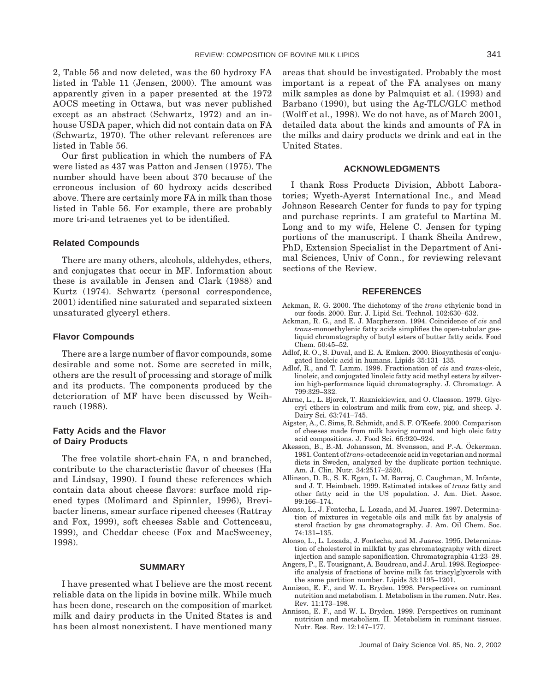2, Table 56 and now deleted, was the 60 hydroxy FA listed in Table 11 (Jensen, 2000). The amount was apparently given in a paper presented at the 1972 AOCS meeting in Ottawa, but was never published except as an abstract (Schwartz, 1972) and an inhouse USDA paper, which did not contain data on FA (Schwartz, 1970). The other relevant references are listed in Table 56.

Our first publication in which the numbers of FA were listed as 437 was Patton and Jensen (1975). The number should have been about 370 because of the erroneous inclusion of 60 hydroxy acids described above. There are certainly more FA in milk than those listed in Table 56. For example, there are probably more tri-and tetraenes yet to be identified.

#### **Related Compounds**

There are many others, alcohols, aldehydes, ethers, and conjugates that occur in MF. Information about these is available in Jensen and Clark (1988) and Kurtz (1974). Schwartz (personal correspondence, 2001) identified nine saturated and separated sixteen unsaturated glyceryl ethers.

#### **Flavor Compounds**

There are a large number of flavor compounds, some desirable and some not. Some are secreted in milk, others are the result of processing and storage of milk and its products. The components produced by the deterioration of MF have been discussed by Weihrauch (1988).

## **Fatty Acids and the Flavor of Dairy Products**

The free volatile short-chain FA, n and branched, contribute to the characteristic flavor of cheeses (Ha and Lindsay, 1990). I found these references which contain data about cheese flavors: surface mold ripened types (Molimard and Spinnler, 1996), Brevibacter linens, smear surface ripened cheeses (Rattray and Fox, 1999), soft cheeses Sable and Cottenceau, 1999), and Cheddar cheese (Fox and MacSweeney, 1998).

#### **SUMMARY**

I have presented what I believe are the most recent reliable data on the lipids in bovine milk. While much has been done, research on the composition of market milk and dairy products in the United States is and has been almost nonexistent. I have mentioned many areas that should be investigated. Probably the most important is a repeat of the FA analyses on many milk samples as done by Palmquist et al. (1993) and Barbano (1990), but using the Ag-TLC/GLC method (Wolff et al., 1998). We do not have, as of March 2001, detailed data about the kinds and amounts of FA in the milks and dairy products we drink and eat in the United States.

#### **ACKNOWLEDGMENTS**

I thank Ross Products Division, Abbott Laboratories; Wyeth-Ayerst International Inc., and Mead Johnson Research Center for funds to pay for typing and purchase reprints. I am grateful to Martina M. Long and to my wife, Helene C. Jensen for typing portions of the manuscript. I thank Sheila Andrew, PhD, Extension Specialist in the Department of Animal Sciences, Univ of Conn., for reviewing relevant sections of the Review.

#### **REFERENCES**

- Ackman, R. G. 2000. The dichotomy of the *trans* ethylenic bond in our foods. 2000. Eur. J. Lipid Sci. Technol. 102:630–632.
- Ackman, R. G., and E. J. Macpherson. 1994. Coincidence of *cis* and *trans*-monoethylenic fatty acids simplifies the open-tubular gasliquid chromatography of butyl esters of butter fatty acids. Food Chem. 50:45–52.
- Adlof, R. O., S. Duval, and E. A. Emken. 2000. Biosynthesis of conjugated linoleic acid in humans. Lipids 35:131–135.
- Adlof, R., and T. Lamm. 1998. Fractionation of *cis* and *trans*-oleic, linoleic, and conjugated linoleic fatty acid methyl esters by silverion high-performance liquid chromatography. J. Chromatogr. A 799:329–332.
- Ahrne, L., L. Bjorck, T. Razniekiewicz, and O. Claesson. 1979. Glyceryl ethers in colostrum and milk from cow, pig, and sheep. J. Dairy Sci. 63:741–745.
- Aigster, A., C. Sims, R. Schmidt, and S. F. O'Keefe. 2000. Comparison of cheeses made from milk having normal and high oleic fatty acid compositions. J. Food Sci. 65:920–924.
- Akesson, B., B.-M. Johansson, M. Svensson, and P.-A. Öckerman. 1981. Content of*trans*-octadecenoic acid in vegetarian and normal diets in Sweden, analyzed by the duplicate portion technique. Am. J. Clin. Nutr. 34:2517–2520.
- Allinson, D. B., S. K. Egan, L. M. Barraj, C. Caughman, M. Infante, and J. T. Heimbach. 1999. Estimated intakes of *trans* fatty and other fatty acid in the US population. J. Am. Diet. Assoc. 99:166–174.
- Alonso, L., J. Fontecha, L. Lozada, and M. Juarez. 1997. Determination of mixtures in vegetable oils and milk fat by analysis of sterol fraction by gas chromatography. J. Am. Oil Chem. Soc. 74:131–135.
- Alonso, L., L. Lozada, J. Fontecha, and M. Juarez. 1995. Determination of cholesterol in milkfat by gas chromatography with direct injection and sample saponification. Chromatographia 41:23–28.
- Angers, P., E. Tousignant, A. Boudreau, and J. Arul. 1998. Regiospecific analysis of fractions of bovine milk fat triacylglycerols with the same partition number. Lipids 33:1195–1201.
- Annison, E. F., and W. L. Bryden. 1998. Perspectives on ruminant nutrition and metabolism. I. Metabolism in the rumen. Nutr. Res. Rev. 11:173–198.
- Annison, E. F., and W. L. Bryden. 1999. Perspectives on ruminant nutrition and metabolism. II. Metabolism in ruminant tissues. Nutr. Res. Rev. 12:147–177.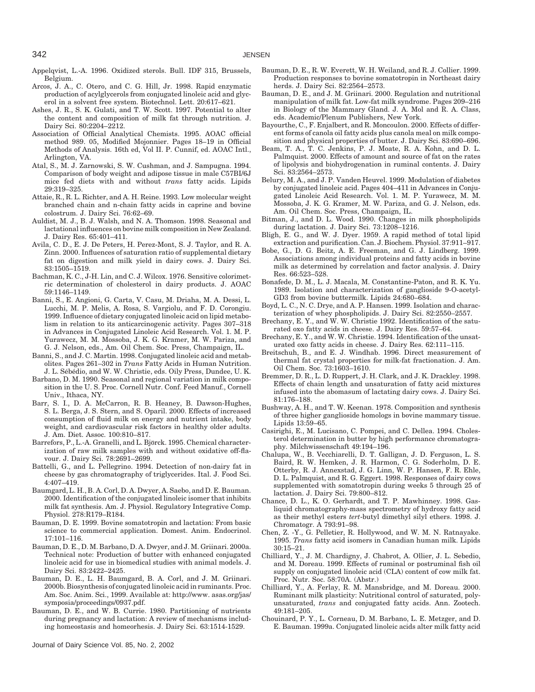342 JENSEN

Appelqvist, L.-A. 1996. Oxidized sterols. Bull. IDF 315, Brussels, Belgium.

- Arcos, J. A., C. Otero, and C. G. Hill, Jr. 1998. Rapid enzymatic production of acylglycerols from conjugated linoleic acid and glycerol in a solvent free system. Biotechnol. Lett. 20:617–621.
- Ashes, J. R., S. K. Gulati, and T. W. Scott. 1997. Potential to alter the content and composition of milk fat through nutrition. J. Dairy Sci. 80:2204–2212.
- Association of Official Analytical Chemists. 1995. AOAC official method 989. 05, Modified Mojonnier. Pages 18–19 in Official Methods of Analysis. 16th ed, Vol II. P. Cunnif, ed. AOAC Intl., Arlington, VA.
- Atal, S., M. J. Zarnowski, S. W. Cushman, and J. Sampugna. 1994. Comparison of body weight and adipose tissue in male C57BI/6J mice fed diets with and without *trans* fatty acids. Lipids 29:319–325.
- Attaie, R., R. L. Richter, and A. H. Reine. 1993. Low molecular weight branched chain and n-chain fatty acids in caprine and bovine colostrum. J. Dairy Sci. 76:62–69.
- Auldist, M. J., B. J. Walsh, and N. A. Thomson. 1998. Seasonal and lactational influences on bovine milk composition in New Zealand. J. Dairy Res. 65:401–411.
- Avila, C. D., E. J. De Peters, H. Perez-Mont, S. J. Taylor, and R. A. Zinn. 2000. Influences of saturation ratio of supplemental dietary fat on digestion and milk yield in dairy cows. J. Dairy Sci. 83:1505–1519.
- Bachman, K. C., J-H. Lin, and C. J. Wilcox. 1976. Sensitive colorimetric determination of cholesterol in dairy products. J. AOAC 59:1146–1149.
- Banni, S., E. Angioni, G. Carta, V. Casu, M. Driaha, M. A. Dessi, L. Lucchi, M. P. Melis, A. Rosa, S. Vargiolu, and F. D. Corongiu. 1999. Influence of dietary conjugated linoleic acid on lipid metabolism in relation to its anticarcinogenic activity. Pages 307–318 in Advances in Conjugated Linoleic Acid Research. Vol. 1. M. P. Yurawecz, M. M. Mossoba, J. K. G. Kramer, M. W. Pariza, and G. J. Nelson, eds., Am. Oil Chem. Soc. Press, Champaign, IL.
- Banni, S., and J. C. Martin. 1998. Conjugated linoleic acid and metabolites. Pages 261–302 in *Trans* Fatty Acids in Human Nutrition. J. L. Sébédio, and W. W. Christie, eds. Oily Press, Dundee, U. K.
- Barbano, D. M. 1990. Seasonal and regional variation in milk composition in the U. S. Proc. Cornell Nutr. Conf. Feed Manuf., Cornell Univ., Ithaca, NY.
- Barr, S. I., D. A. McCarron, R. B. Heaney, B. Dawson-Hughes, S. L. Berga, J. S. Stern, and S. Oparil. 2000. Effects of increased consumption of fluid milk on energy and nutrient intake, body weight, and cardiovascular risk factors in healthy older adults. J. Am. Diet. Assoc. 100:810–817.
- Barrefors, P., L.-A. Granelli, and L. Björck. 1995. Chemical characterization of raw milk samples with and without oxidative off-flavour. J. Dairy Sci. 78:2691–2699.
- Battelli, G., and L. Pellegrino. 1994. Detection of non-dairy fat in cheese by gas chromatography of triglycerides. Ital. J. Food Sci. 4:407–419.
- Baumgard, L. H., B. A. Corl, D. A. Dwyer, A. Saebo, and D. E. Bauman. 2000. Identification of the conjugated linoleic isomer that inhibits milk fat synthesis. Am. J. Physiol. Regulatory Integrative Comp. Physiol. 278:R179–R184.
- Bauman, D. E. 1999. Bovine somatotropin and lactation: From basic science to commercial application. Domest. Anim. Endocrinol. 17:101–116.
- Bauman, D. E., D. M. Barbano, D. A. Dwyer, and J. M. Griinari. 2000a. Technical note: Production of butter with enhanced conjugated linoleic acid for use in biomedical studies with animal models. J. Dairy Sci. 83:2422–2425.
- Bauman, D. E., L. H. Baumgard, B. A. Corl, and J. M. Griinari. 2000b. Biosynthesis of conjugated linoleic acid in ruminants. Proc. Am. Soc. Anim. Sci., 1999. Available at: http://www. asas.org/jas/ symposia/proceedings/0937.pdf.
- Bauman, D. E., and W. B. Currie. 1980. Partitioning of nutrients during pregnancy and lactation: A review of mechanisms including homeostasis and homeorhesis. J. Dairy Sci. 63:1514-1529.

Journal of Dairy Science Vol. 85, No. 2, 2002

- Bauman, D. E., R. W. Everett, W. H. Weiland, and R. J. Collier. 1999. Production responses to bovine somatotropin in Northeast dairy herds. J. Dairy Sci. 82:2564–2573.
- Bauman, D. E., and J. M. Griinari. 2000. Regulation and nutritional manipulation of milk fat. Low-fat milk syndrome. Pages 209–216 in Biology of the Mammary Gland. J. A. Mol and R. A. Class, eds. Academic/Plenum Publishers, New York.
- Bayourthe, C., F. Enjalbert, and R. Moncoulon. 2000. Effects of different forms of canola oil fatty acids plus canola meal on milk composition and physical properties of butter. J. Dairy Sci. 83:690–696.
- Beam, T. A., T. C. Jenkins, P. J. Moate, R. A. Kohn, and D. L. Palmquist. 2000. Effects of amount and source of fat on the rates of lipolysis and biohydrogenation in ruminal contents. J. Dairy Sci. 83:2564–2573.
- Belury, M. A., and J. P. Vanden Heuvel. 1999. Modulation of diabetes by conjugated linoleic acid. Pages 404–411 in Advances in Conjugated Linoleic Acid Research. Vol. 1. M. P. Yurawecz, M. M. Mossoba, J. K. G. Kramer, M. W. Pariza, and G. J. Nelson, eds. Am. Oil Chem. Soc. Press, Champaign, IL.
- Bitman, J., and D. L. Wood. 1990. Changes in milk phospholipids during lactation. J. Dairy Sci. 73:1208–1216.
- Bligh, E. G., and W. J. Dyer. 1959. A rapid method of total lipid extraction and purification. Can. J. Biochem. Physiol. 37:911–917.
- Bobe, G., D. G. Beitz, A. E. Freeman, and G. J. Lindberg. 1999. Associations among individual proteins and fatty acids in bovine milk as determined by correlation and factor analysis. J. Dairy Res. 66:523–528.
- Bonafede, D. M., L. J. Macala, M. Constantine-Paton, and R. K. Yu. 1989. Isolation and characterization of ganglioside 9-O-acetyl-GD3 from bovine buttermilk. Lipids 24:680–684.
- Boyd, L. C., N. C. Drye, and A. P. Hansen. 1999. Isolation and characterization of whey phospholipids. J. Dairy Sci. 82:2550–2557.
- Brechany, E. Y., and W. W. Christie 1992. Identification of the saturated oxo fatty acids in cheese. J. Dairy Res. 59:57–64.
- Brechany, E. Y., and W. W. Christie. 1994. Identification of the unsaturated oxo fatty acids in cheese. J. Dairy Res. 62:111–115.
- Breitschuh, B., and E. J. Windhab. 1996. Direct measurement of thermal fat crystal properties for milk-fat fractionation. J. Am. Oil Chem. Soc. 73:1603–1610.
- Bremmer, D. R., L. D. Ruppert, J. H. Clark, and J. K. Drackley. 1998. Effects of chain length and unsaturation of fatty acid mixtures infused into the abomasum of lactating dairy cows. J. Dairy Sci. 81:176–188.
- Bushway, A. H., and T. W. Keenan. 1978. Composition and synthesis of three higher ganglioside homologs in bovine mammary tissue. Lipids 13:59–65.
- Casirighi, E., M. Lucisano, C. Pompei, and C. Dellea. 1994. Cholesterol determination in butter by high performance chromatography. Milchwissenschaft 49:194–196.
- Chalupa, W., B. Vecchiarelli, D. T. Galligan, J. D. Ferguson, L. S. Baird, R. W. Hemken, J. R. Harmon, C. G. Soderholm, D. E. Otterby, R. J. Annexstad, J. G. Linn, W. P. Hansen, F. R. Ehle, D. L. Palmquist, and R. G. Eggert. 1998. Responses of dairy cows supplemented with somatotropin during weeks 5 through 25 of lactation. J. Dairy Sci. 79:800–812.
- Chance, D. L., K. O. Gerhardt, and T. P. Mawhinney. 1998. Gasliquid chromatography-mass spectrometry of hydroxy fatty acid as their methyl esters *tert*-butyl dimethyl silyl ethers. 1998. J. Chromatogr. A 793:91–98.
- Chen, Z. -Y., G. Pelletier, R. Hollywood, and W. M. N. Ratnayake. 1995. *Trans* fatty acid isomers in Canadian human milk. Lipids 30:15–21.
- Chilliard, Y., J. M. Chardigny, J. Chabrot, A. Ollier, J. L. Sebedio, and M. Doreau. 1999. Effects of ruminal or postruminal fish oil supply on conjugated linoleic acid (CLA) content of cow milk fat. Proc. Nutr. Soc. 58:70A. (Abstr.)
- Chilliard, Y., A. Ferlay, R. M. Mansbridge, and M. Doreau. 2000. Ruminant milk plasticity: Nutritional control of saturated, polyunsaturated, *trans* and conjugated fatty acids. Ann. Zootech. 49:181–205.
- Chouinard, P. Y., L. Corneau, D. M. Barbano, L. E. Metzger, and D. E. Bauman. 1999a. Conjugated linoleic acids alter milk fatty acid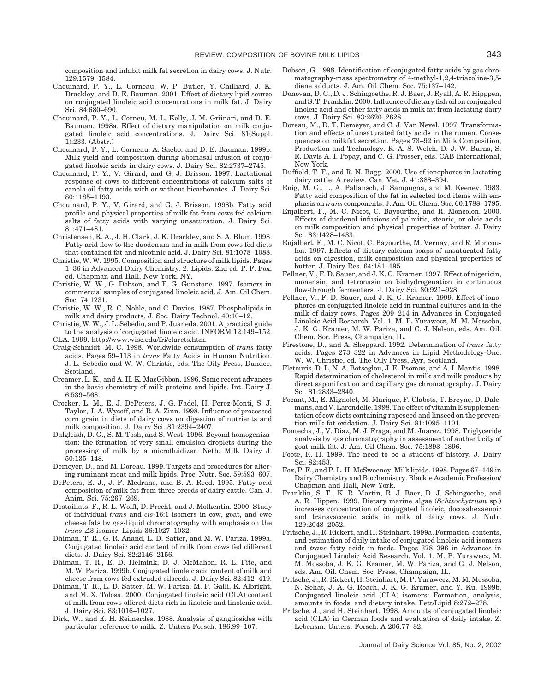composition and inhibit milk fat secretion in dairy cows. J. Nutr. 129:1579–1584.

- Chouinard, P. Y., L. Corneau, W. P. Butler, Y. Chilliard, J. K. Drackley, and D. E. Bauman. 2001. Effect of dietary lipid source on conjugated linoleic acid concentrations in milk fat. J. Dairy Sci. 84:680–690.
- Chouinard, P. Y., L. Corneu, M. L. Kelly, J. M. Griinari, and D. E. Bauman. 1998a. Effect of dietary manipulation on milk conjugated linoleic acid concentrations. J. Dairy Sci. 81(Suppl. 1):233. (Abstr.)
- Chouinard, P. Y., L. Corneau, A. Saebo, and D. E. Bauman. 1999b. Milk yield and composition during abomasal infusion of conjugated linoleic acids in dairy cows. J. Dairy Sci. 82:2737–2745.
- Chouinard, P. Y., V. Girard, and G. J. Brisson. 1997. Lactational response of cows to different concentrations of calcium salts of canola oil fatty acids with or without bicarbonates. J. Dairy Sci. 80:1185–1193.
- Chouinard, P. Y., V. Girard, and G. J. Brisson. 1998b. Fatty acid profile and physical properties of milk fat from cows fed calcium salts of fatty acids with varying unsaturation. J. Dairy Sci. 81:471–481.
- Christensen, R. A., J. H. Clark, J. K. Drackley, and S. A. Blum. 1998. Fatty acid flow to the duodenum and in milk from cows fed diets that contained fat and nicotinic acid. J. Dairy Sci. 81:1078–1088.
- Christie, W. W. 1995. Composition and structure of milk lipids. Pages 1–36 in Advanced Dairy Chemistry. 2: Lipids. 2nd ed. P. F. Fox, ed. Chapman and Hall, New York, NY.
- Christie, W. W., G. Dobson, and F. G. Gunstone. 1997. Isomers in commercial samples of conjugated linoleic acid. J. Am. Oil Chem. Soc. 74:1231.
- Christie, W. W., R. C. Noble, and C. Davies. 1987. Phospholipids in milk and dairy products. J. Soc. Dairy Technol. 40:10–12.
- Christie, W. W., J. L. Sébédio, and P. Juaneda. 2001. A practical guide to the analysis of conjugated linoleic acid. INFORM 12:149–152. CLA. 1999. http://www.wisc.edu/fri/clarets.htm.
- Craig-Schmidt, M. C. 1998. Worldwide consumption of *trans* fatty acids. Pages 59–113 in *trans* Fatty Acids in Human Nutrition. J. L. Sebedio and W. W. Christie, eds. The Oily Press, Dundee, Scotland.
- Creamer, L. K., and A. H. K. MacGibbon. 1996. Some recent advances in the basic chemistry of milk proteins and lipids. Int. Dairy J. 6:539–568.
- Crocker, L. M., E. J. DePeters, J. G. Fadel, H. Perez-Monti, S. J. Taylor, J. A. Wycoff, and R. A. Zinn. 1998. Influence of processed corn grain in diets of dairy cows on digestion of nutrients and milk composition. J. Dairy Sci. 81:2394–2407.
- Dalgleish, D. G., S. M. Tosh, and S. West. 1996. Beyond homogenization: the formation of very small emulsion droplets during the processing of milk by a microfluidizer. Neth. Milk Dairy J. 50:135–148.
- Demeyer, D., and M. Doreau. 1999. Targets and procedures for altering ruminant meat and milk lipids. Proc. Nutr. Soc. 59:593–607.
- DePeters, E. J., J. F. Medrano, and B. A. Reed. 1995. Fatty acid composition of milk fat from three breeds of dairy cattle. Can. J. Anim. Sci. 75:267–269.
- Destaillats, F., R. L. Wolff, D. Precht, and J. Molkentin. 2000. Study of individual *trans* and *cis*-16:1 isomers in cow, goat, and ewe cheese fats by gas-liquid chromatography with emphasis on the *trans*-*∆*3 isomer. Lipids 36:1027–1032.
- Dhiman, T. R., G. R. Anand, L. D. Satter, and M. W. Pariza. 1999a. Conjugated linoleic acid content of milk from cows fed different diets. J. Dairy Sci. 82:2146–2156.
- Dhiman, T. R., E. D. Helmink, D. J. McMahon, R. L. Fite, and M. W. Pariza. 1999b. Conjugated linoleic acid content of milk and cheese from cows fed extruded oilseeds. J. Dairy Sci. 82:412–419.
- Dhiman, T. R., L. D. Satter, M. W. Pariza, M. P. Galli, K. Albright, and M. X. Tolosa. 2000. Conjugated linoleic acid (CLA) content of milk from cows offered diets rich in linoleic and linolenic acid. J. Dairy Sci. 83:1016–1027.
- Dirk, W., and E. H. Reimerdes. 1988. Analysis of gangliosides with particular reference to milk. Z. Unters Forsch. 186:99–107.
- Dobson, G. 1998. Identification of conjugated fatty acids by gas chromatography-mass spectrometry of 4-methyl-1,2,4-triazoline-3,5 diene adducts. J. Am. Oil Chem. Soc. 75:137–142.
- Donovan, D. C., D. J. Schingoethe, R. J. Baer, J. Ryall, A. R. Hipppen, and S. T. Franklin. 2000. Influence of dietary fish oil on conjugated linoleic acid and other fatty acids in milk fat from lactating dairy cows. J. Dairy Sci. 83:2620–2628.
- Doreau, M., D. T. Demeyer, and C. J. Van Nevel. 1997. Transformation and effects of unsaturated fatty acids in the rumen. Consequences on milkfat secretion. Pages 73–92 in Milk Composition, Production and Technology. R. A. S. Welch, D. J. W. Burns, S. R. Davis A. I. Popay, and C. G. Prosser, eds. CAB International, New York.
- Duffield, T. F., and R. N. Bagg. 2000. Use of ionophores in lactating dairy cattle: A review. Can. Vet. J. 41:388–394.
- Enig, M. G., L. A. Pallansch, J. Sampugna, and M. Keeney. 1983. Fatty acid composition of the fat in selected food items with emphasis on *trans* components. J. Am. Oil Chem. Soc. 60:1788–1795.
- Enjalbert, F., M. C. Nicot, C. Bayourthe, and R. Moncolon. 2000. Effects of duodenal infusions of palmitic, stearic, or oleic acids on milk composition and physical properties of butter. J. Dairy Sci. 83:1428–1433.
- Enjalbert, F., M. C. Nicot, C. Bayourthe, M. Vernay, and R. Moncoulon. 1997. Effects of dietary calcium soaps of unsaturated fatty acids on digestion, milk composition and physical properties of butter. J. Dairy Res. 64:181–195.
- Fellner, V., F. D. Sauer, and J. K. G. Kramer. 1997. Effect of nigericin, monensin, and tetronasin on biohydrogenation in continuous flow-through fermenters. J. Dairy Sci. 80:921–928.
- Fellner, V., F. D. Sauer, and J. K. G. Kramer. 1999. Effect of ionophores on conjugated linoleic acid in ruminal cultures and in the milk of dairy cows. Pages 209–214 in Advances in Conjugated Linoleic Acid Research. Vol. 1. M. P. Yurawecz, M. M. Mossoba, J. K. G. Kramer, M. W. Pariza, and C. J. Nelson, eds. Am. Oil. Chem. Soc. Press, Champaign, IL.
- Firestone, D., and A. Sheppard. 1992. Determination of *trans* fatty acids. Pages 273–322 in Advances in Lipid Methodology-One. W. W. Christie, ed. The Oily Press, Ayr, Scotland.
- Fletouris, D. L, N. A. Botsoglou, J. E. Psomas, and A. I. Mantis. 1998. Rapid determination of cholesterol in milk and milk products by direct saponification and capillary gas chromatography. J. Dairy Sci. 81:2833–2840.
- Focant, M., E. Mignolet, M. Marique, F. Clabots, T. Breyne, D. Dalemans, and V. Larondelle. 1998. The effect of vitamin E supplementation of cow diets containing rapeseed and linseed on the prevention milk fat oxidation. J. Dairy Sci. 81:1095–1101.
- Fontecha, J., V. Diaz, M. J. Fraga, and M. Juarez. 1998. Triglyceride analysis by gas chromatography in assessment of authenticity of goat milk fat. J. Am. Oil Chem. Soc. 75:1893–1896.
- Foote, R. H. 1999. The need to be a student of history. J. Dairy Sci. 82:453.
- Fox, P. F., and P. L. H. McSweeney. Milk lipids. 1998. Pages 67–149 in Dairy Chemistry and Biochemistry. Blackie Academic Profession/ Chapman and Hall, New York.
- Franklin, S. T., K. R. Martin, R. J. Baer, D. J. Schingoethe, and A. R. Hippen. 1999. Dietary marine algae (*Schizochytrium* sp.) increases concentration of conjugated linoleic, docosahexaenoic and transvaccenic acids in milk of dairy cows. J. Nutr. 129:2048–2052.
- Fritsche, J., R. Rickert, and H. Steinhart. 1999a. Formation, contents, and estimation of daily intake of conjugated linoleic acid isomers and *trans* fatty acids in foods. Pages 378–396 in Advances in Conjugated Linoleic Acid Research. Vol. 1. M. P. Yurawecz, M. M. Mossoba, J. K. G. Kramer, M. W. Pariza, and G. J. Nelson, eds. Am. Oil. Chem. Soc. Press, Champaign, IL.
- Fritsche, J., R. Rickert, H. Steinhart, M. P. Yurawecz, M. M. Mossoba, N. Sehat, J. A. G. Roach, J. K. G. Kramer, and Y. Ku. 1999b. Conjugated linoleic acid (CLA) isomers: Formation, analysis, amounts in foods, and dietary intake. Fett/Lipid 8:272–278.
- Fritsche, J., and H. Steinhart. 1998. Amounts of conjugated linoleic acid (CLA) in German foods and evaluation of daily intake. Z. Lebensm. Unters. Forsch. A 206:77–82.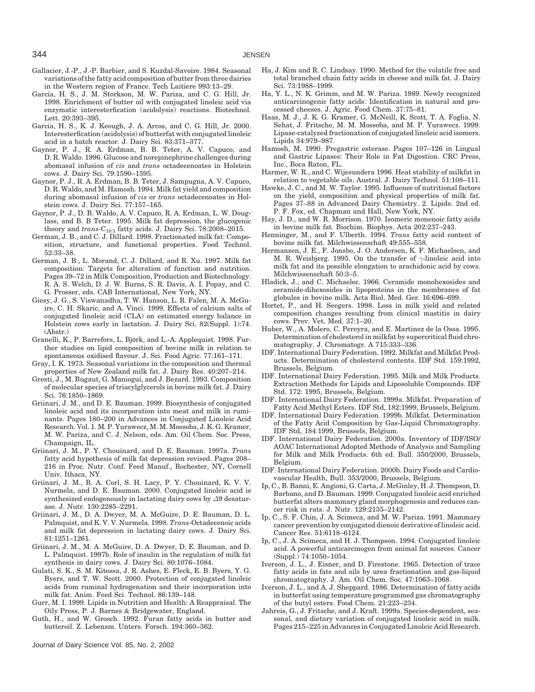- Gallacier, J.-P., J.-P. Barbier, and S. Kuzdal-Savoire. 1984. Seasonal variations of the fatty acid composition of butter from three dairies in the Western region of France. Tech Laitiere 993:13–29.
- Garcia, H. S., J. M. Storkson, M. W. Pariza, and C. G. Hill, Jr. 1998. Enrichment of butter oil with conjugated linoleic acid via enzymatic interesterfication (acidolysis) reactions. Biotechnol. Lett. 20:393–395.
- Garcia, H. S., K. J. Keough, J. A. Arcos, and C. G. Hill, Jr. 2000. Interesterfication (acidolysis) of butterfat with conjugated linoleic acid in a batch reactor. J. Dairy Sci. 83:371–377.
- Gaynor, P. J., R. A. Erdman, B. B. Teter, A. V. Capuco, and D. R. Waldo. 1996. Glucose and norepinephrine challenges during abomasal infusion of *cis* and *trans* octadecenoates in Holstein cows. J. Dairy Sci. 79:1590–1595.
- Gaynor, P. J., R. A. Erdman, B. B. Teter, J. Sampugna, A. V. Capuco, D. R. Waldo, and M. Hamosh. 1994. Milk fat yield and composition during abomasal infusion of *cis* or *trans* octadecenoates in Holstein cows. J. Dairy Sci. 77:157–165.
- Gaynor, P. J., D. B. Waldo, A. V. Capuco, R. A. Erdman, L. W. Douglass, and B. B Teter. 1995. Milk fat depression, the glucogenic theory and *trans*-C<sub>18:1</sub> fatty acids. J. Dairy Sci. 78:2008-2015.
- German, J. B., and C. J. Dillard. 1998. Fractionated milk fat: Composition, structure, and functional properties. Food Technol. 52:33–38.
- German, J. B., L. Morand, C. J. Dillard, and R. Xu. 1997. Milk fat composition: Targets for alteration of function and nutrition. Pages 39–72 in Milk Composition, Production and Biotechnology. R. A. S. Welch, D. J. W. Burns, S. R. Davis, A. I. Popay, and C. G. Prosser, eds. CAB International, New York, NY.
- Giesy, J. G., S. Viswanadha, T. W. Hanson, L. R. Falen, M. A. McGuire, C. H. Skaric, and A. Vinci. 1999. Effects of calcium salts of conjugated linoleic acid (CLA) on estimated energy balance in Holstein cows early in lactation. J. Dairy Sci. 82(Suppl. 1):74. (Abstr.)
- Granelli, K., P. Barrefors, L. Björk, and L.-A. Applequist. 1998. Further studies on lipid composition of bovine milk in relation to spontaneous oxidised flavour. J. Sci. Food Agric. 77:161–171.
- Gray, I. K. 1973. Seasonal variations in the composition and thermal properties of New Zealand milk fat. J. Dairy Res. 40:207–214.
- Gresti, J., M. Bugaut, G. Maniogui, and J. Bezard. 1993. Composition of molecular species of triacylglycerols in bovine milk fat. J. Dairy Sci. 76:1850–1869.
- Griinari, J. M., and D. E. Bauman. 1999. Biosynthesis of conjugated linoleic acid and its incorporation into meat and milk in ruminants. Pages 180–200 in Advances in Conjugated Linoleic Acid Research. Vol. 1. M. P. Yurawecz, M. M. Mossoba, J. K. G. Kramer, M. W. Pariza, and C. J. Nelson, eds. Am. Oil Chem. Soc. Press, Champaign, IL.
- Griinari, J. M., P. Y. Chouinard, and D. E. Bauman. 1997a. *Trans* fatty acid hypothesis of milk fat depression revised. Pages 208– 216 in Proc. Nutr. Conf. Feed Manuf., Rochester, NY, Cornell Univ. Ithaca, NY.
- Griinari, J. M., B. A. Corl, S. H. Lacy, P. Y. Chouinard, K. V. V. Nurmela, and D. E. Bauman. 2000. Conjugated linoleic acid is synthesized endogenously in lactating dairy cows by *∆*9 desaturase. J. Nutr. 130:2285–2291.
- Griinari, J. M., D. A. Dwyer, M. A. McGuire, D. E. Bauman, D. L. Palmquist, and K. V. V. Nurmela. 1998. *Trans*-Octadecenoic acids and milk fat depression in lactating dairy cows. J. Dairy Sci. 81:1251–1261.
- Griinari, J. M., M. A. McGuire, D. A. Dwyer, D. E. Bauman, and D. L. Palmquist. 1997b. Role of insulin in the regulation of milk fat synthesis in dairy cows. J. Dairy Sci. 80:1076–1084.
- Gulati, S. K., S. M. Kitessa, J. R. Ashes, E. Fleck, E. B. Byers, Y. G. Byers, and T. W. Scott. 2000. Protection of conjugated linoleic acids from ruminal hydrogenation and their incorporation into milk fat. Anim. Feed Sci. Technol. 86:139–148.
- Gurr, M. I. 1999. Lipids in Nutrition and Health: A Reappraisal. The Oily Press, P. J. Barnes & Bridgewater, England.
- Guth, H., and W. Grosch. 1992. Furan fatty acids in butter and butteroil. Z. Lebensm. Unters. Forsch. 194:360–362.

Journal of Dairy Science Vol. 85, No. 2, 2002

- Ha, J. Kim and R. C. Lindsay. 1990. Method for the volatile free and total branched chain fatty acids in cheese and milk fat. J. Dairy Sci. 73:1988–1999.
- Ha, Y. L., N. K. Grimm, and M. W. Pariza. 1989. Newly recognized anticarcinogenic fatty acids: Identification in natural and processed cheeses. J. Agric. Food Chem. 37:75–81.
- Haas, M. J., J. K. G. Kramer, G. McNeill, K. Scott, T. A. Foglia, N. Sehat, J. Fritsche, M. M. Mossoba, and M. P. Yurawecz. 1999. Lipase-catalyzed fractionation of conjugated linoleic acid isomers. Lipids 34:979–987.
- Hamosh, M. 1990. Pregastric esterase. Pages 107–126 in Lingual and Gastric Lipases: Their Role in Fat Digestion. CRC Press, Inc., Boca Raton, FL.
- Harmer, W. R., and C. Wijesundera 1996. Heat stability of milkfat in relation to vegetable oils. Austral. J. Dairy Technol. 51:108–111.
- Hawke, J. C., and M. W. Taylor. 1995. Influence of nutritional factors on the yield, composition and physical properties of milk fat. Pages 37–88 in Advanced Dairy Chemistry. 2. Lipids. 2nd ed. P. F. Fox, ed. Chapman and Hall, New York, NY.
- Hay, J. D., and W. R. Morrison. 1970. Isomeric monenoic fatty acids in bovine milk fat. Biochim. Biophys. Acta 202:237–243.
- Henninger, M., and F. Ulberth. 1994. *Trans* fatty acid content of bovine milk fat. Milchwissenschaft 49:555–558.
- Hermansen, J. E., F. Jonsbo, J. O. Andersen, K. F. Michaelsen, and M. R. Weisbjerg. 1995. On the transfer of *γ*-linoleic acid into milk fat and its possible elongation to arachidonic acid by cows. Milchwissenschaft 50:3–5.
- Hladick, J., and C. Michaelec. 1966. Ceramide monohexosides and ceramide-dihexosides in lipoproteins in the membranes of fat globules in bovine milk. Acta Biol. Med. Ger. 16:696–699.
- Hortet, P., and H. Seegers. 1998. Loss in milk yield and related composition changes resulting from clinical mastitis in dairy cows. Prev. Vet. Med. 37:1–20.
- Huber, W., A. Molero, C. Pereyra, and E. Martinez de la Ossa. 1995. Determination of cholesterol in milkfat by supercritical fluid chromatography. J. Chromatogr. A 715:333–336.
- IDF. International Dairy Federation. 1992. Milkfat and Milkfat Products. Determination of cholesterol contents. IDF Std. 159:1992, Brussels, Belgium.
- IDF. International Dairy Federation. 1995. Milk and Milk Products. Extraction Methods for Lipids and Liposoluble Compounds. IDF Std. 172: 1995, Brussels, Belgium.
- IDF. International Dairy Federation. 1999a. Milkfat. Preparation of Fatty Acid Methyl Esters. IDF Std, 182:1999, Brussels, Belgium.
- IDF. International Dairy Federation. 1999b. Milkfat. Determination of the Fatty Acid Composition by Gas-Liquid Chromatography. IDF Std, 184:1999, Brussels, Belgium.
- IDF. International Dairy Federation. 2000a. Inventory of IDF/ISO/ AOAC International Adopted Methods of Analysis and Sampling for Milk and Milk Products. 6th ed. Bull. 350/2000, Brussels, Belgium.
- IDF. International Dairy Federation. 2000b. Dairy Foods and Cardiovascular Health, Bull. 353/2000, Brussels, Belgium.
- Ip, C., B. Banni, E. Angioni, G. Carta, J. McGinley, H. J. Thompson, D. Barbano, and D. Bauman. 1999. Conjugated linoleic acid enriched butterfat alters mammary gland morphogenesis and reduces cancer risk in rats. J. Nutr. 129:2135–2142.
- Ip, C., S. F. Chin, J. A. Scimeca, and M. W. Pariza. 1991. Mammary cancer prevention by conjugated dienoic derivative of linoleic acid. Cancer Res. 51:6118–6124.
- Ip, C., J. A. Scimeca, and H. J. Thompson. 1994. Conjugated linoleic acid. A powerful anticarcinogen from animal fat sources. Cancer (Suppl.) 74:1050–1054.
- Iverson, J. L., J. Eisner, and D. Firestone. 1965. Detection of trace fatty acids in fats and oils by urea fractionation and gas-liquid chromatography. J. Am. Oil Chem. Soc. 47:1063–1068.
- Iverson, J. L., and A. J. Sheppard. 1986. Determination of fatty acids in butterfat using temperature programmed gas chromatography of the butyl esters. Food Chem. 21:223–234.
- Jahreis, G., J. Fritsche, and J. Kraft. 1999a. Species-dependent, seasonal, and dietary variation of conjugated linoleic acid in milk. Pages 215–225 in Advances in Conjugated Linoleic Acid Research.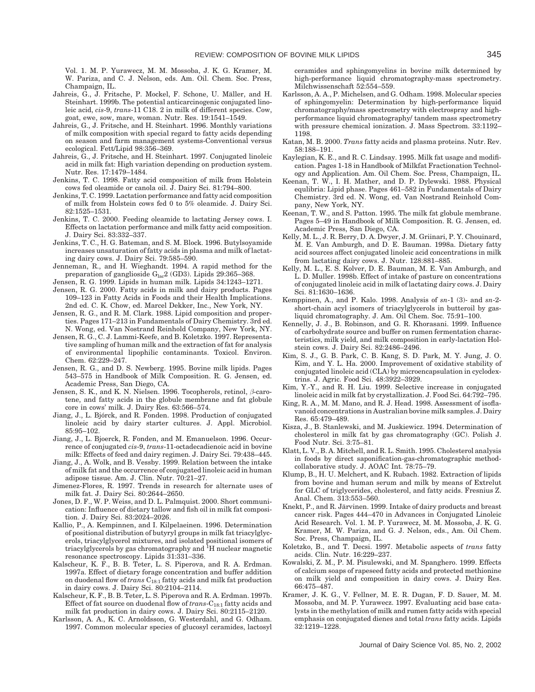Vol. 1. M. P. Yurawecz, M. M. Mossoba, J. K. G. Kramer, M. W. Pariza, and C. J. Nelson, eds. Am. Oil. Chem. Soc. Press, Champaign, IL.

- Jahreis, G., J. Fritsche, P. Mockel, F. Schone, U. Mäller, and H. Steinhart. 1999b. The potential anticarcinogenic conjugated linoleic acid, *cis*-9, *trans*-11 C18. 2 in milk of different species. Cow, goat, ewe, sow, mare, woman. Nutr. Res. 19:1541–1549.
- Jahreis, G., J. Fritsche, and H. Steinhart. 1996. Monthly variations of milk composition with special regard to fatty acids depending on season and farm management systems-Conventional versus ecological. Fett/Lipid 98:356–369.
- Jahreis, G., J. Fritsche, and H. Steinhart. 1997. Conjugated linoleic acid in milk fat: High variation depending on production system. Nutr. Res. 17:1479–1484.
- Jenkins, T. C. 1998. Fatty acid composition of milk from Holstein cows fed oleamide or canola oil. J. Dairy Sci. 81:794–800.
- Jenkins, T. C. 1999. Lactation performance and fatty acid composition of milk from Holstein cows fed 0 to 5% oleamide. J. Dairy Sci. 82:1525–1531.
- Jenkins, T. C. 2000. Feeding oleamide to lactating Jersey cows. I. Effects on lactation performance and milk fatty acid composition. J. Dairy Sci. 83:332–337.
- Jenkins, T. C., H. G. Bateman, and S. M. Block. 1996. Butylsoyamide increases unsaturation of fatty acids in plasma and milk of lactating dairy cows. J. Dairy Sci. 79:585–590.
- Jenneman, R., and H. Wieghandt. 1994. A rapid method for the preparation of ganglioside  $G_{\text{lac}}2$  (GD3). Lipids 29:365–368.
- Jensen, R. G. 1999. Lipids in human milk. Lipids 34:1243–1271.
- Jensen, R. G. 2000. Fatty acids in milk and dairy products. Pages 109–123 in Fatty Acids in Foods and their Health Implications. 2nd ed. C. K. Chow, ed. Marcel Dekker, Inc., New York, NY.
- Jensen, R. G., and R. M. Clark. 1988. Lipid composition and properties. Pages 171–213 in Fundamentals of Dairy Chemistry. 3rd ed. N. Wong, ed. Van Nostrand Reinhold Company, New York, NY.
- Jensen, R. G., C. J. Lammi-Keefe, and B. Koletzko. 1997. Representative sampling of human milk and the extraction of fat for analysis of environmental lipophilic contaminants. Toxicol. Environ. Chem. 62:229–247.
- Jensen, R. G., and D. S. Newberg. 1995. Bovine milk lipids. Pages 543–575 in Handbook of Milk Composition. R. G. Jensen, ed. Academic Press, San Diego, CA.
- Jensen, S. K., and K. N. Nielsen. 1996. Tocopherols, retinol, *β*-carotene, and fatty acids in the globule membrane and fat globule core in cows' milk. J. Dairy Res. 63:566–574.
- Jiang, J., L. Bjórck, and R. Fonden. 1998. Production of conjugated linoleic acid by dairy starter cultures. J. Appl. Microbiol. 85:95–102.
- Jiang, J., L. Bjoerck, R. Fonden, and M. Emanuelson. 1996. Occurrence of conjugated *cis*-9, *trans*-11-octadecadienoic acid in bovine milk: Effects of feed and dairy regimen. J. Dairy Sci. 79:438–445.
- Jiang, J., A. Wolk, and B. Vessby. 1999. Relation between the intake of milk fat and the occurrence of conjugated linoleic acid in human adipose tissue. Am. J. Clin. Nutr. 70:21–27.
- Jimenez-Flores, R. 1997. Trends in research for alternate uses of milk fat. J. Dairy Sci. 80:2644–2650.
- Jones, D. F., W. P. Weiss, and D. L. Palmquist. 2000. Short communication: Influence of dietary tallow and fish oil in milk fat composition. J. Dairy Sci. 83:2024–2026.
- Kallio, P., A. Kempinnen, and I. Kilpelaeinen. 1996. Determination of positional distribution of butyryl groups in milk fat triacylglycerols, triacylglycerol mixtures, and isolated positional isomers of triacylglycerols by gas chromatography and <sup>1</sup>H nuclear magnetic resonance spectroscopy. Lipids 31:331–336.
- Kalscheur, K. F., B. B. Teter, L. S. Piperova, and R. A. Erdman. 1997a. Effect of dietary forage concentration and buffer addition on duodenal flow of *trans* C18:1 fatty acids and milk fat production in dairy cows. J. Dairy Sci. 80:2104–2114.
- Kalscheur, K. F., B. B. Teter, L. S. Piperova and R. A. Erdman. 1997b. Effect of fat source on duodenal flow of *trans*-C<sub>18:1</sub> fatty acids and milk fat production in dairy cows. J. Dairy Sci. 80:2115–2120.
- Karlsson, A. A., K. C. Arnoldsson, G. Westerdahl, and G. Odham. 1997. Common molecular species of glucosyl ceramides, lactosyl

ceramides and sphingomyelins in bovine milk determined by high-performance liquid chromatography-mass spectrometry. Milchwissenschaft 52:554–559.

- Karlsson, A. A., P. Michelsen, and G. Odham. 1998. Molecular species of sphingomyelin: Determination by high-performance liquid chromatography/mass spectrometry with electrospray and highperformance liquid chromatography/ tandem mass spectrometry with pressure chemical ionization. J. Mass Spectrom. 33:1192– 1198.
- Katan, M. B. 2000. *Trans* fatty acids and plasma proteins. Nutr. Rev. 58:188–191.
- Kaylegian, K. E., and R. C. Lindsay. 1995. Milk fat usage and modification. Pages 1-18 in Handbook of Milkfat Fractionation Technology and Application. Am. Oil Chem. Soc. Press, Champaign, IL.
- Keenan, T. W., I. H. Mather, and D. P. Dylewski. 1988. Physical equlibria: Lipid phase. Pages 461–582 in Fundamentals of Dairy Chemistry. 3rd ed. N. Wong, ed. Van Nostrand Reinhold Company, New York, NY.
- Keenan, T. W., and S. Patton. 1995. The milk fat globule membrane. Pages 5–49 in Handbook of Milk Composition. R. G. Jensen, ed. Academic Press, San Diego, CA.
- Kelly, M. L., J. R. Berry, D. A. Dwyer, J. M. Griinari, P. Y. Chouinard, M. E. Van Amburgh, and D. E. Bauman. 1998a. Dietary fatty acid sources affect conjugated linoleic acid concentrations in milk from lactating dairy cows. J. Nutr. 128:881–885.
- Kelly, M. L., E. S. Kolver, D. E. Bauman, M. E. Van Amburgh, and L. D. Muller. 1998b. Effect of intake of pasture on concentrations of conjugated linoleic acid in milk of lactating dairy cows. J. Dairy Sci. 81:1630–1636.
- Kemppinen, A., and P. Kalo. 1998. Analysis of *sn*-1 (3)- and *sn*-2 short-chain acyl isomers of triacylglycerols in butteroil by gasliquid chromatography. J. Am. Oil Chem. Soc. 75:91–100.
- Kennelly, J. J., B. Robinson, and G. R. Khorasani. 1999. Influence of carbohydrate source and buffer on rumen fermentation characteristics, milk yield, and milk composition in early-lactation Holstein cows. J. Dairy Sci. 82:2486–2496.
- Kim, S. J., G. B. Park, C. B. Kang, S. D. Park, M. Y. Jung, J. O. Kim, and Y. L. Ha. 2000. Improvement of oxidative stability of conjugated linoleic acid (CLA) by microencapsulation in cyclodextrins. J. Agric. Food Sci. 48:3922–3929.
- Kim, Y.-Y., and R. H. Liu. 1999. Selective increase in conjugated linoleic acid in milk fat by crystallization. J. Food Sci. 64:792–795.
- King, R. A., M. M. Mano, and R. J. Head. 1998. Assessment of isoflavanoid concentrations in Australian bovine milk samples. J. Dairy Res. 65:479–489.
- Kisza, J., B. Stanlewski, and M. Juskiewicz. 1994. Determination of cholesterol in milk fat by gas chromatography (GC). Polish J. Food Nutr. Sci. 3:75–81.
- Klatt, L. V., B. A. Mitchell, and R. L. Smith. 1995. Cholesterol analysis in foods by direct saponification-gas-chromatographic methodcollaborative study. J. AOAC Int. 78:75–79.
- Klump, B., H. U. Melchert, and K. Rubach. 1982. Extraction of lipids from bovine and human serum and milk by means of Extrelut for GLC of triglycerides, cholesterol, and fatty acids. Fresnius Z. Anal. Chem. 313:553–560.
- Knekt, P., and R. Järvinen. 1999. Intake of dairy products and breast cancer risk. Pages 444–470 in Advances in Conjugated Linoleic Acid Research. Vol. 1. M. P. Yurawecz, M. M. Mossoba, J. K. G. Kramer, M. W. Pariza, and G. J. Nelson, eds., Am. Oil Chem. Soc. Press, Champaign, IL.
- Koletzko, B., and T. Decsi. 1997. Metabolic aspects of *trans* fatty acids. Clin. Nutr. 16:229–237.
- Kowalski, Z. M., P. M. Pisulewski, and M. Spanghero. 1999. Effects of calcium soaps of rapeseed fatty acids and protected methionine on milk yield and composition in dairy cows. J. Dairy Res. 66:475–487.
- Kramer, J. K. G., V. Fellner, M. E. R. Dugan, F. D. Sauer, M. M. Mossoba, and M. P. Yurawecz. 1997. Evaluating acid base catalysts in the methylation of milk and rumen fatty acids with special emphasis on conjugated dienes and total *trans* fatty acids. Lipids 32:1219–1228.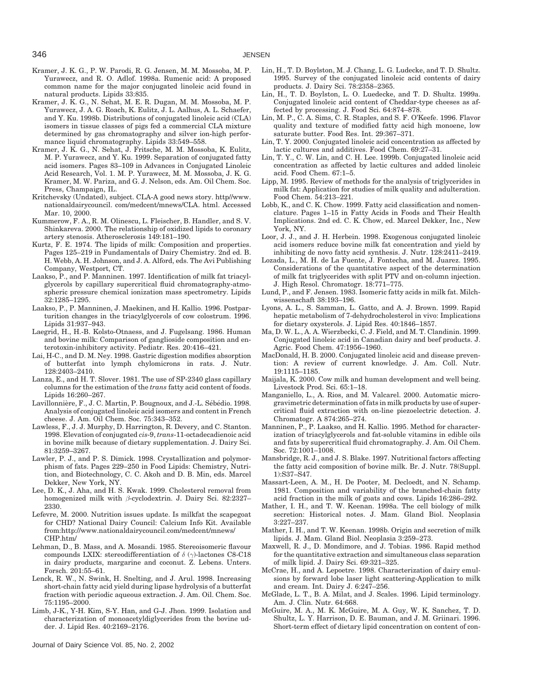- Kramer, J. K. G., P. W. Parodi, R. G. Jensen, M. M. Mossoba, M. P. Yurawecz, and R. O. Adlof. 1998a. Rumenic acid: A proposed common name for the major conjugated linoleic acid found in natural products. Lipids 33:835.
- Kramer, J. K. G., N. Sehat, M. E. R. Dugan, M. M. Mossoba, M. P. Yurawecz, J. A. G. Roach, K. Eulitz, J. L. Aalhus, A. L. Schaefer, and Y. Ku. 1998b. Distributions of conjugated linoleic acid (CLA) isomers in tissue classes of pigs fed a commercial CLA mixture determined by gas chromatography and silver ion-high performance liquid chromatography. Lipids 33:549–558.
- Kramer, J. K. G., N. Sehat, J. Fritsche, M. M. Mossoba, K. Eulitz, M. P. Yurawecz, and Y. Ku. 1999. Separation of conjugated fatty acid isomers. Pages 83–109 in Advances in Conjugated Linoleic Acid Research, Vol. 1. M. P. Yurawecz, M. M. Mossoba, J. K. G. Kramer, M. W. Pariza, and G. J. Nelson, eds. Am. Oil Chem. Soc. Press, Champaign, IL.
- Kritchevsky (Undated), subject. CLA-A good news story. http//www. nationaldairycouncil. com/medcent/mnews/CLA. html. Accessed Mar. 10, 2000.
- Kummerow, F. A., R. M. Olinescu, L. Fleischer, B. Handler, and S. V. Shinkareva. 2000. The relationship of oxidized lipids to coronary artery stenosis. Atherosclerosis 149:181–190.
- Kurtz, F. E. 1974. The lipids of milk: Composition and properties. Pages 125–219 in Fundamentals of Dairy Chemistry. 2nd ed. B. H. Webb, A. H. Johnson, and J. A. Alford, eds. The Avi Publishing Company, Westport, CT.
- Laakso, P., and P. Manninen. 1997. Identification of milk fat triacylglycerols by capillary supercritical fluid chromatography-atmospheric pressure chemical ionization mass spectrometry. Lipids 32:1285–1295.
- Laakso, P., P. Manninen, J. Maekinen, and H. Kallio. 1996. Postparturition changes in the triacylglycerols of cow colostrum. 1996. Lipids 31:937–943.
- Laegrid, H., H.-B. Kolsto-Otnaess, and J. Fugelsang. 1986. Human and bovine milk: Comparison of ganglioside composition and enterotoxin-inhibitory activity. Pediatr. Res. 20:416–421.
- Lai, H-C., and D. M. Ney. 1998. Gastric digestion modifies absorption of butterfat into lymph chylomicrons in rats. J. Nutr. 128:2403–2410.
- Lanza, E., and H. T. Slover. 1981. The use of SP-2340 glass capillary columns for the estimation of the *trans* fatty acid content of foods. Lipids 16:260–267.
- Lavillonnière, F., J. C. Martin, P. Bougnoux, and J.-L. Sébédio. 1998. Analysis of conjugated linoleic acid isomers and content in French cheese. J. Am. Oil Chem. Soc. 75:343–352.
- Lawless, F., J. J. Murphy, D. Harrington, R. Devery, and C. Stanton. 1998. Elevation of conjugated *cis*-9, *trans*-11-octadecadienoic acid in bovine milk because of dietary supplementation. J. Dairy Sci. 81:3259–3267.
- Lawler, P. J., and P. S. Dimick. 1998. Crystallization and polymorphism of fats. Pages 229–250 in Food Lipids: Chemistry, Nutrition, and Biotechnology, C. C. Akoh and D. B. Min, eds. Marcel Dekker, New York, NY.
- Lee, D. K., J. Aha, and H. S. Kwak. 1999. Cholesterol removal from homogenized milk with *β*-cyclodextrin. J. Dairy Sci. 82:2327– 2330.
- Lefevre, M. 2000. Nutrition issues update. Is milkfat the scapegoat for CHD? National Dairy Council: Calcium Info Kit. Available from:http://www.nationaldairycouncil.com/medcent/mnews/ CHP.htm/
- Lehman, D., B. Mass, and A. Mosandi. 1985. Stereoisomeric flavour compounds LXIX: stereodifferentiation of *δ* (*γ*)-lactones C8-C18 in dairy products, margarine and coconut. Z. Lebens. Unters. Forsch. 201:55–61.
- Lenck, R. W., N. Swink, H. Snelting, and J. Arul. 1998. Increasing short-chain fatty acid yield during lipase hydrolysis of a butterfat fraction with periodic aqueous extraction. J. Am. Oil. Chem. Soc. 75:1195–2000.
- Limb, J-K., Y-H. Kim, S-Y. Han, and G-J. Jhon. 1999. Isolation and characterization of monoacetyldiglycerides from the bovine udder. J. Lipid Res. 40:2169–2176.

Journal of Dairy Science Vol. 85, No. 2, 2002

- Lin, H., T. D. Boylston, M. J. Chang, L. G. Ludecke, and T. D. Shultz. 1995. Survey of the conjugated linoleic acid contents of dairy products. J. Dairy Sci. 78:2358–2365.
- Lin, H., T. D. Boylston, L. O. Luedecke, and T. D. Shultz. 1999a. Conjugated linoleic acid content of Cheddar-type cheeses as affected by processing. J. Food Sci. 64:874–878.
- Lin, M. P., C. A. Sims, C. R. Staples, and S. F. O'Keefe. 1996. Flavor quality and texture of modified fatty acid high monoene, low saturate butter. Food Res. Int. 29:367–371.
- Lin, T. Y. 2000. Conjugated linoleic acid concentration as affected by lactic cultures and additives. Food Chem. 69:27–31.
- Lin, T. Y., C. W. Lin, and C. H. Lee. 1999b. Conjugated linoleic acid concentration as affected by lactic cultures and added linoleic acid. Food Chem. 67:1–5.
- Lipp, M. 1995. Review of methods for the analysis of triglycerides in milk fat: Application for studies of milk quality and adulteration. Food Chem. 54:213–221.
- Lobb, K., and C. K. Chow. 1999. Fatty acid classification and nomenclature. Pages 1–15 in Fatty Acids in Foods and Their Health Implications. 2nd ed. C. K. Chow, ed. Marcel Dekker, Inc., New York, NY.
- Loor, J. J., and J. H. Herbein. 1998. Exogenous conjugated linoleic acid isomers reduce bovine milk fat concentration and yield by inhibiting de novo fatty acid synthesis. J. Nutr. 128:2411–2419.
- Lozada, L., M. H. de La Fuente, J. Fontecha, and M. Juarez. 1995. Considerations of the quantitative aspect of the determination of milk fat triglycerides with split PTV and on-column injection. J. High Resol. Chromatogr. 18:771–775.
- Lund, P., and F. Jensen. 1983. Isomeric fatty acids in milk fat. Milchwissenschaft 38:193–196.
- Lyons, A. L., S. Samman, L. Gatto, and A. J. Brown. 1999. Rapid hepatic metabolism of 7-dehydrocholesterol in vivo: Implications for dietary oxysterols. J. Lipid Res. 40:1846–1857.
- Ma, D. W. L., A. A. Wierzbecki, C. J. Field, and M. T. Clandinin. 1999. Conjugated linoleic acid in Canadian dairy and beef products. J. Agric. Food Chem. 47:1956–1960.
- MacDonald, H. B. 2000. Conjugated linoleic acid and disease prevention: A review of current knowledge. J. Am. Coll. Nutr. 19:1115–1185.
- Maijala, K. 2000. Cow milk and human development and well being. Livestock Prod. Sci. 65:1–18.
- Manganiello, L., A. Rios, and M. Valcarel. 2000. Automatic microgravimetric determination of fats in milk products by use of supercritical fluid extraction with on-line piezoelectric detection. J. Chromatogr. A 874:265–274.
- Manninen, P., P. Laakso, and H. Kallio. 1995. Method for characterization of triacylglycerols and fat-soluble vitamins in edible oils and fats by supercritical fluid chromatography. J. Am. Oil Chem. Soc. 72:1001–1008.
- Mansbridge, R. J., and J. S. Blake. 1997. Nutritional factors affecting the fatty acid composition of bovine milk. Br. J. Nutr. 78(Suppl. 1):S37–S47.
- Massart-Leen, A. M., H. De Pooter, M. Decloedt, and N. Schamp. 1981. Composition and variability of the branched-chain fatty acid fraction in the milk of goats and cows. Lipids 16:286–292.
- Mather, I. H., and T. W. Keenan. 1998a. The cell biology of milk secretion: Historical notes. J. Mam. Gland Biol. Neoplasia 3:227–237.
- Mather, I. H., and T. W. Keenan. 1998b. Origin and secretion of milk lipids. J. Mam. Gland Biol. Neoplasia 3:259–273.
- Maxwell, R. J., D. Mondimore, and J. Tobias. 1986. Rapid method for the quantitative extraction and simultaneous class separation of milk lipid. J. Dairy Sci. 69:321–325.
- McCrae, H., and A. Lepoetre. 1998. Characterization of dairy emulsions by forward lobe laser light scattering-Application to milk and cream. Int. Dairy J. 6:247–256.
- McGlade, L. T., B. A. Milat, and J. Scales. 1996. Lipid terminology. Am. J. Clin. Nutr. 64:668.
- McGuire, M. A., M. K. McGuire, M. A. Guy, W. K. Sanchez, T. D. Shultz, L. Y. Harrison, D. E. Bauman, and J. M. Griinari. 1996. Short-term effect of dietary lipid concentration on content of con-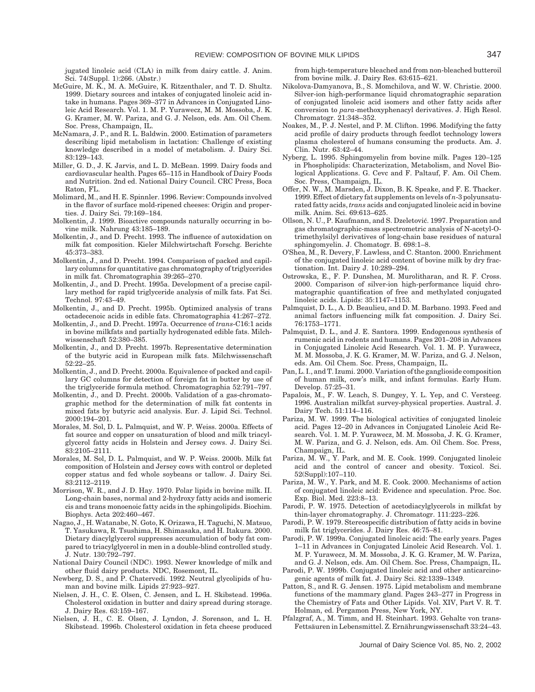jugated linoleic acid (CLA) in milk from dairy cattle. J. Anim. Sci. 74(Suppl. 1):266. (Abstr.)

- McGuire, M. K., M. A. McGuire, K. Ritzenthaler, and T. D. Shultz. 1999. Dietary sources and intakes of conjugated linoleic acid intake in humans. Pages 369–377 in Advances in Conjugated Linoleic Acid Research. Vol. 1. M. P. Yurawecz, M. M. Mossoba, J. K. G. Kramer, M. W. Pariza, and G. J. Nelson, eds. Am. Oil Chem. Soc. Press, Champaign, IL.
- McNamara, J. P., and R. L. Baldwin. 2000. Estimation of parameters describing lipid metabolism in lactation: Challenge of existing knowledge described in a model of metabolism. J. Dairy Sci. 83:129–143.
- Miller, G. D., J. K. Jarvis, and L. D. McBean. 1999. Dairy foods and cardiovascular health. Pages 65–115 in Handbook of Dairy Foods and Nutrition. 2nd ed. National Dairy Council. CRC Press, Boca Raton, FL.
- Molimard, M., and H. E. Spinnler. 1996. Review: Compounds involved in the flavor of surface mold-ripened cheeses: Origin and properties. J. Dairy Sci. 79:169–184.
- Molkentin, J. 1999. Bioactive compounds naturally occurring in bovine milk. Nahrung 43:185–189.
- Molkentin, J., and D. Precht. 1993. The influence of autoxidation on milk fat composition. Kieler Milchwirtschaft Forschg. Berichte 45:373–383.
- Molkentin, J., and D. Precht. 1994. Comparison of packed and capillary columns for quantitative gas chromatography of triglycerides in milk fat. Chromatographia 39:265–270.
- Molkentin, J., and D. Precht. 1995a. Development of a precise capillary method for rapid triglyceride analysis of milk fats. Fat Sci. Technol. 97:43–49.
- Molkentin, J., and D. Precht. 1995b. Optimized analysis of trans octadecenoic acids in edible fats. Chromatographia 41:267–272.
- Molkentin, J., and D. Precht. 1997a. Occurrence of *trans*-C16:1 acids in bovine milkfats and partially hydrogenated edible fats. Milchwissenschaft 52:380–385.
- Molkentin, J., and D. Precht. 1997b. Representative determination of the butyric acid in European milk fats. Milchwissenschaft 52:22–25.
- Molkentin, J., and D. Precht. 2000a. Equivalence of packed and capillary GC columns for detection of foreign fat in butter by use of the triglyceride formula method. Chromatographia 52:791–797.
- Molkentin, J., and D. Precht. 2000b. Validation of a gas-chromatographic method for the determination of milk fat contents in mixed fats by butyric acid analysis. Eur. J. Lipid Sci. Technol. 2000:194–201.
- Morales, M. Sol, D. L. Palmquist, and W. P. Weiss. 2000a. Effects of fat source and copper on unsaturation of blood and milk triacylglycerol fatty acids in Holstein and Jersey cows. J. Dairy Sci. 83:2105–2111.
- Morales, M. Sol, D. L. Palmquist, and W. P. Weiss. 2000b. Milk fat composition of Holstein and Jersey cows with control or depleted copper status and fed whole soybeans or tallow. J. Dairy Sci. 83:2112–2119.
- Morrison, W. R., and J. D. Hay. 1970. Polar lipids in bovine milk. II. Long-chain bases, normal and 2-hydroxy fatty acids and isomeric cis and trans monoenoic fatty acids in the sphingolipids. Biochim. Biophys. Acta 202:460–467.
- Nagao, J., H. Watanabe, N. Goto, K. Orizawa, H. Taguchi, N. Matsuo, T. Yasukawa, R. Tsushima, H. Shimasaka, and H. Itakura. 2000. Dietary diacylglycerol suppresses accumulation of body fat compared to triacylglycerol in men in a double-blind controlled study. J. Nutr. 130:792–797.
- National Dairy Council (NDC). 1993. Newer knowledge of milk and other fluid dairy products. NDC, Rosemont, IL.
- Newberg, D. S., and P. Chatervedi. 1992. Neutral glycolipids of human and bovine milk. Lipids 27:923–927.
- Nielsen, J. H., C. E. Olsen, C. Jensen, and L. H. Skibstead. 1996a. Cholesterol oxidation in butter and dairy spread during storage. J. Dairy Res. 63:159–167.
- Nielsen, J. H., C. E. Olsen, J. Lyndon, J. Sorenson, and L. H. Skibstead. 1996b. Cholesterol oxidation in feta cheese produced

from high-temperature bleached and from non-bleached butteroil from bovine milk. J. Dairy Res. 63:615–621.

- Nikolova-Damyanova, B., S. Momchilova, and W. W. Christie. 2000. Silver-ion high-performance liquid chromatographic separation of conjugated linoleic acid isomers and other fatty acids after conversion to *para*-methoxyphenacyl derivatives. J. High Resol. Chromatogr. 21:348–352.
- Noakes, M., P. J. Nestel, and P. M. Clifton. 1996. Modifying the fatty acid profile of dairy products through feedlot technology lowers plasma cholesterol of humans consuming the products. Am. J. Clin. Nutr. 63:42–44.
- Nyberg, L. 1995. Sphingomyelin from bovine milk. Pages 120–125 in Phospholipids: Characterization, Metabolism, and Novel Biological Applications. G. Cevc and F. Paltauf, F. Am. Oil Chem. Soc. Press, Champaign, IL.
- Offer, N. W., M. Marsden, J. Dixon, B. K. Speake, and F. E. Thacker. 1999. Effect of dietary fat supplements on levels of *n*-3 polyunsaturated fatty acids,*trans* acids and conjugated linoleic acid in bovine milk. Anim. Sci. 69:613–625.
- Ollson, N. U., P. Kaufmann, and S. Dzeletović. 1997. Preparation and gas chromatographic-mass spectrometric analysis of N-acetyl-Otrimethylsilyl derivatives of long-chain base residues of natural sphingomyelin. J. Chomatogr. B. 698:1–8.
- O'Shea, M., R. Devery, F. Lawless, and C. Stanton. 2000. Enrichment of the conjugated linoleic acid content of bovine milk by dry fractionation. Int. Dairy J. 10:289–294.
- Ostrowska, E., F. P. Dunshea, M. Murolitharan, and R. F. Cross. 2000. Comparison of silver-ion high-performance liquid chromatographic quantification of free and methylated conjugated linoleic acids. Lipids: 35:1147–1153.
- Palmquist, D. L., A. D. Beaulieu, and D. M. Barbano. 1993. Feed and animal factors influencing milk fat composition. J. Dairy Sci. 76:1753–1771.
- Palmquist, D. L., and J. E. Santora. 1999. Endogenous synthesis of rumenic acid in rodents and humans. Pages 201–208 in Advances in Conjugated Linoleic Acid Research. Vol. 1. M. P. Yurawecz, M. M. Mossoba, J. K. G. Kramer, M. W. Pariza, and G. J. Nelson, eds. Am. Oil Chem. Soc. Press, Champaign, IL.
- Pan, L. I., and T. Izumi. 2000. Variation of the ganglioside composition of human milk, cow's milk, and infant formulas. Early Hum. Develop. 57:25–31.
- Papalois, M., F. W. Leach, S. Dungey, Y. L. Yep, and C. Versteeg. 1996. Australian milkfat survey-physical properties. Austral. J. Dairy Tech. 51:114–116.
- Pariza, M. W. 1999. The biological activities of conjugated linoleic acid. Pages 12–20 in Advances in Conjugated Linoleic Acid Research. Vol. 1. M. P. Yurawecz, M. M. Mossoba, J. K. G. Kramer, M. W. Pariza, and G. J. Nelson, eds. Am. Oil Chem. Soc. Press, Champaign, IL.
- Pariza, M. W., Y. Park, and M. E. Cook. 1999. Conjugated linoleic acid and the control of cancer and obesity. Toxicol. Sci. 52(Suppl):107–110.
- Pariza, M. W., Y. Park, and M. E. Cook. 2000. Mechanisms of action of conjugated linoleic acid: Evidence and speculation. Proc. Soc. Exp. Biol. Med. 223:8–13.
- Parodi, P. W. 1975. Detection of acetodiacylglycerols in milkfat by thin-layer chromatography. J. Chromatogr. 111:223–226.
- Parodi, P. W. 1979. Stereospecific distribution of fatty acids in bovine milk fat triglycerides. J. Dairy Res. 46:75–81.
- Parodi, P. W. 1999a. Conjugated linoleic acid: The early years. Pages 1–11 in Advances in Conjugated Linoleic Acid Research. Vol. 1. M. P. Yurawecz, M. M. Mossoba, J. K. G. Kramer, M. W. Pariza, and G. J. Nelson, eds. Am. Oil Chem. Soc. Press, Champaign, IL.
- Parodi, P. W. 1999b. Conjugated linoleic acid and other anticarcinogenic agents of milk fat. J. Dairy Sci. 82:1339–1349.
- Patton, S., and R. G. Jensen. 1975. Lipid metabolism and membrane functions of the mammary gland. Pages 243–277 in Progress in the Chemistry of Fats and Other Lipids. Vol. XIV, Part V. R. T. Holman, ed. Pergamon Press, New York, NY.
- Pfalzgraf, A., M. Timm, and H. Steinhart. 1993. Gehalte von trans-Fettsäuren in Lebensmittel. Z. Ernährungwissenschaft 33:24–43.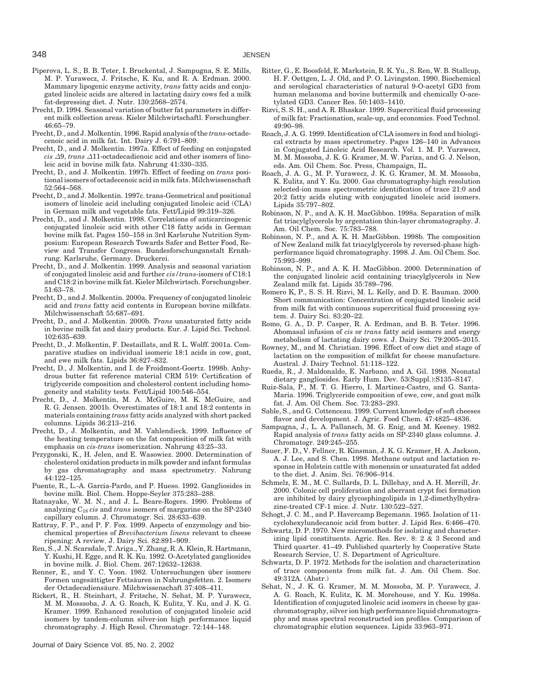- Piperova, L. S., B. B. Teter, I. Bruckental, J. Sampugna, S. E. Mills, M. P. Yurawecz, J. Fritsche, K. Ku, and R. A. Erdman. 2000. Mammary lipogenic enzyme activity, *trans* fatty acids and conjugated linoleic acids are altered in lactating dairy cows fed a milk fat-depressing diet. J. Nutr. 130:2568–2574.
- Precht, D. 1994. Seasonal variation of butter fat parameters in different milk collection areas. Kieler Milchwirtschaftl. Forschungber. 46:65–79.
- Precht, D., and J. Molkentin. 1996. Rapid analysis of the *trans*-octadecenoic acid in milk fat. Int. Dairy J. 6:791–809.
- Precht, D., and J. Molkentin. 1997a. Effect of feeding on conjugated *cis ∆*9, *trans ∆*11-octadecadienoic acid and other isomers of linoleic acid in bovine milk fats. Nahrung 41:330–335.
- Precht, D., and J. Molkentin. 1997b. Effect of feeding on *trans* positional isomers of octadecenoic acid in milk fats. Milchwissenschaft 52:564–568.
- Precht, D., and J. Molkentin. 1997c. trans-Geometrical and positional isomers of linoleic acid including conjugated linoleic acid (CLA) in German milk and vegetable fats. Fett/Lipid 99:319–326.
- Precht, D., and J. Molkentin. 1998. Correlations of anticarcinogenic conjugated linoleic acid with other C18 fatty acids in German bovine milk fat. Pages 150–158 in 3rd Karlsruhe Nutrition Symposium: European Research Towards Safer and Better Food, Review and Transfer Congress. Bundesforschunganstalt Ernährung. Karlsruhe, Germany. Druckerei.
- Precht, D., and J. Molkentin. 1999. Analysis and seasonal variation of conjugated linoleic acid and further *cis/trans*-isomers of C18:1 and C18:2 in bovine milk fat. Kieler Milchwirtsch. Forschungsber. 51:63–78.
- Precht, D., and J. Molkentin. 2000a. Frequency of conjugated linoleic acid and *trans* fatty acid contents in European bovine milkfats. Milchwissenschaft 55:687–691.
- Precht, D., and J. Molkentin. 2000b. *Trans* unsaturated fatty acids in bovine milk fat and dairy products. Eur. J. Lipid Sci. Technol. 102:635–639.
- Precht, D., J. Molkentin, F. Destaillats, and R. L. Wolff. 2001a. Comparative studies on individual isomeric 18:1 acids in cow, goat, and ewe milk fats. Lipids 36:827–832.
- Precht, D., J. Molkentin, and I. de Froidmont-Goertz. 1998b. Anhydrous butter fat reference material CRM 519: Certification of triglyceride composition and cholesterol content including homogeneity and stability tests. Fett/Lipid 100:546–554.
- Precht, D., J. Molkentin, M. A. McGuire, M. K. McGuire, and R. G. Jensen. 2001b. Overestimates of 18:1 and 18:2 contents in materials containing *trans* fatty acids analyzed with short packed columns. Lipids 36:213–216.
- Precht, D., J. Molkentin, and M. Vahlendieck. 1999. Influence of the heating temperature on the fat composition of milk fat with emphasis on *cis-trans* isomerization. Nahrung 43:25–33.
- Przygonski, K., H. Jelen, and E. Wasowiez. 2000. Determination of cholesterol oxidation products in milk powder and infant formulas by gas chromatography and mass spectrometry. Nahrung 44:122–125.
- Puente, R., L.-A. Garcia-Pardo, and P. Hueso. 1992. Gangliosides in bovine milk. Biol. Chem. Hoppe-Seyler 375:283–288.
- Ratnayake, W. M. N., and J. L. Beare-Rogers. 1990. Problems of analyzing C18 *cis* and *trans* isomers of margarine on the SP-2340 capillary column. J. Chromatogr. Sci. 28:633–639.
- Rattray, F. P., and P. F. Fox. 1999. Aspects of enzymology and biochemical properties of *Brevibacterium linens* relevant to cheese ripening: A review. J. Dairy Sci. 82:891–909.
- Ren, S., J. N. Scarsdale, T. Ariga., Y. Zhang, R. A. Klein, R. Hartmann, Y. Kushi, H. Egge, and R. K. Ku. 1992. O-Acetylated gangliosides in bovine milk. J. Biol. Chem. 267:12632–12638.
- Renner, E., and Y. C. Yoon. 1982. Untersuchungen über isomere Formen ungesättigter Fettsäuren in Nahrungsfetten. 2. Isomere der Octadecadiensäure. Milchwissenschaft 37:408–411.
- Rickert, R., H. Steinhart, J. Fritsche, N. Sehat, M. P. Yurawecz, M. M. Mosssoba, J. A. G. Roach, K. Eulitz, Y. Ku, and J. K. G. Kramer. 1999. Enhanced resolution of conjugated linoleic acid isomers by tandem-column silver-ion high performance liquid chromatography. J. High Resol. Chromatogr. 72:144–148.

Journal of Dairy Science Vol. 85, No. 2, 2002

- Ritter, G., E. Boosfeld, E. Markstein, R. K. Yu., S. Ren, W. B. Stallcup, H. F. Oettgen, L. J. Old, and P. O. Livingston. 1990. Biochemical and serological characteristics of natural 9-O-acetyl GD3 from human melanoma and bovine buttermilk and chemically O-acetylated GD3. Cancer Res. 50:1403–1410.
- Rizvi, S. S. H., and A. R. Bhaskar. 1999. Supercritical fluid processing of milk fat: Fractionation, scale-up, and economics. Food Technol. 49:90–98.
- Roach, J. A. G. 1999. Identification of CLA isomers in food and biological extracts by mass spectrometry. Pages 126–140 in Advances in Conjugated Linoleic Acid Research. Vol. 1. M. P. Yurawecz, M. M. Mossoba, J. K. G. Kramer, M. W. Pariza, and G. J. Nelson, eds. Am. Oil Chem. Soc. Press, Champaign, IL.
- Roach, J. A. G., M. P. Yurawecz, J. K. G. Kramer, M. M. Mossoba, K. Eulitz, and Y. Ku. 2000. Gas chromatography-high resolution selected-ion mass spectrometric identification of trace 21:0 and 20:2 fatty acids eluting with conjugated linoleic acid isomers. Lipids 35:797–802.
- Robinson, N. P., and A. K. H. MacGibbon. 1998a. Separation of milk fat triacylglycerols by argentation thin-layer chromatography. J. Am. Oil Chem. Soc. 75:783–788.
- Robinson, N. P., and A. K. H. MacGibbon. 1998b. The composition of New Zealand milk fat triacylglycerols by reversed-phase highperformance liquid chromatography. 1998. J. Am. Oil Chem. Soc. 75:993–999.
- Robinson, N. P., and A. K. H. MacGibbon. 2000. Determination of the conjugated linoleic acid containing triacylglycerols in New Zealand milk fat. Lipids 35:789–796.
- Romero K, P., S. S. H. Rizvi, M. L. Kelly, and D. E. Bauman. 2000. Short communication: Concentration of conjugated linoleic acid from milk fat with continuous supercritical fluid processing system. J. Dairy Sci. 83:20–22.
- Romo, G. A., D. P. Casper, R. A. Erdman, and B. B. Teter. 1996. Abomasal infusion of *cis* or *trans* fatty acid isomers and energy metabolism of lactating dairy cows. J. Dairy Sci. 79:2005–2015.
- Rowney, M., and M. Christian. 1996. Effect of cow diet and stage of lactation on the composition of milkfat for cheese manufacture. Austral. J. Dairy Technol. 51:118–122.
- Rueda, R., J. Maldonaldo, E. Narbano, and A. Gil. 1998. Neonatal dietary gangliosides. Early Hum. Dev. 53(Suppl.):S135–S147.
- Ruiz-Sala, P., M. T. G. Hierro, I. Martinez-Castro, and G. Santa-Maria. 1996. Triglyceride composition of ewe, cow, and goat milk fat. J. Am. Oil Chem. Soc. 73:283–293.
- Sable, S., and G. Cottenceau. 1999. Current knowledge of soft cheeses flavor and development. J. Agric. Food Chem. 47:4825–4836.
- Sampugna, J., L. A. Pallansch, M. G. Enig, and M. Keeney. 1982. Rapid analysis of *trans* fatty acids on SP-2340 glass columns. J. Chromatogr. 249:245–255.
- Sauer, F. D., V. Fellner, R. Kinsman, J. K. G. Kramer, H. A. Jackson, A. J. Lee, and S. Chen. 1998. Methane output and lactation response in Holstein cattle with monensin or unsaturated fat added to the diet. J. Anim. Sci. 76:906–914.
- Schmelz, E. M., M. C. Sullards, D. L. Dillehay, and A. H. Merrill, Jr. 2000. Colonic cell proliferation and aberrant crypt foci formation are inhibited by dairy glycosphingolipids in 1,2-dimethylhydrazine-treated CF-1 mice. J. Nutr. 130:522–527.
- Schogt, J. C. M., and P. Havercamp Begemann. 1965. Isolation of 11 cyclohexylundecanoic acid from butter. J. Lipid Res. 6:466–470.
- Schwartz, D. P. 1970. New micromethods for isolating and characterizing lipid constituents. Agric. Res. Rev. 8: 2 & 3 Second and Third quarter. 41–49. Published quarterly by Cooperative State Research Service, U. S. Department of Agriculture.
- Schwartz, D. P. 1972. Methods for the isolation and characterization of trace components from milk fat. J. Am. Oil Chem. Soc. 49:312A. (Abstr.)
- Sehat, N., J. K. G. Kramer, M. M. Mossoba, M. P. Yurawecz, J. A. G. Roach, K. Eulitz, K. M. Morehouse, and Y. Ku. 1998a. Identification of conjugated linoleic acid isomers in cheese by gaschromatography, silver ion high performance liquid chromatography and mass spectral reconstructed ion profiles. Comparison of chromatographic elution sequences. Lipids 33:963–971.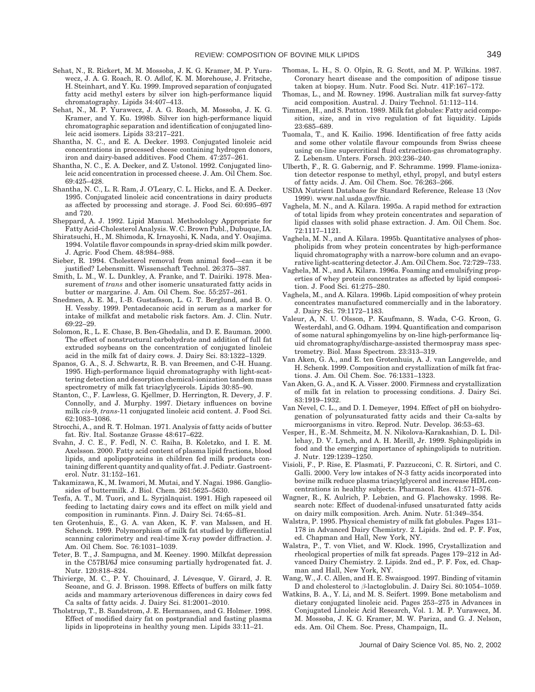- Sehat, N., R. Rickert, M. M. Mossoba, J. K. G. Kramer, M. P. Yurawecz, J. A. G. Roach, R. O. Adlof, K. M. Morehouse, J. Fritsche, H. Steinhart, and Y. Ku. 1999. Improved separation of conjugated fatty acid methyl esters by silver ion high-performance liquid chromatography. Lipids 34:407–413.
- Sehat, N., M. P. Yurawecz, J. A. G. Roach, M. Mossoba, J. K. G. Kramer, and Y. Ku. 1998b. Silver ion high-performance liquid chromatographic separation and identification of conjugated linoleic acid isomers. Lipids 33:217–221.
- Shantha, N. C., and E. A. Decker. 1993. Conjugated linoleic acid concentrations in processed cheese containing hydrogen donors, iron and dairy-based additives. Food Chem. 47:257–261.
- Shantha, N. C., E. A. Decker, and Z. Ustonol. 1992. Conjugated linoleic acid concentration in processed cheese. J. Am. Oil Chem. Soc. 69:425–428.
- Shantha, N. C., L. R. Ram, J. O'Leary, C. L. Hicks, and E. A. Decker. 1995. Conjugated linoleic acid concentrations in dairy products as affected by processing and storage. J. Food Sci. 60:695–697 and 720.
- Sheppard, A. J. 1992. Lipid Manual. Methodology Appropriate for Fatty Acid-Cholesterol Analysis. W. C. Brown Publ., Dubuque, IA.
- Shiratsuchi, H., M. Shimoda, K. Irnayoshi, K. Nada, and Y. Osajima. 1994. Volatile flavor compounds in spray-dried skim milk powder. J. Agric. Food Chem. 48:984–988.
- Sieber, R. 1994. Cholesterol removal from animal food—can it be justified? Lebensmitt. Wissenschaft Technol. 26:375–387.
- Smith, L. M., W. L. Dunkley, A. Franke, and T. Dairiki. 1978. Measurement of *trans* and other isomeric unsaturated fatty acids in butter or margarine. J. Am. Oil Chem. Soc. 55:257–261.
- Snedmen, A. E. M., I.-B. Gustafsson, L. G. T. Berglund, and B. O. H. Vessby. 1999. Pentadecanoic acid in serum as a marker for intake of milkfat and metabolic risk factors. Am. J. Clin. Nutr. 69:22–29.
- Solomon, R., L. E. Chase, B. Ben-Ghedalia, and D. E. Bauman. 2000. The effect of nonstructural carbohydrate and addition of full fat extruded soybeans on the concentration of conjugated linoleic acid in the milk fat of dairy cows. J. Dairy Sci. 83:1322–1329.
- Spanos, G. A., S. J. Schwartz, R. B. van Breemen, and C-H. Huang. 1995. High-performance liquid chromatography with light-scattering detection and desorption chemical-ionization tandem mass spectrometry of milk fat triacylglycerols. Lipids 30:85–90.
- Stanton, C., F. Lawless, G. Kjellmer, D. Herrington, R. Devery, J. F. Connolly, and J. Murphy. 1997. Dietary influences on bovine milk *cis*-9, *trans*-11 conjugated linoleic acid content. J. Food Sci. 62:1083–1086.
- Strocchi, A., and R. T. Holman. 1971. Analysis of fatty acids of butter fat. Riv. Ital. Sostanze Grasse 48:617–622.
- Svahn, J. C. E., F. Fedl, N. C. Raiha, B. Koletzko, and I. E. M. Axelsson. 2000. Fatty acid content of plasma lipid fractions, blood lipids, and apolipoproteins in children fed milk products containing different quantity and quality of fat. J. Pediatr. Gastroenterol. Nutr. 31:152–161.
- Takamizawa, K., M. Iwamori, M. Mutai, and Y. Nagai. 1986. Gangliosides of buttermilk. J. Biol. Chem. 261:5625–5630.
- Tesfa, A. T., M. Tuori, and L. Syrjäläquist. 1991. High rapeseed oil feeding to lactating dairy cows and its effect on milk yield and composition in ruminants. Finn. J. Dairy Sci. 74:65–81.
- ten Grotenhuis, E., G. A. van Aken, K. F. van Malssen, and H. Schenck. 1999. Polymorphism of milk fat studied by differential scanning calorimetry and real-time X-ray powder diffraction. J. Am. Oil Chem. Soc. 76:1031–1039.
- Teter, B. T., J. Sampugna, and M. Keeney. 1990. Milkfat depression in the C57BI/6J mice consuming partially hydrogenated fat. J. Nutr. 120:818–824.
- Thivierge, M. C., P. Y. Chouinard, J. Lévesque, V. Girard, J. R. Seoane, and G. J. Brisson. 1998. Effects of buffers on milk fatty acids and mammary arteriovenous differences in dairy cows fed Ca salts of fatty acids. J. Dairy Sci. 81:2001–2010.
- Tholstrup, T., B. Sandstrom, J. E. Hermansen, and G. Holmer. 1998. Effect of modified dairy fat on postprandial and fasting plasma lipids in lipoproteins in healthy young men. Lipids 33:11–21.
- Thomas, L. H., S. O. Olpin, R. G. Scott, and M. P. Wilkins. 1987. Coronary heart disease and the composition of adipose tissue taken at biopsy. Hum. Nutr. Food Sci. Nutr. 41F:167–172.
- Thomas, L., and M. Rowney. 1996. Australian milk fat survey-fatty acid composition. Austral. J. Dairy Technol. 51:112–114.
- Timmen, H., and S. Patton. 1989. Milk fat globules: Fatty acid composition, size, and in vivo regulation of fat liquidity. Lipids 23:685–689.
- Tuomala, T., and K. Kailio. 1996. Identification of free fatty acids and some other volatile flavour compounds from Swiss cheese using on-line supercritical fluid extraction-gas chromatography. Z. Lebensm. Unters. Forsch. 203:236–240.
- Ulberth, F., R. G. Gabernig, and F. Schramme. 1999. Flame-ionization detector response to methyl, ethyl, propyl, and butyl esters of fatty acids. J. Am. Oil Chem. Soc. 76:263–266.
- USDA Nutrient Database for Standard Reference, Release 13 (Nov 1999). www.nal.usda.gov/fnic.
- Vaghela, M. N., and A. Kilara. 1995a. A rapid method for extraction of total lipids from whey protein concentrates and separation of lipid classes with solid phase extraction. J. Am. Oil Chem. Soc. 72:1117–1121.
- Vaghela, M. N., and A. Kilara. 1995b. Quantitative analyses of phospholipids from whey protein concentrates by high-performance liquid chromatography with a narrow-bore column and an evaporative light-scattering detector. J. Am. Oil Chem. Soc. 72:729–733.
- Vaghela, M. N., and A. Kilara. 1996a. Foaming and emulsifying properties of whey protein concentrates as affected by lipid composition. J. Food Sci. 61:275–280.
- Vaghela, M., and A. Kilara. 1996b. Lipid composition of whey protein concentrates manufactured commercially and in the laboratory. J. Dairy Sci. 79:1172–1183.
- Valeur, A, N. U. Olsson, P. Kaufmann, S. Wada, C-G. Kroon, G. Westerdahl, and G. Odham. 1994. Quantification and comparison of some natural sphingomyelins by on-line high-performance liquid chromatography/discharge-assisted thermospray mass spectrometry. Biol. Mass Spectrom. 23:313–319.
- Van Aken, G. A., and E. ten Grotenhuis, A. J. van Langevelde, and H. Schenk. 1999. Composition and crystallization of milk fat fractions. J. Am. Oil Chem. Soc. 76:1331–1323.
- Van Aken, G. A., and K. A. Visser. 2000. Firmness and crystallization of milk fat in relation to processing conditions. J. Dairy Sci. 83:1919–1932.
- Van Nevel, C. L., and D. I. Demeyer, 1994. Effect of pH on biohydrogenation of polyunsaturated fatty acids and their Ca-salts by microorganisms in vitro. Reprod. Nutr. Develop. 36:53–63.
- Vesper, H., E.-M. Schmeitz, M. N. Nikolova-Karakashian, D. L. Dillehay, D. V. Lynch, and A. H. Merill, Jr. 1999. Sphingolipids in food and the emerging importance of sphingolipids to nutrition. J. Nutr. 129:1239–1250.
- Visioli, F., P. Rise, E. Plasmati, F. Pazzucconi, C. R. Sirtori, and C. Galli. 2000. Very low intakes of N-3 fatty acids incorporated into bovine milk reduce plasma triacylglycerol and increase HDL concentrations in healthy subjects. Pharmacol. Res. 41:571–576.
- Wagner, R., K. Aulrich, P. Lebzien, and G. Flachowsky. 1998. Research note: Effect of duodenal-infused unsaturated fatty acids on dairy milk composition. Arch. Anim. Nutr. 51:349–354.
- Walstra, P. 1995. Physical chemistry of milk fat globules. Pages 131– 178 in Advanced Dairy Chemistry. 2. Lipids. 2nd ed. P. F. Fox, ed. Chapman and Hall, New York, NY.
- Walstra, P., T. von Vliet, and W. Klock. 1995, Crystallization and rheological properties of milk fat spreads. Pages 179–212 in Advanced Dairy Chemistry. 2. Lipids. 2nd ed., P. F. Fox, ed. Chapman and Hall, New York, NY.
- Wang, W., J. C. Allen, and H. E. Swaisgood. 1997. Binding of vitamin D and cholesterol to *β*-lactoglobulin. J. Dairy Sci. 80:1054–1059.
- Watkins, B. A., Y. Li, and M. S. Seifert. 1999. Bone metabolism and dietary conjugated linoleic acid. Pages 253–275 in Advances in Conjugated Linoleic Acid Research, Vol. 1. M. P. Yurawecz, M. M. Mossoba, J. K. G. Kramer, M. W. Pariza, and G. J. Nelson, eds. Am. Oil Chem. Soc. Press, Champaign, IL.